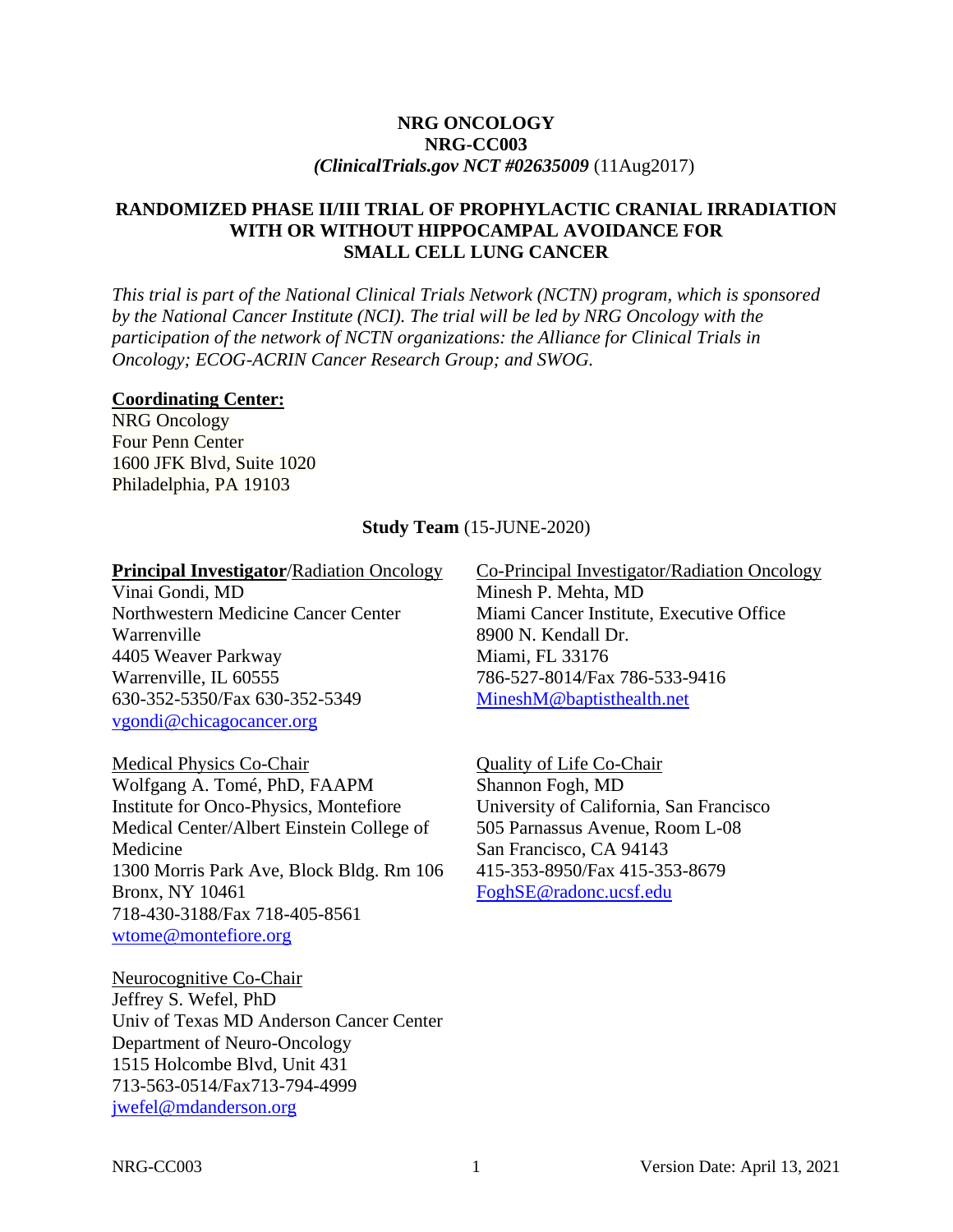#### **NRG ONCOLOGY NRG-CC003** *(ClinicalTrials.gov NCT #02635009* (11Aug2017)

#### **RANDOMIZED PHASE II/III TRIAL OF PROPHYLACTIC CRANIAL IRRADIATION WITH OR WITHOUT HIPPOCAMPAL AVOIDANCE FOR SMALL CELL LUNG CANCER**

*This trial is part of the National Clinical Trials Network (NCTN) program, which is sponsored by the National Cancer Institute (NCI). The trial will be led by NRG Oncology with the participation of the network of NCTN organizations: the Alliance for Clinical Trials in Oncology; ECOG-ACRIN Cancer Research Group; and SWOG.* 

#### **Coordinating Center:**

NRG Oncology Four Penn Center 1600 JFK Blvd, Suite 1020 Philadelphia, PA 19103

#### **Study Team** (15-JUNE-2020)

#### **Principal Investigator**/Radiation Oncology

Vinai Gondi, MD Northwestern Medicine Cancer Center Warrenville 4405 Weaver Parkway Warrenville, IL 60555 630-352-5350/Fax 630-352-5349 [vgondi@chicagocancer.org](mailto:vgondi@chicagocancer.org)

Medical Physics Co-Chair

Wolfgang A. Tomé, PhD, FAAPM Institute for Onco-Physics, Montefiore Medical Center/Albert Einstein College of Medicine 1300 Morris Park Ave, Block Bldg. Rm 106 Bronx, NY 10461 718-430-3188/Fax 718-405-8561 [wtome@montefiore.org](mailto:wtome@montefiore.org)

Neurocognitive Co-Chair Jeffrey S. Wefel, PhD Univ of Texas MD Anderson Cancer Center Department of Neuro-Oncology 1515 Holcombe Blvd, Unit 431 713-563-0514/Fax713-794-4999 [jwefel@mdanderson.org](mailto:jwefel@mdanderson.org)

Co-Principal Investigator/Radiation Oncology Minesh P. Mehta, MD Miami Cancer Institute, Executive Office 8900 N. Kendall Dr. Miami, FL 33176

786-527-8014/Fax 786-533-9416 [MineshM@baptisthealth.net](mailto:MineshM@baptisthealth.net)

Quality of Life Co-Chair Shannon Fogh, MD University of California, San Francisco 505 Parnassus Avenue, Room L-08 San Francisco, CA 94143 415-353-8950/Fax 415-353-8679 [FoghSE@radonc.ucsf.edu](mailto:FoghSE@radonc.ucsf.edu)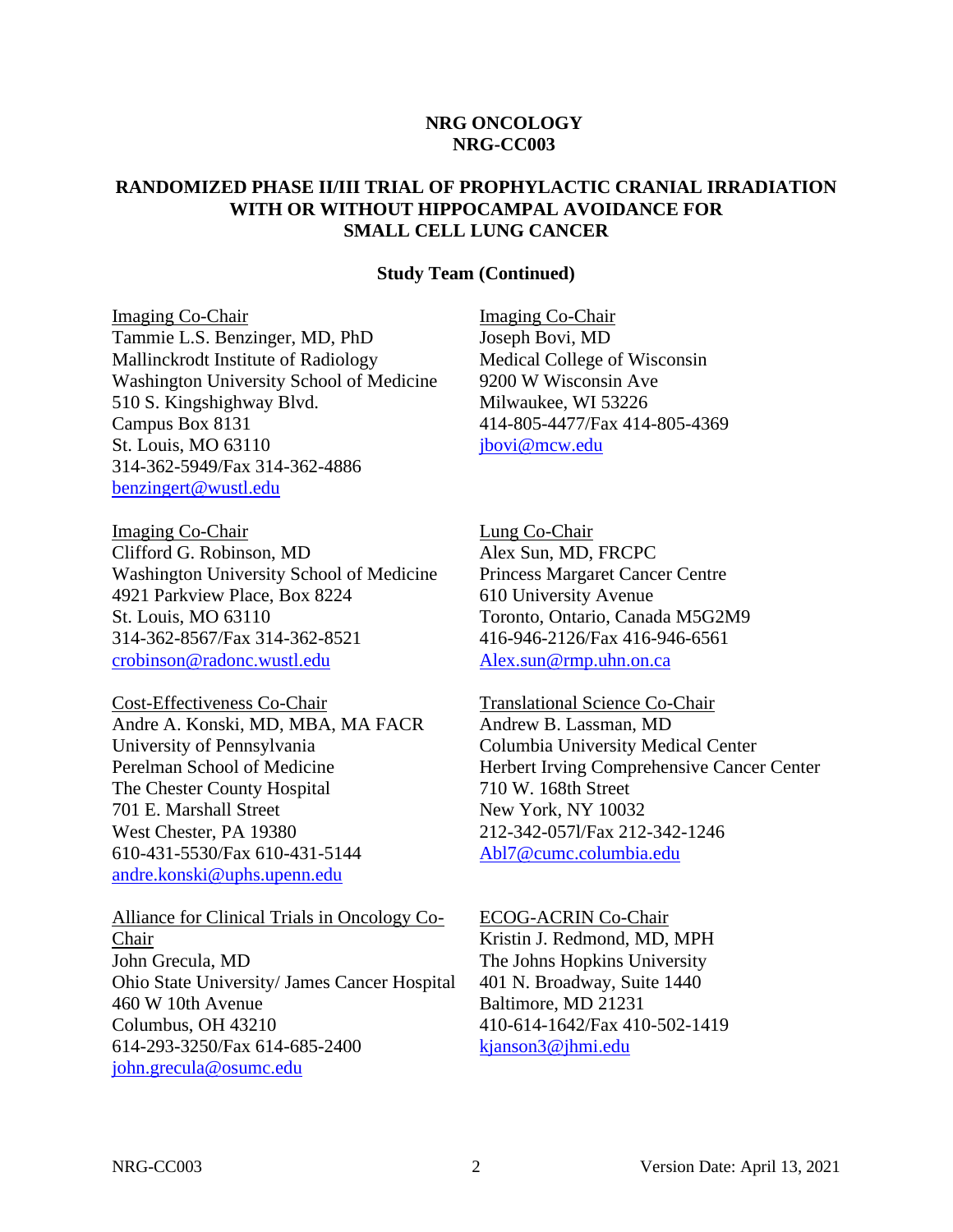#### **NRG ONCOLOGY NRG-CC003**

#### **RANDOMIZED PHASE II/III TRIAL OF PROPHYLACTIC CRANIAL IRRADIATION WITH OR WITHOUT HIPPOCAMPAL AVOIDANCE FOR SMALL CELL LUNG CANCER**

#### **Study Team (Continued)**

Imaging Co-Chair Tammie L.S. Benzinger, MD, PhD Mallinckrodt Institute of Radiology Washington University School of Medicine 510 S. Kingshighway Blvd. Campus Box 8131 St. Louis, MO 63110 314-362-5949/Fax 314-362-4886 [benzingert@wustl.edu](mailto:benzingert@wustl.edu)

Imaging Co-Chair Clifford G. Robinson, MD Washington University School of Medicine 4921 Parkview Place, Box 8224 St. Louis, MO 63110 314-362-8567/Fax 314-362-8521 [crobinson@radonc.wustl.edu](mailto:crobinson@radonc.wustl.edu)

Cost-Effectiveness Co-Chair Andre A. Konski, MD, MBA, MA FACR University of Pennsylvania Perelman School of Medicine The Chester County Hospital 701 E. Marshall Street West Chester, PA 19380 610-431-5530/Fax 610-431-5144 [andre.konski@uphs.upenn.edu](mailto:andre.konski@uphs.upenn.edu)

Alliance for Clinical Trials in Oncology Co-Chair John Grecula, MD Ohio State University/ James Cancer Hospital 460 W 10th Avenue Columbus, OH 43210 614-293-3250/Fax 614-685-2400 [john.grecula@osumc.edu](mailto:john.grecula@osumc.edu)

Imaging Co-Chair Joseph Bovi, MD Medical College of Wisconsin 9200 W Wisconsin Ave Milwaukee, WI 53226 414-805-4477/Fax 414-805-4369 [jbovi@mcw.edu](mailto:jbovi@mcw.edu)

Lung Co-Chair Alex Sun, MD, FRCPC Princess Margaret Cancer Centre 610 University Avenue Toronto, Ontario, Canada M5G2M9 416-946-2126/Fax 416-946-6561 [Alex.sun@rmp.uhn.on.ca](mailto:Alex.sun@rmp.uhn.on.ca)

Translational Science Co-Chair Andrew B. Lassman, MD Columbia University Medical Center Herbert Irving Comprehensive Cancer Center 710 W. 168th Street New York, NY 10032 212-342-057l/Fax 212-342-1246 [Abl7@cumc.columbia.edu](mailto:Abl7@cumc.columbia.edu)

ECOG-ACRIN Co-Chair Kristin J. Redmond, MD, MPH The Johns Hopkins University 401 N. Broadway, Suite 1440 Baltimore, MD 21231 410-614-1642/Fax 410-502-1419 [kjanson3@jhmi.edu](mailto:kjanson3@jhmi.edu)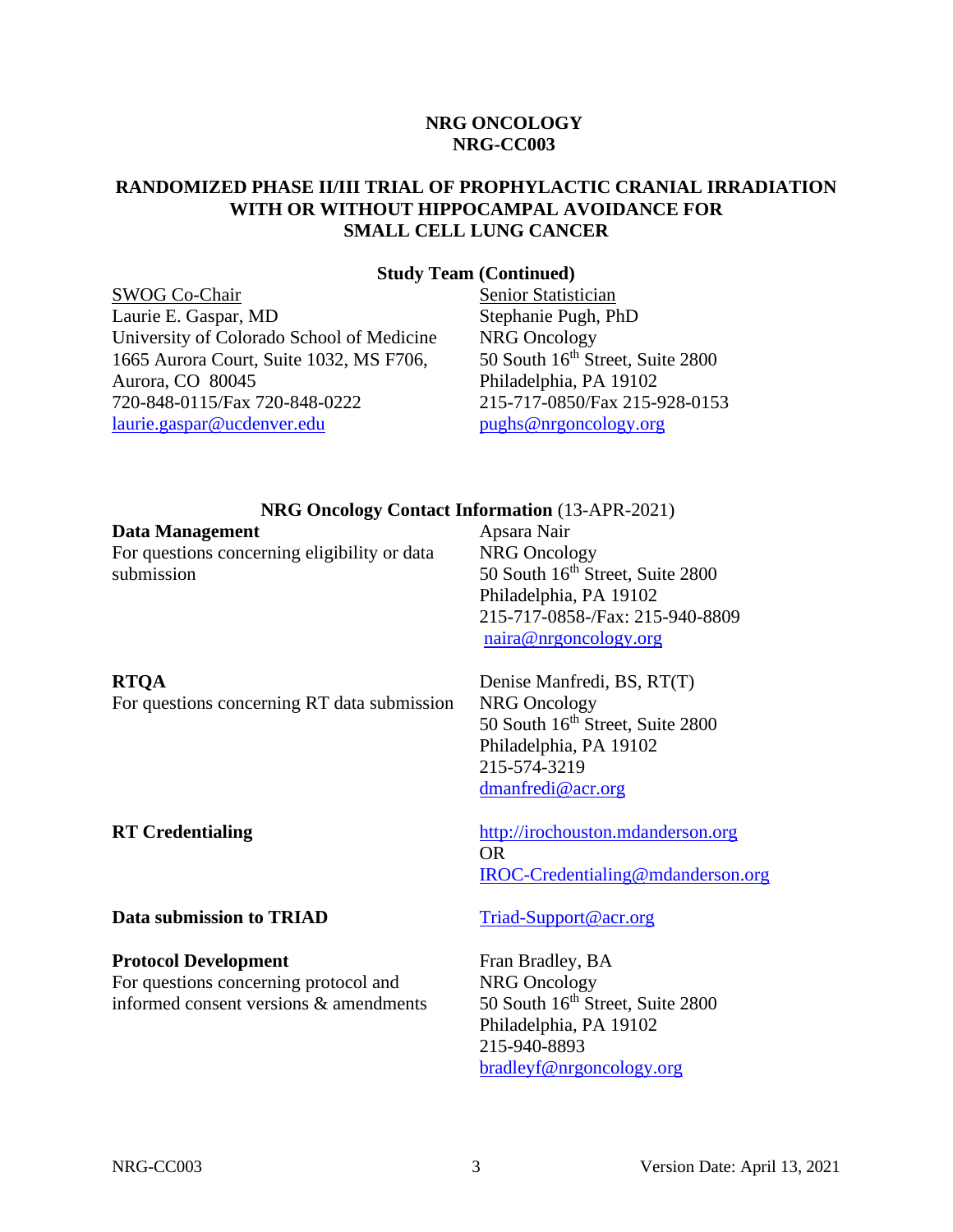#### **NRG ONCOLOGY NRG-CC003**

#### **RANDOMIZED PHASE II/III TRIAL OF PROPHYLACTIC CRANIAL IRRADIATION WITH OR WITHOUT HIPPOCAMPAL AVOIDANCE FOR SMALL CELL LUNG CANCER**

#### **Study Team (Continued)**

SWOG Co-Chair Laurie E. Gaspar, MD University of Colorado School of Medicine 1665 Aurora Court, Suite 1032, MS F706, Aurora, CO 80045 720-848-0115/Fax 720-848-0222 [laurie.gaspar@ucdenver.edu](mailto:laurie.gaspar@ucdenver.edu)

Senior Statistician Stephanie Pugh, PhD NRG Oncology 50 South 16<sup>th</sup> Street, Suite 2800 Philadelphia, PA 19102 215-717-0850/Fax 215-928-0153 [pughs@nrgoncology.org](mailto:pughs@nrgoncology.org)

#### **NRG Oncology Contact Information** (13-APR-2021)

| Data Management                              | Apsara l |
|----------------------------------------------|----------|
| For questions concerning eligibility or data | NRG Or   |
| submission                                   | 50 South |
|                                              | Philadel |
|                                              | 215-717  |
|                                              | naira@   |
| <b>RTOA</b>                                  | Denise N |
| For questions concerning RT data submission  | NRG Or   |
|                                              | 50 South |
|                                              | Philadel |
|                                              | 215-574  |
|                                              | dmanfre  |

Apsara Nair ncology h 16<sup>th</sup> Street, Suite 2800 phia, PA 19102 215-717-0858-/Fax: 215-940-8809 nrgoncology.org

Manfredi, BS, RT(T) ncology  $h$  16<sup>th</sup> Street, Suite 2800 phia, PA 19102 215-574-3219  $edi@acr.org$ 

[IROC-Credentialing@mdanderson.org](mailto:IROC-Credentialing@mdanderson.org)

**RT Credentialing** [http://irochouston.mdanderson.org](http://irochouston.mdanderson.org/)

#### **Data submission to TRIAD** [Triad-Support@acr.org](mailto:Triad-Support@acr.org)

#### **Protocol Development**

For questions concerning protocol and informed consent versions & amendments

Fran Bradley, BA NRG Oncology 50 South 16<sup>th</sup> Street, Suite 2800 Philadelphia, PA 19102 215-940-8893 [bradleyf@nrgoncology.org](mailto:bradleyf@nrgoncology.org)

OR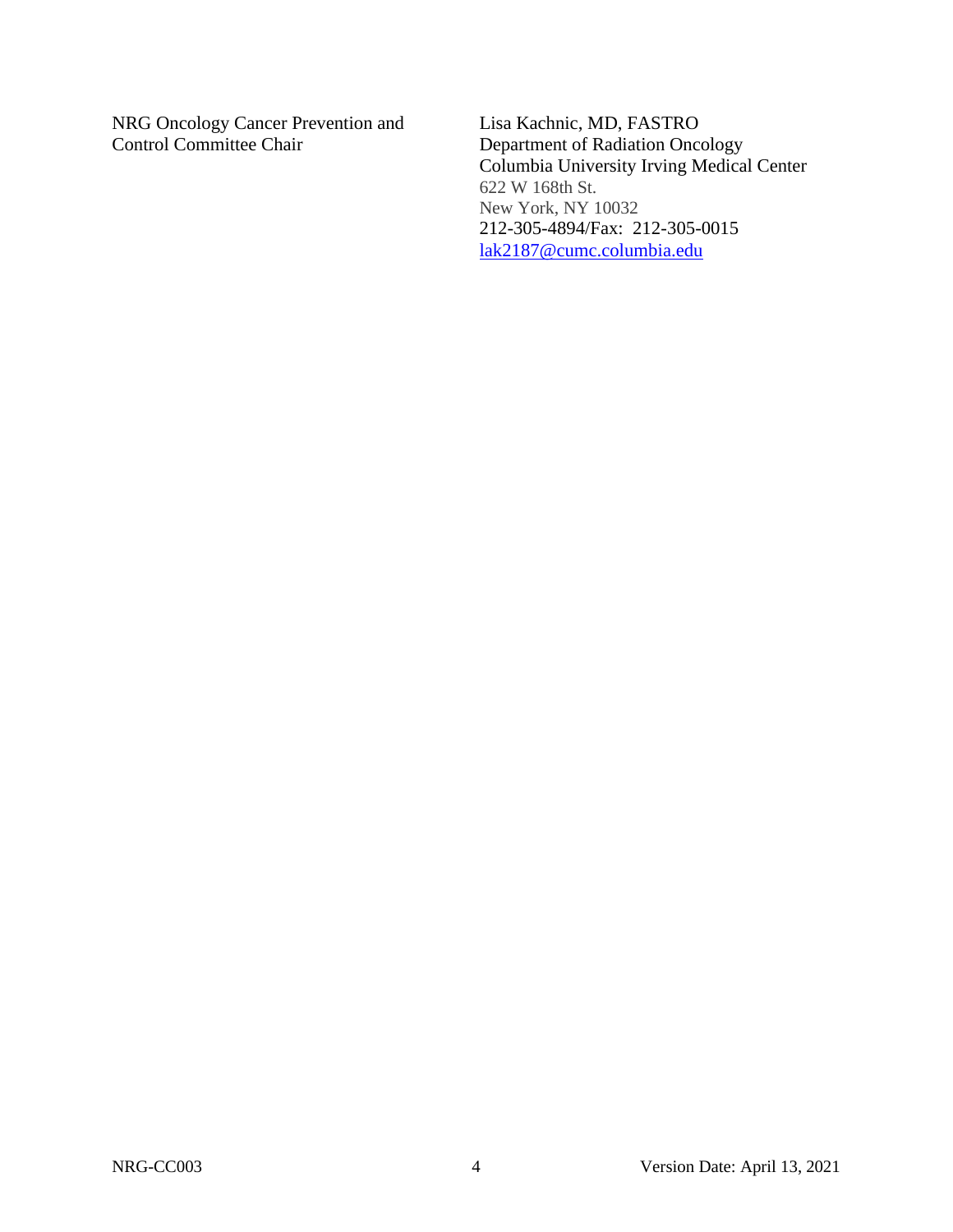NRG Oncology Cancer Prevention and Control Committee Chair

Lisa Kachnic, MD, FASTRO Department of Radiation Oncology Columbia University Irving Medical Center 622 W 168th St. New York, NY 10032 212-305-4894/Fax: 212-305-0015 [lak2187@cumc.columbia.edu](mailto:lak2187@cumc.columbia.edu)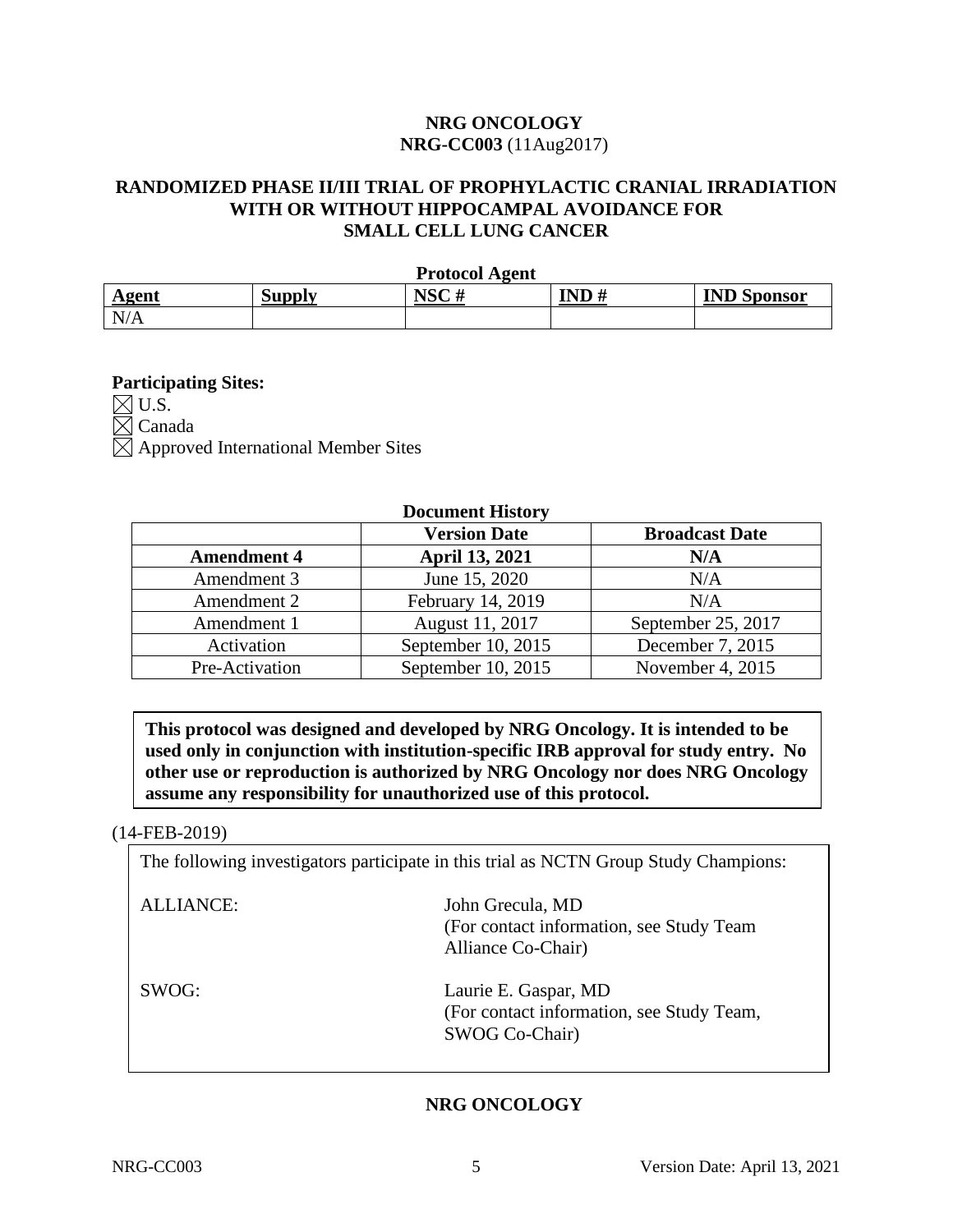### **NRG ONCOLOGY NRG-CC003** (11Aug2017)

## **RANDOMIZED PHASE II/III TRIAL OF PROPHYLACTIC CRANIAL IRRADIATION WITH OR WITHOUT HIPPOCAMPAL AVOIDANCE FOR SMALL CELL LUNG CANCER**

|       |               | <b>Protocol Agent</b> |      |                    |
|-------|---------------|-----------------------|------|--------------------|
| Agent | <b>Supply</b> | NSC#                  | IND# | <b>IND Sponsor</b> |
| N/A   |               |                       |      |                    |

#### **Participating Sites:**

 $\boxtimes$  U.S.  $\boxtimes$  Canada  $\boxtimes$  Approved International Member Sites

#### **Document History**

|                    | <b>Version Date</b>   | <b>Broadcast Date</b> |
|--------------------|-----------------------|-----------------------|
| <b>Amendment 4</b> | <b>April 13, 2021</b> | N/A                   |
| Amendment 3        | June 15, 2020         | N/A                   |
| Amendment 2        | February 14, 2019     | N/A                   |
| Amendment 1        | August 11, 2017       | September 25, 2017    |
| Activation         | September 10, 2015    | December 7, 2015      |
| Pre-Activation     | September 10, 2015    | November 4, 2015      |

**This protocol was designed and developed by NRG Oncology. It is intended to be used only in conjunction with institution-specific IRB approval for study entry. No other use or reproduction is authorized by NRG Oncology nor does NRG Oncology assume any responsibility for unauthorized use of this protocol.**

#### (14-FEB-2019)

The following investigators participate in this trial as NCTN Group Study Champions:

| ALLIANCE: | John Grecula, MD<br>(For contact information, see Study Team)<br>Alliance Co-Chair) |
|-----------|-------------------------------------------------------------------------------------|
| SWOG:     | Laurie E. Gaspar, MD<br>(For contact information, see Study Team,<br>SWOG Co-Chair) |

## **NRG ONCOLOGY**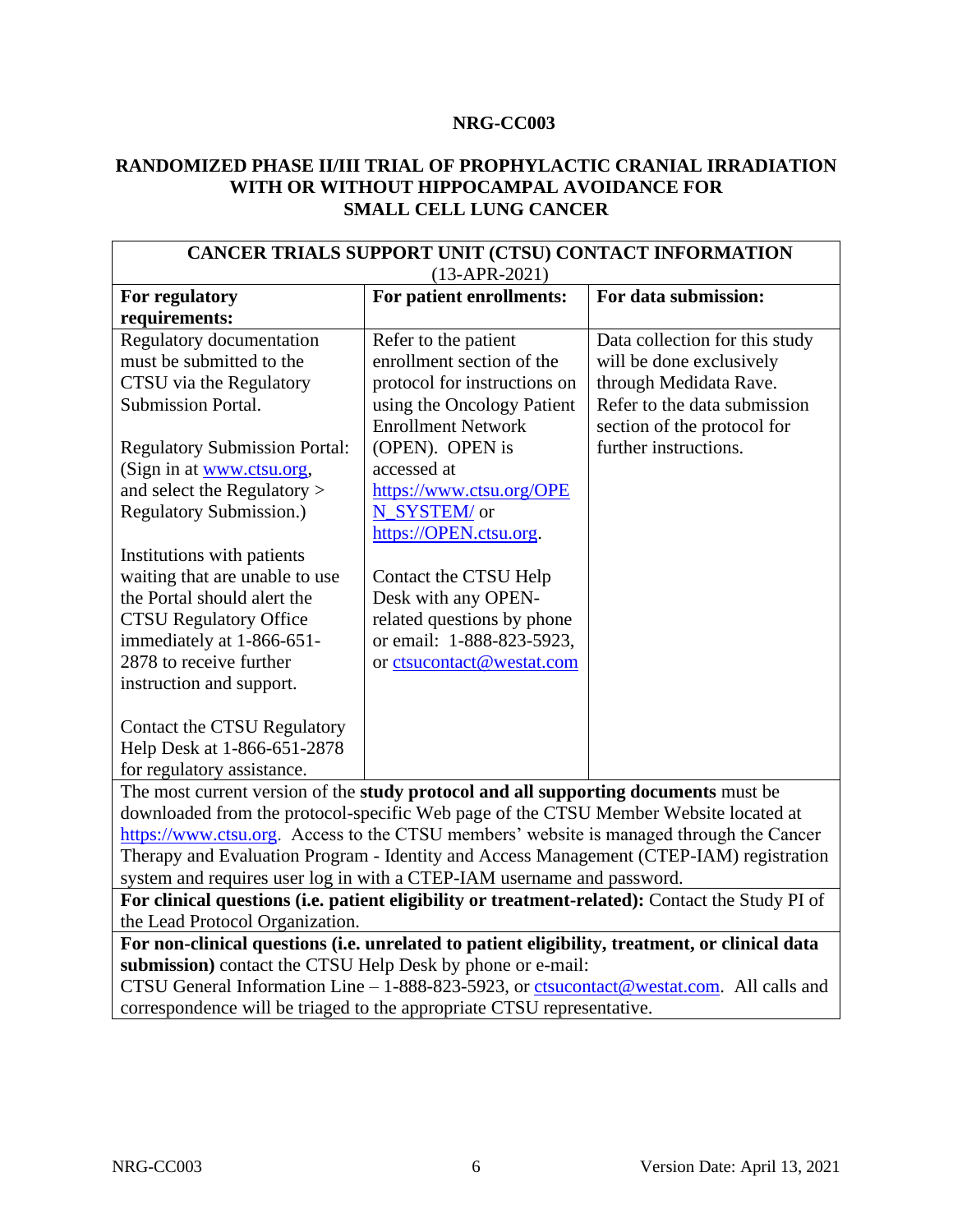#### **NRG-CC003**

#### **RANDOMIZED PHASE II/III TRIAL OF PROPHYLACTIC CRANIAL IRRADIATION WITH OR WITHOUT HIPPOCAMPAL AVOIDANCE FOR SMALL CELL LUNG CANCER**

| CANCER TRIALS SUPPORT UNIT (CTSU) CONTACT INFORMATION                                           |                                 |                                |  |
|-------------------------------------------------------------------------------------------------|---------------------------------|--------------------------------|--|
| $(13-APR-2021)$                                                                                 |                                 |                                |  |
| For regulatory                                                                                  | For patient enrollments:        | For data submission:           |  |
| requirements:                                                                                   |                                 |                                |  |
| Regulatory documentation                                                                        | Refer to the patient            | Data collection for this study |  |
| must be submitted to the                                                                        | enrollment section of the       | will be done exclusively       |  |
| CTSU via the Regulatory                                                                         | protocol for instructions on    | through Medidata Rave.         |  |
| Submission Portal.                                                                              | using the Oncology Patient      | Refer to the data submission   |  |
|                                                                                                 | <b>Enrollment Network</b>       | section of the protocol for    |  |
| <b>Regulatory Submission Portal:</b>                                                            | (OPEN). OPEN is                 | further instructions.          |  |
| (Sign in at www.ctsu.org,                                                                       | accessed at                     |                                |  |
| and select the Regulatory >                                                                     | https://www.ctsu.org/OPE        |                                |  |
| <b>Regulatory Submission.)</b>                                                                  | N_SYSTEM/ or                    |                                |  |
|                                                                                                 | https://OPEN.ctsu.org.          |                                |  |
| Institutions with patients                                                                      |                                 |                                |  |
| waiting that are unable to use                                                                  | Contact the CTSU Help           |                                |  |
| the Portal should alert the                                                                     | Desk with any OPEN-             |                                |  |
| <b>CTSU Regulatory Office</b>                                                                   | related questions by phone      |                                |  |
| immediately at 1-866-651-                                                                       | or email: 1-888-823-5923,       |                                |  |
| 2878 to receive further                                                                         | or ctsucontact@westat.com       |                                |  |
| instruction and support.                                                                        |                                 |                                |  |
|                                                                                                 |                                 |                                |  |
| Contact the CTSU Regulatory                                                                     |                                 |                                |  |
| Help Desk at 1-866-651-2878                                                                     |                                 |                                |  |
| for regulatory assistance.                                                                      |                                 |                                |  |
| The most current version of the study protocol and all supporting documents must be             |                                 |                                |  |
| downloaded from the protocol-specific Web page of the CTSU Member Website located at            |                                 |                                |  |
| https://www.ctsu.org. Access to the CTSU members' website is managed through the Cancer         |                                 |                                |  |
| Therapy and Evaluation Program - Identity and Access Management (CTEP-IAM) registration         |                                 |                                |  |
| system and requires user log in with a CTEP-IAM username and password.                          |                                 |                                |  |
| For clinical questions (i.e. patient eligibility or treatment-related): Contact the Study PI of |                                 |                                |  |
|                                                                                                 | the Lead Protocol Organization. |                                |  |
| For non-clinical questions (i.e. unrelated to patient eligibility, treatment, or clinical data  |                                 |                                |  |
| submission) contact the CTSU Help Desk by phone or e-mail:                                      |                                 |                                |  |
| CTSU General Information Line - 1-888-823-5923, or ctsucontact@westat.com. All calls and        |                                 |                                |  |
| correspondence will be triaged to the appropriate CTSU representative.                          |                                 |                                |  |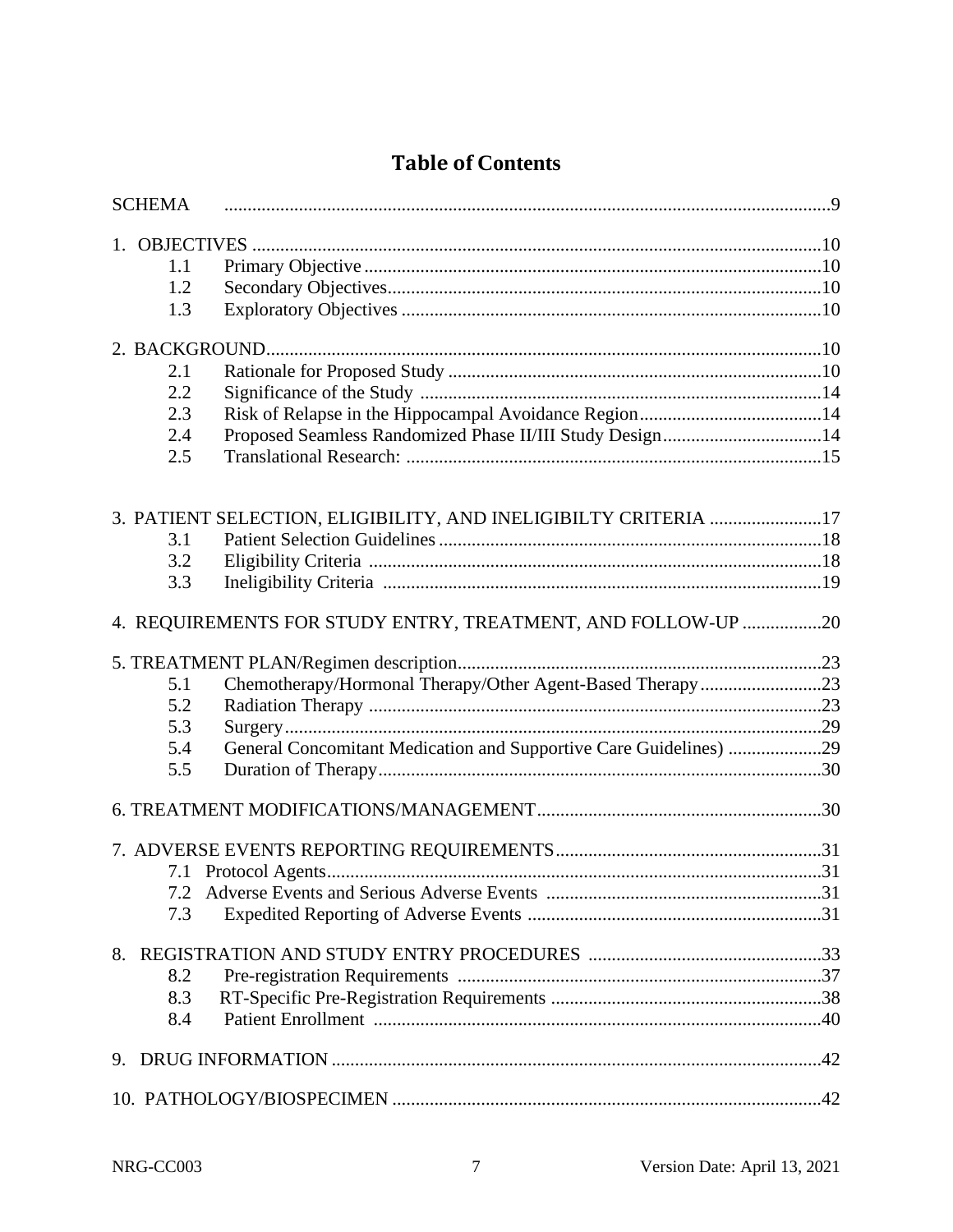# **Table of Contents**

| <b>SCHEMA</b>                                                            |  |
|--------------------------------------------------------------------------|--|
|                                                                          |  |
| 1.1                                                                      |  |
| 1.2                                                                      |  |
| 1.3                                                                      |  |
|                                                                          |  |
| 2.1                                                                      |  |
| 2.2                                                                      |  |
| 2.3                                                                      |  |
| Proposed Seamless Randomized Phase II/III Study Design14<br>2.4          |  |
| 2.5                                                                      |  |
| 3. PATIENT SELECTION, ELIGIBILITY, AND INELIGIBILTY CRITERIA 17          |  |
| 3.1                                                                      |  |
| 3.2                                                                      |  |
| 3.3                                                                      |  |
| 4. REQUIREMENTS FOR STUDY ENTRY, TREATMENT, AND FOLLOW-UP 20             |  |
|                                                                          |  |
| Chemotherapy/Hormonal Therapy/Other Agent-Based Therapy23<br>5.1         |  |
| 5.2                                                                      |  |
| 5.3                                                                      |  |
| General Concomitant Medication and Supportive Care Guidelines) 29<br>5.4 |  |
| 5.5                                                                      |  |
|                                                                          |  |
|                                                                          |  |
|                                                                          |  |
|                                                                          |  |
| 7.3                                                                      |  |
|                                                                          |  |
| 8.2                                                                      |  |
| 8.3                                                                      |  |
| 8.4                                                                      |  |
|                                                                          |  |
|                                                                          |  |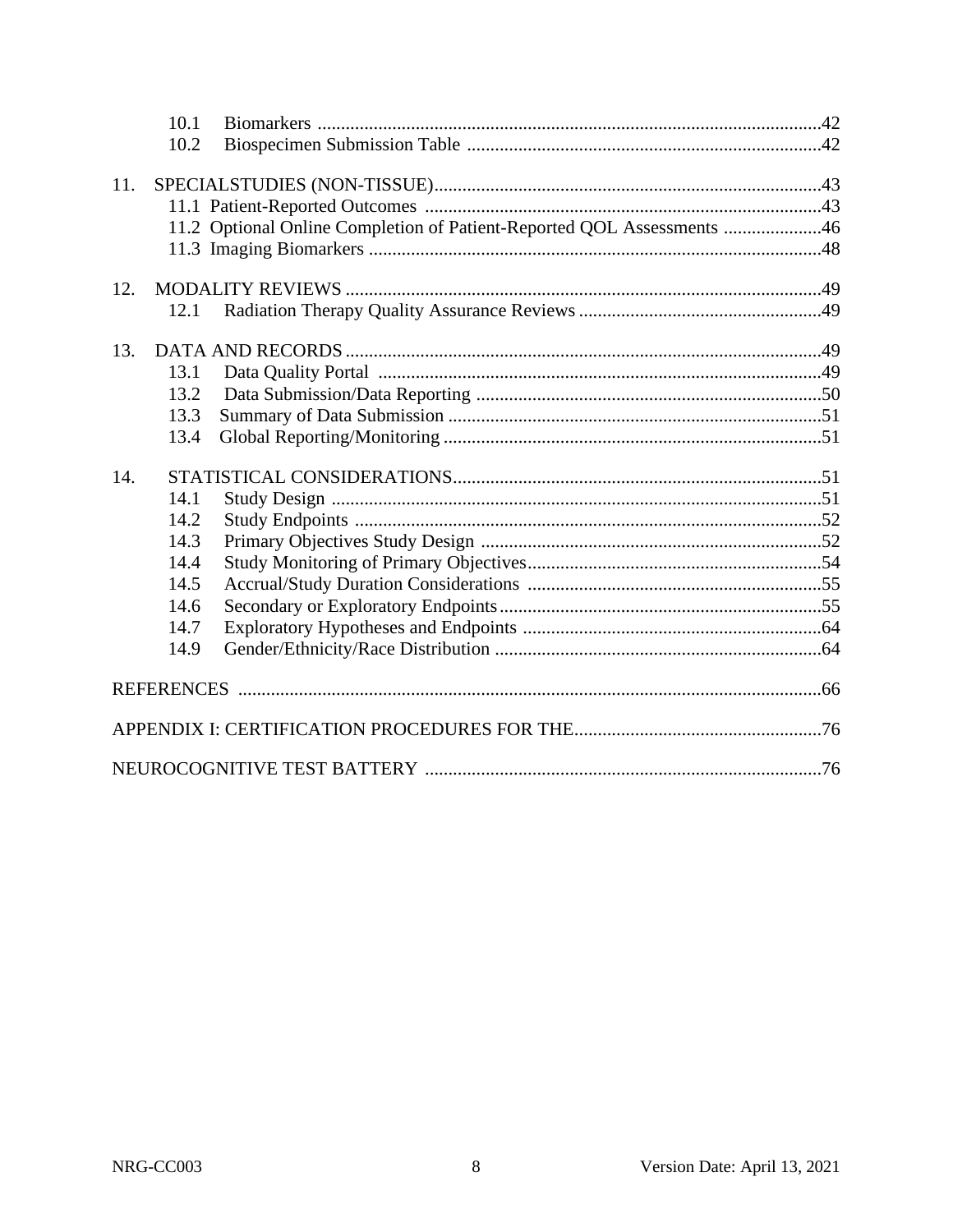|     | 10.1         |                                                                        |  |
|-----|--------------|------------------------------------------------------------------------|--|
|     | 10.2         |                                                                        |  |
|     |              |                                                                        |  |
| 11. |              |                                                                        |  |
|     |              |                                                                        |  |
|     |              | 11.2 Optional Online Completion of Patient-Reported QOL Assessments 46 |  |
|     |              |                                                                        |  |
| 12. |              |                                                                        |  |
|     | 12.1         |                                                                        |  |
|     |              |                                                                        |  |
| 13. |              |                                                                        |  |
|     | 13.1         |                                                                        |  |
|     | 13.2         |                                                                        |  |
|     | 13.3         |                                                                        |  |
|     | 13.4         |                                                                        |  |
| 14. |              |                                                                        |  |
|     | 14.1         |                                                                        |  |
|     | 14.2         |                                                                        |  |
|     | 14.3         |                                                                        |  |
|     | 14.4         |                                                                        |  |
|     |              |                                                                        |  |
|     |              |                                                                        |  |
|     | 14.5         |                                                                        |  |
|     | 14.6         |                                                                        |  |
|     | 14.7<br>14.9 |                                                                        |  |
|     |              |                                                                        |  |
|     |              |                                                                        |  |
|     |              |                                                                        |  |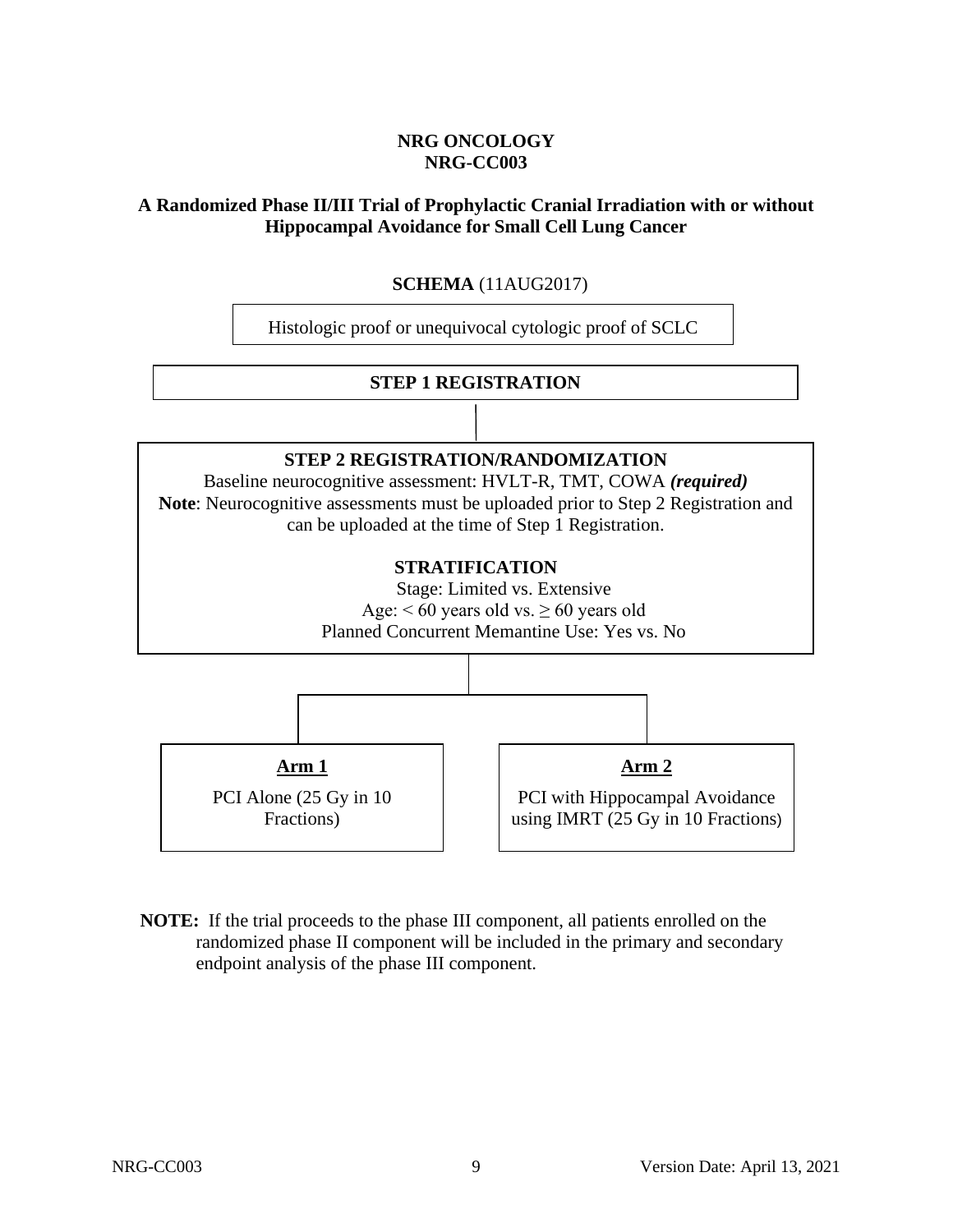## **NRG ONCOLOGY NRG-CC003**

### <span id="page-8-0"></span>**A Randomized Phase II/III Trial of Prophylactic Cranial Irradiation with or without Hippocampal Avoidance for Small Cell Lung Cancer**

## **SCHEMA** (11AUG2017)

Histologic proof or unequivocal cytologic proof of SCLC

#### **STEP 1 REGISTRATION**

## **STEP 2 REGISTRATION/RANDOMIZATION**

Baseline neurocognitive assessment: HVLT-R, TMT, COWA *(required)* **Note**: Neurocognitive assessments must be uploaded prior to Step 2 Registration and can be uploaded at the time of Step 1 Registration.

#### **STRATIFICATION**

Stage: Limited vs. Extensive Age:  $< 60$  years old vs.  $\geq 60$  years old Planned Concurrent Memantine Use: Yes vs. No



**NOTE:** If the trial proceeds to the phase III component, all patients enrolled on the randomized phase II component will be included in the primary and secondary endpoint analysis of the phase III component.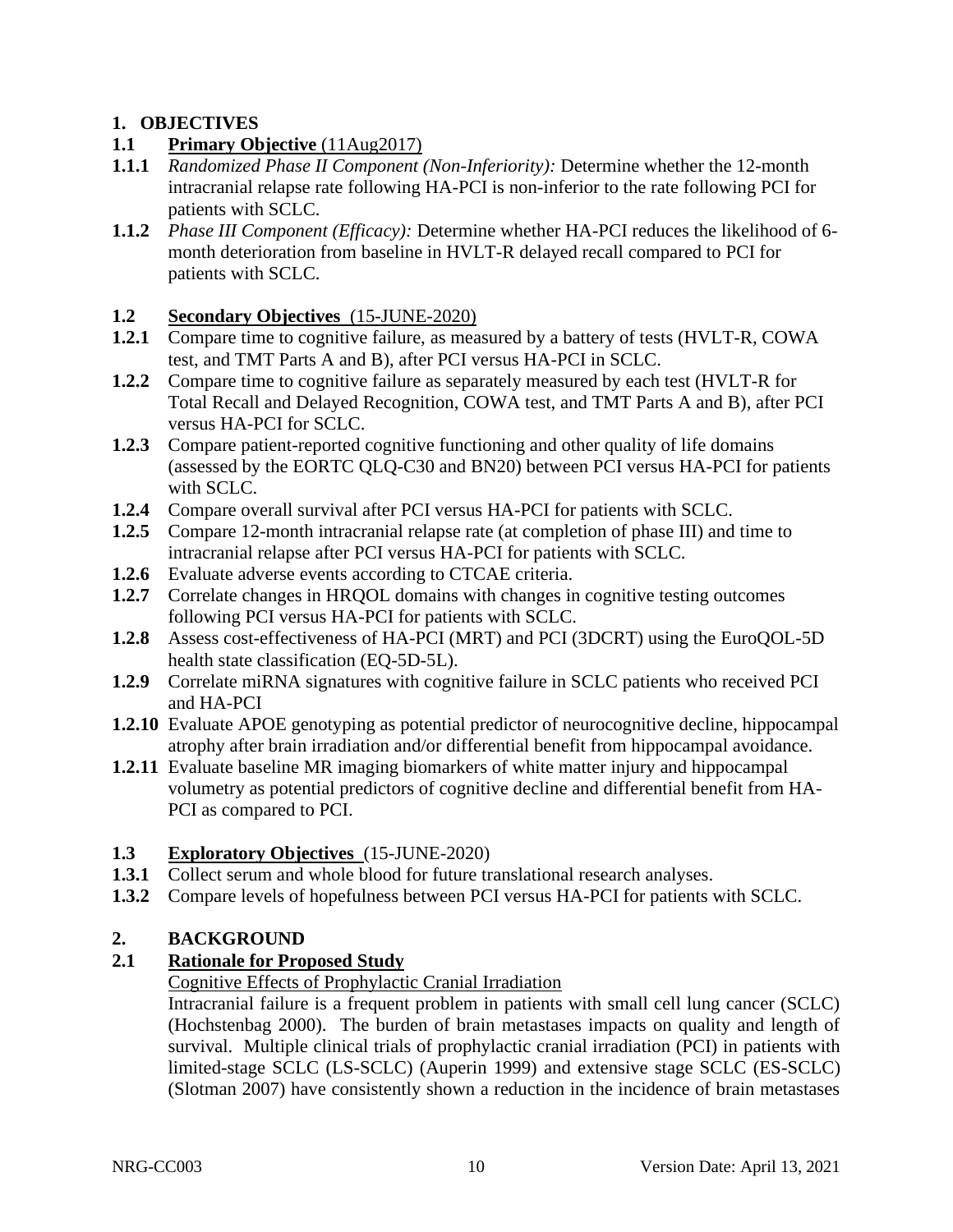## <span id="page-9-0"></span>**1. OBJECTIVES**

## <span id="page-9-1"></span>**1.1 Primary Objective** (11Aug2017)

- **1.1.1** *Randomized Phase II Component (Non-Inferiority):* Determine whether the 12-month intracranial relapse rate following HA-PCI is non-inferior to the rate following PCI for patients with SCLC.
- **1.1.2** *Phase III Component (Efficacy):* Determine whether HA-PCI reduces the likelihood of 6 month deterioration from baseline in HVLT-R delayed recall compared to PCI for patients with SCLC.

## <span id="page-9-2"></span>**1.2 Secondary Objectives** (15-JUNE-2020)

- 1.2.1 Compare time to cognitive failure, as measured by a battery of tests (HVLT-R, COWA test, and TMT Parts A and B), after PCI versus HA-PCI in SCLC.
- **1.2.2** Compare time to cognitive failure as separately measured by each test (HVLT-R for Total Recall and Delayed Recognition, COWA test, and TMT Parts A and B), after PCI versus HA-PCI for SCLC.
- **1.2.3** Compare patient-reported cognitive functioning and other quality of life domains (assessed by the EORTC QLQ-C30 and BN20) between PCI versus HA-PCI for patients with SCLC.
- **1.2.4** Compare overall survival after PCI versus HA-PCI for patients with SCLC.
- **1.2.5** Compare 12-month intracranial relapse rate (at completion of phase III) and time to intracranial relapse after PCI versus HA-PCI for patients with SCLC.
- **1.2.6** Evaluate adverse events according to CTCAE criteria.
- **1.2.7** Correlate changes in HRQOL domains with changes in cognitive testing outcomes following PCI versus HA-PCI for patients with SCLC.
- **1.2.8** Assess cost-effectiveness of HA-PCI (MRT) and PCI (3DCRT) using the EuroQOL-5D health state classification (EQ-5D-5L).
- **1.2.9** Correlate miRNA signatures with cognitive failure in SCLC patients who received PCI and HA-PCI
- **1.2.10** Evaluate APOE genotyping as potential predictor of neurocognitive decline, hippocampal atrophy after brain irradiation and/or differential benefit from hippocampal avoidance.
- **1.2.11** Evaluate baseline MR imaging biomarkers of white matter injury and hippocampal volumetry as potential predictors of cognitive decline and differential benefit from HA-PCI as compared to PCI.

## <span id="page-9-3"></span>**1.3 Exploratory Objectives** (15-JUNE-2020)

- **1.3.1** Collect serum and whole blood for future translational research analyses.
- **1.3.2** Compare levels of hopefulness between PCI versus HA-PCI for patients with SCLC.

## **2. BACKGROUND**

## <span id="page-9-5"></span>**2.1 Rationale for Proposed Study**

## <span id="page-9-4"></span>Cognitive Effects of Prophylactic Cranial Irradiation

Intracranial failure is a frequent problem in patients with small cell lung cancer (SCLC) (Hochstenbag 2000). The burden of brain metastases impacts on quality and length of survival. Multiple clinical trials of prophylactic cranial irradiation (PCI) in patients with limited-stage SCLC (LS-SCLC) (Auperin 1999) and extensive stage SCLC (ES-SCLC) (Slotman 2007) have consistently shown a reduction in the incidence of brain metastases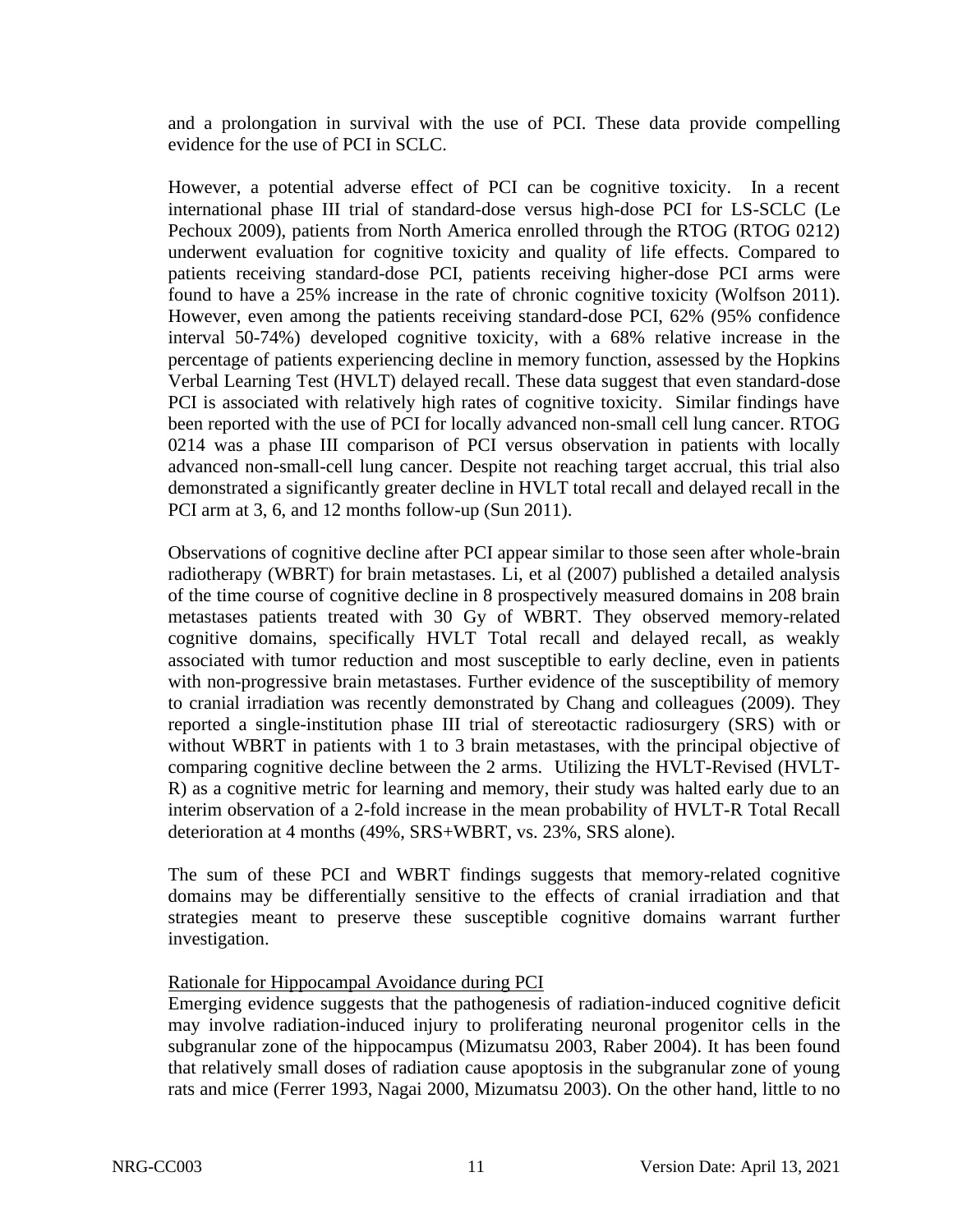and a prolongation in survival with the use of PCI. These data provide compelling evidence for the use of PCI in SCLC.

However, a potential adverse effect of PCI can be cognitive toxicity. In a recent international phase III trial of standard-dose versus high-dose PCI for LS-SCLC (Le Pechoux 2009), patients from North America enrolled through the RTOG (RTOG 0212) underwent evaluation for cognitive toxicity and quality of life effects. Compared to patients receiving standard-dose PCI, patients receiving higher-dose PCI arms were found to have a 25% increase in the rate of chronic cognitive toxicity (Wolfson 2011). However, even among the patients receiving standard-dose PCI, 62% (95% confidence interval 50-74%) developed cognitive toxicity, with a 68% relative increase in the percentage of patients experiencing decline in memory function, assessed by the Hopkins Verbal Learning Test (HVLT) delayed recall. These data suggest that even standard-dose PCI is associated with relatively high rates of cognitive toxicity. Similar findings have been reported with the use of PCI for locally advanced non-small cell lung cancer. RTOG 0214 was a phase III comparison of PCI versus observation in patients with locally advanced non-small-cell lung cancer. Despite not reaching target accrual, this trial also demonstrated a significantly greater decline in HVLT total recall and delayed recall in the PCI arm at 3, 6, and 12 months follow-up (Sun 2011).

Observations of cognitive decline after PCI appear similar to those seen after whole-brain radiotherapy (WBRT) for brain metastases. Li, et al (2007) published a detailed analysis of the time course of cognitive decline in 8 prospectively measured domains in 208 brain metastases patients treated with 30 Gy of WBRT. They observed memory-related cognitive domains, specifically HVLT Total recall and delayed recall, as weakly associated with tumor reduction and most susceptible to early decline, even in patients with non-progressive brain metastases. Further evidence of the susceptibility of memory to cranial irradiation was recently demonstrated by Chang and colleagues (2009). They reported a single-institution phase III trial of stereotactic radiosurgery (SRS) with or without WBRT in patients with 1 to 3 brain metastases, with the principal objective of comparing cognitive decline between the 2 arms. Utilizing the HVLT-Revised (HVLT-R) as a cognitive metric for learning and memory, their study was halted early due to an interim observation of a 2-fold increase in the mean probability of HVLT-R Total Recall deterioration at 4 months (49%, SRS+WBRT, vs. 23%, SRS alone).

The sum of these PCI and WBRT findings suggests that memory-related cognitive domains may be differentially sensitive to the effects of cranial irradiation and that strategies meant to preserve these susceptible cognitive domains warrant further investigation.

#### Rationale for Hippocampal Avoidance during PCI

Emerging evidence suggests that the pathogenesis of radiation-induced cognitive deficit may involve radiation-induced injury to proliferating neuronal progenitor cells in the subgranular zone of the hippocampus (Mizumatsu 2003, Raber 2004). It has been found that relatively small doses of radiation cause apoptosis in the subgranular zone of young rats and mice (Ferrer 1993, Nagai 2000, Mizumatsu 2003). On the other hand, little to no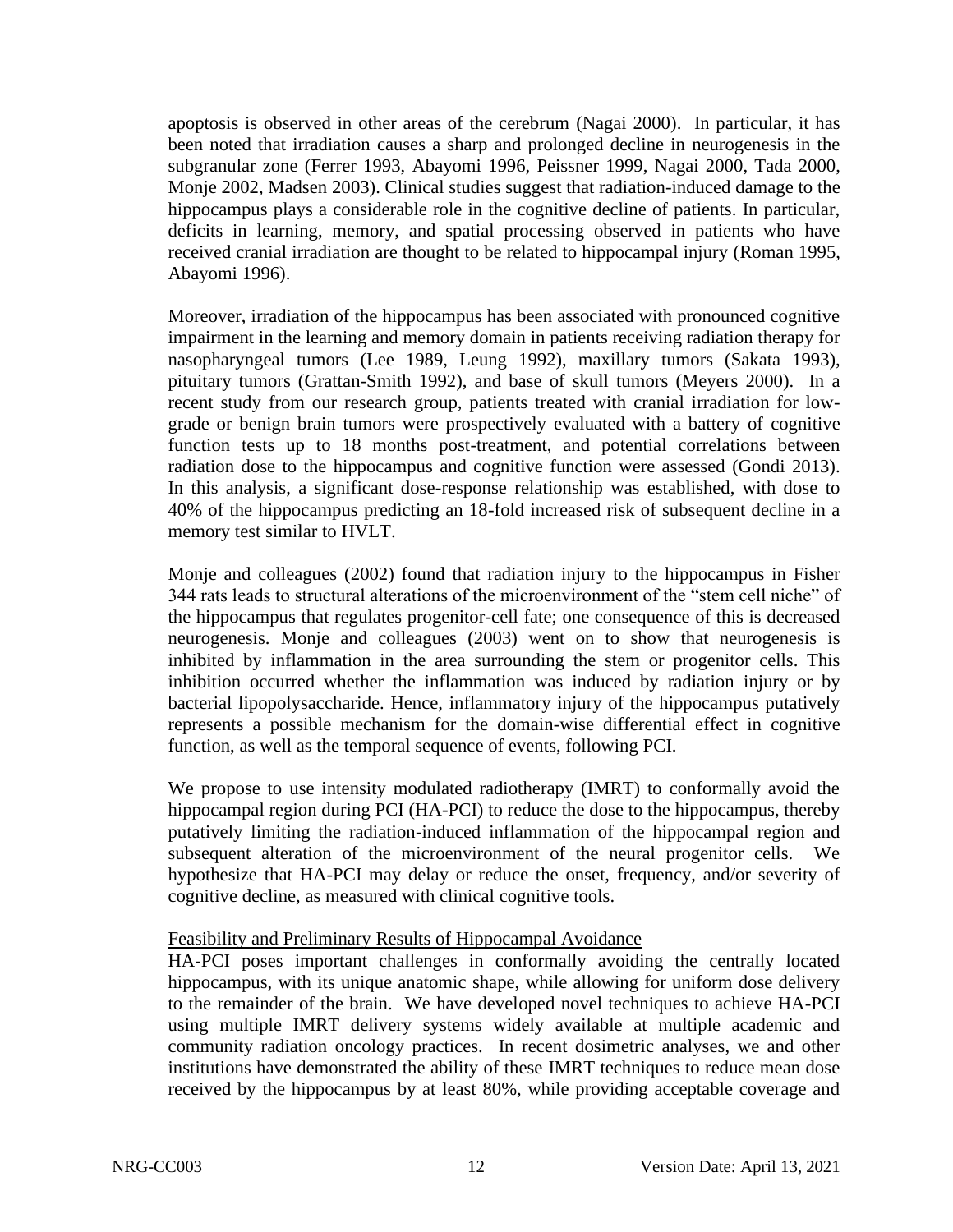apoptosis is observed in other areas of the cerebrum (Nagai 2000). In particular, it has been noted that irradiation causes a sharp and prolonged decline in neurogenesis in the subgranular zone (Ferrer 1993, Abayomi 1996, Peissner 1999, Nagai 2000, Tada 2000, Monje 2002, Madsen 2003). Clinical studies suggest that radiation-induced damage to the hippocampus plays a considerable role in the cognitive decline of patients. In particular, deficits in learning, memory, and spatial processing observed in patients who have received cranial irradiation are thought to be related to hippocampal injury (Roman 1995, Abayomi 1996).

Moreover, irradiation of the hippocampus has been associated with pronounced cognitive impairment in the learning and memory domain in patients receiving radiation therapy for nasopharyngeal tumors (Lee 1989, Leung 1992), maxillary tumors (Sakata 1993), pituitary tumors (Grattan-Smith 1992), and base of skull tumors (Meyers 2000). In a recent study from our research group, patients treated with cranial irradiation for lowgrade or benign brain tumors were prospectively evaluated with a battery of cognitive function tests up to 18 months post-treatment, and potential correlations between radiation dose to the hippocampus and cognitive function were assessed (Gondi 2013). In this analysis, a significant dose-response relationship was established, with dose to 40% of the hippocampus predicting an 18-fold increased risk of subsequent decline in a memory test similar to HVLT.

Monje and colleagues (2002) found that radiation injury to the hippocampus in Fisher 344 rats leads to structural alterations of the microenvironment of the "stem cell niche" of the hippocampus that regulates progenitor-cell fate; one consequence of this is decreased neurogenesis. Monje and colleagues (2003) went on to show that neurogenesis is inhibited by inflammation in the area surrounding the stem or progenitor cells. This inhibition occurred whether the inflammation was induced by radiation injury or by bacterial lipopolysaccharide. Hence, inflammatory injury of the hippocampus putatively represents a possible mechanism for the domain-wise differential effect in cognitive function, as well as the temporal sequence of events, following PCI.

We propose to use intensity modulated radiotherapy (IMRT) to conformally avoid the hippocampal region during PCI (HA-PCI) to reduce the dose to the hippocampus, thereby putatively limiting the radiation-induced inflammation of the hippocampal region and subsequent alteration of the microenvironment of the neural progenitor cells. We hypothesize that HA-PCI may delay or reduce the onset, frequency, and/or severity of cognitive decline, as measured with clinical cognitive tools.

#### Feasibility and Preliminary Results of Hippocampal Avoidance

HA-PCI poses important challenges in conformally avoiding the centrally located hippocampus, with its unique anatomic shape, while allowing for uniform dose delivery to the remainder of the brain. We have developed novel techniques to achieve HA-PCI using multiple IMRT delivery systems widely available at multiple academic and community radiation oncology practices. In recent dosimetric analyses, we and other institutions have demonstrated the ability of these IMRT techniques to reduce mean dose received by the hippocampus by at least 80%, while providing acceptable coverage and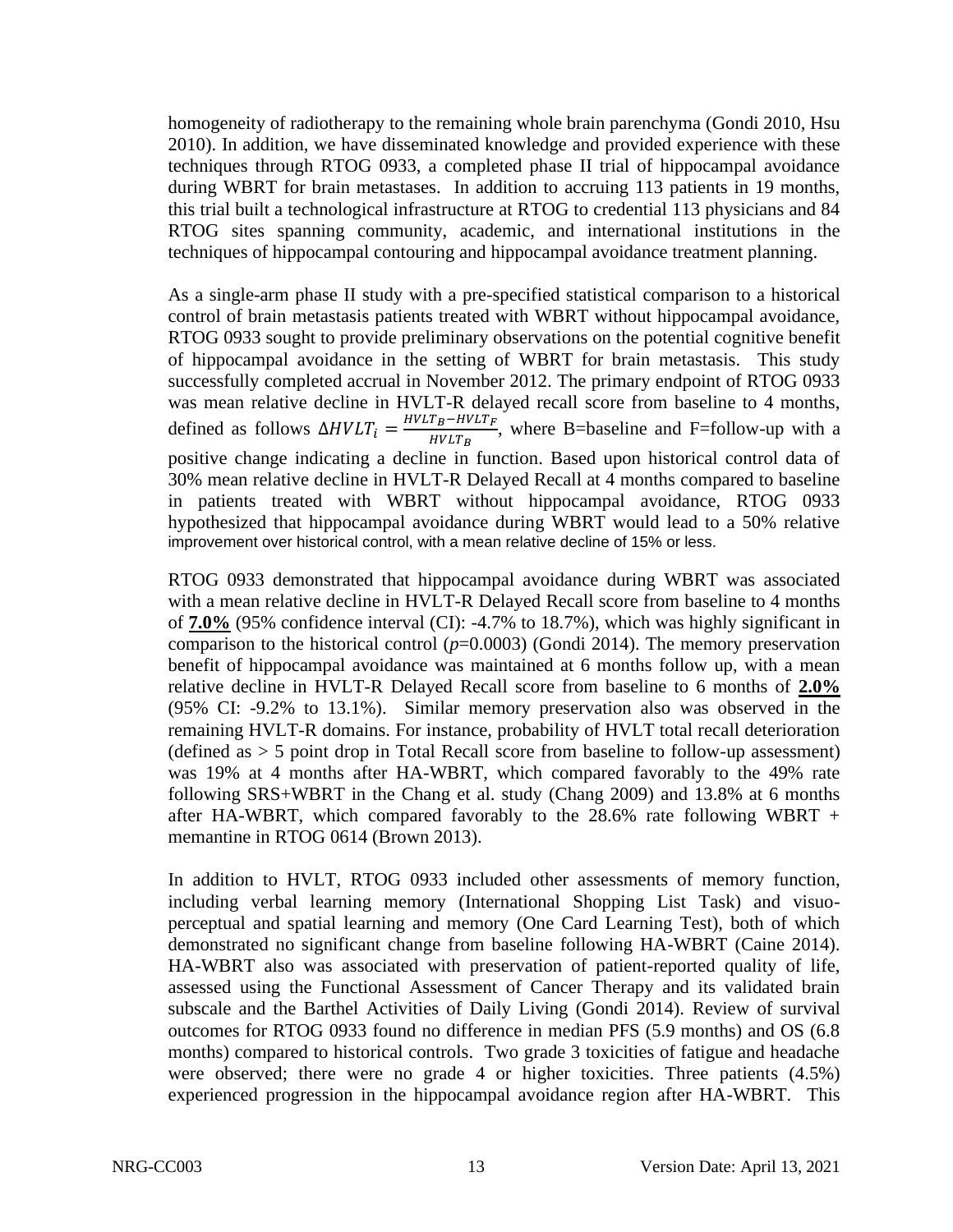homogeneity of radiotherapy to the remaining whole brain parenchyma (Gondi 2010, Hsu 2010). In addition, we have disseminated knowledge and provided experience with these techniques through RTOG 0933, a completed phase II trial of hippocampal avoidance during WBRT for brain metastases. In addition to accruing 113 patients in 19 months, this trial built a technological infrastructure at RTOG to credential 113 physicians and 84 RTOG sites spanning community, academic, and international institutions in the techniques of hippocampal contouring and hippocampal avoidance treatment planning.

As a single-arm phase II study with a pre-specified statistical comparison to a historical control of brain metastasis patients treated with WBRT without hippocampal avoidance, RTOG 0933 sought to provide preliminary observations on the potential cognitive benefit of hippocampal avoidance in the setting of WBRT for brain metastasis. This study successfully completed accrual in November 2012. The primary endpoint of RTOG 0933 was mean relative decline in HVLT-R delayed recall score from baseline to 4 months, defined as follows  $\Delta H V L T_i = \frac{H V L T_B - H V L T_F}{H V L T_D}$  $\frac{F_B - I}{W L T_B}$ , where B=baseline and F=follow-up with a positive change indicating a decline in function. Based upon historical control data of 30% mean relative decline in HVLT-R Delayed Recall at 4 months compared to baseline in patients treated with WBRT without hippocampal avoidance, RTOG 0933 hypothesized that hippocampal avoidance during WBRT would lead to a 50% relative improvement over historical control, with a mean relative decline of 15% or less.

RTOG 0933 demonstrated that hippocampal avoidance during WBRT was associated with a mean relative decline in HVLT-R Delayed Recall score from baseline to 4 months of **7.0%** (95% confidence interval (CI): -4.7% to 18.7%), which was highly significant in comparison to the historical control  $(p=0.0003)$  (Gondi 2014). The memory preservation benefit of hippocampal avoidance was maintained at 6 months follow up, with a mean relative decline in HVLT-R Delayed Recall score from baseline to 6 months of **2.0%** (95% CI: -9.2% to 13.1%). Similar memory preservation also was observed in the remaining HVLT-R domains. For instance, probability of HVLT total recall deterioration (defined as  $>$  5 point drop in Total Recall score from baseline to follow-up assessment) was 19% at 4 months after HA-WBRT, which compared favorably to the 49% rate following SRS+WBRT in the Chang et al. study (Chang 2009) and 13.8% at 6 months after HA-WBRT, which compared favorably to the  $28.6\%$  rate following WBRT + memantine in RTOG 0614 (Brown 2013).

In addition to HVLT, RTOG 0933 included other assessments of memory function, including verbal learning memory (International Shopping List Task) and visuoperceptual and spatial learning and memory (One Card Learning Test), both of which demonstrated no significant change from baseline following HA-WBRT (Caine 2014). HA-WBRT also was associated with preservation of patient-reported quality of life, assessed using the Functional Assessment of Cancer Therapy and its validated brain subscale and the Barthel Activities of Daily Living (Gondi 2014). Review of survival outcomes for RTOG 0933 found no difference in median PFS (5.9 months) and OS (6.8 months) compared to historical controls. Two grade 3 toxicities of fatigue and headache were observed; there were no grade 4 or higher toxicities. Three patients (4.5%) experienced progression in the hippocampal avoidance region after HA-WBRT. This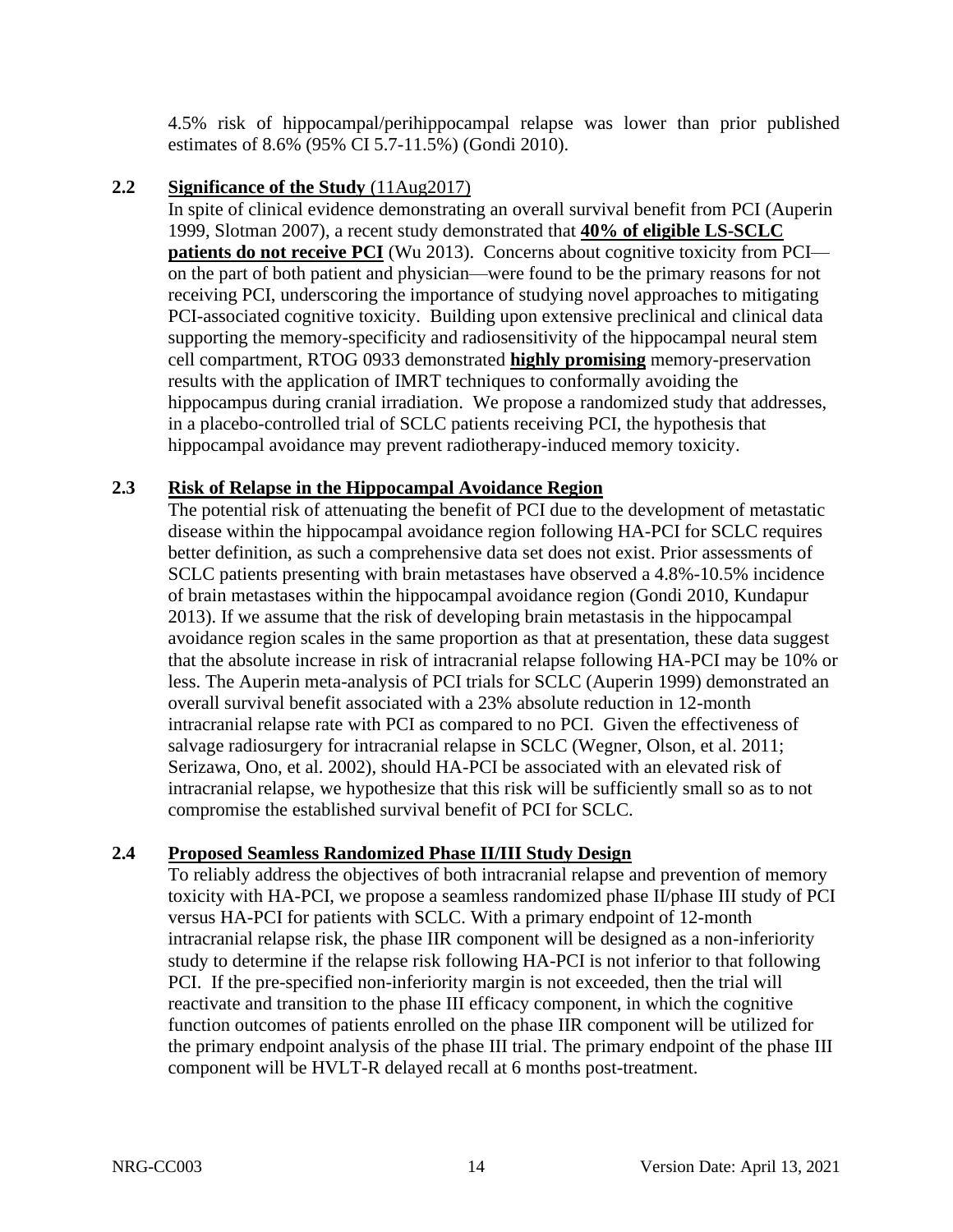4.5% risk of hippocampal/perihippocampal relapse was lower than prior published estimates of 8.6% (95% CI 5.7-11.5%) (Gondi 2010).

#### <span id="page-13-0"></span>**2.2 Significance of the Study** (11Aug2017)

In spite of clinical evidence demonstrating an overall survival benefit from PCI (Auperin 1999, Slotman 2007), a recent study demonstrated that **40% of eligible LS-SCLC patients do not receive PCI** (Wu 2013). Concerns about cognitive toxicity from PCI on the part of both patient and physician—were found to be the primary reasons for not receiving PCI, underscoring the importance of studying novel approaches to mitigating PCI-associated cognitive toxicity. Building upon extensive preclinical and clinical data supporting the memory-specificity and radiosensitivity of the hippocampal neural stem cell compartment, RTOG 0933 demonstrated **highly promising** memory-preservation results with the application of IMRT techniques to conformally avoiding the hippocampus during cranial irradiation. We propose a randomized study that addresses, in a placebo-controlled trial of SCLC patients receiving PCI, the hypothesis that hippocampal avoidance may prevent radiotherapy-induced memory toxicity.

#### <span id="page-13-1"></span>**2.3 Risk of Relapse in the Hippocampal Avoidance Region**

The potential risk of attenuating the benefit of PCI due to the development of metastatic disease within the hippocampal avoidance region following HA-PCI for SCLC requires better definition, as such a comprehensive data set does not exist. Prior assessments of SCLC patients presenting with brain metastases have observed a 4.8%-10.5% incidence of brain metastases within the hippocampal avoidance region (Gondi 2010, Kundapur 2013). If we assume that the risk of developing brain metastasis in the hippocampal avoidance region scales in the same proportion as that at presentation, these data suggest that the absolute increase in risk of intracranial relapse following HA-PCI may be 10% or less. The Auperin meta-analysis of PCI trials for SCLC (Auperin 1999) demonstrated an overall survival benefit associated with a 23% absolute reduction in 12-month intracranial relapse rate with PCI as compared to no PCI. Given the effectiveness of salvage radiosurgery for intracranial relapse in SCLC (Wegner, Olson, et al. 2011; Serizawa, Ono, et al. 2002), should HA-PCI be associated with an elevated risk of intracranial relapse, we hypothesize that this risk will be sufficiently small so as to not compromise the established survival benefit of PCI for SCLC.

## <span id="page-13-2"></span>**2.4 Proposed Seamless Randomized Phase II/III Study Design**

To reliably address the objectives of both intracranial relapse and prevention of memory toxicity with HA-PCI, we propose a seamless randomized phase II/phase III study of PCI versus HA-PCI for patients with SCLC. With a primary endpoint of 12-month intracranial relapse risk, the phase IIR component will be designed as a non-inferiority study to determine if the relapse risk following HA-PCI is not inferior to that following PCI. If the pre-specified non-inferiority margin is not exceeded, then the trial will reactivate and transition to the phase III efficacy component, in which the cognitive function outcomes of patients enrolled on the phase IIR component will be utilized for the primary endpoint analysis of the phase III trial. The primary endpoint of the phase III component will be HVLT-R delayed recall at 6 months post-treatment.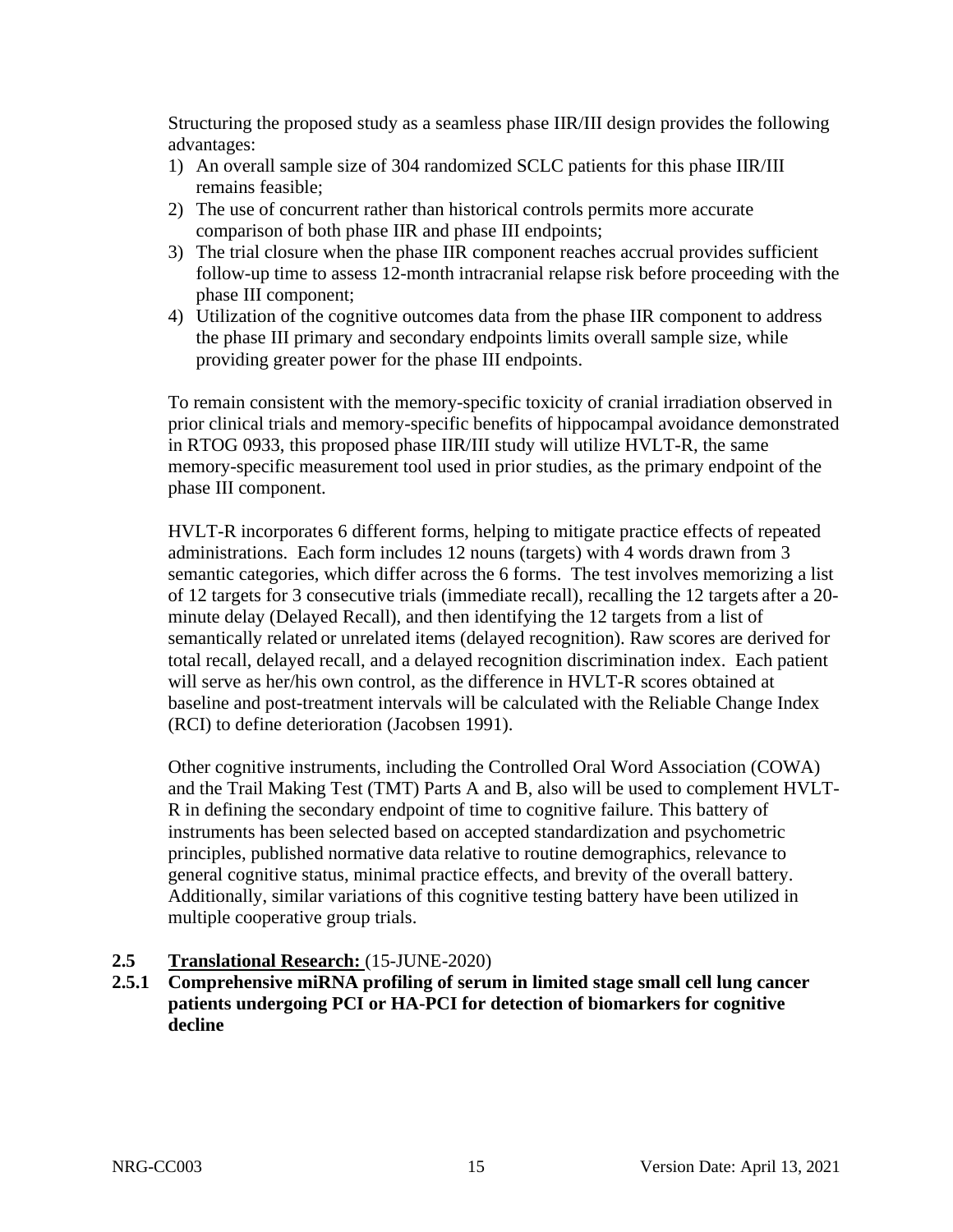Structuring the proposed study as a seamless phase IIR/III design provides the following advantages:

- 1) An overall sample size of 304 randomized SCLC patients for this phase IIR/III remains feasible;
- 2) The use of concurrent rather than historical controls permits more accurate comparison of both phase IIR and phase III endpoints;
- 3) The trial closure when the phase IIR component reaches accrual provides sufficient follow-up time to assess 12-month intracranial relapse risk before proceeding with the phase III component;
- 4) Utilization of the cognitive outcomes data from the phase IIR component to address the phase III primary and secondary endpoints limits overall sample size, while providing greater power for the phase III endpoints.

To remain consistent with the memory-specific toxicity of cranial irradiation observed in prior clinical trials and memory-specific benefits of hippocampal avoidance demonstrated in RTOG 0933, this proposed phase IIR/III study will utilize HVLT-R, the same memory-specific measurement tool used in prior studies, as the primary endpoint of the phase III component.

HVLT-R incorporates 6 different forms, helping to mitigate practice effects of repeated administrations. Each form includes 12 nouns (targets) with 4 words drawn from 3 semantic categories, which differ across the 6 forms. The test involves memorizing a list of 12 targets for 3 consecutive trials (immediate recall), recalling the 12 targets after a 20 minute delay (Delayed Recall), and then identifying the 12 targets from a list of semantically related or unrelated items (delayed recognition). Raw scores are derived for total recall, delayed recall, and a delayed recognition discrimination index. Each patient will serve as her/his own control, as the difference in HVLT-R scores obtained at baseline and post-treatment intervals will be calculated with the Reliable Change Index (RCI) to define deterioration (Jacobsen 1991).

Other cognitive instruments, including the Controlled Oral Word Association (COWA) and the Trail Making Test (TMT) Parts A and B, also will be used to complement HVLT-R in defining the secondary endpoint of time to cognitive failure. This battery of instruments has been selected based on accepted standardization and psychometric principles, published normative data relative to routine demographics, relevance to general cognitive status, minimal practice effects, and brevity of the overall battery. Additionally, similar variations of this cognitive testing battery have been utilized in multiple cooperative group trials.

## <span id="page-14-0"></span>**2.5 Translational Research:** (15-JUNE-2020)

**2.5.1 Comprehensive miRNA profiling of serum in limited stage small cell lung cancer patients undergoing PCI or HA-PCI for detection of biomarkers for cognitive decline**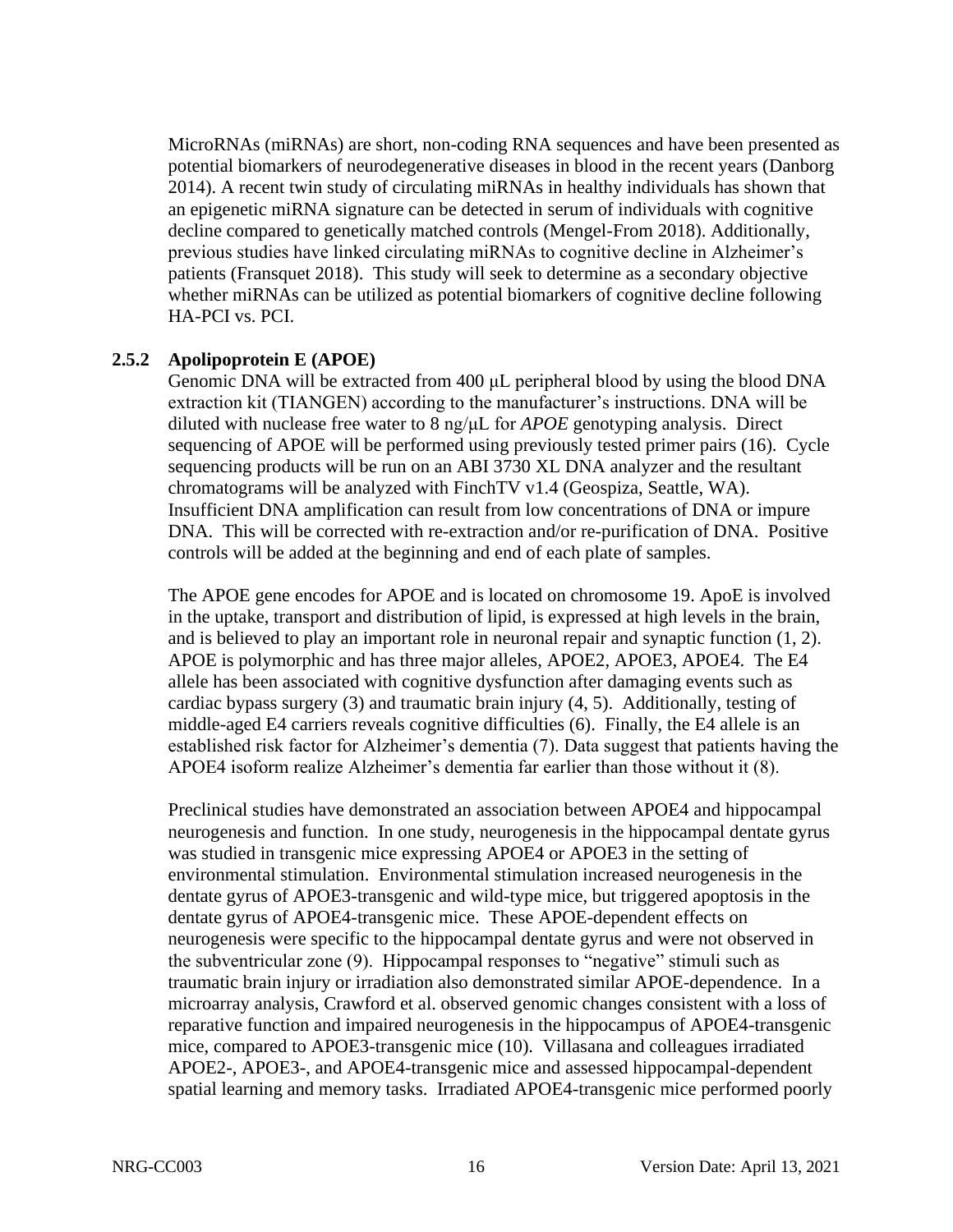MicroRNAs (miRNAs) are short, non-coding RNA sequences and have been presented as potential biomarkers of neurodegenerative diseases in blood in the recent years (Danborg 2014). A recent twin study of circulating miRNAs in healthy individuals has shown that an epigenetic miRNA signature can be detected in serum of individuals with cognitive decline compared to genetically matched controls (Mengel-From 2018). Additionally, previous studies have linked circulating miRNAs to cognitive decline in Alzheimer's patients (Fransquet 2018). This study will seek to determine as a secondary objective whether miRNAs can be utilized as potential biomarkers of cognitive decline following HA-PCI vs. PCI.

#### **2.5.2 Apolipoprotein E (APOE)**

Genomic DNA will be extracted from 400 μL peripheral blood by using the blood DNA extraction kit (TIANGEN) according to the manufacturer's instructions. DNA will be diluted with nuclease free water to 8 ng/μL for *APOE* genotyping analysis. Direct sequencing of APOE will be performed using previously tested primer pairs (16). Cycle sequencing products will be run on an ABI 3730 XL DNA analyzer and the resultant chromatograms will be analyzed with FinchTV v1.4 (Geospiza, Seattle, WA). Insufficient DNA amplification can result from low concentrations of DNA or impure DNA. This will be corrected with re-extraction and/or re-purification of DNA. Positive controls will be added at the beginning and end of each plate of samples.

The APOE gene encodes for APOE and is located on chromosome 19. ApoE is involved in the uptake, transport and distribution of lipid, is expressed at high levels in the brain, and is believed to play an important role in neuronal repair and synaptic function (1, 2). APOE is polymorphic and has three major alleles, APOE2, APOE3, APOE4. The E4 allele has been associated with cognitive dysfunction after damaging events such as cardiac bypass surgery (3) and traumatic brain injury (4, 5). Additionally, testing of middle-aged E4 carriers reveals cognitive difficulties (6). Finally, the E4 allele is an established risk factor for Alzheimer's dementia (7). Data suggest that patients having the APOE4 isoform realize Alzheimer's dementia far earlier than those without it (8).

Preclinical studies have demonstrated an association between APOE4 and hippocampal neurogenesis and function. In one study, neurogenesis in the hippocampal dentate gyrus was studied in transgenic mice expressing APOE4 or APOE3 in the setting of environmental stimulation. Environmental stimulation increased neurogenesis in the dentate gyrus of APOE3-transgenic and wild-type mice, but triggered apoptosis in the dentate gyrus of APOE4-transgenic mice. These APOE-dependent effects on neurogenesis were specific to the hippocampal dentate gyrus and were not observed in the subventricular zone (9). Hippocampal responses to "negative" stimuli such as traumatic brain injury or irradiation also demonstrated similar APOE-dependence. In a microarray analysis, Crawford et al. observed genomic changes consistent with a loss of reparative function and impaired neurogenesis in the hippocampus of APOE4-transgenic mice, compared to APOE3-transgenic mice (10). Villasana and colleagues irradiated APOE2-, APOE3-, and APOE4-transgenic mice and assessed hippocampal-dependent spatial learning and memory tasks. Irradiated APOE4-transgenic mice performed poorly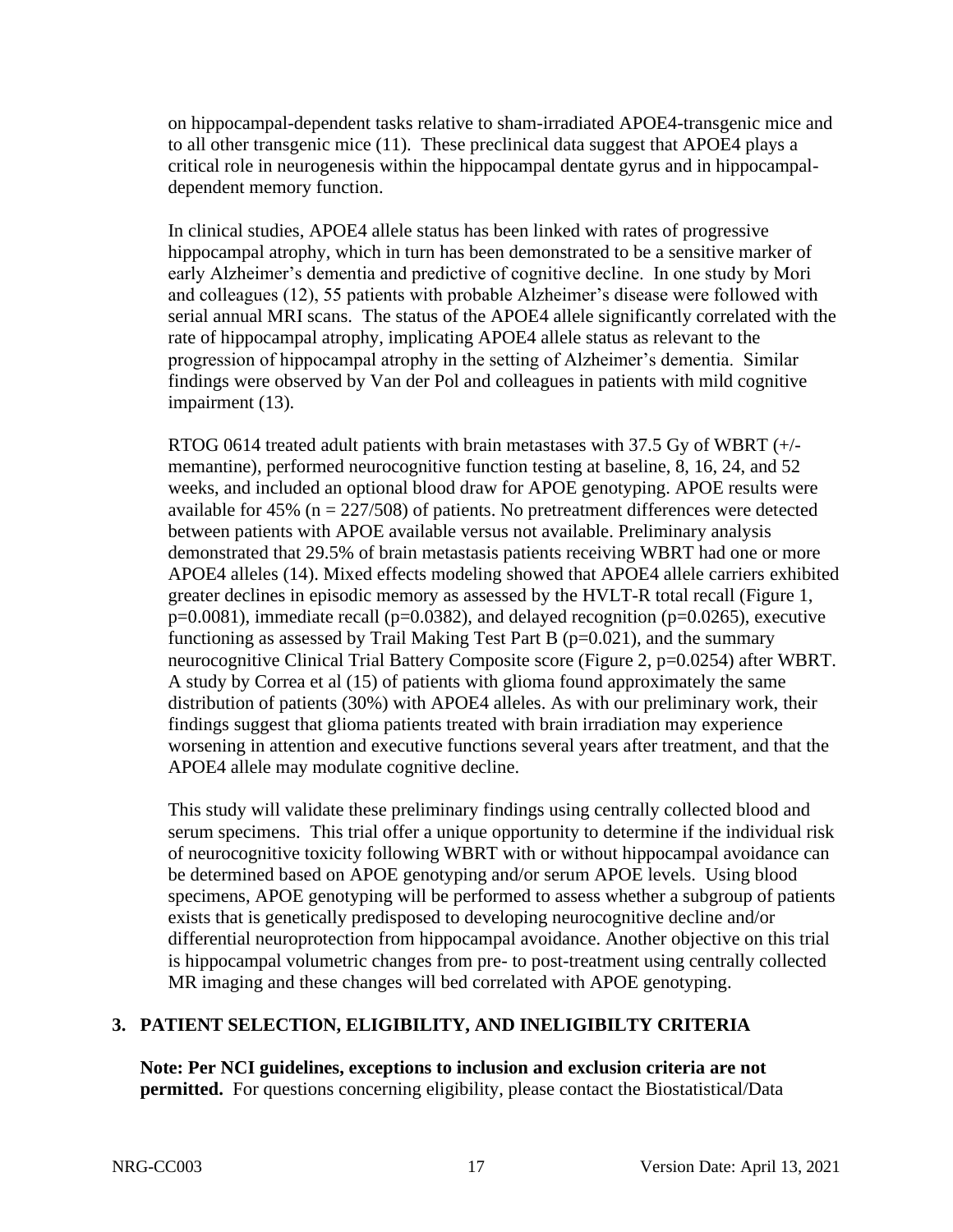on hippocampal-dependent tasks relative to sham-irradiated APOE4-transgenic mice and to all other transgenic mice (11). These preclinical data suggest that APOE4 plays a critical role in neurogenesis within the hippocampal dentate gyrus and in hippocampaldependent memory function.

In clinical studies, APOE4 allele status has been linked with rates of progressive hippocampal atrophy, which in turn has been demonstrated to be a sensitive marker of early Alzheimer's dementia and predictive of cognitive decline. In one study by Mori and colleagues (12), 55 patients with probable Alzheimer's disease were followed with serial annual MRI scans. The status of the APOE4 allele significantly correlated with the rate of hippocampal atrophy, implicating APOE4 allele status as relevant to the progression of hippocampal atrophy in the setting of Alzheimer's dementia. Similar findings were observed by Van der Pol and colleagues in patients with mild cognitive impairment (13).

RTOG 0614 treated adult patients with brain metastases with 37.5 Gy of WBRT (+/ memantine), performed neurocognitive function testing at baseline, 8, 16, 24, and 52 weeks, and included an optional blood draw for APOE genotyping. APOE results were available for  $45\%$  (n =  $227/508$ ) of patients. No pretreatment differences were detected between patients with APOE available versus not available. Preliminary analysis demonstrated that 29.5% of brain metastasis patients receiving WBRT had one or more APOE4 alleles (14). Mixed effects modeling showed that APOE4 allele carriers exhibited greater declines in episodic memory as assessed by the HVLT-R total recall (Figure 1,  $p=0.0081$ ), immediate recall ( $p=0.0382$ ), and delayed recognition ( $p=0.0265$ ), executive functioning as assessed by Trail Making Test Part B  $(p=0.021)$ , and the summary neurocognitive Clinical Trial Battery Composite score (Figure 2, p=0.0254) after WBRT. A study by Correa et al (15) of patients with glioma found approximately the same distribution of patients (30%) with APOE4 alleles. As with our preliminary work, their findings suggest that glioma patients treated with brain irradiation may experience worsening in attention and executive functions several years after treatment, and that the APOE4 allele may modulate cognitive decline.

This study will validate these preliminary findings using centrally collected blood and serum specimens. This trial offer a unique opportunity to determine if the individual risk of neurocognitive toxicity following WBRT with or without hippocampal avoidance can be determined based on APOE genotyping and/or serum APOE levels. Using blood specimens, APOE genotyping will be performed to assess whether a subgroup of patients exists that is genetically predisposed to developing neurocognitive decline and/or differential neuroprotection from hippocampal avoidance. Another objective on this trial is hippocampal volumetric changes from pre- to post-treatment using centrally collected MR imaging and these changes will bed correlated with APOE genotyping.

## <span id="page-16-0"></span>**3. PATIENT SELECTION, ELIGIBILITY, AND INELIGIBILTY CRITERIA**

**Note: Per NCI guidelines, exceptions to inclusion and exclusion criteria are not permitted.** For questions concerning eligibility, please contact the Biostatistical/Data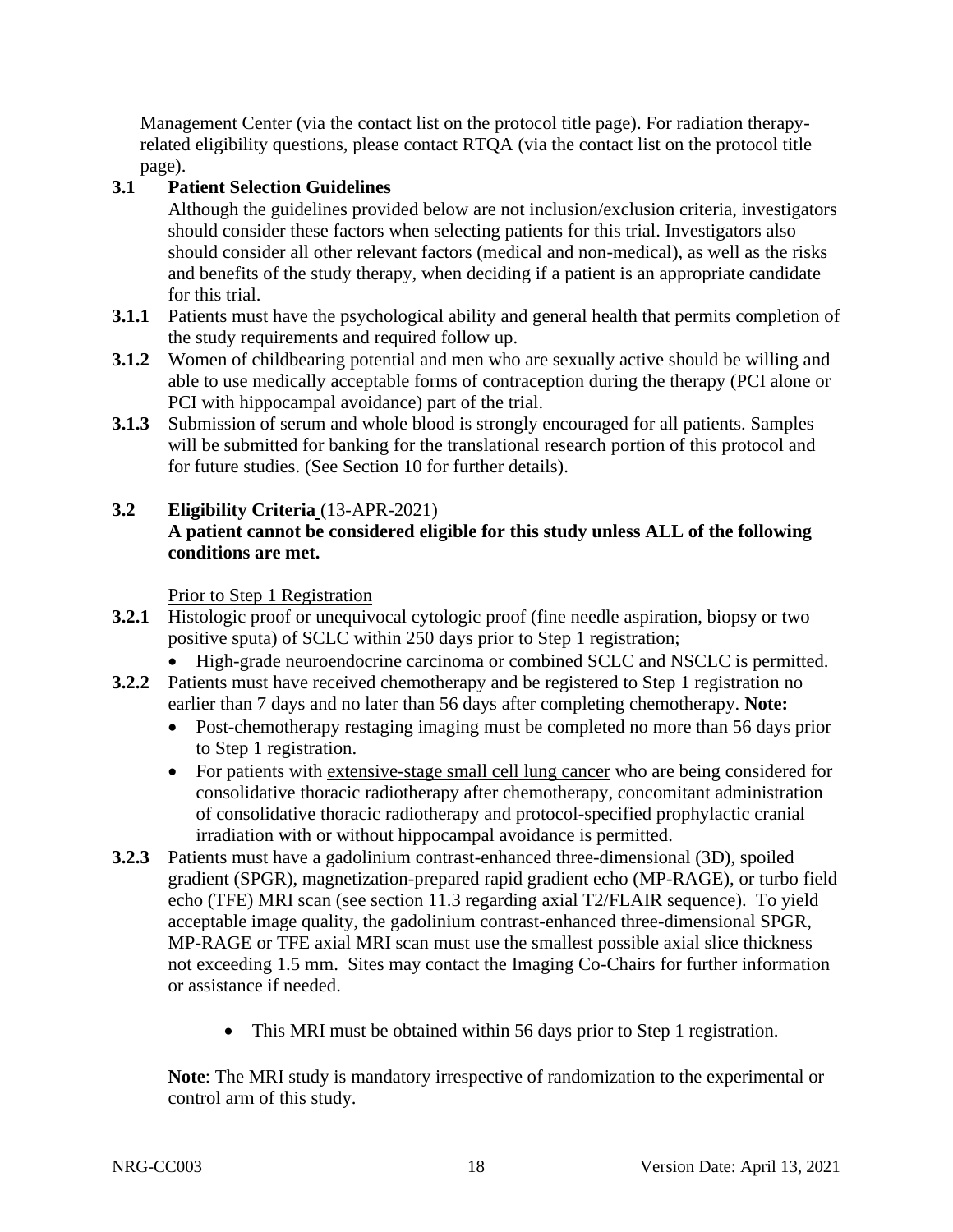Management Center (via the contact list on the protocol title page). For radiation therapyrelated eligibility questions, please contact RTQA (via the contact list on the protocol title page).

## <span id="page-17-0"></span>**3.1 Patient Selection Guidelines**

Although the guidelines provided below are not inclusion/exclusion criteria, investigators should consider these factors when selecting patients for this trial. Investigators also should consider all other relevant factors (medical and non-medical), as well as the risks and benefits of the study therapy, when deciding if a patient is an appropriate candidate for this trial.

- **3.1.1** Patients must have the psychological ability and general health that permits completion of the study requirements and required follow up.
- **3.1.2** Women of childbearing potential and men who are sexually active should be willing and able to use medically acceptable forms of contraception during the therapy (PCI alone or PCI with hippocampal avoidance) part of the trial.
- **3.1.3** Submission of serum and whole blood is strongly encouraged for all patients. Samples will be submitted for banking for the translational research portion of this protocol and for future studies. (See Section 10 for further details).
- <span id="page-17-1"></span>**3.2 Eligibility Criteria** (13-APR-2021) **A patient cannot be considered eligible for this study unless ALL of the following conditions are met.**

Prior to Step 1 Registration

- **3.2.1** Histologic proof or unequivocal cytologic proof (fine needle aspiration, biopsy or two positive sputa) of SCLC within 250 days prior to Step 1 registration;
	- High-grade neuroendocrine carcinoma or combined SCLC and NSCLC is permitted.
- **3.2.2** Patients must have received chemotherapy and be registered to Step 1 registration no earlier than 7 days and no later than 56 days after completing chemotherapy. **Note:**
	- Post-chemotherapy restaging imaging must be completed no more than 56 days prior to Step 1 registration.
	- For patients with extensive-stage small cell lung cancer who are being considered for consolidative thoracic radiotherapy after chemotherapy, concomitant administration of consolidative thoracic radiotherapy and protocol-specified prophylactic cranial irradiation with or without hippocampal avoidance is permitted.
- **3.2.3** Patients must have a gadolinium contrast-enhanced three-dimensional (3D), spoiled gradient (SPGR), magnetization-prepared rapid gradient echo (MP-RAGE), or turbo field echo (TFE) MRI scan (see section 11.3 regarding axial T2/FLAIR sequence). To yield acceptable image quality, the gadolinium contrast-enhanced three-dimensional SPGR, MP-RAGE or TFE axial MRI scan must use the smallest possible axial slice thickness not exceeding 1.5 mm. Sites may contact the Imaging Co-Chairs for further information or assistance if needed.
	- This MRI must be obtained within 56 days prior to Step 1 registration.

**Note**: The MRI study is mandatory irrespective of randomization to the experimental or control arm of this study.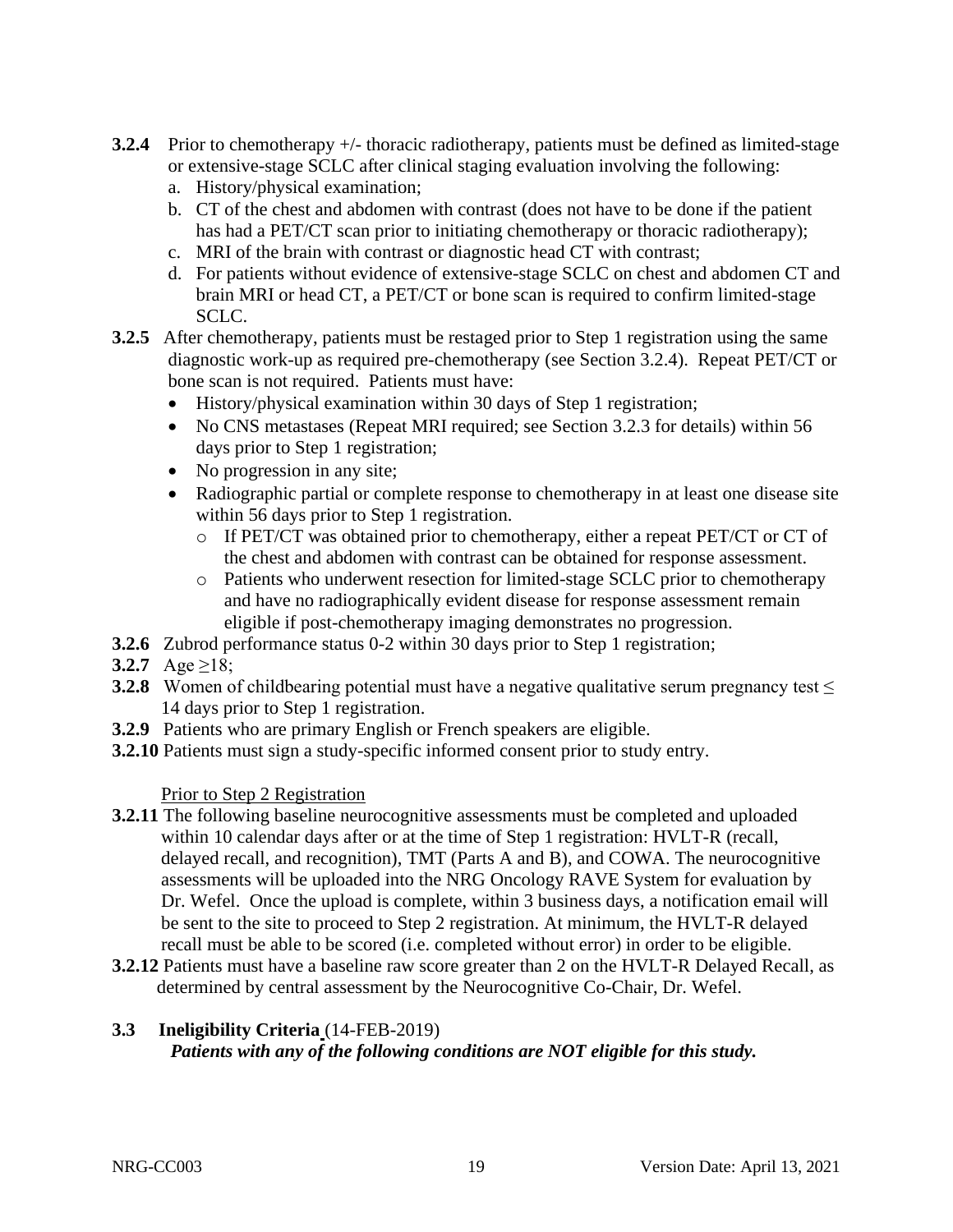- **3.2.4** Prior to chemotherapy +/- thoracic radiotherapy, patients must be defined as limited-stage or extensive-stage SCLC after clinical staging evaluation involving the following:
	- a. History/physical examination;
	- b. CT of the chest and abdomen with contrast (does not have to be done if the patient has had a PET/CT scan prior to initiating chemotherapy or thoracic radiotherapy);
	- c. MRI of the brain with contrast or diagnostic head CT with contrast;
	- d. For patients without evidence of extensive-stage SCLC on chest and abdomen CT and brain MRI or head CT, a PET/CT or bone scan is required to confirm limited-stage SCLC.
- **3.2.5** After chemotherapy, patients must be restaged prior to Step 1 registration using the same diagnostic work-up as required pre-chemotherapy (see Section 3.2.4). Repeat PET/CT or bone scan is not required. Patients must have:
	- History/physical examination within 30 days of Step 1 registration;
	- No CNS metastases (Repeat MRI required; see Section 3.2.3 for details) within 56 days prior to Step 1 registration;
	- No progression in any site;
	- Radiographic partial or complete response to chemotherapy in at least one disease site within 56 days prior to Step 1 registration.
		- o If PET/CT was obtained prior to chemotherapy, either a repeat PET/CT or CT of the chest and abdomen with contrast can be obtained for response assessment.
		- o Patients who underwent resection for limited-stage SCLC prior to chemotherapy and have no radiographically evident disease for response assessment remain eligible if post-chemotherapy imaging demonstrates no progression.
- **3.2.6** Zubrod performance status 0-2 within 30 days prior to Step 1 registration;
- **3.2.7**  $Age \ge 18$ ;
- **3.2.8** Women of childbearing potential must have a negative qualitative serum pregnancy test ≤ 14 days prior to Step 1 registration.
- **3.2.9** Patients who are primary English or French speakers are eligible.
- **3.2.10** Patients must sign a study-specific informed consent prior to study entry.

## Prior to Step 2 Registration

- **3.2.11** The following baseline neurocognitive assessments must be completed and uploaded within 10 calendar days after or at the time of Step 1 registration: HVLT-R (recall, delayed recall, and recognition), TMT (Parts A and B), and COWA. The neurocognitive assessments will be uploaded into the NRG Oncology RAVE System for evaluation by Dr. Wefel. Once the upload is complete, within 3 business days, a notification email will be sent to the site to proceed to Step 2 registration. At minimum, the HVLT-R delayed recall must be able to be scored (i.e. completed without error) in order to be eligible.
- **3.2.12** Patients must have a baseline raw score greater than 2 on the HVLT-R Delayed Recall, as determined by central assessment by the Neurocognitive Co-Chair, Dr. Wefel.

#### <span id="page-18-0"></span>**3.3 Ineligibility Criteria** (14-FEB-2019)  *Patients with any of the following conditions are NOT eligible for this study.*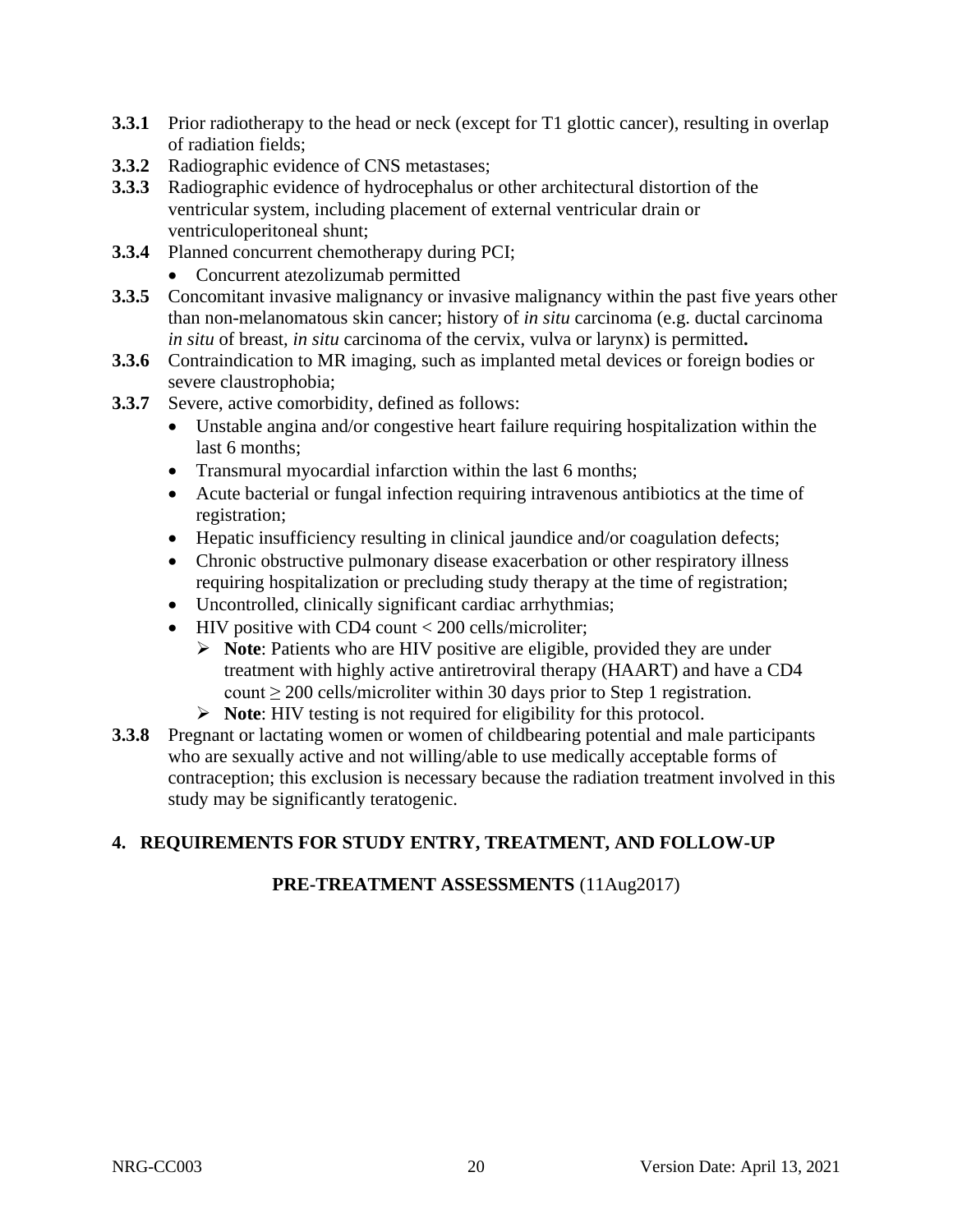- **3.3.1** Prior radiotherapy to the head or neck (except for T1 glottic cancer), resulting in overlap of radiation fields;
- **3.3.2** Radiographic evidence of CNS metastases;
- **3.3.3** Radiographic evidence of hydrocephalus or other architectural distortion of the ventricular system, including placement of external ventricular drain or ventriculoperitoneal shunt;
- **3.3.4** Planned concurrent chemotherapy during PCI;
	- Concurrent atezolizumab permitted
- **3.3.5** Concomitant invasive malignancy or invasive malignancy within the past five years other than non-melanomatous skin cancer; history of *in situ* carcinoma (e.g. ductal carcinoma *in situ* of breast, *in situ* carcinoma of the cervix, vulva or larynx) is permitted**.**
- **3.3.6** Contraindication to MR imaging, such as implanted metal devices or foreign bodies or severe claustrophobia;
- **3.3.7** Severe, active comorbidity, defined as follows:
	- Unstable angina and/or congestive heart failure requiring hospitalization within the last 6 months;
	- Transmural myocardial infarction within the last 6 months;
	- Acute bacterial or fungal infection requiring intravenous antibiotics at the time of registration;
	- Hepatic insufficiency resulting in clinical jaundice and/or coagulation defects;
	- Chronic obstructive pulmonary disease exacerbation or other respiratory illness requiring hospitalization or precluding study therapy at the time of registration;
	- Uncontrolled, clinically significant cardiac arrhythmias;
	- HIV positive with CD4 count < 200 cells/microliter;
		- ➢ **Note**: Patients who are HIV positive are eligible, provided they are under treatment with highly active antiretroviral therapy (HAART) and have a CD4 count  $\geq$  200 cells/microliter within 30 days prior to Step 1 registration.
		- ➢ **Note**: HIV testing is not required for eligibility for this protocol.
- **3.3.8** Pregnant or lactating women or women of childbearing potential and male participants who are sexually active and not willing/able to use medically acceptable forms of contraception; this exclusion is necessary because the radiation treatment involved in this study may be significantly teratogenic.

## <span id="page-19-0"></span>**4. REQUIREMENTS FOR STUDY ENTRY, TREATMENT, AND FOLLOW-UP**

## **PRE-TREATMENT ASSESSMENTS** (11Aug2017)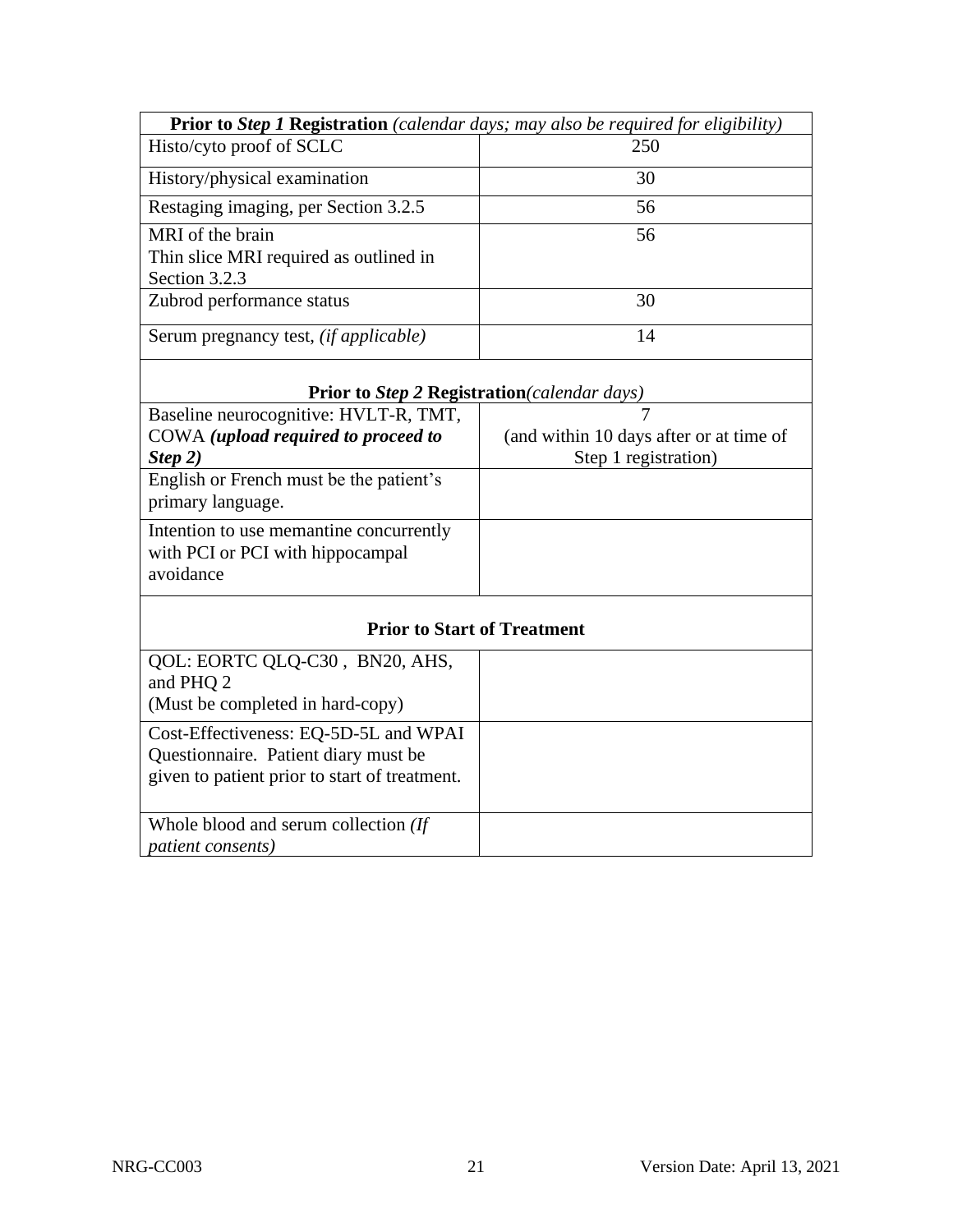| <b>Prior to Step 1 Registration</b> (calendar days; may also be required for eligibility) |     |  |
|-------------------------------------------------------------------------------------------|-----|--|
| Histo/cyto proof of SCLC                                                                  | 250 |  |
| History/physical examination                                                              | 30  |  |
| Restaging imaging, per Section 3.2.5                                                      | 56  |  |
| MRI of the brain<br>Thin slice MRI required as outlined in<br>Section 3.2.3               | 56  |  |
| Zubrod performance status                                                                 | 30  |  |
| Serum pregnancy test, <i>(if applicable)</i>                                              | 14  |  |

## **Prior to** *Step 2* **Registration***(calendar days)*

| Baseline neurocognitive: HVLT-R, TMT,                                                    |                                         |
|------------------------------------------------------------------------------------------|-----------------------------------------|
| COWA (upload required to proceed to                                                      | (and within 10 days after or at time of |
| Step 2)                                                                                  | Step 1 registration)                    |
| English or French must be the patient's<br>primary language.                             |                                         |
| Intention to use memantine concurrently<br>with PCI or PCI with hippocampal<br>avoidance |                                         |

| <b>Prior to Start of Treatment</b>                                                                                             |  |
|--------------------------------------------------------------------------------------------------------------------------------|--|
| QOL: EORTC QLQ-C30, BN20, AHS,<br>and PHQ 2<br>(Must be completed in hard-copy)                                                |  |
| Cost-Effectiveness: EQ-5D-5L and WPAI<br>Questionnaire. Patient diary must be<br>given to patient prior to start of treatment. |  |
| Whole blood and serum collection (If<br><i>patient consents)</i>                                                               |  |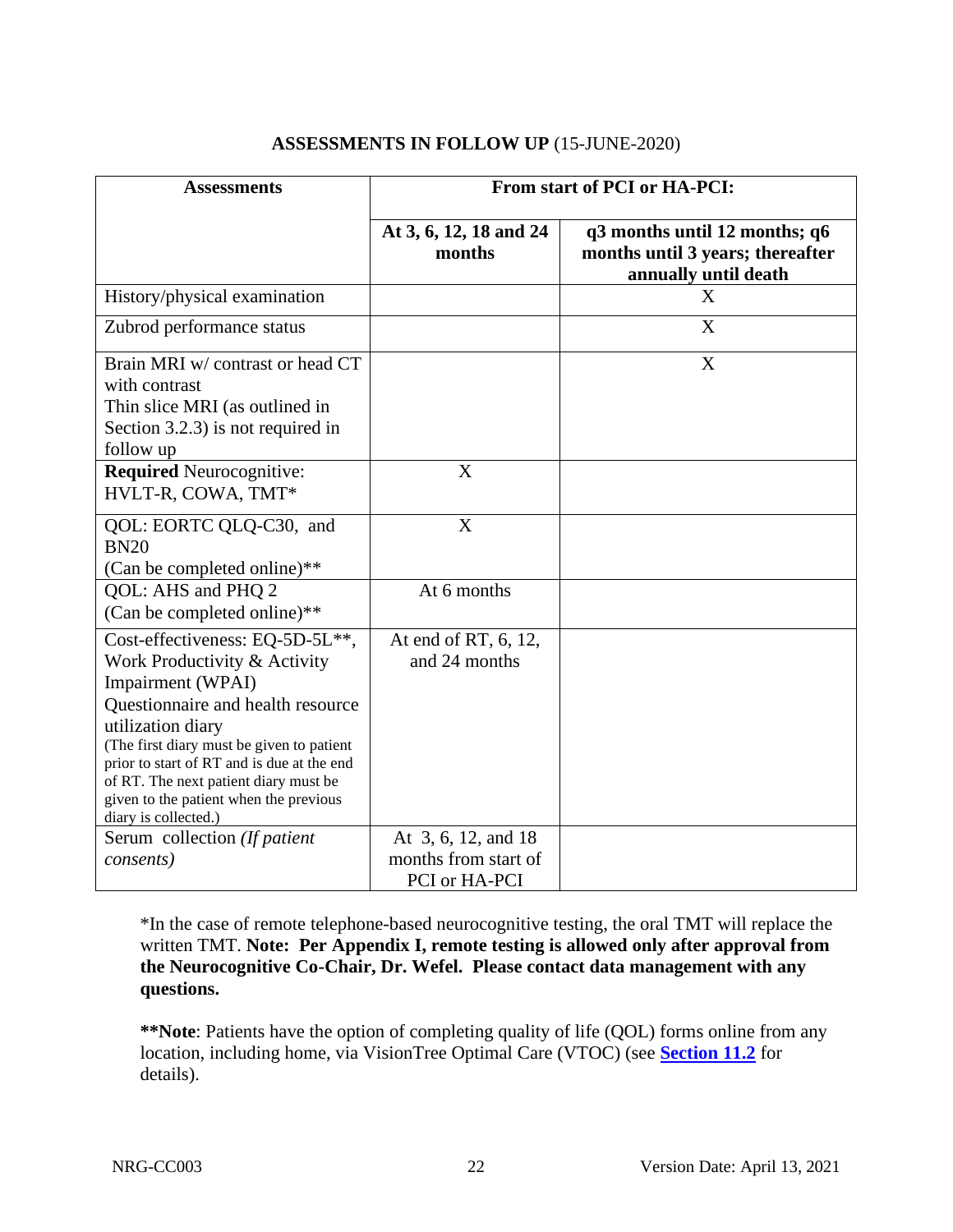| <b>Assessments</b>                                                                                                                                                                                                                                                                                                                                   | From start of PCI or HA-PCI:                                 |                                                                                           |
|------------------------------------------------------------------------------------------------------------------------------------------------------------------------------------------------------------------------------------------------------------------------------------------------------------------------------------------------------|--------------------------------------------------------------|-------------------------------------------------------------------------------------------|
|                                                                                                                                                                                                                                                                                                                                                      | At 3, 6, 12, 18 and 24<br>months                             | q3 months until 12 months; q6<br>months until 3 years; thereafter<br>annually until death |
| History/physical examination                                                                                                                                                                                                                                                                                                                         |                                                              | X                                                                                         |
| Zubrod performance status                                                                                                                                                                                                                                                                                                                            |                                                              | X                                                                                         |
| Brain MRI w/ contrast or head CT<br>with contrast<br>Thin slice MRI (as outlined in<br>Section 3.2.3) is not required in<br>follow up                                                                                                                                                                                                                |                                                              | $\boldsymbol{\mathrm{X}}$                                                                 |
| <b>Required Neurocognitive:</b><br>HVLT-R, COWA, TMT*                                                                                                                                                                                                                                                                                                | X                                                            |                                                                                           |
| QOL: EORTC QLQ-C30, and<br><b>BN20</b><br>(Can be completed online)**                                                                                                                                                                                                                                                                                | X                                                            |                                                                                           |
| QOL: AHS and PHQ 2<br>(Can be completed online)**                                                                                                                                                                                                                                                                                                    | At 6 months                                                  |                                                                                           |
| Cost-effectiveness: EQ-5D-5L**,<br>Work Productivity & Activity<br>Impairment (WPAI)<br>Questionnaire and health resource<br>utilization diary<br>(The first diary must be given to patient<br>prior to start of RT and is due at the end<br>of RT. The next patient diary must be<br>given to the patient when the previous<br>diary is collected.) | At end of RT, 6, 12,<br>and 24 months                        |                                                                                           |
| Serum collection (If patient<br>consents)                                                                                                                                                                                                                                                                                                            | At 3, 6, 12, and 18<br>months from start of<br>PCI or HA-PCI |                                                                                           |

#### **ASSESSMENTS IN FOLLOW UP** (15-JUNE-2020)

\*In the case of remote telephone-based neurocognitive testing, the oral TMT will replace the written TMT. **Note: Per Appendix I, remote testing is allowed only after approval from the Neurocognitive Co-Chair, Dr. Wefel. Please contact data management with any questions.**

**\*\*Note**: Patients have the option of completing quality of life (QOL) forms online from any location, including home, via VisionTree Optimal Care (VTOC) (see **[Section 11.2](#page-45-0)** for details).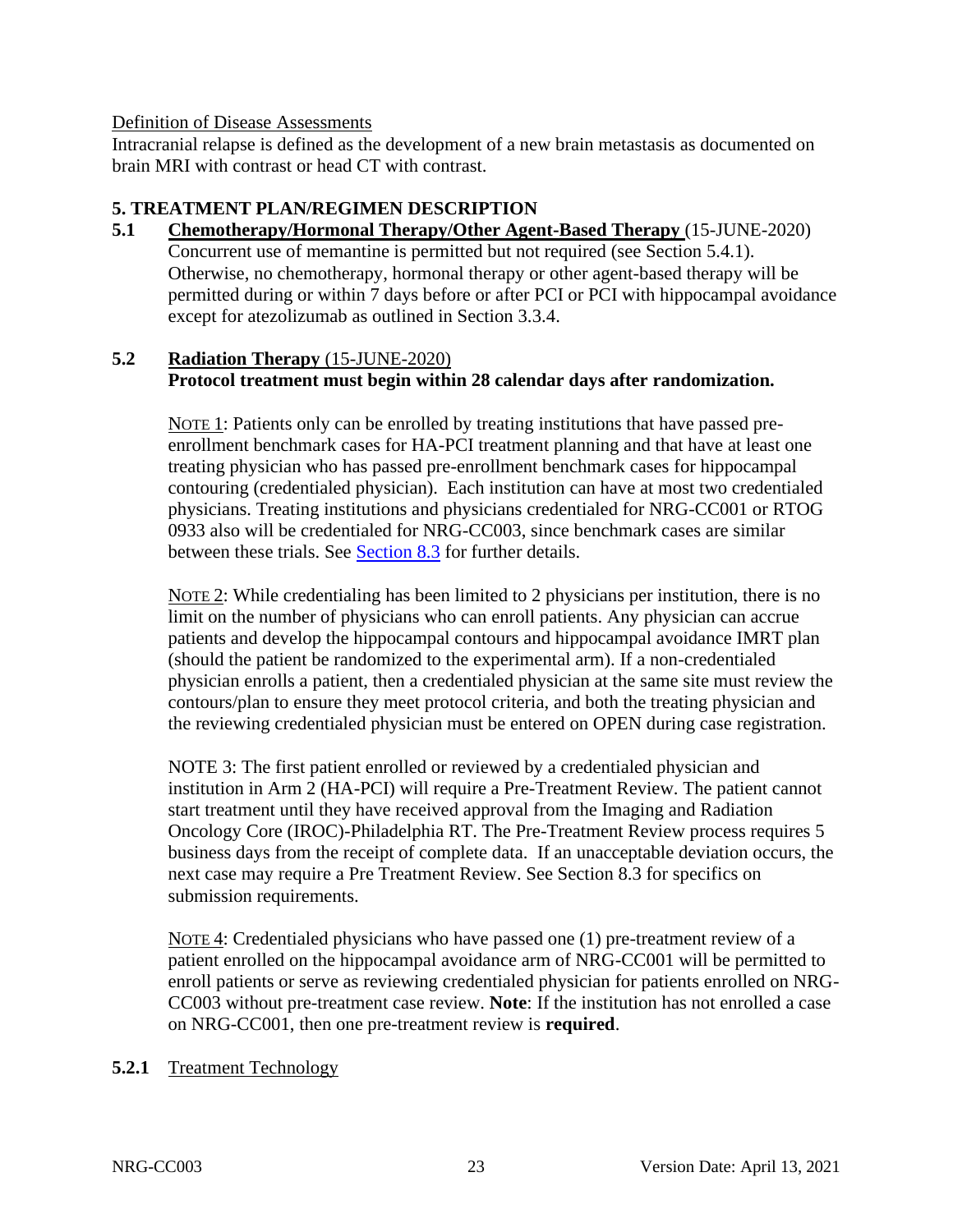#### Definition of Disease Assessments

Intracranial relapse is defined as the development of a new brain metastasis as documented on brain MRI with contrast or head CT with contrast.

#### <span id="page-22-0"></span>**5. TREATMENT PLAN/REGIMEN DESCRIPTION**

<span id="page-22-1"></span>**5.1 Chemotherapy/Hormonal Therapy/Other Agent-Based Therapy** (15-JUNE-2020) Concurrent use of memantine is permitted but not required (see Section 5.4.1). Otherwise, no chemotherapy, hormonal therapy or other agent-based therapy will be permitted during or within 7 days before or after PCI or PCI with hippocampal avoidance except for atezolizumab as outlined in Section 3.3.4.

#### <span id="page-22-2"></span>**5.2 Radiation Therapy** (15-JUNE-2020)

## **Protocol treatment must begin within 28 calendar days after randomization.**

NOTE 1: Patients only can be enrolled by treating institutions that have passed preenrollment benchmark cases for HA-PCI treatment planning and that have at least one treating physician who has passed pre-enrollment benchmark cases for hippocampal contouring (credentialed physician). Each institution can have at most two credentialed physicians. Treating institutions and physicians credentialed for NRG-CC001 or RTOG 0933 also will be credentialed for NRG-CC003, since benchmark cases are similar between these trials. See [Section 8.3](#page-37-0) for further details.

NOTE 2: While credentialing has been limited to 2 physicians per institution, there is no limit on the number of physicians who can enroll patients. Any physician can accrue patients and develop the hippocampal contours and hippocampal avoidance IMRT plan (should the patient be randomized to the experimental arm). If a non-credentialed physician enrolls a patient, then a credentialed physician at the same site must review the contours/plan to ensure they meet protocol criteria, and both the treating physician and the reviewing credentialed physician must be entered on OPEN during case registration.

NOTE 3: The first patient enrolled or reviewed by a credentialed physician and institution in Arm 2 (HA-PCI) will require a Pre-Treatment Review. The patient cannot start treatment until they have received approval from the Imaging and Radiation Oncology Core (IROC)-Philadelphia RT. The Pre-Treatment Review process requires 5 business days from the receipt of complete data. If an unacceptable deviation occurs, the next case may require a Pre Treatment Review. See Section 8.3 for specifics on submission requirements.

NOTE 4: Credentialed physicians who have passed one (1) pre-treatment review of a patient enrolled on the hippocampal avoidance arm of NRG-CC001 will be permitted to enroll patients or serve as reviewing credentialed physician for patients enrolled on NRG-CC003 without pre-treatment case review. **Note**: If the institution has not enrolled a case on NRG-CC001, then one pre-treatment review is **required**.

#### **5.2.1** Treatment Technology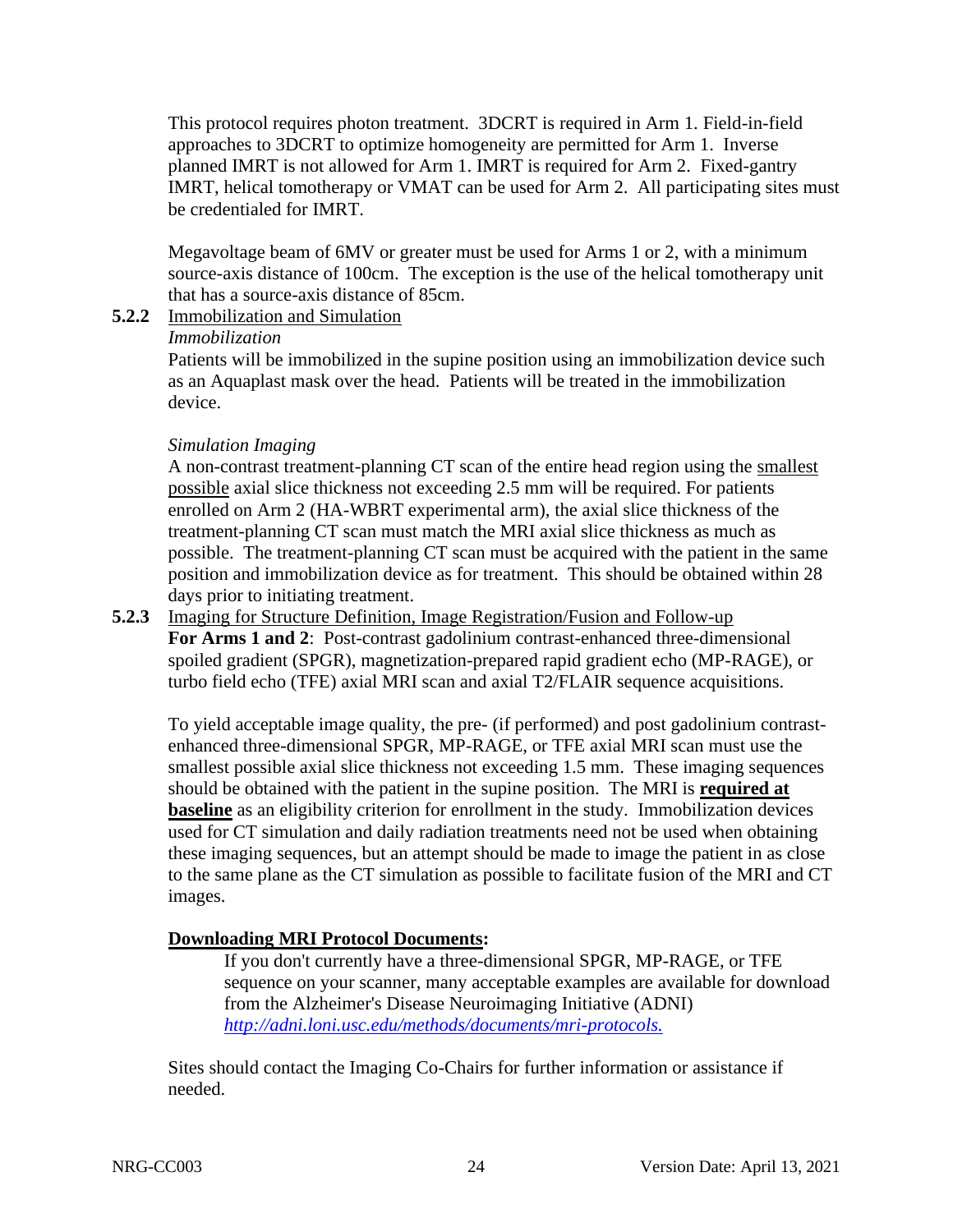This protocol requires photon treatment. 3DCRT is required in Arm 1. Field-in-field approaches to 3DCRT to optimize homogeneity are permitted for Arm 1. Inverse planned IMRT is not allowed for Arm 1. IMRT is required for Arm 2. Fixed-gantry IMRT, helical tomotherapy or VMAT can be used for Arm 2. All participating sites must be credentialed for IMRT.

Megavoltage beam of 6MV or greater must be used for Arms 1 or 2, with a minimum source-axis distance of 100cm. The exception is the use of the helical tomotherapy unit that has a source-axis distance of 85cm.

#### **5.2.2** Immobilization and Simulation

#### *Immobilization*

Patients will be immobilized in the supine position using an immobilization device such as an Aquaplast mask over the head. Patients will be treated in the immobilization device.

#### *Simulation Imaging*

A non-contrast treatment-planning CT scan of the entire head region using the smallest possible axial slice thickness not exceeding 2.5 mm will be required. For patients enrolled on Arm 2 (HA-WBRT experimental arm), the axial slice thickness of the treatment-planning CT scan must match the MRI axial slice thickness as much as possible. The treatment-planning CT scan must be acquired with the patient in the same position and immobilization device as for treatment. This should be obtained within 28 days prior to initiating treatment.

## **5.2.3** Imaging for Structure Definition, Image Registration/Fusion and Follow-up

**For Arms 1 and 2**: Post-contrast gadolinium contrast-enhanced three-dimensional spoiled gradient (SPGR), magnetization-prepared rapid gradient echo (MP-RAGE), or turbo field echo (TFE) axial MRI scan and axial T2/FLAIR sequence acquisitions.

To yield acceptable image quality, the pre- (if performed) and post gadolinium contrastenhanced three-dimensional SPGR, MP-RAGE, or TFE axial MRI scan must use the smallest possible axial slice thickness not exceeding 1.5 mm. These imaging sequences should be obtained with the patient in the supine position. The MRI is **required at baseline** as an eligibility criterion for enrollment in the study. Immobilization devices used for CT simulation and daily radiation treatments need not be used when obtaining these imaging sequences, but an attempt should be made to image the patient in as close to the same plane as the CT simulation as possible to facilitate fusion of the MRI and CT images.

## **Downloading MRI Protocol Documents:**

If you don't currently have a three-dimensional SPGR, MP-RAGE, or TFE sequence on your scanner, many acceptable examples are available for download from the Alzheimer's Disease Neuroimaging Initiative (ADNI) *http://adni.loni.usc.edu/methods/documents/mri-protocols.*

Sites should contact the Imaging Co-Chairs for further information or assistance if needed.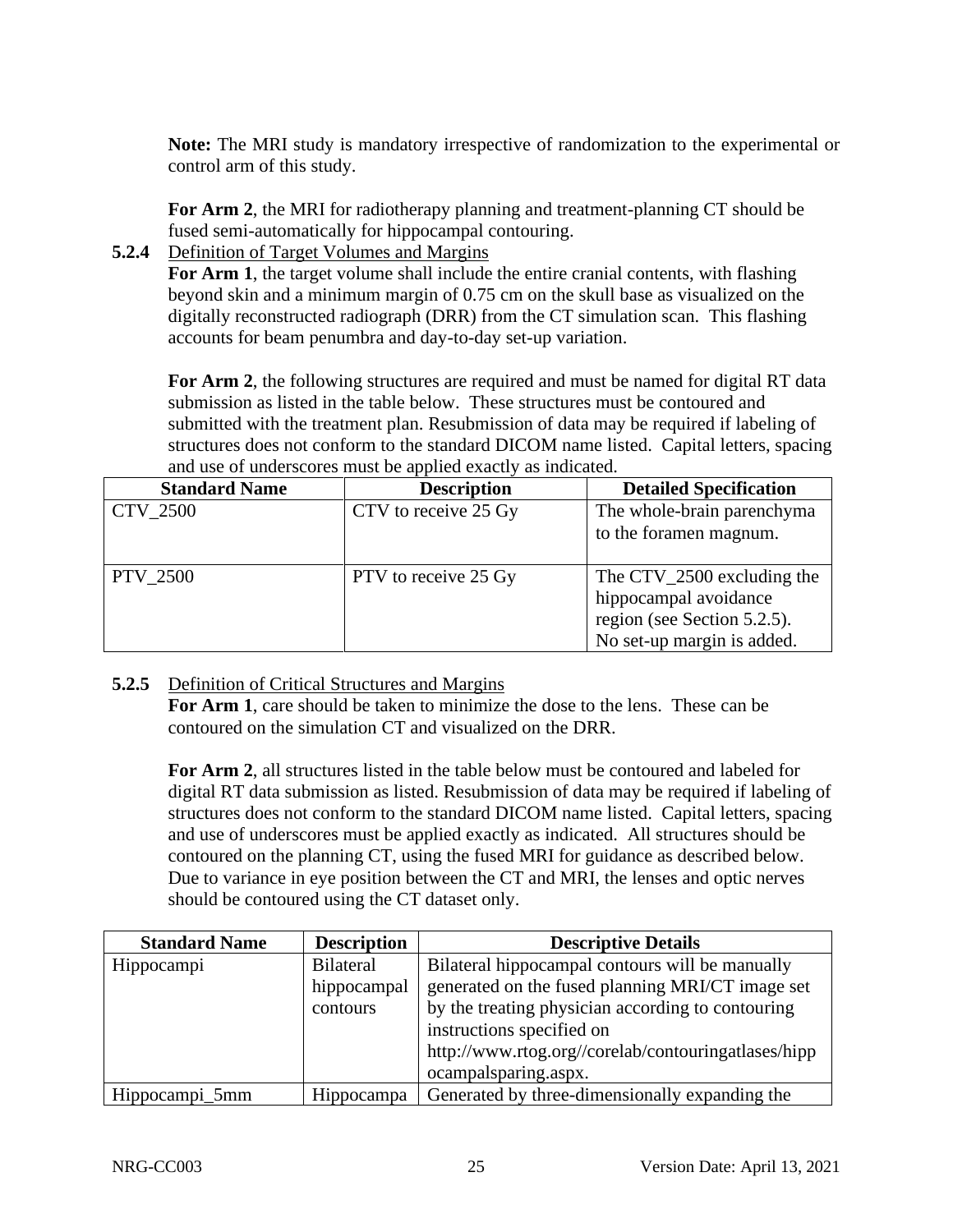**Note:** The MRI study is mandatory irrespective of randomization to the experimental or control arm of this study.

**For Arm 2**, the MRI for radiotherapy planning and treatment-planning CT should be fused semi-automatically for hippocampal contouring.

**5.2.4** Definition of Target Volumes and Margins

**For Arm 1**, the target volume shall include the entire cranial contents, with flashing beyond skin and a minimum margin of 0.75 cm on the skull base as visualized on the digitally reconstructed radiograph (DRR) from the CT simulation scan. This flashing accounts for beam penumbra and day-to-day set-up variation.

For Arm 2, the following structures are required and must be named for digital RT data submission as listed in the table below. These structures must be contoured and submitted with the treatment plan. Resubmission of data may be required if labeling of structures does not conform to the standard DICOM name listed. Capital letters, spacing and use of underscores must be applied exactly as indicated.

| <b>Standard Name</b> | <b>Description</b>   | <b>Detailed Specification</b>                                                                                      |
|----------------------|----------------------|--------------------------------------------------------------------------------------------------------------------|
| CTV_2500             | CTV to receive 25 Gy | The whole-brain parenchyma<br>to the foramen magnum.                                                               |
| <b>PTV 2500</b>      | PTV to receive 25 Gy | The $CTV_2500$ excluding the<br>hippocampal avoidance<br>region (see Section 5.2.5).<br>No set-up margin is added. |

## **5.2.5** Definition of Critical Structures and Margins

**For Arm 1**, care should be taken to minimize the dose to the lens. These can be contoured on the simulation CT and visualized on the DRR.

**For Arm 2**, all structures listed in the table below must be contoured and labeled for digital RT data submission as listed. Resubmission of data may be required if labeling of structures does not conform to the standard DICOM name listed. Capital letters, spacing and use of underscores must be applied exactly as indicated. All structures should be contoured on the planning CT, using the fused MRI for guidance as described below. Due to variance in eye position between the CT and MRI, the lenses and optic nerves should be contoured using the CT dataset only.

| <b>Standard Name</b> | <b>Description</b> | <b>Descriptive Details</b>                          |
|----------------------|--------------------|-----------------------------------------------------|
| Hippocampi           | <b>Bilateral</b>   | Bilateral hippocampal contours will be manually     |
|                      | hippocampal        | generated on the fused planning MRI/CT image set    |
|                      | contours           | by the treating physician according to contouring   |
|                      |                    | instructions specified on                           |
|                      |                    | http://www.rtog.org//corelab/contouringatlases/hipp |
|                      |                    | ocampalsparing.aspx.                                |
| Hippocampi_5mm       | Hippocampa         | Generated by three-dimensionally expanding the      |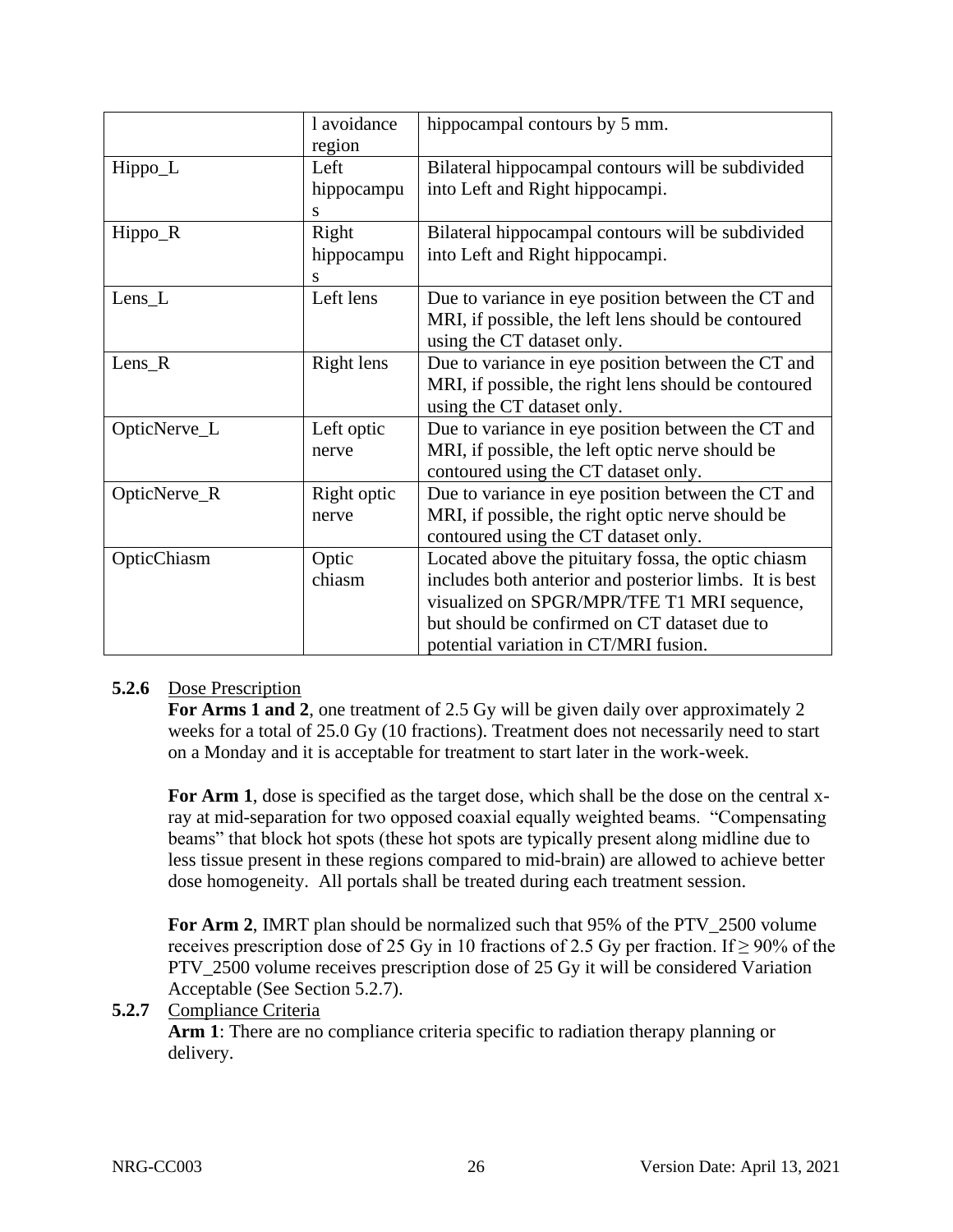|              | l avoidance | hippocampal contours by 5 mm.                          |
|--------------|-------------|--------------------------------------------------------|
|              | region      |                                                        |
| Hippo_L      | Left        | Bilateral hippocampal contours will be subdivided      |
|              | hippocampu  | into Left and Right hippocampi.                        |
|              | S           |                                                        |
| Hippo_R      | Right       | Bilateral hippocampal contours will be subdivided      |
|              | hippocampu  | into Left and Right hippocampi.                        |
|              | S           |                                                        |
| $Lens_{L}$   | Left lens   | Due to variance in eye position between the CT and     |
|              |             | MRI, if possible, the left lens should be contoured    |
|              |             | using the CT dataset only.                             |
| Lens_ $R$    | Right lens  | Due to variance in eye position between the CT and     |
|              |             | MRI, if possible, the right lens should be contoured   |
|              |             | using the CT dataset only.                             |
| OpticNerve_L | Left optic  | Due to variance in eye position between the CT and     |
|              | nerve       | MRI, if possible, the left optic nerve should be       |
|              |             | contoured using the CT dataset only.                   |
| OpticNerve_R | Right optic | Due to variance in eye position between the CT and     |
|              | nerve       | MRI, if possible, the right optic nerve should be      |
|              |             | contoured using the CT dataset only.                   |
| OpticChiasm  | Optic       | Located above the pituitary fossa, the optic chiasm    |
|              | chiasm      | includes both anterior and posterior limbs. It is best |
|              |             | visualized on SPGR/MPR/TFE T1 MRI sequence,            |
|              |             | but should be confirmed on CT dataset due to           |
|              |             | potential variation in CT/MRI fusion.                  |

## **5.2.6** Dose Prescription

**For Arms 1 and 2**, one treatment of 2.5 Gy will be given daily over approximately 2 weeks for a total of 25.0 Gy (10 fractions). Treatment does not necessarily need to start on a Monday and it is acceptable for treatment to start later in the work-week.

For Arm 1, dose is specified as the target dose, which shall be the dose on the central xray at mid-separation for two opposed coaxial equally weighted beams. "Compensating beams" that block hot spots (these hot spots are typically present along midline due to less tissue present in these regions compared to mid-brain) are allowed to achieve better dose homogeneity. All portals shall be treated during each treatment session.

**For Arm 2**, IMRT plan should be normalized such that 95% of the PTV\_2500 volume receives prescription dose of 25 Gy in 10 fractions of 2.5 Gy per fraction. If  $\geq$  90% of the PTV\_2500 volume receives prescription dose of 25 Gy it will be considered Variation Acceptable (See Section 5.2.7).

## **5.2.7** Compliance Criteria

**Arm 1**: There are no compliance criteria specific to radiation therapy planning or delivery.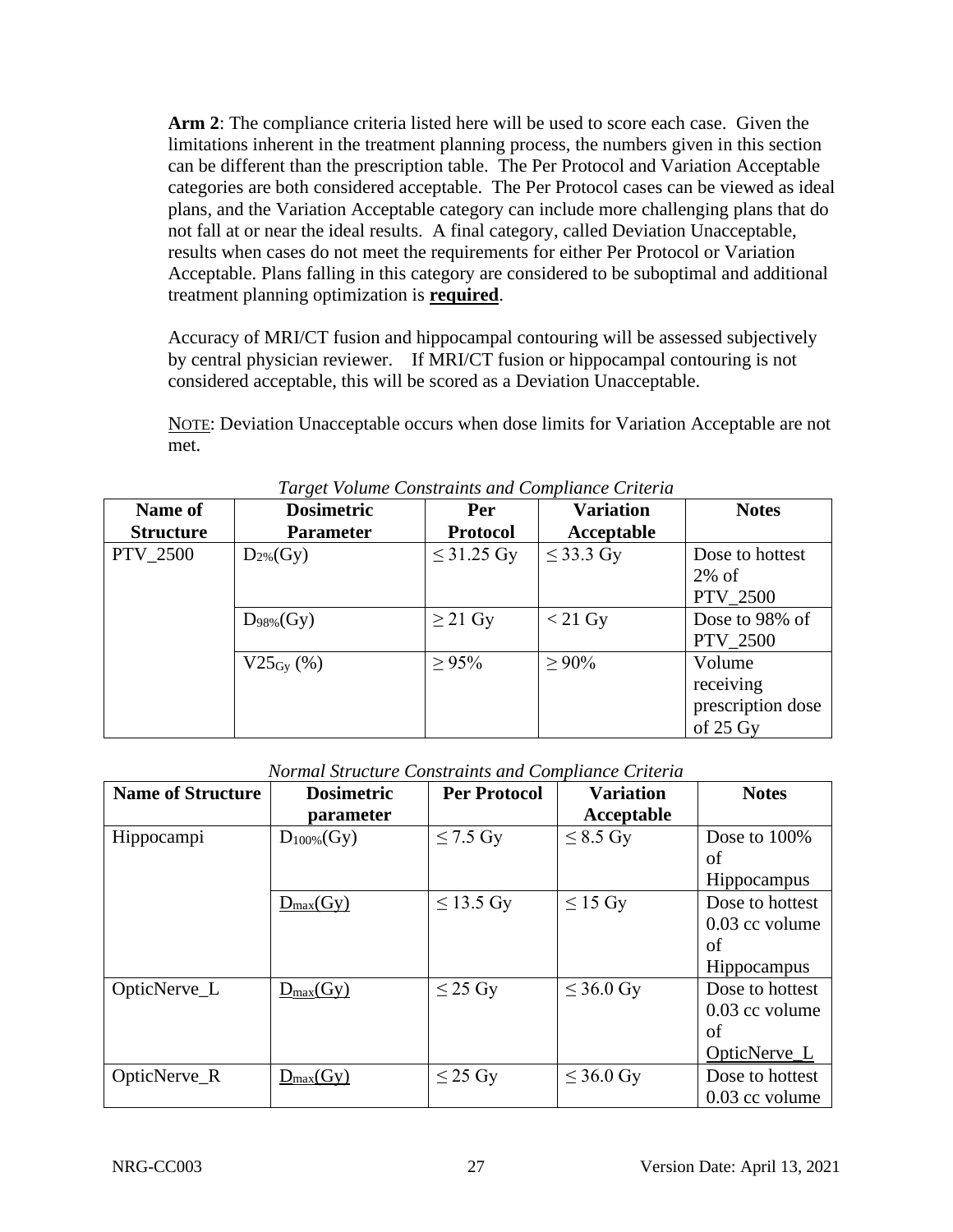**Arm 2**: The compliance criteria listed here will be used to score each case. Given the limitations inherent in the treatment planning process, the numbers given in this section can be different than the prescription table. The Per Protocol and Variation Acceptable categories are both considered acceptable. The Per Protocol cases can be viewed as ideal plans, and the Variation Acceptable category can include more challenging plans that do not fall at or near the ideal results. A final category, called Deviation Unacceptable, results when cases do not meet the requirements for either Per Protocol or Variation Acceptable. Plans falling in this category are considered to be suboptimal and additional treatment planning optimization is **required**.

Accuracy of MRI/CT fusion and hippocampal contouring will be assessed subjectively by central physician reviewer. If MRI/CT fusion or hippocampal contouring is not considered acceptable, this will be scored as a Deviation Unacceptable.

NOTE: Deviation Unacceptable occurs when dose limits for Variation Acceptable are not met.

| Name of<br><b>Structure</b> | <b>Dosimetric</b><br><b>Parameter</b> | <b>Per</b><br><b>Protocol</b> | <b>Variation</b><br>Acceptable | <b>Notes</b>                                                   |
|-----------------------------|---------------------------------------|-------------------------------|--------------------------------|----------------------------------------------------------------|
| <b>PTV_2500</b>             | $D_{2\%}(Gy)$                         | $\leq$ 31.25 Gy               | $\leq$ 33.3 Gy                 | Dose to hottest<br>$2\%$ of<br><b>PTV 2500</b>                 |
|                             | $D_{98\%}(Gy)$                        | $\geq$ 21 Gy                  | $<$ 21 Gy                      | Dose to 98% of<br><b>PTV_2500</b>                              |
|                             | $V25_{\rm Gy}$ (%)                    | $\geq 95\%$                   | $\geq 90\%$                    | Volume<br>receiving<br>prescription dose<br>of $25 \text{ Gy}$ |

*Normal Structure Constraints and Compliance Criteria*

| <b>Name of Structure</b> | <b>Dosimetric</b>    | <b>Per Protocol</b> | <b>Variation</b> | <b>Notes</b>       |
|--------------------------|----------------------|---------------------|------------------|--------------------|
|                          | parameter            |                     | Acceptable       |                    |
| Hippocampi               | $D_{100\%}(Gy)$      | $\leq$ 7.5 Gy       | $\leq$ 8.5 Gy    | Dose to 100%       |
|                          |                      |                     |                  | of                 |
|                          |                      |                     |                  | Hippocampus        |
|                          | $D_{max}(Gy)$        | $\leq$ 13.5 Gy      | $\leq$ 15 Gy     | Dose to hottest    |
|                          |                      |                     |                  | 0.03 cc volume     |
|                          |                      |                     |                  | of                 |
|                          |                      |                     |                  | <b>Hippocampus</b> |
| OpticNerve_L             | $D_{\text{max}}(Gy)$ | $\leq$ 25 Gy        | $\leq$ 36.0 Gy   | Dose to hottest    |
|                          |                      |                     |                  | $0.03$ cc volume   |
|                          |                      |                     |                  | of                 |
|                          |                      |                     |                  | OpticNerve_L       |
| OpticNerve_R             | $D_{max}(Gy)$        | $\leq$ 25 Gy        | $\leq$ 36.0 Gy   | Dose to hottest    |
|                          |                      |                     |                  | $0.03$ cc volume   |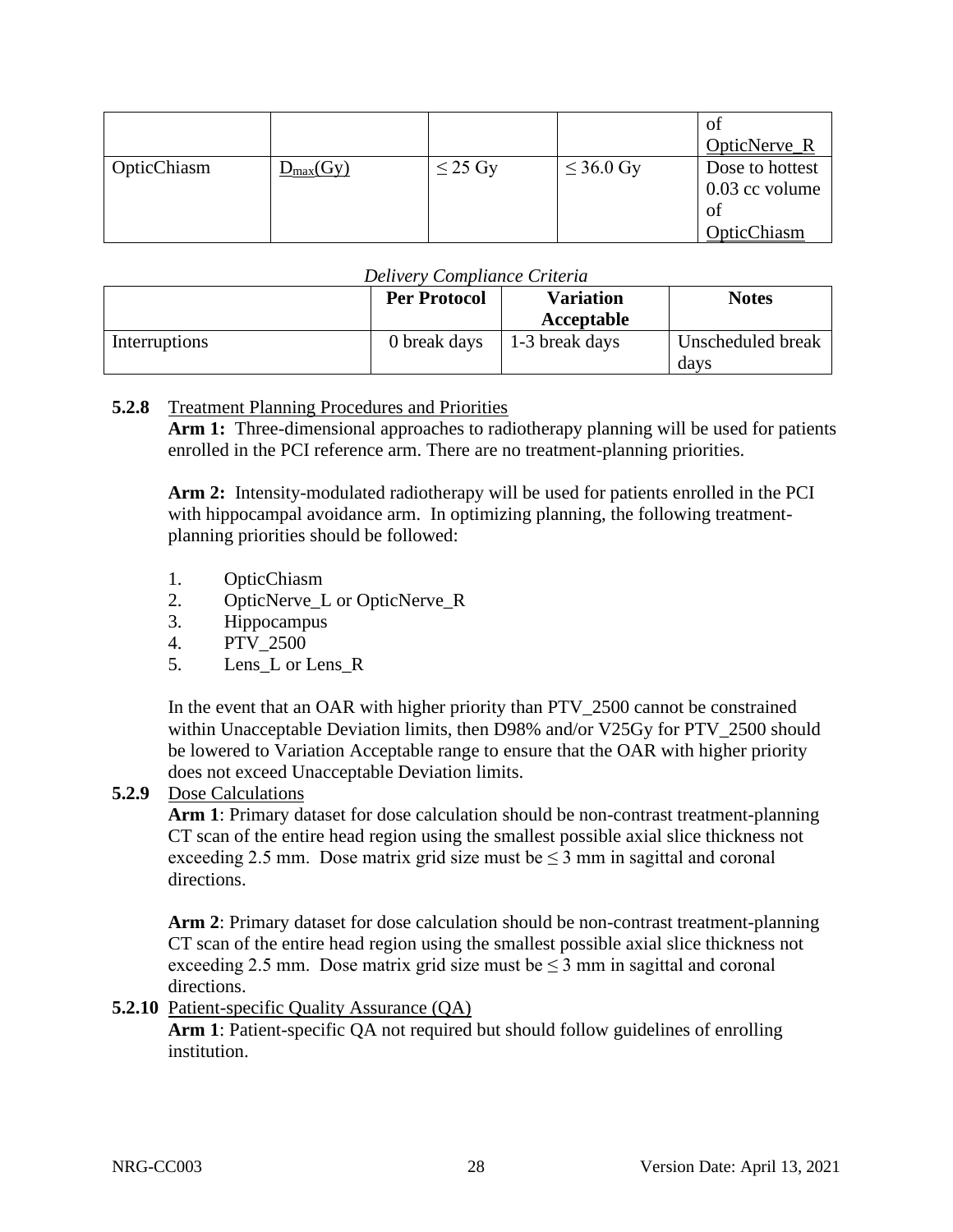|             |                       |              |                | ot<br>OpticNerve_R                                       |
|-------------|-----------------------|--------------|----------------|----------------------------------------------------------|
| OpticChiasm | $D_{\text{max}}(G_V)$ | $\leq$ 25 Gy | $\leq$ 36.0 Gy | Dose to hottest<br>$0.03$ cc volume<br>of<br>OpticChiasm |

#### *Delivery Compliance Criteria*

|               | <b>Per Protocol</b> | <b>Variation</b><br>Acceptable | <b>Notes</b>              |
|---------------|---------------------|--------------------------------|---------------------------|
| Interruptions | 0 break days        | 1-3 break days                 | Unscheduled break<br>davs |

#### **5.2.8** Treatment Planning Procedures and Priorities

Arm 1: Three-dimensional approaches to radiotherapy planning will be used for patients enrolled in the PCI reference arm. There are no treatment-planning priorities.

**Arm 2:** Intensity-modulated radiotherapy will be used for patients enrolled in the PCI with hippocampal avoidance arm. In optimizing planning, the following treatmentplanning priorities should be followed:

- 1. OpticChiasm
- 2. OpticNerve\_L or OpticNerve\_R
- 3. Hippocampus
- 4. PTV\_2500
- 5. Lens\_L or Lens\_R

In the event that an OAR with higher priority than PTV\_2500 cannot be constrained within Unacceptable Deviation limits, then D98% and/or V25Gy for PTV\_2500 should be lowered to Variation Acceptable range to ensure that the OAR with higher priority does not exceed Unacceptable Deviation limits.

#### **5.2.9** Dose Calculations

**Arm 1**: Primary dataset for dose calculation should be non-contrast treatment-planning CT scan of the entire head region using the smallest possible axial slice thickness not exceeding 2.5 mm. Dose matrix grid size must be  $\leq$  3 mm in sagittal and coronal directions.

**Arm 2**: Primary dataset for dose calculation should be non-contrast treatment-planning CT scan of the entire head region using the smallest possible axial slice thickness not exceeding 2.5 mm. Dose matrix grid size must be  $\leq$  3 mm in sagittal and coronal directions.

**5.2.10** Patient-specific Quality Assurance (QA)

**Arm 1**: Patient-specific QA not required but should follow guidelines of enrolling institution.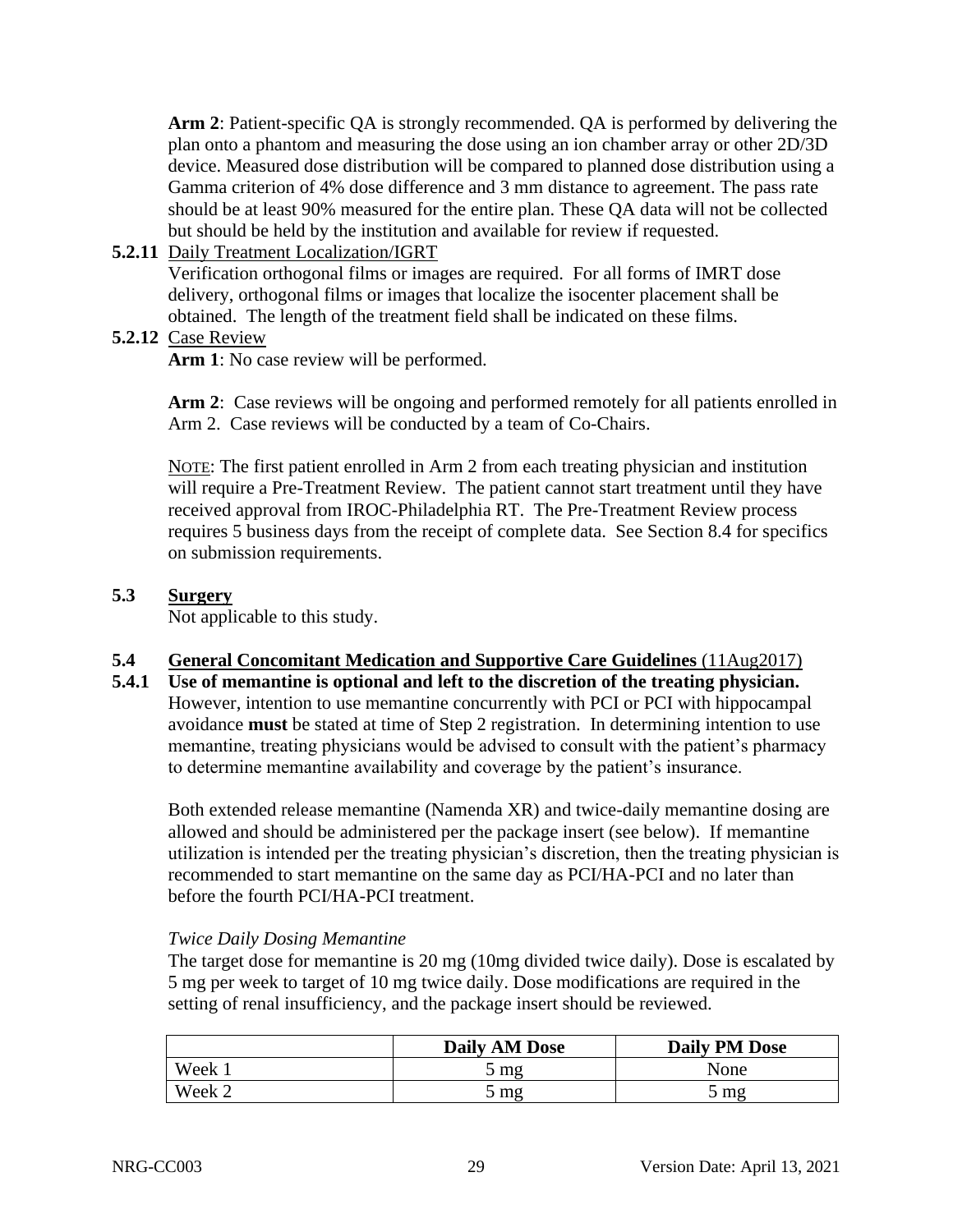**Arm 2**: Patient-specific QA is strongly recommended. QA is performed by delivering the plan onto a phantom and measuring the dose using an ion chamber array or other 2D/3D device. Measured dose distribution will be compared to planned dose distribution using a Gamma criterion of 4% dose difference and 3 mm distance to agreement. The pass rate should be at least 90% measured for the entire plan. These QA data will not be collected but should be held by the institution and available for review if requested.

**5.2.11** Daily Treatment Localization/IGRT

Verification orthogonal films or images are required. For all forms of IMRT dose delivery, orthogonal films or images that localize the isocenter placement shall be obtained. The length of the treatment field shall be indicated on these films.

**5.2.12** Case Review

Arm 1: No case review will be performed.

Arm 2: Case reviews will be ongoing and performed remotely for all patients enrolled in Arm 2. Case reviews will be conducted by a team of Co-Chairs.

NOTE: The first patient enrolled in Arm 2 from each treating physician and institution will require a Pre-Treatment Review. The patient cannot start treatment until they have received approval from IROC-Philadelphia RT. The Pre-Treatment Review process requires 5 business days from the receipt of complete data. See Section 8.4 for specifics on submission requirements.

#### <span id="page-28-0"></span>**5.3 Surgery**

Not applicable to this study.

## <span id="page-28-1"></span>**5.4 General Concomitant Medication and Supportive Care Guidelines** (11Aug2017)

**5.4.1 Use of memantine is optional and left to the discretion of the treating physician.**  However, intention to use memantine concurrently with PCI or PCI with hippocampal avoidance **must** be stated at time of Step 2 registration. In determining intention to use memantine, treating physicians would be advised to consult with the patient's pharmacy to determine memantine availability and coverage by the patient's insurance.

Both extended release memantine (Namenda XR) and twice-daily memantine dosing are allowed and should be administered per the package insert (see below). If memantine utilization is intended per the treating physician's discretion, then the treating physician is recommended to start memantine on the same day as PCI/HA-PCI and no later than before the fourth PCI/HA-PCI treatment.

#### *Twice Daily Dosing Memantine*

The target dose for memantine is 20 mg (10mg divided twice daily). Dose is escalated by 5 mg per week to target of 10 mg twice daily. Dose modifications are required in the setting of renal insufficiency, and the package insert should be reviewed.

|        | <b>Daily AM Dose</b> | <b>Daily PM Dose</b> |
|--------|----------------------|----------------------|
| Week   | $\mathbf{m}$         | None                 |
| Week 2 | $5 \text{ mg}$       | $m$ g                |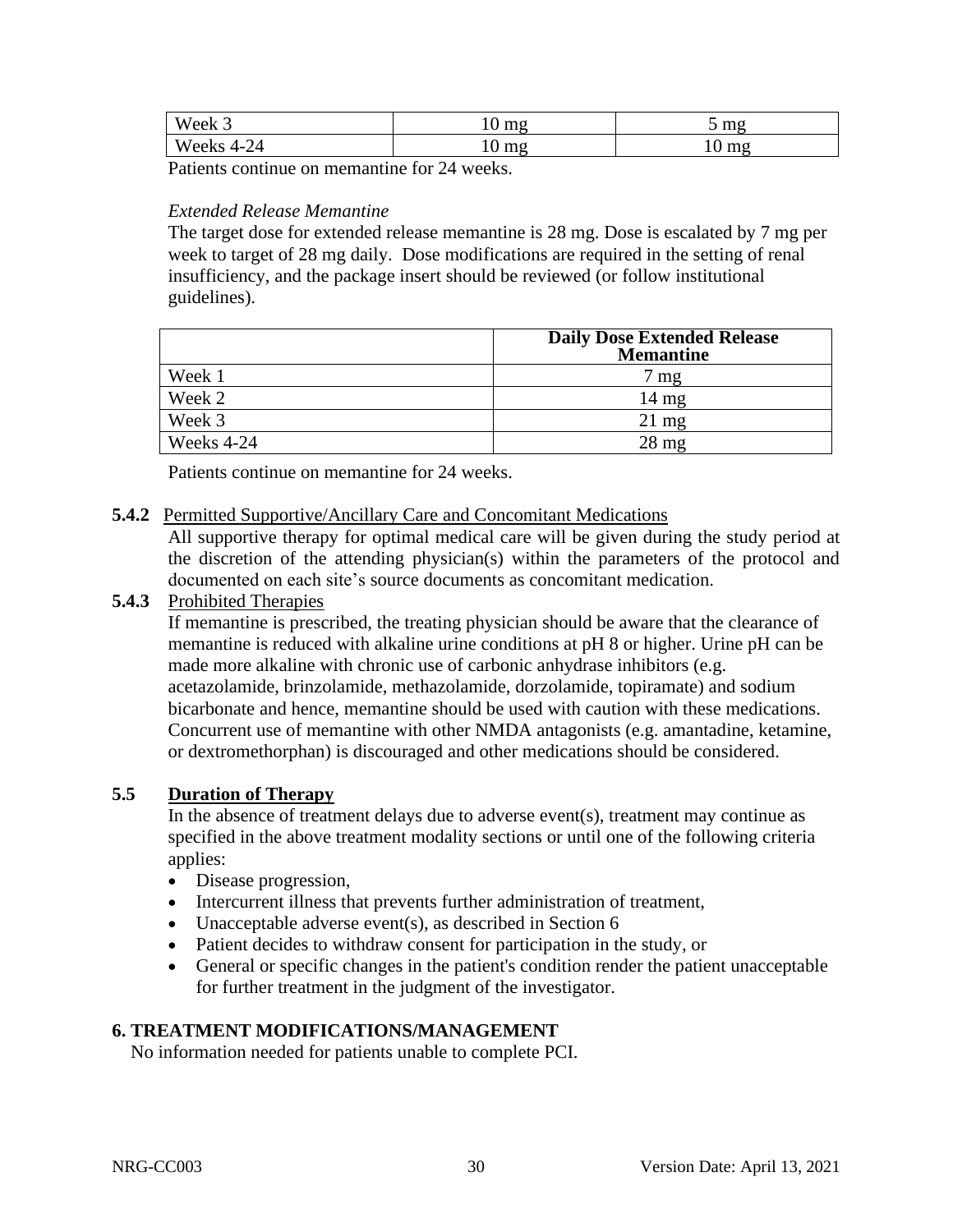| T T T<br>Week.                 | ma <sub>0</sub><br><br>⊥ ∪  | $m\sigma$<br>,,,,<br>ັ |
|--------------------------------|-----------------------------|------------------------|
| $T$ $T$<br>Weeks<br>44<br>21 – | ma<br>$\blacksquare$<br>1 V | mg<br>⊥ ∪              |

Patients continue on memantine for 24 weeks.

## *Extended Release Memantine*

The target dose for extended release memantine is 28 mg. Dose is escalated by 7 mg per week to target of 28 mg daily. Dose modifications are required in the setting of renal insufficiency, and the package insert should be reviewed (or follow institutional guidelines).

|            | <b>Daily Dose Extended Release</b><br><b>Memantine</b> |  |  |  |
|------------|--------------------------------------------------------|--|--|--|
| Week 1     | $7 \text{ mg}$                                         |  |  |  |
| Week 2     | $14 \text{ mg}$                                        |  |  |  |
| Week 3     | $21 \text{ mg}$                                        |  |  |  |
| Weeks 4-24 | $28 \text{ mg}$                                        |  |  |  |

Patients continue on memantine for 24 weeks.

#### **5.4.2** Permitted Supportive/Ancillary Care and Concomitant Medications

All supportive therapy for optimal medical care will be given during the study period at the discretion of the attending physician(s) within the parameters of the protocol and documented on each site's source documents as concomitant medication.

#### **5.4.3** Prohibited Therapies

If memantine is prescribed, the treating physician should be aware that the clearance of memantine is reduced with alkaline urine conditions at pH 8 or higher. Urine pH can be made more alkaline with chronic use of carbonic anhydrase inhibitors (e.g. acetazolamide, brinzolamide, methazolamide, dorzolamide, topiramate) and sodium bicarbonate and hence, memantine should be used with caution with these medications. Concurrent use of memantine with other NMDA antagonists (e.g. amantadine, ketamine, or dextromethorphan) is discouraged and other medications should be considered.

#### <span id="page-29-0"></span>**5.5 Duration of Therapy**

In the absence of treatment delays due to adverse event(s), treatment may continue as specified in the above treatment modality sections or until one of the following criteria applies:

- Disease progression,
- Intercurrent illness that prevents further administration of treatment,
- Unacceptable adverse event(s), as described in Section 6
- Patient decides to withdraw consent for participation in the study, or
- General or specific changes in the patient's condition render the patient unacceptable for further treatment in the judgment of the investigator.

## <span id="page-29-1"></span>**6. TREATMENT MODIFICATIONS/MANAGEMENT**

No information needed for patients unable to complete PCI.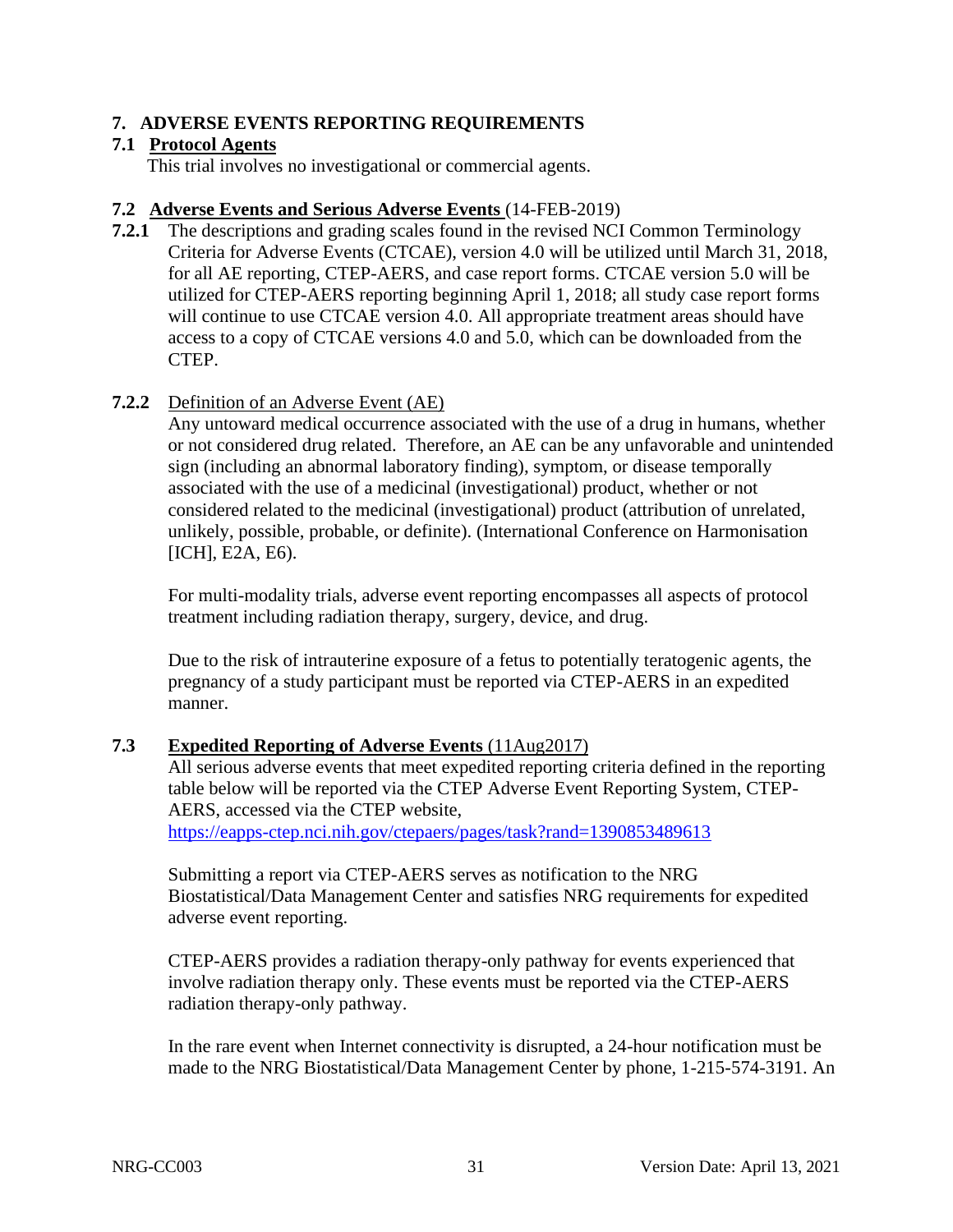#### <span id="page-30-0"></span>**7. ADVERSE EVENTS REPORTING REQUIREMENTS**

#### <span id="page-30-1"></span>**7.1 Protocol Agents**

This trial involves no investigational or commercial agents.

#### <span id="page-30-2"></span>**7.2 Adverse Events and Serious Adverse Events** (14-FEB-2019)

**7.2.1** The descriptions and grading scales found in the revised NCI Common Terminology Criteria for Adverse Events (CTCAE), version 4.0 will be utilized until March 31, 2018, for all AE reporting, CTEP-AERS, and case report forms. CTCAE version 5.0 will be utilized for CTEP-AERS reporting beginning April 1, 2018; all study case report forms will continue to use CTCAE version 4.0. All appropriate treatment areas should have access to a copy of CTCAE versions 4.0 and 5.0, which can be downloaded from the CTEP.

## **7.2.2** Definition of an Adverse Event (AE)

Any untoward medical occurrence associated with the use of a drug in humans, whether or not considered drug related. Therefore, an AE can be any unfavorable and unintended sign (including an abnormal laboratory finding), symptom, or disease temporally associated with the use of a medicinal (investigational) product, whether or not considered related to the medicinal (investigational) product (attribution of unrelated, unlikely, possible, probable, or definite). (International Conference on Harmonisation [ICH], E2A, E6).

For multi-modality trials, adverse event reporting encompasses all aspects of protocol treatment including radiation therapy, surgery, device, and drug.

Due to the risk of intrauterine exposure of a fetus to potentially teratogenic agents, the pregnancy of a study participant must be reported via CTEP-AERS in an expedited manner.

#### <span id="page-30-3"></span>**7.3 Expedited Reporting of Adverse Events** (11Aug2017)

All serious adverse events that meet expedited reporting criteria defined in the reporting table below will be reported via the CTEP Adverse Event Reporting System, CTEP-AERS, accessed via the CTEP website,

<https://eapps-ctep.nci.nih.gov/ctepaers/pages/task?rand=1390853489613>

Submitting a report via CTEP-AERS serves as notification to the NRG Biostatistical/Data Management Center and satisfies NRG requirements for expedited adverse event reporting.

CTEP-AERS provides a radiation therapy-only pathway for events experienced that involve radiation therapy only. These events must be reported via the CTEP-AERS radiation therapy-only pathway.

In the rare event when Internet connectivity is disrupted, a 24-hour notification must be made to the NRG Biostatistical/Data Management Center by phone, 1-215-574-3191. An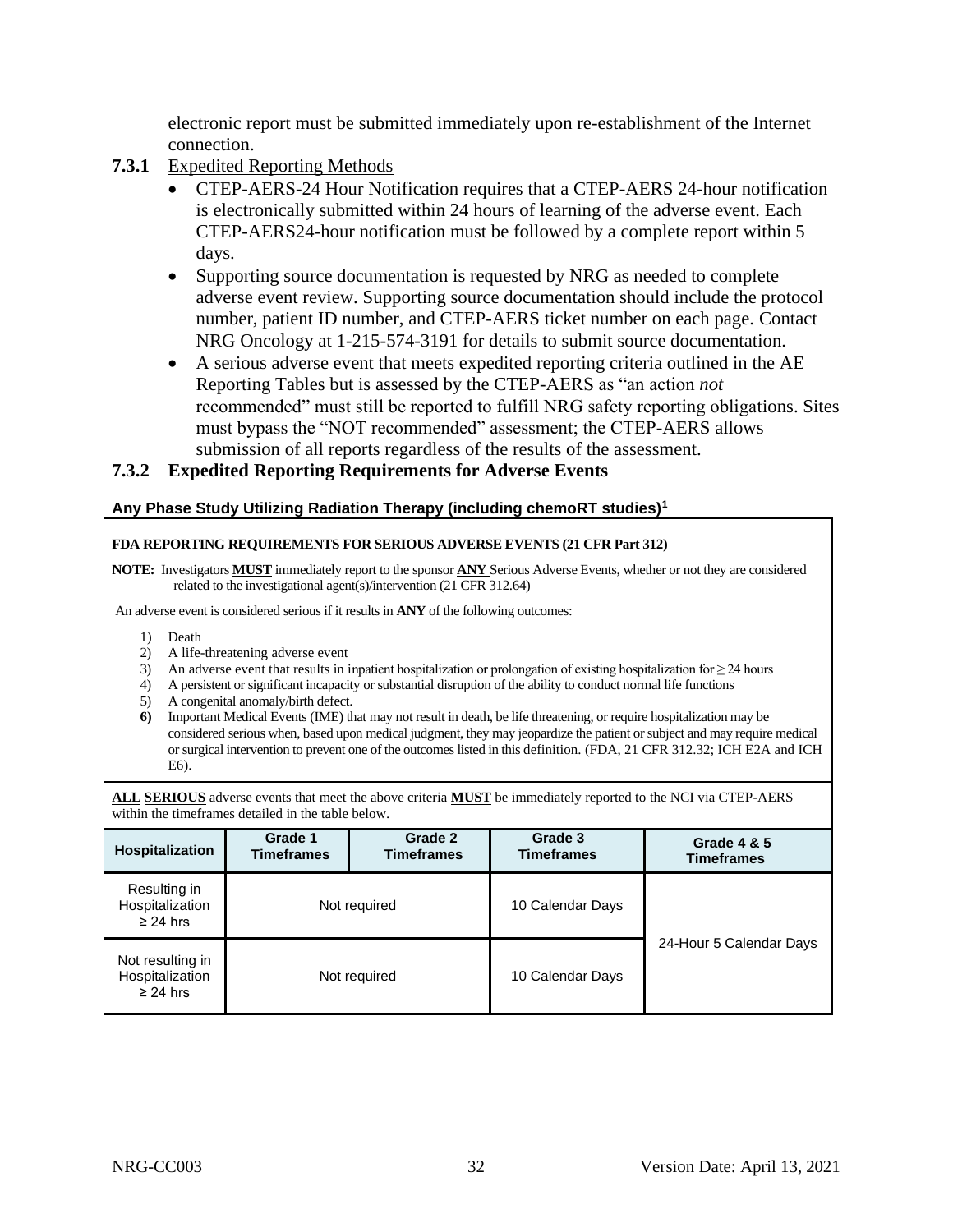electronic report must be submitted immediately upon re-establishment of the Internet connection.

- **7.3.1** Expedited Reporting Methods
	- CTEP-AERS-24 Hour Notification requires that a CTEP-AERS 24-hour notification is electronically submitted within 24 hours of learning of the adverse event. Each CTEP-AERS24-hour notification must be followed by a complete report within 5 days.
	- Supporting source documentation is requested by NRG as needed to complete adverse event review. Supporting source documentation should include the protocol number, patient ID number, and CTEP-AERS ticket number on each page. Contact NRG Oncology at 1-215-574-3191 for details to submit source documentation.
	- A serious adverse event that meets expedited reporting criteria outlined in the AE Reporting Tables but is assessed by the CTEP-AERS as "an action *not* recommended" must still be reported to fulfill NRG safety reporting obligations. Sites must bypass the "NOT recommended" assessment; the CTEP-AERS allows submission of all reports regardless of the results of the assessment.

#### **7.3.2 Expedited Reporting Requirements for Adverse Events**

#### **Any Phase Study Utilizing Radiation Therapy (including chemoRT studies)<sup>1</sup>**

#### **FDA REPORTING REQUIREMENTS FOR SERIOUS ADVERSE EVENTS (21 CFR Part 312)**

**NOTE:** Investigators **MUST** immediately report to the sponsor **ANY** Serious Adverse Events, whether or not they are considered related to the investigational agent(s)/intervention (21 CFR 312.64)

An adverse event is considered serious if it results in **ANY** of the following outcomes:

- 1) Death
- 2) A life-threatening adverse event
- 3) An adverse event that results in inpatient hospitalization or prolongation of existing hospitalization for ≥ 24 hours
- 4) A persistent or significant incapacity or substantial disruption of the ability to conduct normal life functions
- 5) A congenital anomaly/birth defect.
- **6)** Important Medical Events (IME) that may not result in death, be life threatening, or require hospitalization may be considered serious when, based upon medical judgment, they may jeopardize the patient or subject and may require medical or surgical intervention to prevent one of the outcomes listed in this definition. (FDA, 21 CFR 312.32; ICH E2A and ICH E6).

**ALL SERIOUS** adverse events that meet the above criteria **MUST** be immediately reported to the NCI via CTEP-AERS within the timeframes detailed in the table below.

| Hospitalization                                  | Grade 1<br>Grade 2<br><b>Timeframes</b><br><b>Timeframes</b> |  |                  |                         | Grade 3<br><b>Timeframes</b> | Grade 4 & 5<br><b>Timeframes</b> |
|--------------------------------------------------|--------------------------------------------------------------|--|------------------|-------------------------|------------------------------|----------------------------------|
| Resulting in<br>Hospitalization<br>$\geq$ 24 hrs | Not required<br>Not required<br>$\geq$ 24 hrs                |  | 10 Calendar Days |                         |                              |                                  |
| Not resulting in<br>Hospitalization              |                                                              |  | 10 Calendar Days | 24-Hour 5 Calendar Days |                              |                                  |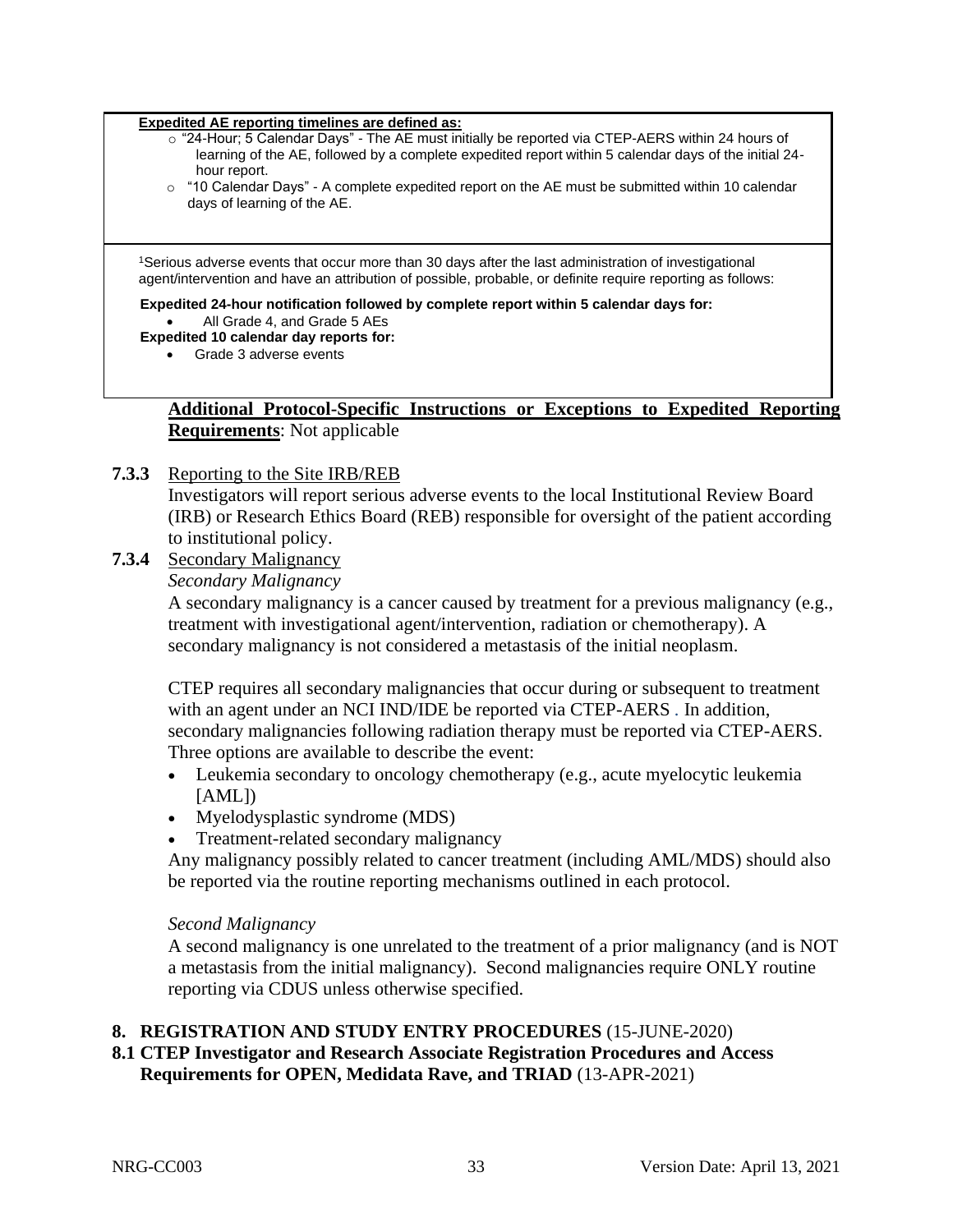#### **Expedited AE reporting timelines are defined as:**

- o "24-Hour; 5 Calendar Days" The AE must initially be reported via CTEP-AERS within 24 hours of learning of the AE, followed by a complete expedited report within 5 calendar days of the initial 24 hour report.
- o "10 Calendar Days" A complete expedited report on the AE must be submitted within 10 calendar days of learning of the AE.

<sup>1</sup>Serious adverse events that occur more than 30 days after the last administration of investigational agent/intervention and have an attribution of possible, probable, or definite require reporting as follows:

#### **Expedited 24-hour notification followed by complete report within 5 calendar days for:**

• All Grade 4, and Grade 5 AEs

#### **Expedited 10 calendar day reports for:**

• Grade 3 adverse events

#### **Additional Protocol-Specific Instructions or Exceptions to Expedited Reporting Requirements**: Not applicable

#### **7.3.3** Reporting to the Site IRB/REB

Investigators will report serious adverse events to the local Institutional Review Board (IRB) or Research Ethics Board (REB) responsible for oversight of the patient according to institutional policy.

## **7.3.4** Secondary Malignancy

*Secondary Malignancy*

A secondary malignancy is a cancer caused by treatment for a previous malignancy (e.g., treatment with investigational agent/intervention, radiation or chemotherapy). A secondary malignancy is not considered a metastasis of the initial neoplasm.

CTEP requires all secondary malignancies that occur during or subsequent to treatment with an agent under an NCI IND/IDE be reported via CTEP-AERS *.* In addition, secondary malignancies following radiation therapy must be reported via CTEP-AERS. Three options are available to describe the event:

- Leukemia secondary to oncology chemotherapy (e.g., acute myelocytic leukemia  $[AML]$
- Myelodysplastic syndrome (MDS)
- Treatment-related secondary malignancy

Any malignancy possibly related to cancer treatment (including AML/MDS) should also be reported via the routine reporting mechanisms outlined in each protocol.

#### *Second Malignancy*

A second malignancy is one unrelated to the treatment of a prior malignancy (and is NOT a metastasis from the initial malignancy). Second malignancies require ONLY routine reporting via CDUS unless otherwise specified.

#### <span id="page-32-0"></span>**8. REGISTRATION AND STUDY ENTRY PROCEDURES** (15-JUNE-2020)

#### **8.1 CTEP Investigator and Research Associate Registration Procedures and Access Requirements for OPEN, Medidata Rave, and TRIAD** (13-APR-2021)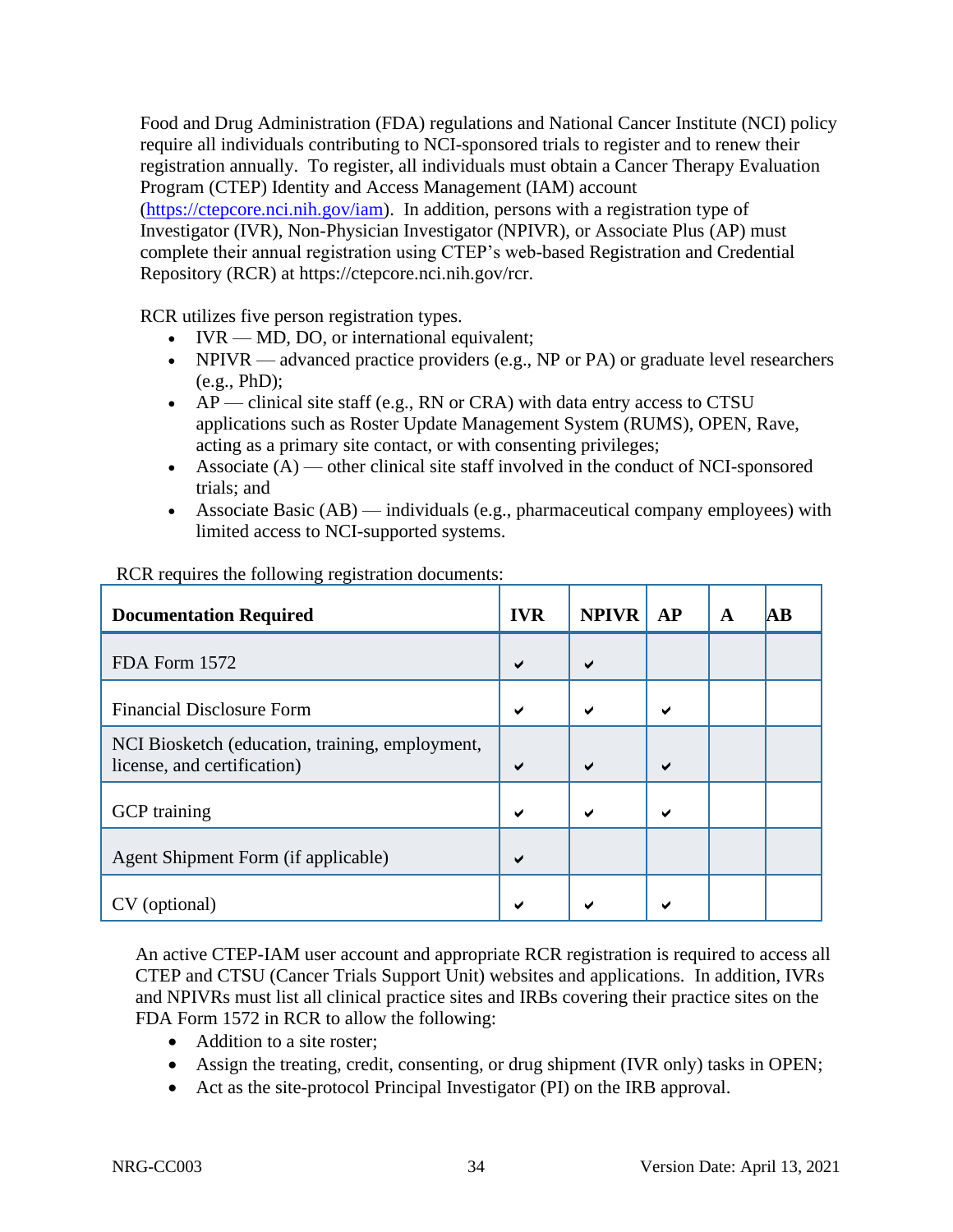Food and Drug Administration (FDA) regulations and National Cancer Institute (NCI) policy require all individuals contributing to NCI-sponsored trials to register and to renew their registration annually. To register, all individuals must obtain a Cancer Therapy Evaluation Program (CTEP) Identity and Access Management (IAM) account [\(https://ctepcore.nci.nih.gov/iam\)](https://ctepcore.nci.nih.gov/iam). In addition, persons with a registration type of Investigator (IVR), Non-Physician Investigator (NPIVR), or Associate Plus (AP) must complete their annual registration using CTEP's web-based Registration and Credential Repository (RCR) at https://ctepcore.nci.nih.gov/rcr.

RCR utilizes five person registration types.

- IVR MD, DO, or international equivalent;
- NPIVR advanced practice providers (e.g., NP or PA) or graduate level researchers (e.g., PhD);
- AP clinical site staff (e.g., RN or CRA) with data entry access to CTSU applications such as Roster Update Management System (RUMS), OPEN, Rave, acting as a primary site contact, or with consenting privileges;
- Associate  $(A)$  other clinical site staff involved in the conduct of NCI-sponsored trials; and
- Associate Basic (AB) individuals (e.g., pharmaceutical company employees) with limited access to NCI-supported systems.

| <b>Documentation Required</b>                                                  | <b>IVR</b> | <b>NPIVR</b> | AP | A | AB |
|--------------------------------------------------------------------------------|------------|--------------|----|---|----|
| FDA Form 1572                                                                  | ✔          | ✔            |    |   |    |
| <b>Financial Disclosure Form</b>                                               |            | ✔            | ✔  |   |    |
| NCI Biosketch (education, training, employment,<br>license, and certification) | ✔          | ✔            | ✔  |   |    |
| <b>GCP</b> training                                                            |            | ✔            | ✔  |   |    |
| Agent Shipment Form (if applicable)                                            |            |              |    |   |    |
| CV (optional)                                                                  |            |              |    |   |    |

RCR requires the following registration documents:

An active CTEP-IAM user account and appropriate RCR registration is required to access all CTEP and CTSU (Cancer Trials Support Unit) websites and applications. In addition, IVRs and NPIVRs must list all clinical practice sites and IRBs covering their practice sites on the FDA Form 1572 in RCR to allow the following:

- Addition to a site roster;
- Assign the treating, credit, consenting, or drug shipment (IVR only) tasks in OPEN;
- Act as the site-protocol Principal Investigator (PI) on the IRB approval.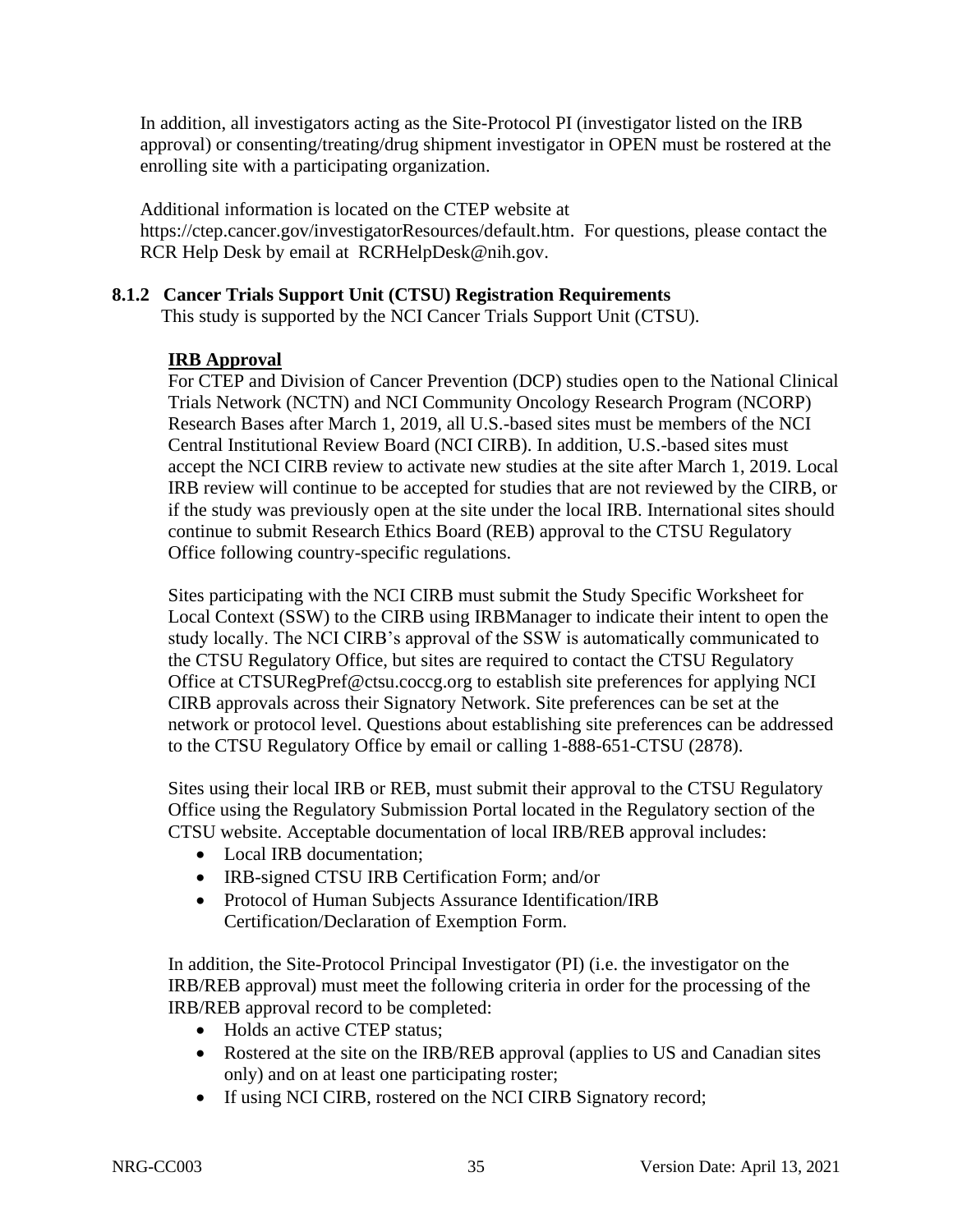In addition, all investigators acting as the Site-Protocol PI (investigator listed on the IRB approval) or consenting/treating/drug shipment investigator in OPEN must be rostered at the enrolling site with a participating organization.

Additional information is located on the CTEP website at https://ctep.cancer.gov/investigatorResources/default.htm. For questions, please contact the RCR Help Desk by email at RCRHelpDesk@nih.gov.

#### **8.1.2 Cancer Trials Support Unit (CTSU) Registration Requirements**

This study is supported by the NCI Cancer Trials Support Unit (CTSU).

#### **IRB Approval**

For CTEP and Division of Cancer Prevention (DCP) studies open to the National Clinical Trials Network (NCTN) and NCI Community Oncology Research Program (NCORP) Research Bases after March 1, 2019, all U.S.-based sites must be members of the NCI Central Institutional Review Board (NCI CIRB). In addition, U.S.-based sites must accept the NCI CIRB review to activate new studies at the site after March 1, 2019. Local IRB review will continue to be accepted for studies that are not reviewed by the CIRB, or if the study was previously open at the site under the local IRB. International sites should continue to submit Research Ethics Board (REB) approval to the CTSU Regulatory Office following country-specific regulations.

Sites participating with the NCI CIRB must submit the Study Specific Worksheet for Local Context (SSW) to the CIRB using IRBManager to indicate their intent to open the study locally. The NCI CIRB's approval of the SSW is automatically communicated to the CTSU Regulatory Office, but sites are required to contact the CTSU Regulatory Office at CTSURegPref@ctsu.coccg.org to establish site preferences for applying NCI CIRB approvals across their Signatory Network. Site preferences can be set at the network or protocol level. Questions about establishing site preferences can be addressed to the CTSU Regulatory Office by email or calling 1-888-651-CTSU (2878).

Sites using their local IRB or REB, must submit their approval to the CTSU Regulatory Office using the Regulatory Submission Portal located in the Regulatory section of the CTSU website. Acceptable documentation of local IRB/REB approval includes:

- Local IRB documentation;
- IRB-signed CTSU IRB Certification Form; and/or
- Protocol of Human Subjects Assurance Identification/IRB Certification/Declaration of Exemption Form.

In addition, the Site-Protocol Principal Investigator (PI) (i.e. the investigator on the IRB/REB approval) must meet the following criteria in order for the processing of the IRB/REB approval record to be completed:

- Holds an active CTEP status:
- Rostered at the site on the IRB/REB approval (applies to US and Canadian sites only) and on at least one participating roster;
- If using NCI CIRB, rostered on the NCI CIRB Signatory record;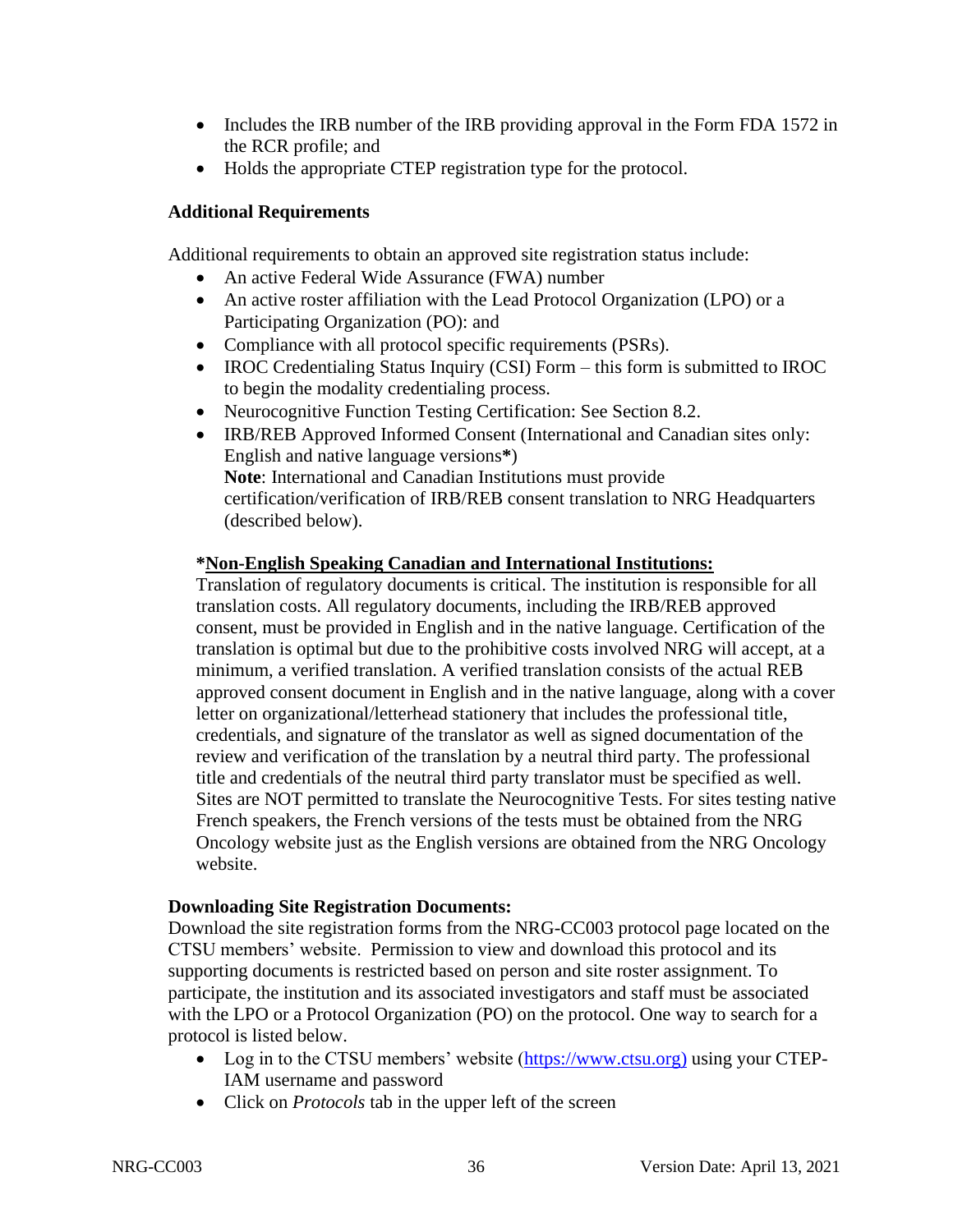- Includes the IRB number of the IRB providing approval in the Form FDA 1572 in the RCR profile; and
- Holds the appropriate CTEP registration type for the protocol.

## **Additional Requirements**

Additional requirements to obtain an approved site registration status include:

- An active Federal Wide Assurance (FWA) number
- An active roster affiliation with the Lead Protocol Organization (LPO) or a Participating Organization (PO): and
- Compliance with all protocol specific requirements (PSRs).
- IROC Credentialing Status Inquiry (CSI) Form this form is submitted to IROC to begin the modality credentialing process.
- Neurocognitive Function Testing Certification: See Section 8.2.
- IRB/REB Approved Informed Consent (International and Canadian sites only: English and native language versions**\***) **Note**: International and Canadian Institutions must provide certification/verification of IRB/REB consent translation to NRG Headquarters (described below).

## **\*Non-English Speaking Canadian and International Institutions:**

Translation of regulatory documents is critical. The institution is responsible for all translation costs. All regulatory documents, including the IRB/REB approved consent, must be provided in English and in the native language. Certification of the translation is optimal but due to the prohibitive costs involved NRG will accept, at a minimum, a verified translation. A verified translation consists of the actual REB approved consent document in English and in the native language, along with a cover letter on organizational/letterhead stationery that includes the professional title, credentials, and signature of the translator as well as signed documentation of the review and verification of the translation by a neutral third party. The professional title and credentials of the neutral third party translator must be specified as well. Sites are NOT permitted to translate the Neurocognitive Tests. For sites testing native French speakers, the French versions of the tests must be obtained from the NRG Oncology website just as the English versions are obtained from the NRG Oncology website.

## **Downloading Site Registration Documents:**

Download the site registration forms from the NRG-CC003 protocol page located on the CTSU members' website. Permission to view and download this protocol and its supporting documents is restricted based on person and site roster assignment. To participate, the institution and its associated investigators and staff must be associated with the LPO or a Protocol Organization (PO) on the protocol. One way to search for a protocol is listed below.

- Log in to the CTSU members' website [\(https://www.ctsu.org\)](https://www.ctsu.org/) using your CTEP-IAM username and password
- Click on *Protocols* tab in the upper left of the screen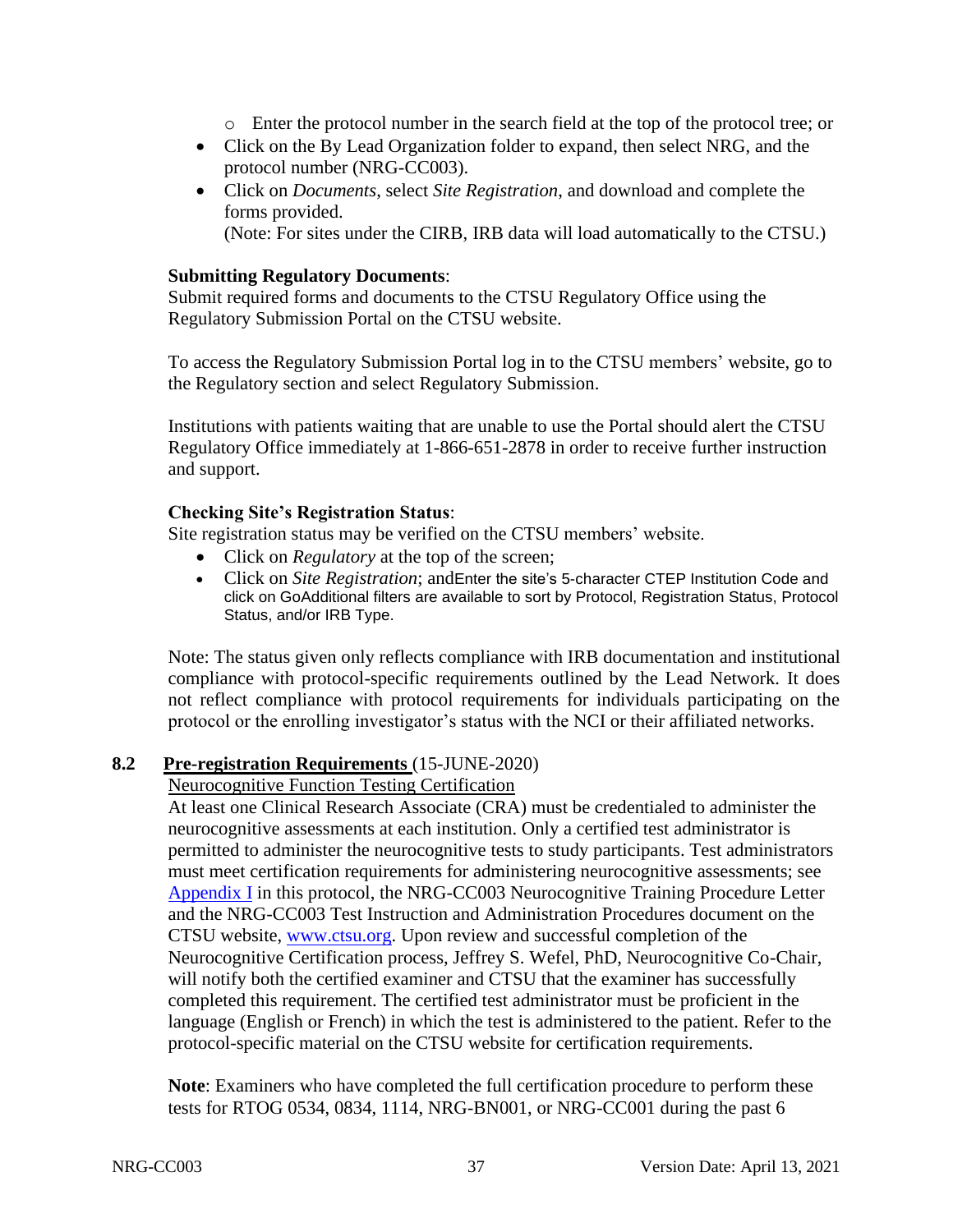- o Enter the protocol number in the search field at the top of the protocol tree; or
- Click on the By Lead Organization folder to expand, then select NRG, and the protocol number (NRG-CC003).
- Click on *Documents*, select *Site Registration*, and download and complete the forms provided. (Note: For sites under the CIRB, IRB data will load automatically to the CTSU.)

## **Submitting Regulatory Documents**:

Submit required forms and documents to the CTSU Regulatory Office using the Regulatory Submission Portal on the CTSU website.

To access the Regulatory Submission Portal log in to the CTSU members' website, go to the Regulatory section and select Regulatory Submission.

Institutions with patients waiting that are unable to use the Portal should alert the CTSU Regulatory Office immediately at 1-866-651-2878 in order to receive further instruction and support.

## **Checking Site's Registration Status**:

Site registration status may be verified on the CTSU members' website.

- Click on *Regulatory* at the top of the screen;
- Click on *Site Registration*; andEnter the site's 5-character CTEP Institution Code and click on GoAdditional filters are available to sort by Protocol, Registration Status, Protocol Status, and/or IRB Type.

Note: The status given only reflects compliance with IRB documentation and institutional compliance with protocol-specific requirements outlined by the Lead Network. It does not reflect compliance with protocol requirements for individuals participating on the protocol or the enrolling investigator's status with the NCI or their affiliated networks.

## **8.2 Pre-registration Requirements** (15-JUNE-2020)

### Neurocognitive Function Testing Certification

At least one Clinical Research Associate (CRA) must be credentialed to administer the neurocognitive assessments at each institution. Only a certified test administrator is permitted to administer the neurocognitive tests to study participants. Test administrators must meet certification requirements for administering neurocognitive assessments; see [Appendix I](#page-75-0) in this protocol, the NRG-CC003 Neurocognitive Training Procedure Letter and the NRG-CC003 Test Instruction and Administration Procedures document on the CTSU website, [www.ctsu.org.](http://www.ctsu.org/) Upon review and successful completion of the Neurocognitive Certification process, Jeffrey S. Wefel, PhD, Neurocognitive Co-Chair, will notify both the certified examiner and CTSU that the examiner has successfully completed this requirement. The certified test administrator must be proficient in the language (English or French) in which the test is administered to the patient. Refer to the protocol-specific material on the CTSU website for certification requirements.

**Note**: Examiners who have completed the full certification procedure to perform these tests for RTOG 0534, 0834, 1114, NRG-BN001, or NRG-CC001 during the past 6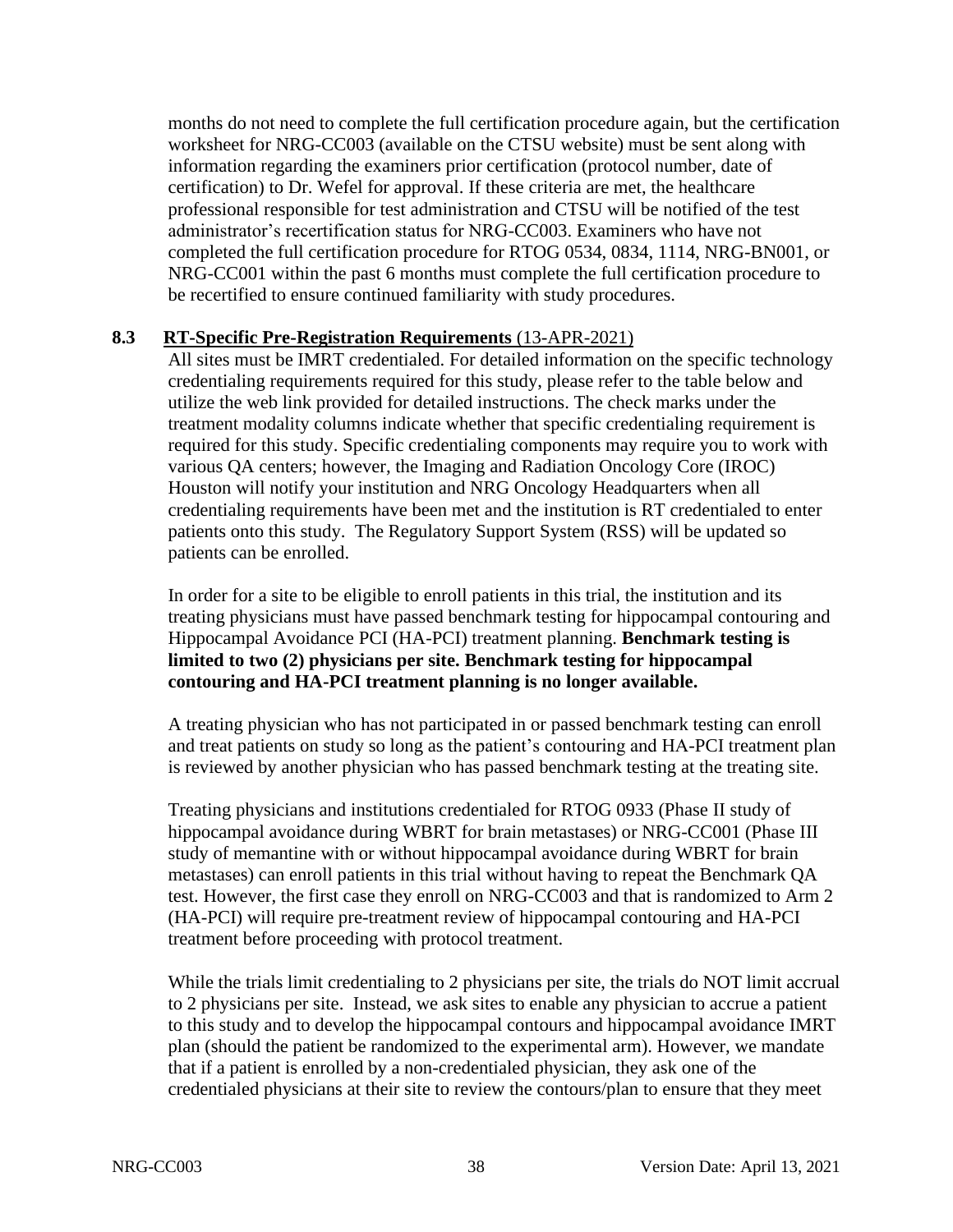months do not need to complete the full certification procedure again, but the certification worksheet for NRG-CC003 (available on the CTSU website) must be sent along with information regarding the examiners prior certification (protocol number, date of certification) to Dr. Wefel for approval. If these criteria are met, the healthcare professional responsible for test administration and CTSU will be notified of the test administrator's recertification status for NRG-CC003. Examiners who have not completed the full certification procedure for RTOG 0534, 0834, 1114, NRG-BN001, or NRG-CC001 within the past 6 months must complete the full certification procedure to be recertified to ensure continued familiarity with study procedures.

## <span id="page-37-0"></span>**8.3 RT-Specific Pre-Registration Requirements** (13-APR-2021)

All sites must be IMRT credentialed. For detailed information on the specific technology credentialing requirements required for this study, please refer to the table below and utilize the web link provided for detailed instructions. The check marks under the treatment modality columns indicate whether that specific credentialing requirement is required for this study. Specific credentialing components may require you to work with various QA centers; however, the Imaging and Radiation Oncology Core (IROC) Houston will notify your institution and NRG Oncology Headquarters when all credentialing requirements have been met and the institution is RT credentialed to enter patients onto this study. The Regulatory Support System (RSS) will be updated so patients can be enrolled.

In order for a site to be eligible to enroll patients in this trial, the institution and its treating physicians must have passed benchmark testing for hippocampal contouring and Hippocampal Avoidance PCI (HA-PCI) treatment planning. **Benchmark testing is limited to two (2) physicians per site. Benchmark testing for hippocampal contouring and HA-PCI treatment planning is no longer available.**

A treating physician who has not participated in or passed benchmark testing can enroll and treat patients on study so long as the patient's contouring and HA-PCI treatment plan is reviewed by another physician who has passed benchmark testing at the treating site.

Treating physicians and institutions credentialed for RTOG 0933 (Phase II study of hippocampal avoidance during WBRT for brain metastases) or NRG-CC001 (Phase III study of memantine with or without hippocampal avoidance during WBRT for brain metastases) can enroll patients in this trial without having to repeat the Benchmark QA test. However, the first case they enroll on NRG-CC003 and that is randomized to Arm 2 (HA-PCI) will require pre-treatment review of hippocampal contouring and HA-PCI treatment before proceeding with protocol treatment.

While the trials limit credentialing to 2 physicians per site, the trials do NOT limit accrual to 2 physicians per site. Instead, we ask sites to enable any physician to accrue a patient to this study and to develop the hippocampal contours and hippocampal avoidance IMRT plan (should the patient be randomized to the experimental arm). However, we mandate that if a patient is enrolled by a non-credentialed physician, they ask one of the credentialed physicians at their site to review the contours/plan to ensure that they meet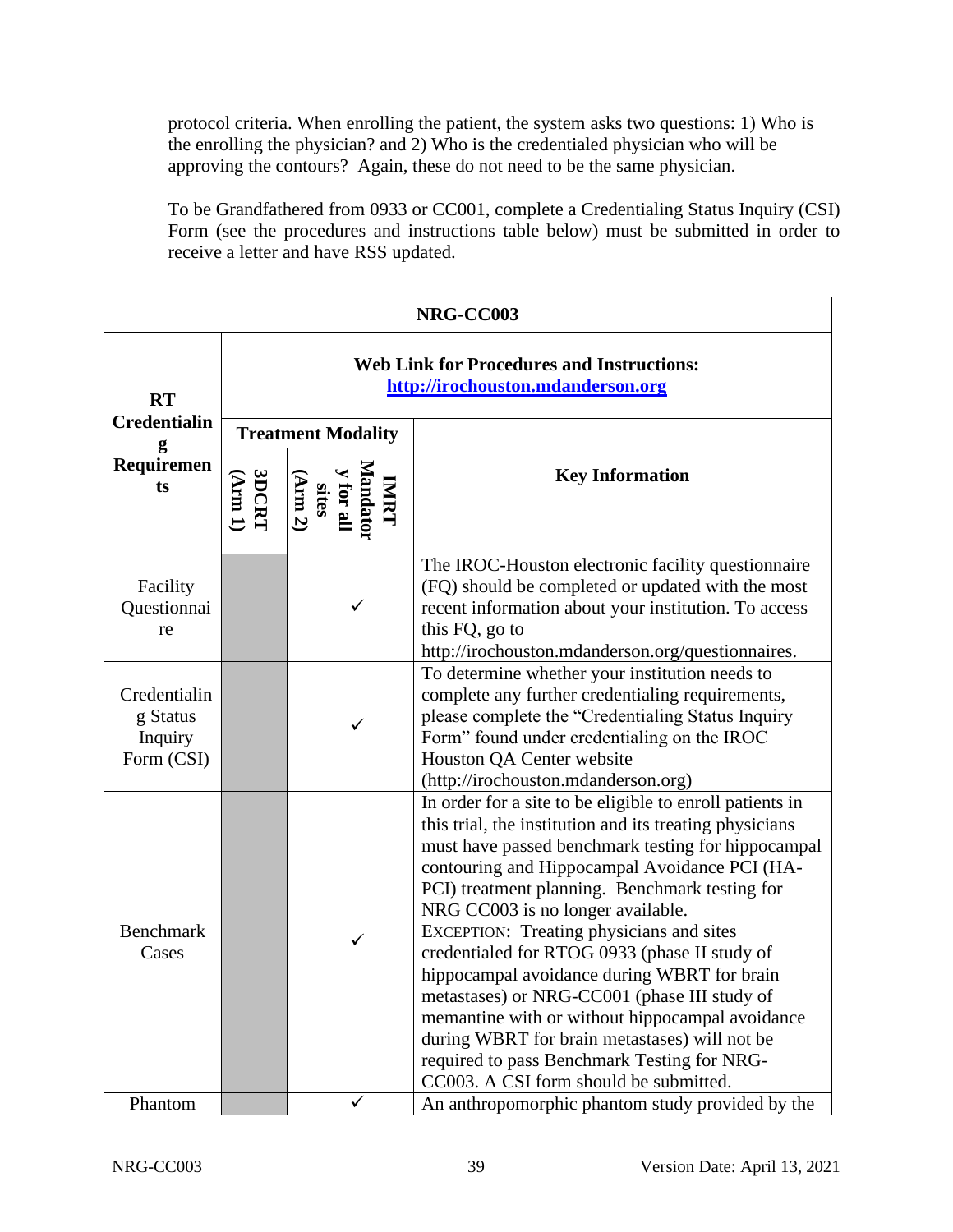protocol criteria. When enrolling the patient, the system asks two questions: 1) Who is the enrolling the physician? and 2) Who is the credentialed physician who will be approving the contours? Again, these do not need to be the same physician.

To be Grandfathered from 0933 or CC001, complete a Credentialing Status Inquiry (CSI) Form (see the procedures and instructions table below) must be submitted in order to receive a letter and have RSS updated.

| NRG-CC003                                                 |                                                                                       |                                                                                                                       |                                                                                                                                                                                                                                                                                                                                                                                                                                                                                                                                                                                                                                                                                                                   |  |  |
|-----------------------------------------------------------|---------------------------------------------------------------------------------------|-----------------------------------------------------------------------------------------------------------------------|-------------------------------------------------------------------------------------------------------------------------------------------------------------------------------------------------------------------------------------------------------------------------------------------------------------------------------------------------------------------------------------------------------------------------------------------------------------------------------------------------------------------------------------------------------------------------------------------------------------------------------------------------------------------------------------------------------------------|--|--|
| <b>RT</b><br><b>Credentialin</b><br>g<br>Requiremen<br>ts | <b>Web Link for Procedures and Instructions:</b><br>http://irochouston.mdanderson.org |                                                                                                                       |                                                                                                                                                                                                                                                                                                                                                                                                                                                                                                                                                                                                                                                                                                                   |  |  |
|                                                           | <b>Treatment Modality</b>                                                             |                                                                                                                       |                                                                                                                                                                                                                                                                                                                                                                                                                                                                                                                                                                                                                                                                                                                   |  |  |
|                                                           | 3DCRT<br>(Arm 1)                                                                      | $\begin{array}{c}\n\text{IMRT} \\ \text{Mandator} \\ \text{y for all} \\ \text{sites} \\ \text{(Arm 2)}\n\end{array}$ | <b>Key Information</b>                                                                                                                                                                                                                                                                                                                                                                                                                                                                                                                                                                                                                                                                                            |  |  |
| Facility<br>Questionnai<br>re                             |                                                                                       | $\checkmark$                                                                                                          | The IROC-Houston electronic facility questionnaire<br>(FQ) should be completed or updated with the most<br>recent information about your institution. To access<br>this FQ, go to<br>http://irochouston.mdanderson.org/questionnaires.                                                                                                                                                                                                                                                                                                                                                                                                                                                                            |  |  |
| Credentialin<br>g Status<br>Inquiry<br>Form (CSI)         |                                                                                       |                                                                                                                       | To determine whether your institution needs to<br>complete any further credentialing requirements,<br>please complete the "Credentialing Status Inquiry<br>Form" found under credentialing on the IROC<br>Houston QA Center website<br>(http://irochouston.mdanderson.org)                                                                                                                                                                                                                                                                                                                                                                                                                                        |  |  |
| <b>Benchmark</b><br>Cases                                 |                                                                                       |                                                                                                                       | In order for a site to be eligible to enroll patients in<br>this trial, the institution and its treating physicians<br>must have passed benchmark testing for hippocampal<br>contouring and Hippocampal Avoidance PCI (HA-<br>PCI) treatment planning. Benchmark testing for<br>NRG CC003 is no longer available.<br><b>EXCEPTION:</b> Treating physicians and sites<br>credentialed for RTOG 0933 (phase II study of<br>hippocampal avoidance during WBRT for brain<br>metastases) or NRG-CC001 (phase III study of<br>memantine with or without hippocampal avoidance<br>during WBRT for brain metastases) will not be<br>required to pass Benchmark Testing for NRG-<br>CC003. A CSI form should be submitted. |  |  |
| Phantom                                                   |                                                                                       | $\checkmark$                                                                                                          | An anthropomorphic phantom study provided by the                                                                                                                                                                                                                                                                                                                                                                                                                                                                                                                                                                                                                                                                  |  |  |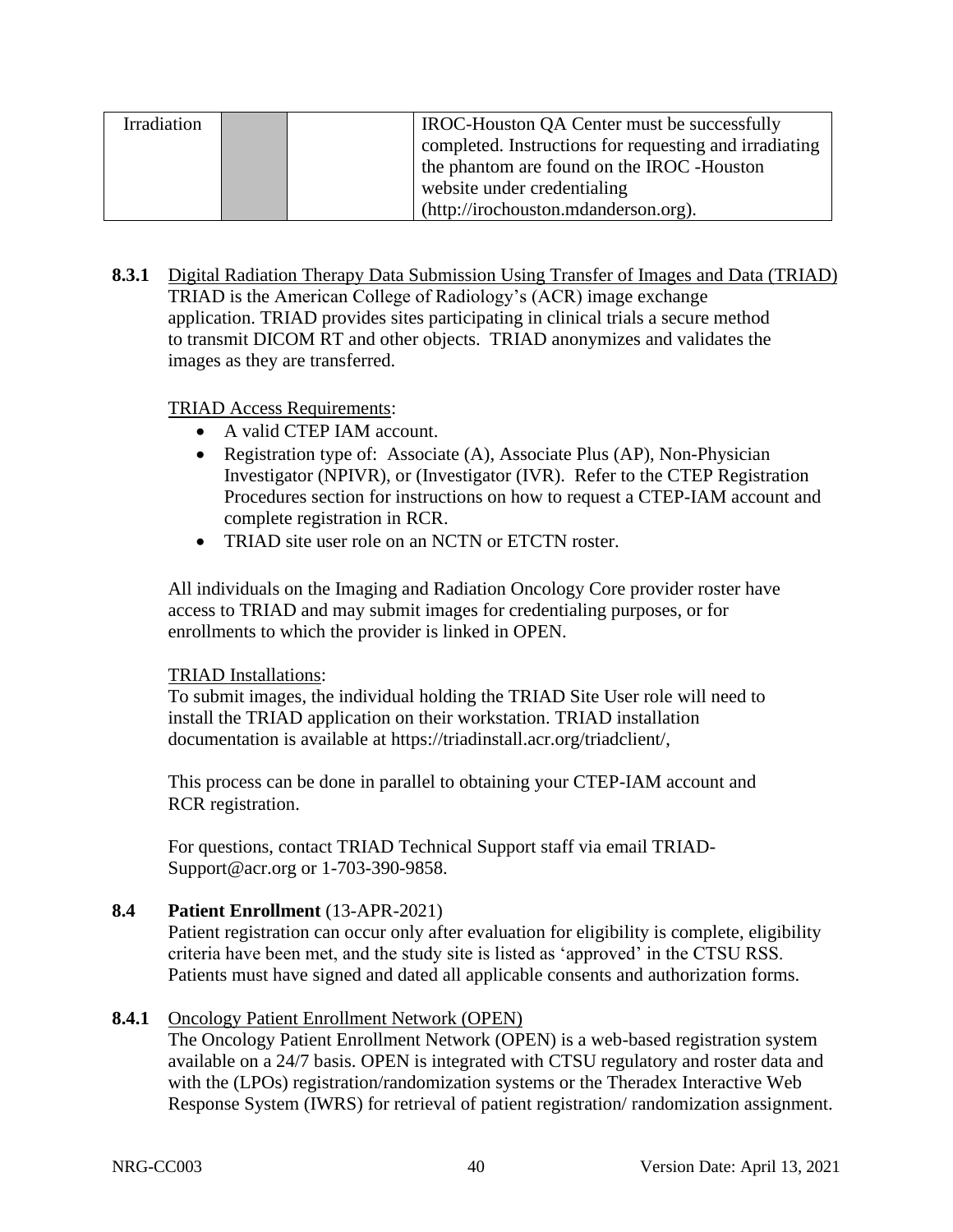| Irradiation | IROC-Houston QA Center must be successfully            |
|-------------|--------------------------------------------------------|
|             | completed. Instructions for requesting and irradiating |
|             | the phantom are found on the IROC -Houston             |
|             | website under credentialing                            |
|             | (http://irochouston.mdanderson.org).                   |

**8.3.1** Digital Radiation Therapy Data Submission Using Transfer of Images and Data (TRIAD) TRIAD is the American College of Radiology's (ACR) image exchange application. TRIAD provides sites participating in clinical trials a secure method to transmit DICOM RT and other objects. TRIAD anonymizes and validates the images as they are transferred.

## TRIAD Access Requirements:

- A valid CTEP IAM account.
- Registration type of: Associate (A), Associate Plus (AP), Non-Physician Investigator (NPIVR), or (Investigator (IVR). Refer to the CTEP Registration Procedures section for instructions on how to request a CTEP-IAM account and complete registration in RCR.
- TRIAD site user role on an NCTN or ETCTN roster.

All individuals on the Imaging and Radiation Oncology Core provider roster have access to TRIAD and may submit images for credentialing purposes, or for enrollments to which the provider is linked in OPEN.

## TRIAD Installations:

To submit images, the individual holding the TRIAD Site User role will need to install the TRIAD application on their workstation. TRIAD installation documentation is available at https://triadinstall.acr.org/triadclient/,

This process can be done in parallel to obtaining your CTEP-IAM account and RCR registration.

For questions, contact TRIAD Technical Support staff via email [TRIAD-](mailto:TRIAD-Support@acr.org)[Support@acr.org](mailto:TRIAD-Support@acr.org) or 1-703-390-9858.

# **8.4 Patient Enrollment** (13-APR-2021)

Patient registration can occur only after evaluation for eligibility is complete, eligibility criteria have been met, and the study site is listed as 'approved' in the CTSU RSS. Patients must have signed and dated all applicable consents and authorization forms.

# **8.4.1** Oncology Patient Enrollment Network (OPEN)

The Oncology Patient Enrollment Network (OPEN) is a web-based registration system available on a 24/7 basis. OPEN is integrated with CTSU regulatory and roster data and with the (LPOs) registration/randomization systems or the Theradex Interactive Web Response System (IWRS) for retrieval of patient registration/ randomization assignment.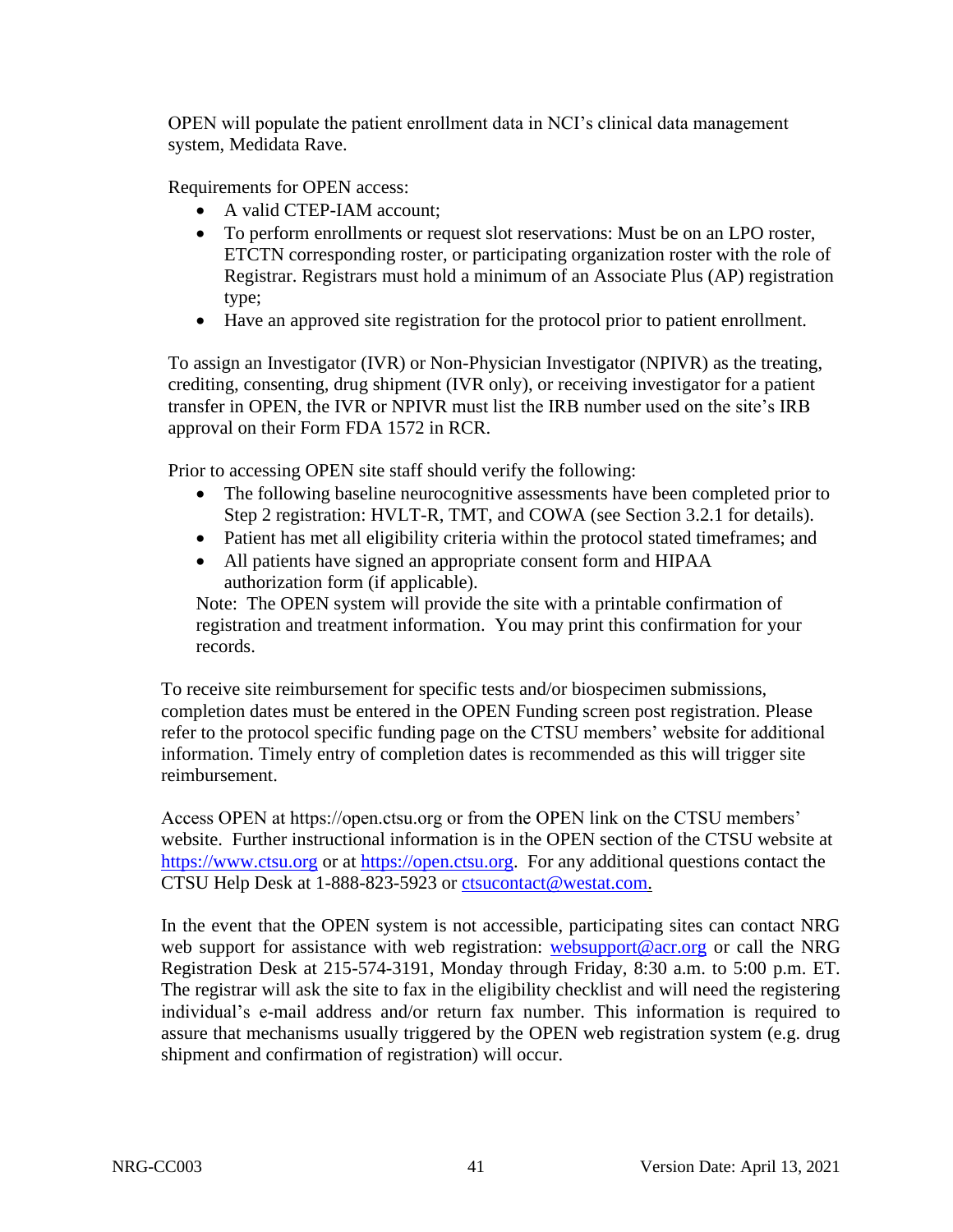OPEN will populate the patient enrollment data in NCI's clinical data management system, Medidata Rave.

Requirements for OPEN access:

- A valid CTEP-IAM account;
- To perform enrollments or request slot reservations: Must be on an LPO roster, ETCTN corresponding roster, or participating organization roster with the role of Registrar. Registrars must hold a minimum of an Associate Plus (AP) registration type;
- Have an approved site registration for the protocol prior to patient enrollment.

To assign an Investigator (IVR) or Non-Physician Investigator (NPIVR) as the treating, crediting, consenting, drug shipment (IVR only), or receiving investigator for a patient transfer in OPEN, the IVR or NPIVR must list the IRB number used on the site's IRB approval on their Form FDA 1572 in RCR.

Prior to accessing OPEN site staff should verify the following:

- The following baseline neurocognitive assessments have been completed prior to Step 2 registration: HVLT-R, TMT, and COWA (see Section 3.2.1 for details).
- Patient has met all eligibility criteria within the protocol stated timeframes; and
- All patients have signed an appropriate consent form and HIPAA authorization form (if applicable).

Note: The OPEN system will provide the site with a printable confirmation of registration and treatment information. You may print this confirmation for your records.

To receive site reimbursement for specific tests and/or biospecimen submissions, completion dates must be entered in the OPEN Funding screen post registration. Please refer to the protocol specific funding page on the CTSU members' website for additional information. Timely entry of completion dates is recommended as this will trigger site reimbursement.

Access OPEN at https://open.ctsu.org or from the OPEN link on the CTSU members' website. Further instructional information is in the OPEN section of the CTSU website at [https://www.ctsu.org](https://www.ctsu.org/) or at [https://open.ctsu.org.](https://open.ctsu.org/) For any additional questions contact the CTSU Help Desk at 1-888-823-5923 or [ctsucontact@westat.com.](mailto:ctsucontact@westat.com)

In the event that the OPEN system is not accessible, participating sites can contact NRG web support for assistance with web registration: [websupport@acr.org](mailto:websupport@acr.org) or call the NRG Registration Desk at 215-574-3191, Monday through Friday, 8:30 a.m. to 5:00 p.m. ET. The registrar will ask the site to fax in the eligibility checklist and will need the registering individual's e-mail address and/or return fax number. This information is required to assure that mechanisms usually triggered by the OPEN web registration system (e.g. drug shipment and confirmation of registration) will occur.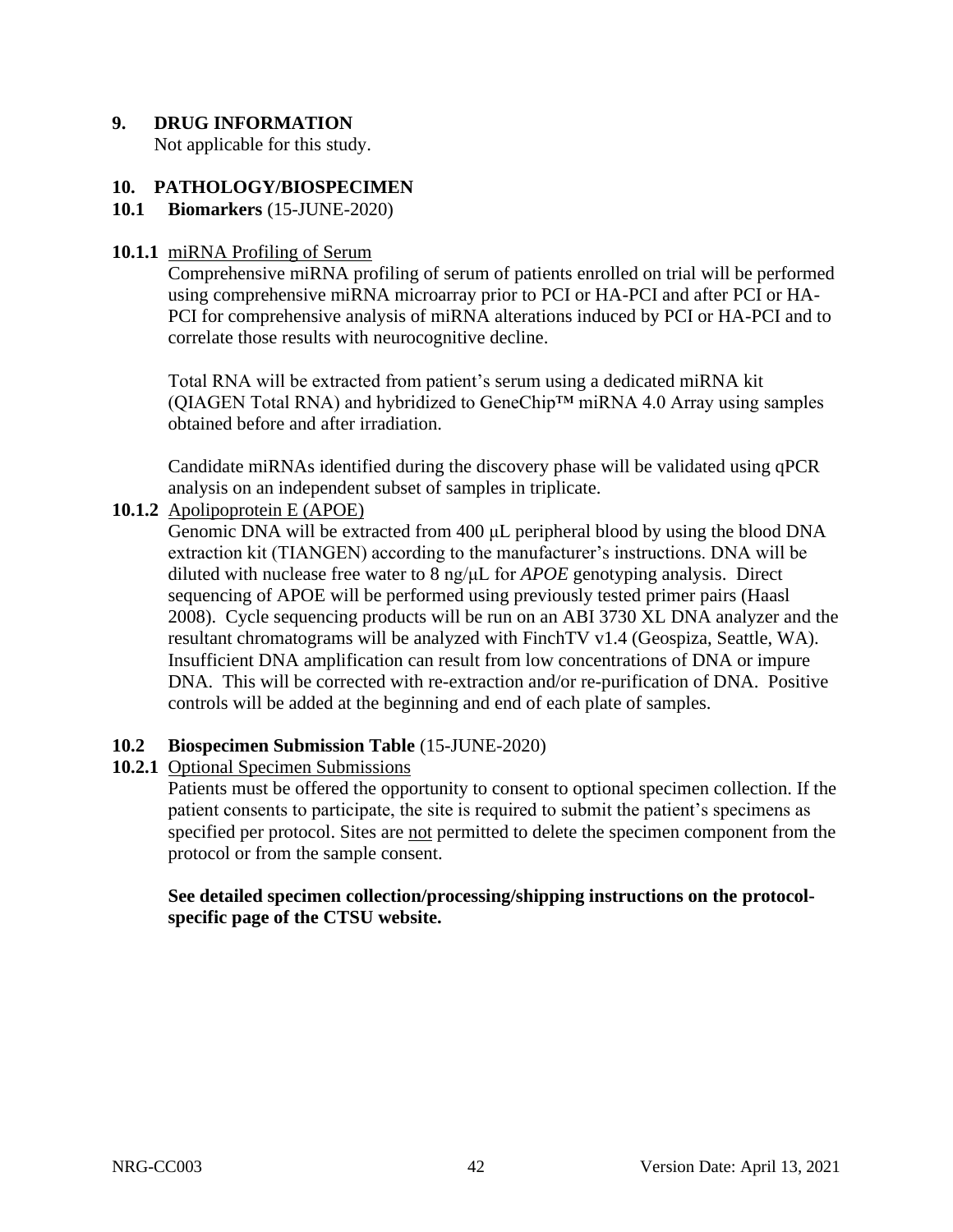# **9. DRUG INFORMATION**

Not applicable for this study.

## **10. PATHOLOGY/BIOSPECIMEN**

## **10.1 Biomarkers** (15-JUNE-2020)

## **10.1.1** miRNA Profiling of Serum

Comprehensive miRNA profiling of serum of patients enrolled on trial will be performed using comprehensive miRNA microarray prior to PCI or HA-PCI and after PCI or HA-PCI for comprehensive analysis of miRNA alterations induced by PCI or HA-PCI and to correlate those results with neurocognitive decline.

Total RNA will be extracted from patient's serum using a dedicated miRNA kit (QIAGEN Total RNA) and hybridized to GeneChip™ miRNA 4.0 Array using samples obtained before and after irradiation.

Candidate miRNAs identified during the discovery phase will be validated using qPCR analysis on an independent subset of samples in triplicate.

## **10.1.2** Apolipoprotein E (APOE)

Genomic DNA will be extracted from 400 μL peripheral blood by using the blood DNA extraction kit (TIANGEN) according to the manufacturer's instructions. DNA will be diluted with nuclease free water to 8 ng/μL for *APOE* genotyping analysis. Direct sequencing of APOE will be performed using previously tested primer pairs (Haasl 2008). Cycle sequencing products will be run on an ABI 3730 XL DNA analyzer and the resultant chromatograms will be analyzed with FinchTV v1.4 (Geospiza, Seattle, WA). Insufficient DNA amplification can result from low concentrations of DNA or impure DNA. This will be corrected with re-extraction and/or re-purification of DNA. Positive controls will be added at the beginning and end of each plate of samples.

## **10.2 Biospecimen Submission Table** (15-JUNE-2020)

# **10.2.1** Optional Specimen Submissions

Patients must be offered the opportunity to consent to optional specimen collection. If the patient consents to participate, the site is required to submit the patient's specimens as specified per protocol. Sites are not permitted to delete the specimen component from the protocol or from the sample consent.

## **See detailed specimen collection/processing/shipping instructions on the protocolspecific page of the CTSU website.**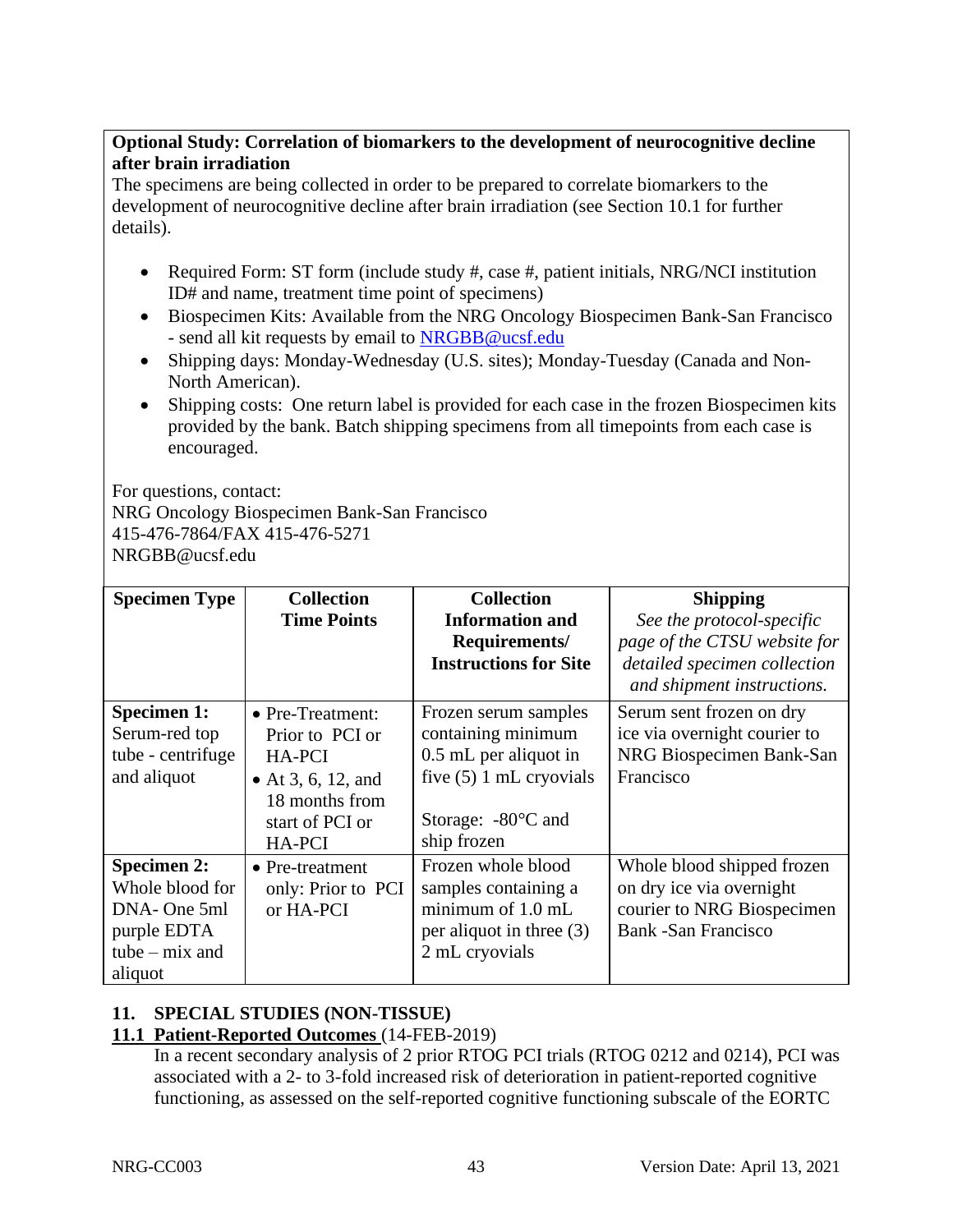# **Optional Study: Correlation of biomarkers to the development of neurocognitive decline after brain irradiation**

The specimens are being collected in order to be prepared to correlate biomarkers to the development of neurocognitive decline after brain irradiation (see Section 10.1 for further details).

- Required Form: ST form (include study #, case #, patient initials, NRG/NCI institution ID# and name, treatment time point of specimens)
- Biospecimen Kits: Available from the NRG Oncology Biospecimen Bank-San Francisco - send all kit requests by email to **NRGBB@ucsf.edu**
- Shipping days: Monday-Wednesday (U.S. sites); Monday-Tuesday (Canada and Non-North American).
- Shipping costs: One return label is provided for each case in the frozen Biospecimen kits provided by the bank. Batch shipping specimens from all timepoints from each case is encouraged.

For questions, contact:

NRG Oncology Biospecimen Bank-San Francisco 415-476-7864/FAX 415-476-5271 NRGBB@ucsf.edu

| <b>Specimen Type</b> | <b>Collection</b>  | <b>Collection</b>            | <b>Shipping</b>              |  |  |  |  |
|----------------------|--------------------|------------------------------|------------------------------|--|--|--|--|
|                      | <b>Time Points</b> | <b>Information and</b>       | See the protocol-specific    |  |  |  |  |
|                      |                    | Requirements/                | page of the CTSU website for |  |  |  |  |
|                      |                    | <b>Instructions for Site</b> | detailed specimen collection |  |  |  |  |
|                      |                    |                              | and shipment instructions.   |  |  |  |  |
| <b>Specimen 1:</b>   | • Pre-Treatment:   | Frozen serum samples         | Serum sent frozen on dry     |  |  |  |  |
| Serum-red top        | Prior to PCI or    | containing minimum           | ice via overnight courier to |  |  |  |  |
| tube - centrifuge    | <b>HA-PCI</b>      | 0.5 mL per aliquot in        | NRG Biospecimen Bank-San     |  |  |  |  |
| and aliquot          | • At 3, 6, 12, and | five $(5)$ 1 mL cryovials    | Francisco                    |  |  |  |  |
|                      | 18 months from     |                              |                              |  |  |  |  |
|                      | start of PCI or    | Storage: $-80^{\circ}$ C and |                              |  |  |  |  |
|                      | <b>HA-PCI</b>      | ship frozen                  |                              |  |  |  |  |
| <b>Specimen 2:</b>   | • Pre-treatment    | Frozen whole blood           | Whole blood shipped frozen   |  |  |  |  |
| Whole blood for      | only: Prior to PCI | samples containing a         | on dry ice via overnight     |  |  |  |  |
| DNA-One 5ml          | or HA-PCI          | minimum of $1.0$ mL          | courier to NRG Biospecimen   |  |  |  |  |
| purple EDTA          |                    | per aliquot in three $(3)$   | Bank - San Francisco         |  |  |  |  |
| tube $-$ mix and     |                    | 2 mL cryovials               |                              |  |  |  |  |
| aliquot              |                    |                              |                              |  |  |  |  |

# **11. SPECIAL STUDIES (NON-TISSUE)**

# **11.1 Patient-Reported Outcomes** (14-FEB-2019)

In a recent secondary analysis of 2 prior RTOG PCI trials (RTOG 0212 and 0214), PCI was associated with a 2- to 3-fold increased risk of deterioration in patient-reported cognitive functioning, as assessed on the self-reported cognitive functioning subscale of the EORTC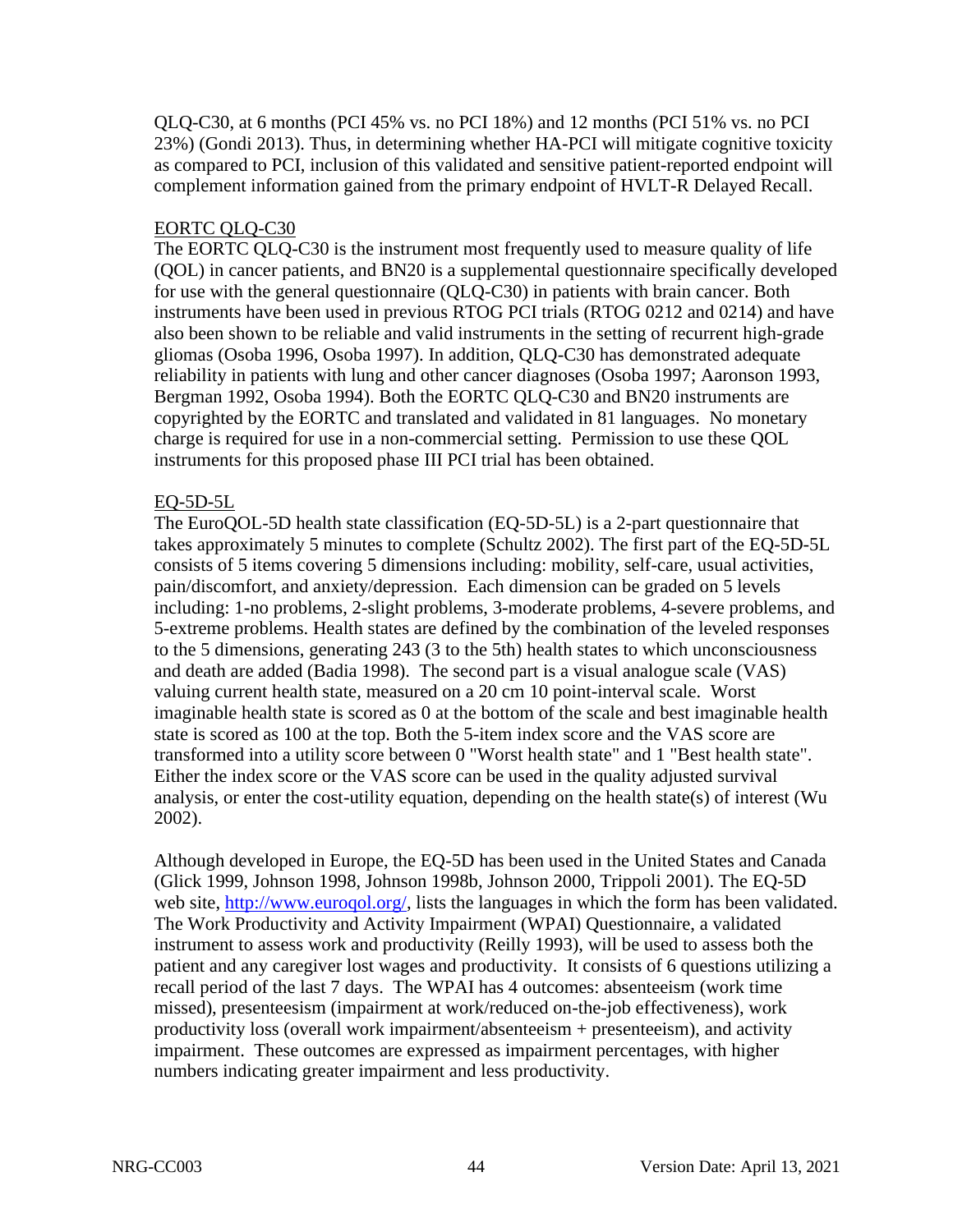QLQ-C30, at 6 months (PCI 45% vs. no PCI 18%) and 12 months (PCI 51% vs. no PCI 23%) (Gondi 2013). Thus, in determining whether HA-PCI will mitigate cognitive toxicity as compared to PCI, inclusion of this validated and sensitive patient-reported endpoint will complement information gained from the primary endpoint of HVLT-R Delayed Recall.

# EORTC QLQ-C30

The EORTC QLQ-C30 is the instrument most frequently used to measure quality of life (QOL) in cancer patients, and BN20 is a supplemental questionnaire specifically developed for use with the general questionnaire (QLQ-C30) in patients with brain cancer. Both instruments have been used in previous RTOG PCI trials (RTOG 0212 and 0214) and have also been shown to be reliable and valid instruments in the setting of recurrent high-grade gliomas (Osoba 1996, Osoba 1997). In addition, QLQ-C30 has demonstrated adequate reliability in patients with lung and other cancer diagnoses (Osoba 1997; Aaronson 1993, Bergman 1992, Osoba 1994). Both the EORTC QLQ-C30 and BN20 instruments are copyrighted by the EORTC and translated and validated in 81 languages. No monetary charge is required for use in a non-commercial setting. Permission to use these QOL instruments for this proposed phase III PCI trial has been obtained.

## EQ-5D-5L

The EuroQOL-5D health state classification (EQ-5D-5L) is a 2-part questionnaire that takes approximately 5 minutes to complete (Schultz 2002). The first part of the EQ-5D-5L consists of 5 items covering 5 dimensions including: mobility, self-care, usual activities, pain/discomfort, and anxiety/depression. Each dimension can be graded on 5 levels including: 1-no problems, 2-slight problems, 3-moderate problems, 4-severe problems, and 5-extreme problems. Health states are defined by the combination of the leveled responses to the 5 dimensions, generating 243 (3 to the 5th) health states to which unconsciousness and death are added (Badia 1998). The second part is a visual analogue scale (VAS) valuing current health state, measured on a 20 cm 10 point-interval scale. Worst imaginable health state is scored as 0 at the bottom of the scale and best imaginable health state is scored as 100 at the top. Both the 5-item index score and the VAS score are transformed into a utility score between 0 "Worst health state" and 1 "Best health state". Either the index score or the VAS score can be used in the quality adjusted survival analysis, or enter the cost-utility equation, depending on the health state(s) of interest (Wu 2002).

Although developed in Europe, the EQ-5D has been used in the United States and Canada (Glick 1999, Johnson 1998, Johnson 1998b, Johnson 2000, Trippoli 2001). The EQ-5D web site, [http://www.euroqol.org/,](http://www.euroqol.org/) lists the languages in which the form has been validated. The Work Productivity and Activity Impairment (WPAI) Questionnaire, a validated instrument to assess work and productivity (Reilly 1993), will be used to assess both the patient and any caregiver lost wages and productivity. It consists of 6 questions utilizing a recall period of the last 7 days. The WPAI has 4 outcomes: absenteeism (work time missed), presenteesism (impairment at work/reduced on-the-job effectiveness), work productivity loss (overall work impairment/absenteeism + presenteeism), and activity impairment. These outcomes are expressed as impairment percentages, with higher numbers indicating greater impairment and less productivity.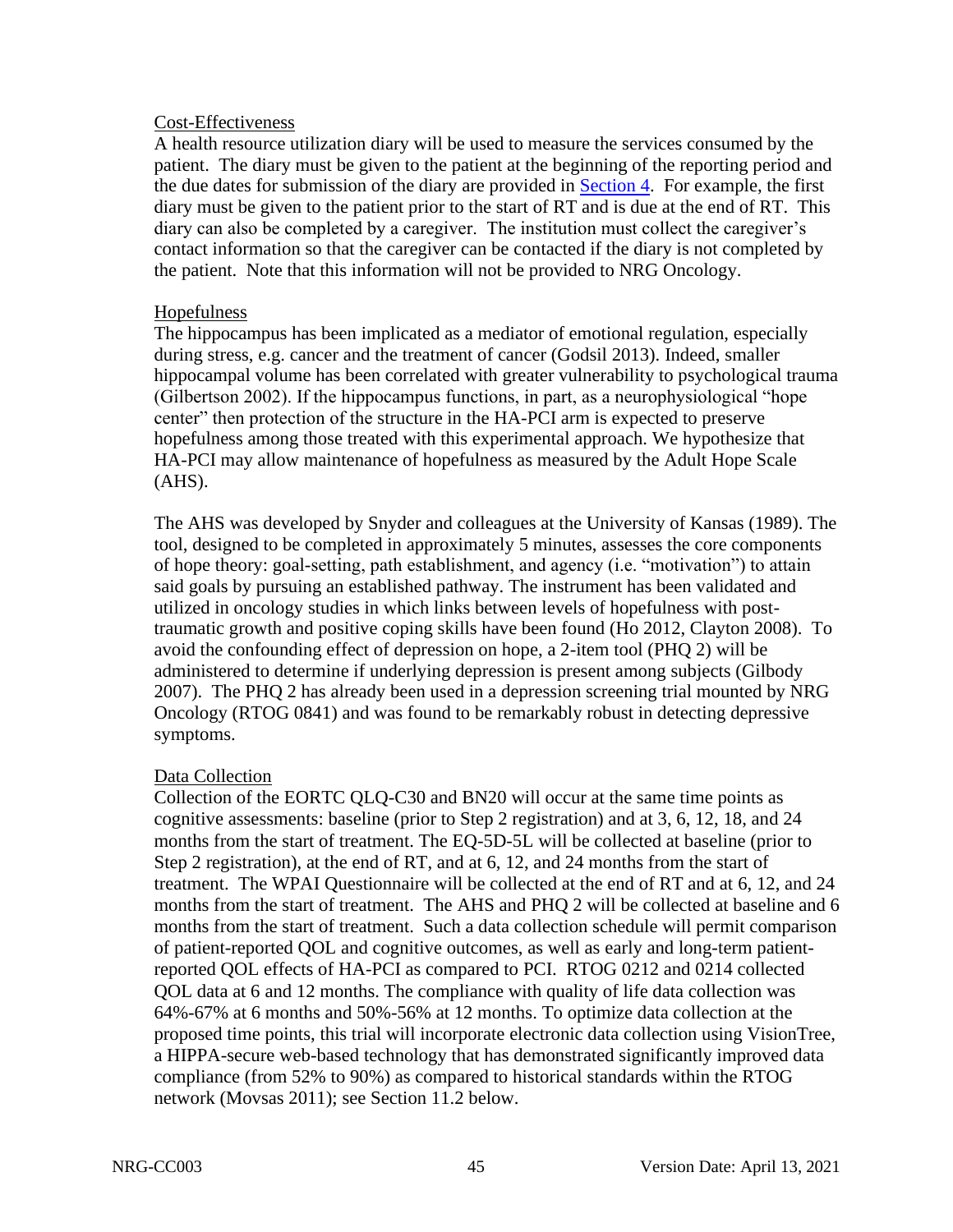## Cost-Effectiveness

A health resource utilization diary will be used to measure the services consumed by the patient. The diary must be given to the patient at the beginning of the reporting period and the due dates for submission of the diary are provided in [Section 4.](#page-19-0) For example, the first diary must be given to the patient prior to the start of RT and is due at the end of RT. This diary can also be completed by a caregiver. The institution must collect the caregiver's contact information so that the caregiver can be contacted if the diary is not completed by the patient. Note that this information will not be provided to NRG Oncology.

## Hopefulness

The hippocampus has been implicated as a mediator of emotional regulation, especially during stress, e.g. cancer and the treatment of cancer (Godsil 2013). Indeed, smaller hippocampal volume has been correlated with greater vulnerability to psychological trauma (Gilbertson 2002). If the hippocampus functions, in part, as a neurophysiological "hope center" then protection of the structure in the HA-PCI arm is expected to preserve hopefulness among those treated with this experimental approach. We hypothesize that HA-PCI may allow maintenance of hopefulness as measured by the Adult Hope Scale (AHS).

The AHS was developed by Snyder and colleagues at the University of Kansas (1989). The tool, designed to be completed in approximately 5 minutes, assesses the core components of hope theory: goal-setting, path establishment, and agency (i.e. "motivation") to attain said goals by pursuing an established pathway. The instrument has been validated and utilized in oncology studies in which links between levels of hopefulness with posttraumatic growth and positive coping skills have been found (Ho 2012, Clayton 2008). To avoid the confounding effect of depression on hope, a 2-item tool (PHQ 2) will be administered to determine if underlying depression is present among subjects (Gilbody 2007). The PHQ 2 has already been used in a depression screening trial mounted by NRG Oncology (RTOG 0841) and was found to be remarkably robust in detecting depressive symptoms.

# Data Collection

Collection of the EORTC QLQ-C30 and BN20 will occur at the same time points as cognitive assessments: baseline (prior to Step 2 registration) and at 3, 6, 12, 18, and 24 months from the start of treatment. The EQ-5D-5L will be collected at baseline (prior to Step 2 registration), at the end of RT, and at 6, 12, and 24 months from the start of treatment. The WPAI Questionnaire will be collected at the end of RT and at 6, 12, and 24 months from the start of treatment. The AHS and PHQ 2 will be collected at baseline and 6 months from the start of treatment. Such a data collection schedule will permit comparison of patient-reported QOL and cognitive outcomes, as well as early and long-term patientreported QOL effects of HA-PCI as compared to PCI. RTOG 0212 and 0214 collected QOL data at 6 and 12 months. The compliance with quality of life data collection was 64%-67% at 6 months and 50%-56% at 12 months. To optimize data collection at the proposed time points, this trial will incorporate electronic data collection using VisionTree, a HIPPA-secure web-based technology that has demonstrated significantly improved data compliance (from 52% to 90%) as compared to historical standards within the RTOG network (Movsas 2011); see Section 11.2 below.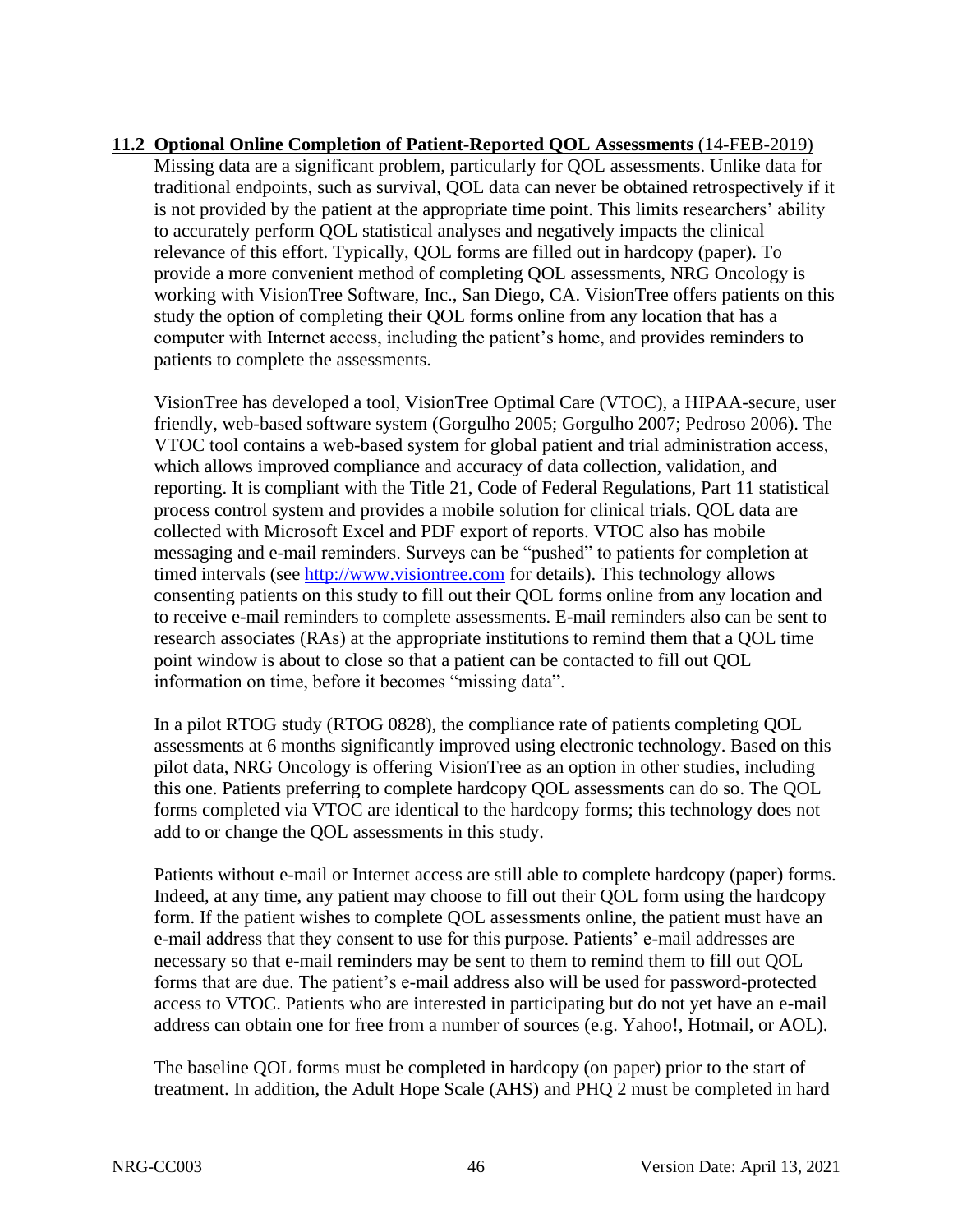**11.2 Optional Online Completion of Patient-Reported QOL Assessments** (14-FEB-2019) Missing data are a significant problem, particularly for QOL assessments. Unlike data for traditional endpoints, such as survival, QOL data can never be obtained retrospectively if it is not provided by the patient at the appropriate time point. This limits researchers' ability to accurately perform QOL statistical analyses and negatively impacts the clinical relevance of this effort. Typically, QOL forms are filled out in hardcopy (paper). To provide a more convenient method of completing QOL assessments, NRG Oncology is working with VisionTree Software, Inc., San Diego, CA. VisionTree offers patients on this study the option of completing their QOL forms online from any location that has a computer with Internet access, including the patient's home, and provides reminders to patients to complete the assessments.

VisionTree has developed a tool, VisionTree Optimal Care (VTOC), a HIPAA-secure, user friendly, web-based software system (Gorgulho 2005; Gorgulho 2007; Pedroso 2006). The VTOC tool contains a web-based system for global patient and trial administration access, which allows improved compliance and accuracy of data collection, validation, and reporting. It is compliant with the Title 21, Code of Federal Regulations, Part 11 statistical process control system and provides a mobile solution for clinical trials. QOL data are collected with Microsoft Excel and PDF export of reports. VTOC also has mobile messaging and e-mail reminders. Surveys can be "pushed" to patients for completion at timed intervals (see [http://www.visiontree.com](http://www.visiontree.com/) for details). This technology allows consenting patients on this study to fill out their QOL forms online from any location and to receive e-mail reminders to complete assessments. E-mail reminders also can be sent to research associates (RAs) at the appropriate institutions to remind them that a QOL time point window is about to close so that a patient can be contacted to fill out QOL information on time, before it becomes "missing data".

In a pilot RTOG study (RTOG 0828), the compliance rate of patients completing QOL assessments at 6 months significantly improved using electronic technology. Based on this pilot data, NRG Oncology is offering VisionTree as an option in other studies, including this one. Patients preferring to complete hardcopy QOL assessments can do so. The QOL forms completed via VTOC are identical to the hardcopy forms; this technology does not add to or change the QOL assessments in this study.

Patients without e-mail or Internet access are still able to complete hardcopy (paper) forms. Indeed, at any time, any patient may choose to fill out their QOL form using the hardcopy form. If the patient wishes to complete QOL assessments online, the patient must have an e-mail address that they consent to use for this purpose. Patients' e-mail addresses are necessary so that e-mail reminders may be sent to them to remind them to fill out QOL forms that are due. The patient's e-mail address also will be used for password-protected access to VTOC. Patients who are interested in participating but do not yet have an e-mail address can obtain one for free from a number of sources (e.g. Yahoo!, Hotmail, or AOL).

The baseline QOL forms must be completed in hardcopy (on paper) prior to the start of treatment. In addition, the Adult Hope Scale (AHS) and PHQ 2 must be completed in hard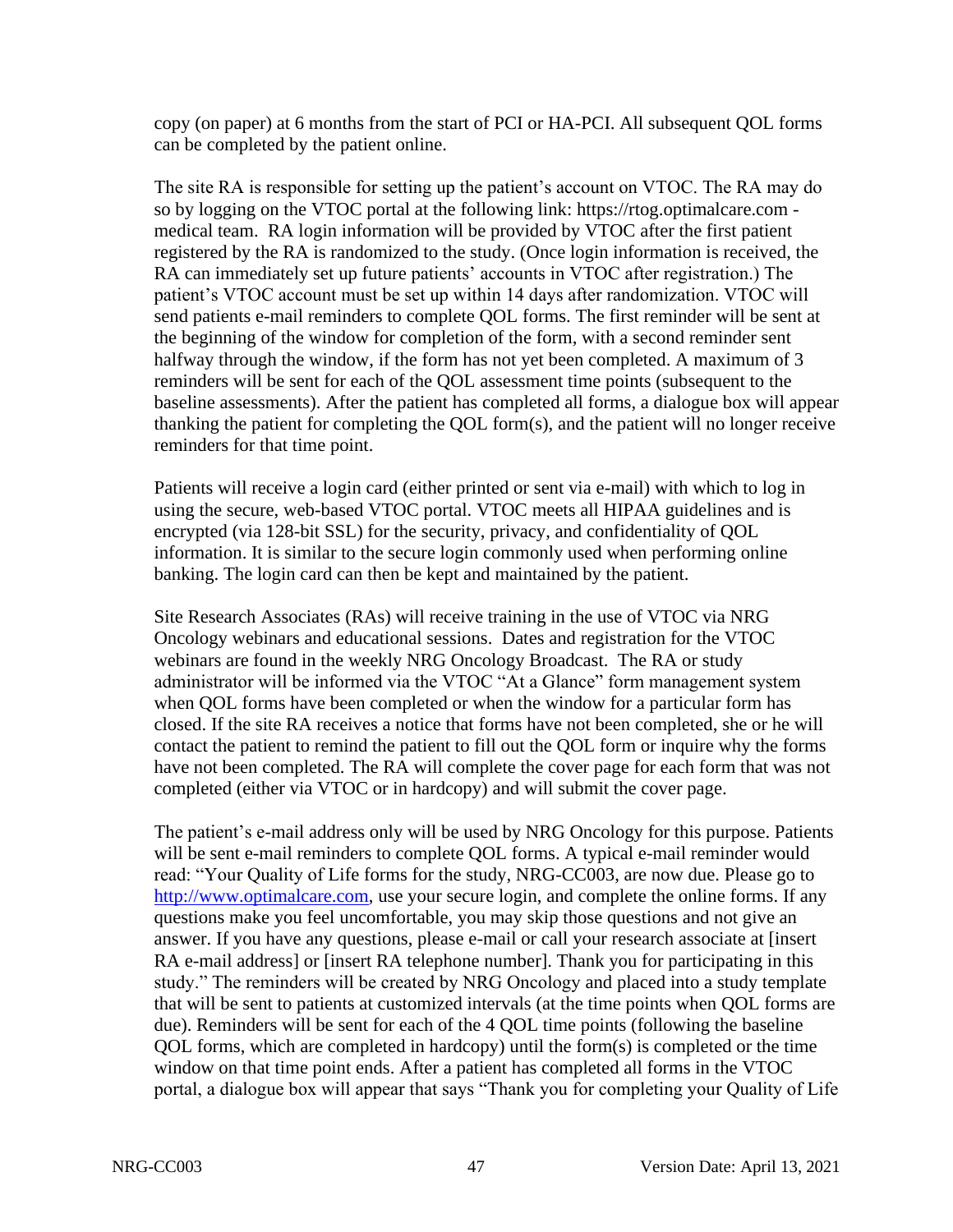copy (on paper) at 6 months from the start of PCI or HA-PCI. All subsequent QOL forms can be completed by the patient online.

The site RA is responsible for setting up the patient's account on VTOC. The RA may do so by logging on the VTOC portal at the following link: https://rtog.optimalcare.com medical team. RA login information will be provided by VTOC after the first patient registered by the RA is randomized to the study. (Once login information is received, the RA can immediately set up future patients' accounts in VTOC after registration.) The patient's VTOC account must be set up within 14 days after randomization. VTOC will send patients e-mail reminders to complete QOL forms. The first reminder will be sent at the beginning of the window for completion of the form, with a second reminder sent halfway through the window, if the form has not yet been completed. A maximum of 3 reminders will be sent for each of the QOL assessment time points (subsequent to the baseline assessments). After the patient has completed all forms, a dialogue box will appear thanking the patient for completing the QOL form(s), and the patient will no longer receive reminders for that time point.

Patients will receive a login card (either printed or sent via e-mail) with which to log in using the secure, web-based VTOC portal. VTOC meets all HIPAA guidelines and is encrypted (via 128-bit SSL) for the security, privacy, and confidentiality of QOL information. It is similar to the secure login commonly used when performing online banking. The login card can then be kept and maintained by the patient.

Site Research Associates (RAs) will receive training in the use of VTOC via NRG Oncology webinars and educational sessions. Dates and registration for the VTOC webinars are found in the weekly NRG Oncology Broadcast. The RA or study administrator will be informed via the VTOC "At a Glance" form management system when QOL forms have been completed or when the window for a particular form has closed. If the site RA receives a notice that forms have not been completed, she or he will contact the patient to remind the patient to fill out the QOL form or inquire why the forms have not been completed. The RA will complete the cover page for each form that was not completed (either via VTOC or in hardcopy) and will submit the cover page.

The patient's e-mail address only will be used by NRG Oncology for this purpose. Patients will be sent e-mail reminders to complete QOL forms. A typical e-mail reminder would read: "Your Quality of Life forms for the study, NRG-CC003, are now due. Please go to [http://www.optimalcare.com,](http://www.optimalcare.com/) use your secure login, and complete the online forms. If any questions make you feel uncomfortable, you may skip those questions and not give an answer. If you have any questions, please e-mail or call your research associate at [insert RA e-mail address] or [insert RA telephone number]. Thank you for participating in this study." The reminders will be created by NRG Oncology and placed into a study template that will be sent to patients at customized intervals (at the time points when QOL forms are due). Reminders will be sent for each of the 4 QOL time points (following the baseline QOL forms, which are completed in hardcopy) until the form(s) is completed or the time window on that time point ends. After a patient has completed all forms in the VTOC portal, a dialogue box will appear that says "Thank you for completing your Quality of Life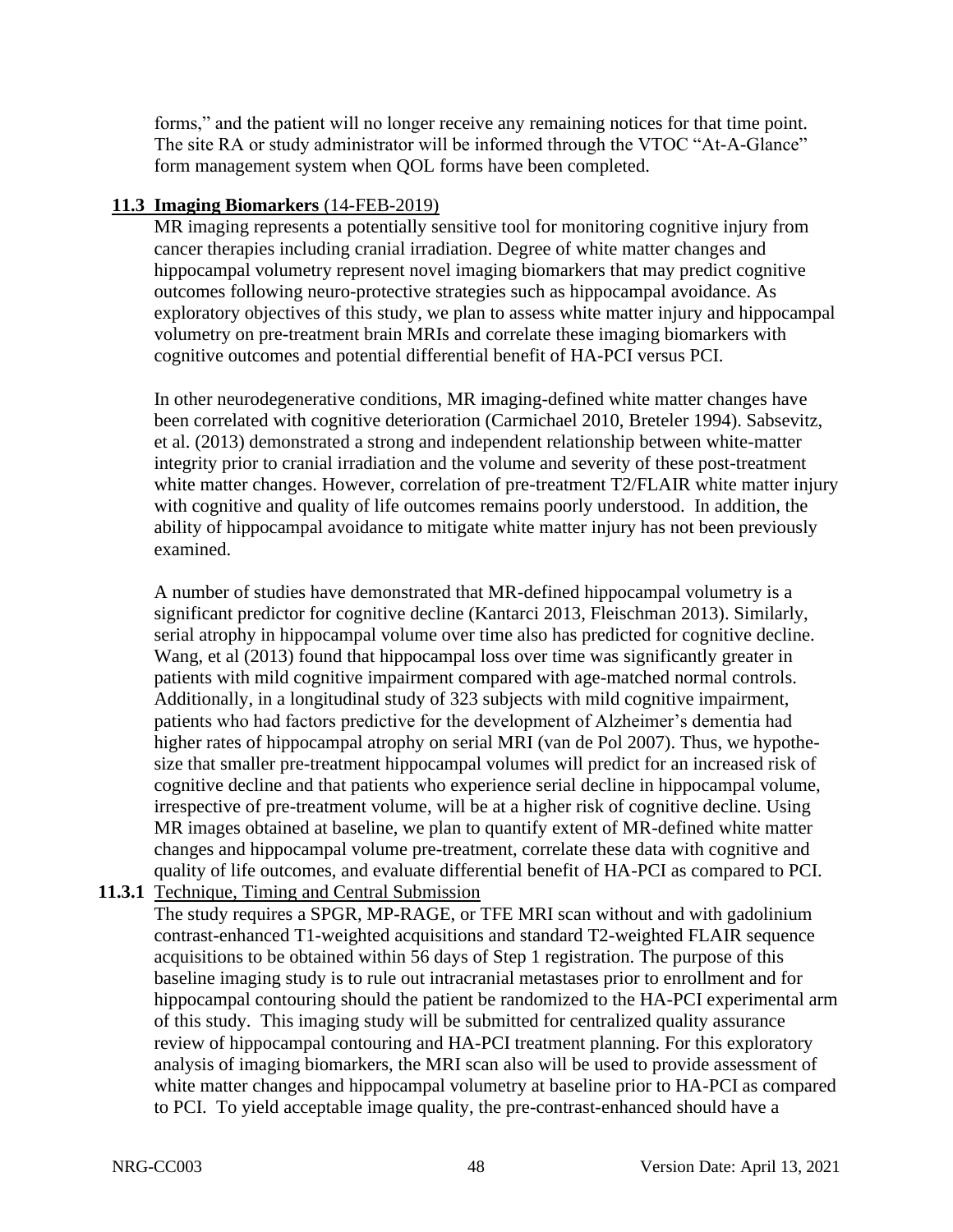forms," and the patient will no longer receive any remaining notices for that time point. The site RA or study administrator will be informed through the VTOC "At-A-Glance" form management system when QOL forms have been completed.

# **11.3 Imaging Biomarkers** (14-FEB-2019)

MR imaging represents a potentially sensitive tool for monitoring cognitive injury from cancer therapies including cranial irradiation. Degree of white matter changes and hippocampal volumetry represent novel imaging biomarkers that may predict cognitive outcomes following neuro-protective strategies such as hippocampal avoidance. As exploratory objectives of this study, we plan to assess white matter injury and hippocampal volumetry on pre-treatment brain MRIs and correlate these imaging biomarkers with cognitive outcomes and potential differential benefit of HA-PCI versus PCI.

In other neurodegenerative conditions, MR imaging-defined white matter changes have been correlated with cognitive deterioration (Carmichael 2010, Breteler 1994). Sabsevitz, et al. (2013) demonstrated a strong and independent relationship between white-matter integrity prior to cranial irradiation and the volume and severity of these post-treatment white matter changes. However, correlation of pre-treatment T2/FLAIR white matter injury with cognitive and quality of life outcomes remains poorly understood. In addition, the ability of hippocampal avoidance to mitigate white matter injury has not been previously examined.

A number of studies have demonstrated that MR-defined hippocampal volumetry is a significant predictor for cognitive decline (Kantarci 2013, Fleischman 2013). Similarly, serial atrophy in hippocampal volume over time also has predicted for cognitive decline. Wang, et al (2013) found that hippocampal loss over time was significantly greater in patients with mild cognitive impairment compared with age-matched normal controls. Additionally, in a longitudinal study of 323 subjects with mild cognitive impairment, patients who had factors predictive for the development of Alzheimer's dementia had higher rates of hippocampal atrophy on serial MRI (van de Pol 2007). Thus, we hypothesize that smaller pre-treatment hippocampal volumes will predict for an increased risk of cognitive decline and that patients who experience serial decline in hippocampal volume, irrespective of pre-treatment volume, will be at a higher risk of cognitive decline. Using MR images obtained at baseline, we plan to quantify extent of MR-defined white matter changes and hippocampal volume pre-treatment, correlate these data with cognitive and quality of life outcomes, and evaluate differential benefit of HA-PCI as compared to PCI.

**11.3.1** Technique, Timing and Central Submission

The study requires a SPGR, MP-RAGE, or TFE MRI scan without and with gadolinium contrast-enhanced T1-weighted acquisitions and standard T2-weighted FLAIR sequence acquisitions to be obtained within 56 days of Step 1 registration. The purpose of this baseline imaging study is to rule out intracranial metastases prior to enrollment and for hippocampal contouring should the patient be randomized to the HA-PCI experimental arm of this study. This imaging study will be submitted for centralized quality assurance review of hippocampal contouring and HA-PCI treatment planning. For this exploratory analysis of imaging biomarkers, the MRI scan also will be used to provide assessment of white matter changes and hippocampal volumetry at baseline prior to HA-PCI as compared to PCI. To yield acceptable image quality, the pre-contrast-enhanced should have a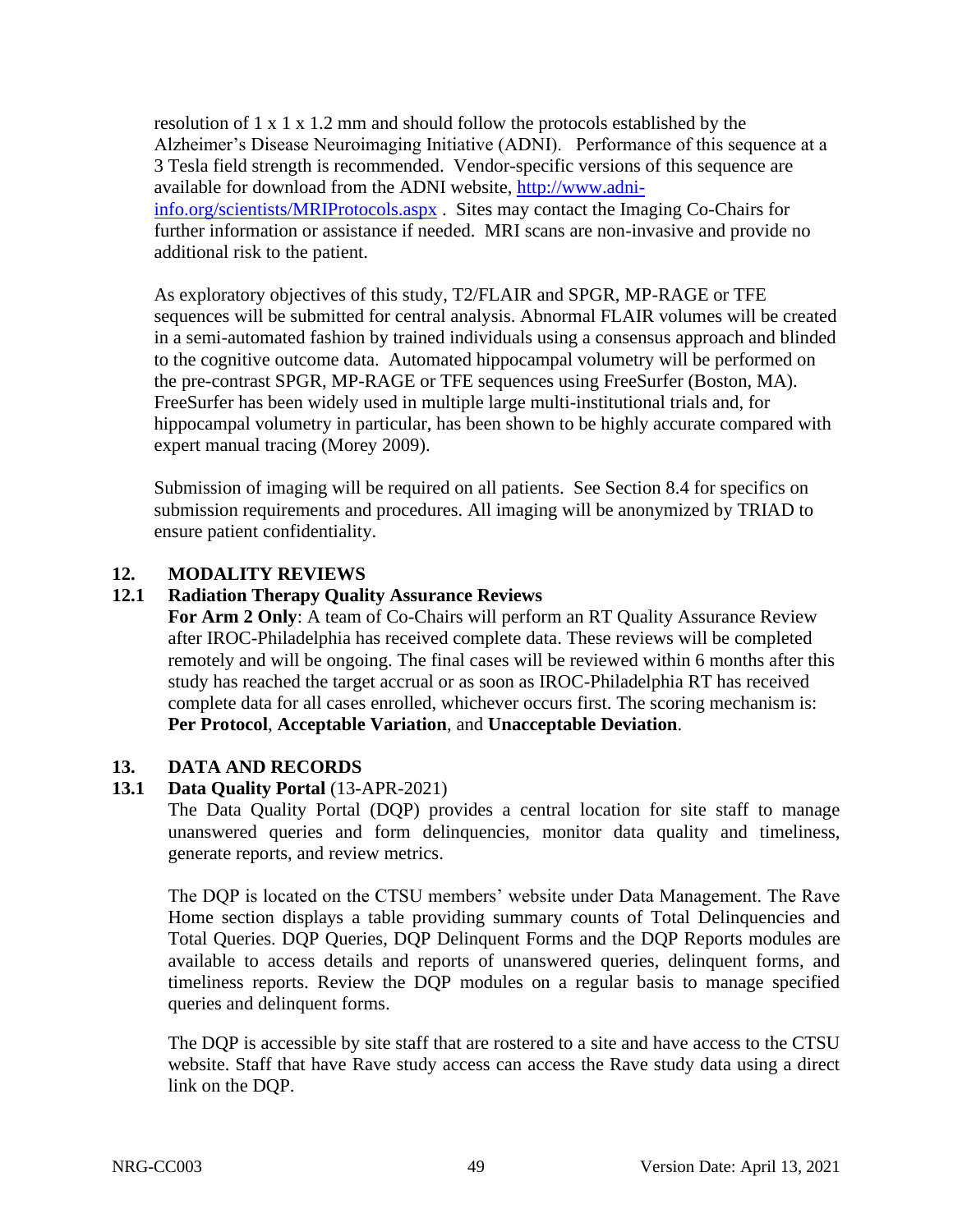resolution of 1 x 1 x 1.2 mm and should follow the protocols established by the Alzheimer's Disease Neuroimaging Initiative (ADNI). Performance of this sequence at a 3 Tesla field strength is recommended. Vendor-specific versions of this sequence are available for download from the ADNI website, [http://www.adni](http://www.adni-info.org/scientists/MRIProtocols.aspx)[info.org/scientists/MRIProtocols.aspx](http://www.adni-info.org/scientists/MRIProtocols.aspx) . Sites may contact the Imaging Co-Chairs for further information or assistance if needed. MRI scans are non-invasive and provide no additional risk to the patient.

As exploratory objectives of this study, T2/FLAIR and SPGR, MP-RAGE or TFE sequences will be submitted for central analysis. Abnormal FLAIR volumes will be created in a semi-automated fashion by trained individuals using a consensus approach and blinded to the cognitive outcome data. Automated hippocampal volumetry will be performed on the pre-contrast SPGR, MP-RAGE or TFE sequences using FreeSurfer (Boston, MA). FreeSurfer has been widely used in multiple large multi-institutional trials and, for hippocampal volumetry in particular, has been shown to be highly accurate compared with expert manual tracing (Morey 2009).

Submission of imaging will be required on all patients. See Section 8.4 for specifics on submission requirements and procedures. All imaging will be anonymized by TRIAD to ensure patient confidentiality.

## **12. MODALITY REVIEWS**

## **12.1 Radiation Therapy Quality Assurance Reviews**

**For Arm 2 Only**: A team of Co-Chairs will perform an RT Quality Assurance Review after IROC-Philadelphia has received complete data. These reviews will be completed remotely and will be ongoing. The final cases will be reviewed within 6 months after this study has reached the target accrual or as soon as IROC-Philadelphia RT has received complete data for all cases enrolled, whichever occurs first. The scoring mechanism is: **Per Protocol**, **Acceptable Variation**, and **Unacceptable Deviation**.

## **13. DATA AND RECORDS**

## **13.1 Data Quality Portal** (13-APR-2021)

The Data Quality Portal (DQP) provides a central location for site staff to manage unanswered queries and form delinquencies, monitor data quality and timeliness, generate reports, and review metrics.

The DQP is located on the CTSU members' website under Data Management. The Rave Home section displays a table providing summary counts of Total Delinquencies and Total Queries. DQP Queries, DQP Delinquent Forms and the DQP Reports modules are available to access details and reports of unanswered queries, delinquent forms, and timeliness reports. Review the DQP modules on a regular basis to manage specified queries and delinquent forms.

The DQP is accessible by site staff that are rostered to a site and have access to the CTSU website. Staff that have Rave study access can access the Rave study data using a direct link on the DQP.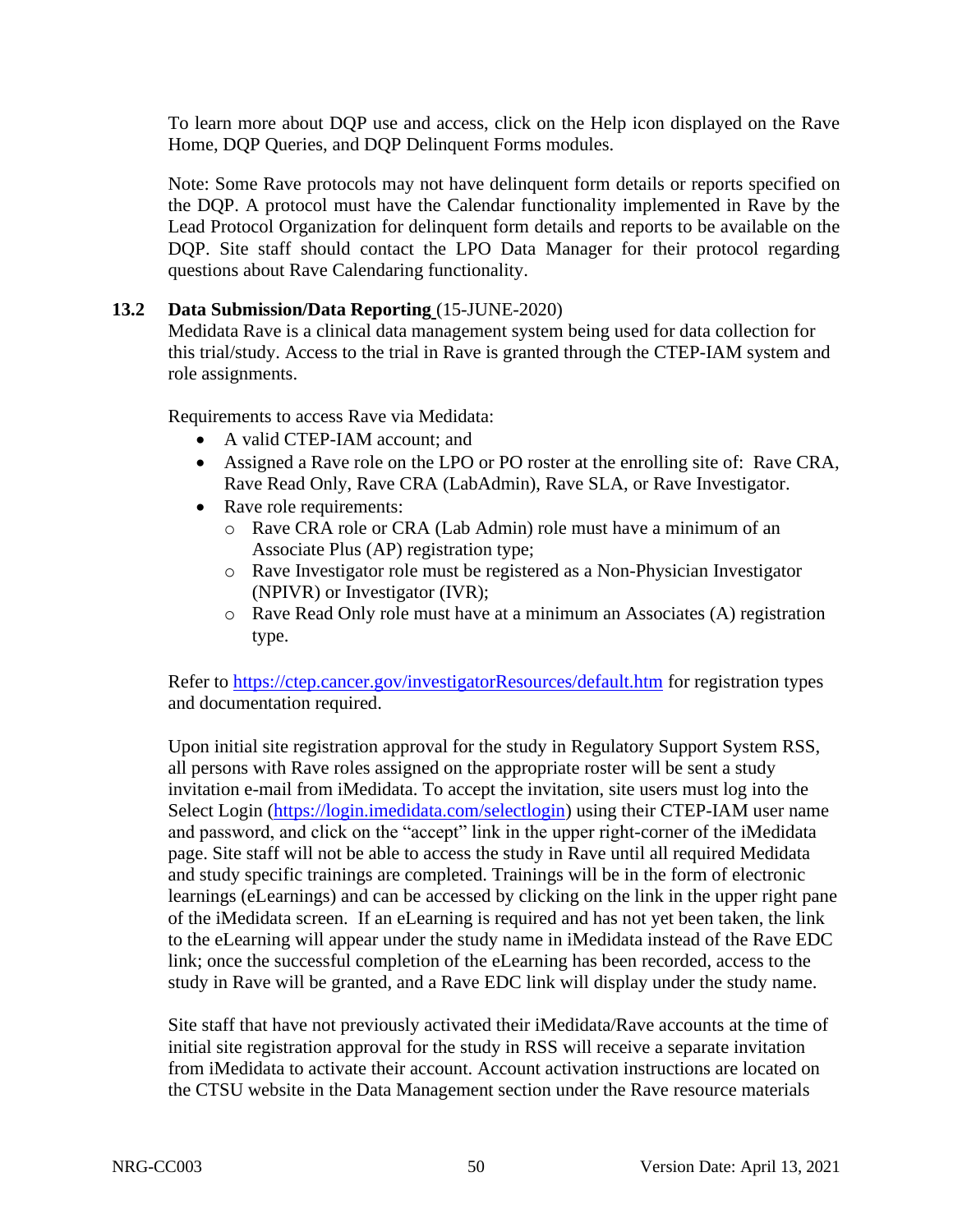To learn more about DQP use and access, click on the Help icon displayed on the Rave Home, DQP Queries, and DQP Delinquent Forms modules.

Note: Some Rave protocols may not have delinquent form details or reports specified on the DQP. A protocol must have the Calendar functionality implemented in Rave by the Lead Protocol Organization for delinquent form details and reports to be available on the DQP. Site staff should contact the LPO Data Manager for their protocol regarding questions about Rave Calendaring functionality.

# **13.2 Data Submission/Data Reporting** (15-JUNE-2020)

Medidata Rave is a clinical data management system being used for data collection for this trial/study. Access to the trial in Rave is granted through the CTEP-IAM system and role assignments.

Requirements to access Rave via Medidata:

- A valid CTEP-IAM account: and
- Assigned a Rave role on the LPO or PO roster at the enrolling site of: Rave CRA, Rave Read Only, Rave CRA (LabAdmin), Rave SLA, or Rave Investigator.
- Rave role requirements:
	- o Rave CRA role or CRA (Lab Admin) role must have a minimum of an Associate Plus (AP) registration type;
	- o Rave Investigator role must be registered as a Non-Physician Investigator (NPIVR) or Investigator (IVR);
	- o Rave Read Only role must have at a minimum an Associates (A) registration type.

Refer to<https://ctep.cancer.gov/investigatorResources/default.htm> for registration types and documentation required.

Upon initial site registration approval for the study in Regulatory Support System RSS, all persons with Rave roles assigned on the appropriate roster will be sent a study invitation e-mail from iMedidata. To accept the invitation, site users must log into the Select Login [\(https://login.imedidata.com/selectlogin\)](https://login.imedidata.com/selectlogin) using their CTEP-IAM user name and password, and click on the "accept" link in the upper right-corner of the iMedidata page. Site staff will not be able to access the study in Rave until all required Medidata and study specific trainings are completed. Trainings will be in the form of electronic learnings (eLearnings) and can be accessed by clicking on the link in the upper right pane of the iMedidata screen. If an eLearning is required and has not yet been taken, the link to the eLearning will appear under the study name in iMedidata instead of the Rave EDC link; once the successful completion of the eLearning has been recorded, access to the study in Rave will be granted, and a Rave EDC link will display under the study name.

Site staff that have not previously activated their iMedidata/Rave accounts at the time of initial site registration approval for the study in RSS will receive a separate invitation from iMedidata to activate their account. Account activation instructions are located on the CTSU website in the Data Management section under the Rave resource materials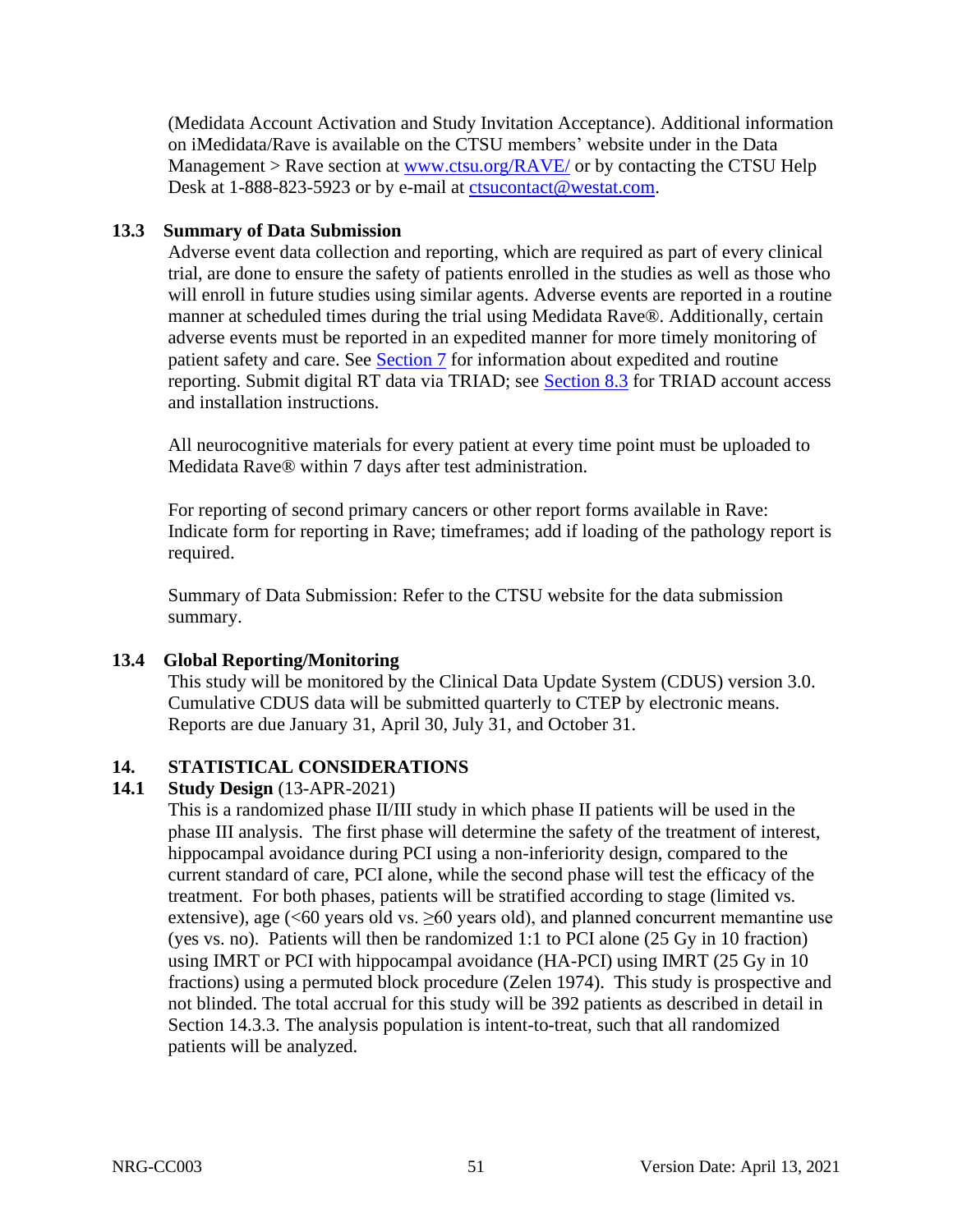(Medidata Account Activation and Study Invitation Acceptance). Additional information on iMedidata/Rave is available on the CTSU members' website under in the Data Management > Rave section at [www.ctsu.org/RAVE/](http://www.ctsu.org/RAVE/) or by contacting the CTSU Help Desk at 1-888-823-5923 or by e-mail at [ctsucontact@westat.com.](mailto:ctsucontact@westat.com)

# **13.3 Summary of Data Submission**

Adverse event data collection and reporting, which are required as part of every clinical trial, are done to ensure the safety of patients enrolled in the studies as well as those who will enroll in future studies using similar agents. Adverse events are reported in a routine manner at scheduled times during the trial using Medidata Rave®. Additionally, certain adverse events must be reported in an expedited manner for more timely monitoring of patient safety and care. See [Section 7](#page-30-0) for information about expedited and routine reporting. Submit digital RT data via TRIAD; see [Section 8.3](#page-37-0) for TRIAD account access and installation instructions.

All neurocognitive materials for every patient at every time point must be uploaded to Medidata Rave® within 7 days after test administration.

For reporting of second primary cancers or other report forms available in Rave: Indicate form for reporting in Rave; timeframes; add if loading of the pathology report is required.

Summary of Data Submission: Refer to the CTSU website for the data submission summary.

# **13.4 Global Reporting/Monitoring**

This study will be monitored by the Clinical Data Update System (CDUS) version 3.0. Cumulative CDUS data will be submitted quarterly to CTEP by electronic means. Reports are due January 31, April 30, July 31, and October 31.

# **14. STATISTICAL CONSIDERATIONS**

## **14.1 Study Design** (13-APR-2021)

This is a randomized phase II/III study in which phase II patients will be used in the phase III analysis. The first phase will determine the safety of the treatment of interest, hippocampal avoidance during PCI using a non-inferiority design, compared to the current standard of care, PCI alone, while the second phase will test the efficacy of the treatment. For both phases, patients will be stratified according to stage (limited vs. extensive), age  $\ll 60$  years old vs.  $\geq 60$  years old), and planned concurrent memantine use (yes vs. no). Patients will then be randomized 1:1 to PCI alone (25 Gy in 10 fraction) using IMRT or PCI with hippocampal avoidance (HA-PCI) using IMRT (25 Gy in 10 fractions) using a permuted block procedure (Zelen 1974). This study is prospective and not blinded. The total accrual for this study will be 392 patients as described in detail in Section 14.3.3. The analysis population is intent-to-treat, such that all randomized patients will be analyzed.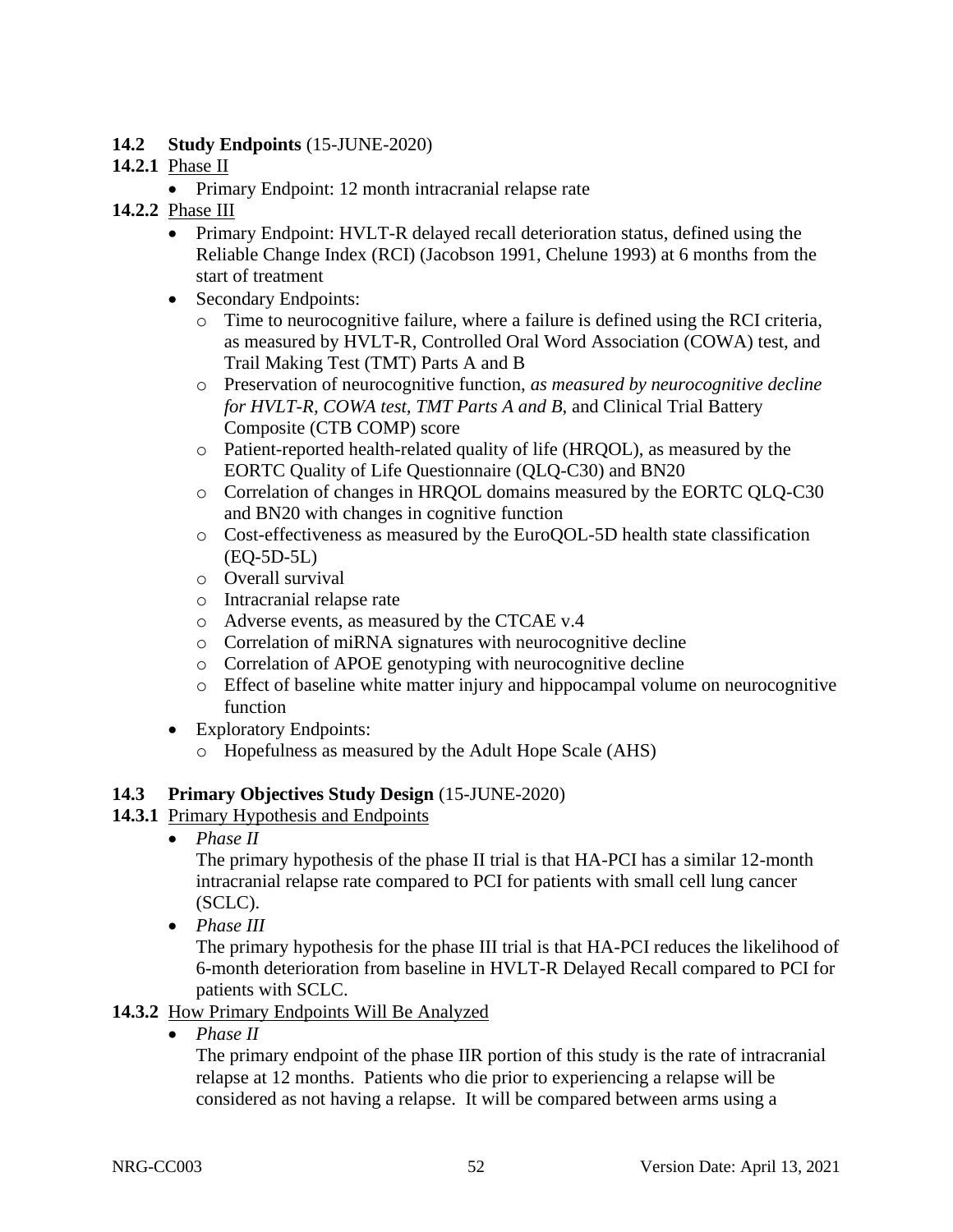# **14.2 Study Endpoints** (15-JUNE-2020)

# **14.2.1** Phase II

• Primary Endpoint: 12 month intracranial relapse rate

# **14.2.2** Phase III

- Primary Endpoint: HVLT-R delayed recall deterioration status, defined using the Reliable Change Index (RCI) (Jacobson 1991, Chelune 1993) at 6 months from the start of treatment
- Secondary Endpoints:
	- $\circ$  Time to neurocognitive failure, where a failure is defined using the RCI criteria, as measured by HVLT-R, Controlled Oral Word Association (COWA) test, and Trail Making Test (TMT) Parts A and B
	- o Preservation of neurocognitive function, *as measured by neurocognitive decline for HVLT-R, COWA test, TMT Parts A and B*, and Clinical Trial Battery Composite (CTB COMP) score
	- o Patient-reported health-related quality of life (HRQOL), as measured by the EORTC Quality of Life Questionnaire (QLQ-C30) and BN20
	- o Correlation of changes in HRQOL domains measured by the EORTC QLQ-C30 and BN20 with changes in cognitive function
	- o Cost-effectiveness as measured by the EuroQOL-5D health state classification (EQ-5D-5L)
	- o Overall survival
	- o Intracranial relapse rate
	- o Adverse events, as measured by the CTCAE v.4
	- o Correlation of miRNA signatures with neurocognitive decline
	- o Correlation of APOE genotyping with neurocognitive decline
	- o Effect of baseline white matter injury and hippocampal volume on neurocognitive function
- Exploratory Endpoints:
	- o Hopefulness as measured by the Adult Hope Scale (AHS)

# **14.3 Primary Objectives Study Design** (15-JUNE-2020)

# **14.3.1** Primary Hypothesis and Endpoints

• *Phase II*

The primary hypothesis of the phase II trial is that HA-PCI has a similar 12-month intracranial relapse rate compared to PCI for patients with small cell lung cancer (SCLC).

• *Phase III*

The primary hypothesis for the phase III trial is that HA-PCI reduces the likelihood of 6-month deterioration from baseline in HVLT-R Delayed Recall compared to PCI for patients with SCLC.

# **14.3.2** How Primary Endpoints Will Be Analyzed

• *Phase II*

The primary endpoint of the phase IIR portion of this study is the rate of intracranial relapse at 12 months. Patients who die prior to experiencing a relapse will be considered as not having a relapse. It will be compared between arms using a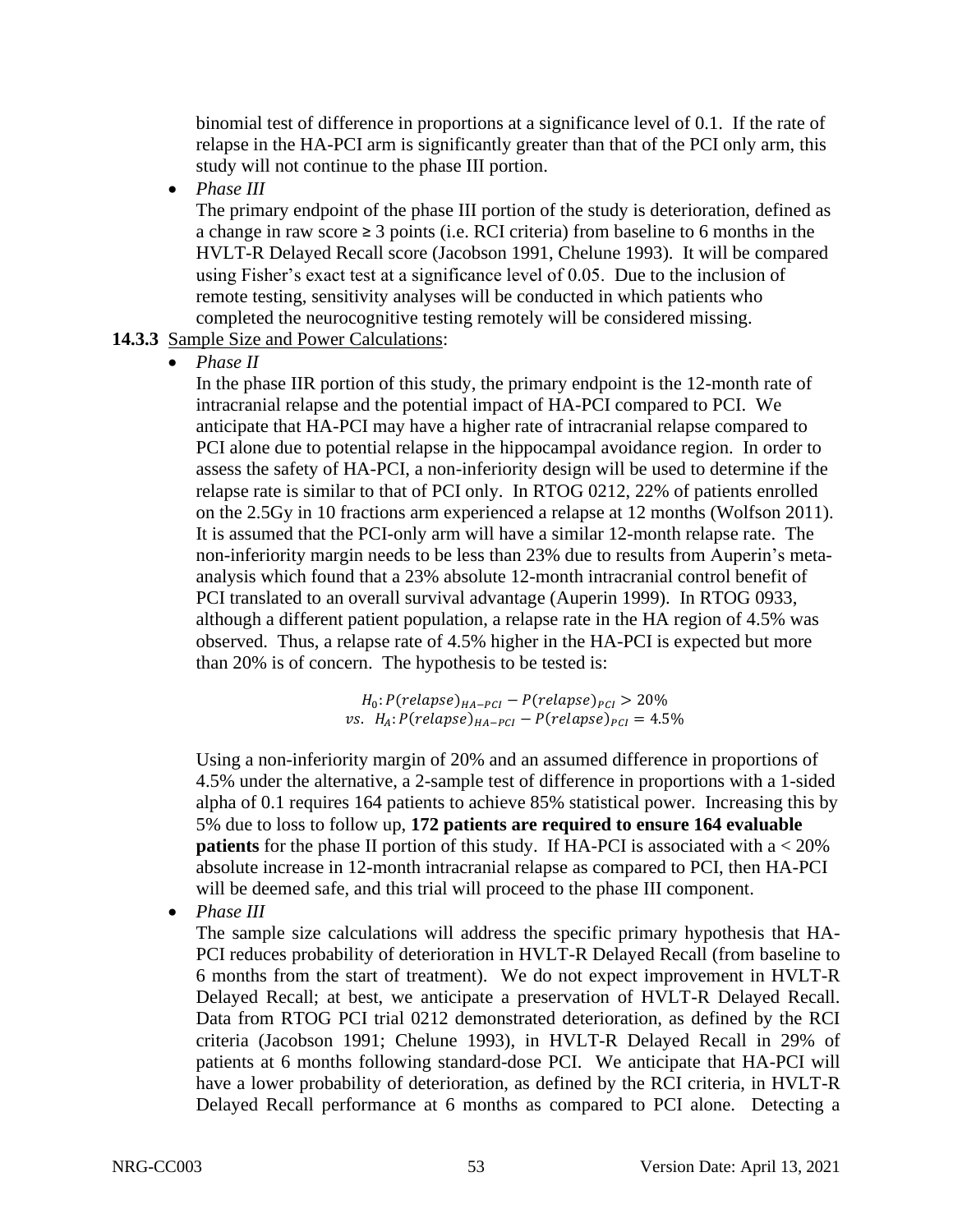binomial test of difference in proportions at a significance level of 0.1. If the rate of relapse in the HA-PCI arm is significantly greater than that of the PCI only arm, this study will not continue to the phase III portion.

• *Phase III*

The primary endpoint of the phase III portion of the study is deterioration, defined as a change in raw score  $\geq 3$  points (i.e. RCI criteria) from baseline to 6 months in the HVLT-R Delayed Recall score (Jacobson 1991, Chelune 1993). It will be compared using Fisher's exact test at a significance level of 0.05. Due to the inclusion of remote testing, sensitivity analyses will be conducted in which patients who completed the neurocognitive testing remotely will be considered missing.

# **14.3.3** Sample Size and Power Calculations:

• *Phase II*

In the phase IIR portion of this study, the primary endpoint is the 12-month rate of intracranial relapse and the potential impact of HA-PCI compared to PCI. We anticipate that HA-PCI may have a higher rate of intracranial relapse compared to PCI alone due to potential relapse in the hippocampal avoidance region. In order to assess the safety of HA-PCI, a non-inferiority design will be used to determine if the relapse rate is similar to that of PCI only. In RTOG 0212, 22% of patients enrolled on the 2.5Gy in 10 fractions arm experienced a relapse at 12 months (Wolfson 2011). It is assumed that the PCI-only arm will have a similar 12-month relapse rate. The non-inferiority margin needs to be less than 23% due to results from Auperin's metaanalysis which found that a 23% absolute 12-month intracranial control benefit of PCI translated to an overall survival advantage (Auperin 1999). In RTOG 0933, although a different patient population, a relapse rate in the HA region of 4.5% was observed. Thus, a relapse rate of 4.5% higher in the HA-PCI is expected but more than 20% is of concern. The hypothesis to be tested is:

> $H_0$ :  $P(relapse)_{HA-PCI} - P(relapse)_{PCI} > 20\%$ vs.  $H_A$ :  $P(relapse)_{HA-PCI} - P(relapse)_{PCI} = 4.5\%$

Using a non-inferiority margin of 20% and an assumed difference in proportions of 4.5% under the alternative, a 2-sample test of difference in proportions with a 1-sided alpha of 0.1 requires 164 patients to achieve 85% statistical power. Increasing this by 5% due to loss to follow up, **172 patients are required to ensure 164 evaluable patients** for the phase II portion of this study. If HA-PCI is associated with  $a < 20\%$ absolute increase in 12-month intracranial relapse as compared to PCI, then HA-PCI will be deemed safe, and this trial will proceed to the phase III component.

• *Phase III*

The sample size calculations will address the specific primary hypothesis that HA-PCI reduces probability of deterioration in HVLT-R Delayed Recall (from baseline to 6 months from the start of treatment). We do not expect improvement in HVLT-R Delayed Recall; at best, we anticipate a preservation of HVLT-R Delayed Recall. Data from RTOG PCI trial 0212 demonstrated deterioration, as defined by the RCI criteria (Jacobson 1991; Chelune 1993), in HVLT-R Delayed Recall in 29% of patients at 6 months following standard-dose PCI. We anticipate that HA-PCI will have a lower probability of deterioration, as defined by the RCI criteria, in HVLT-R Delayed Recall performance at 6 months as compared to PCI alone. Detecting a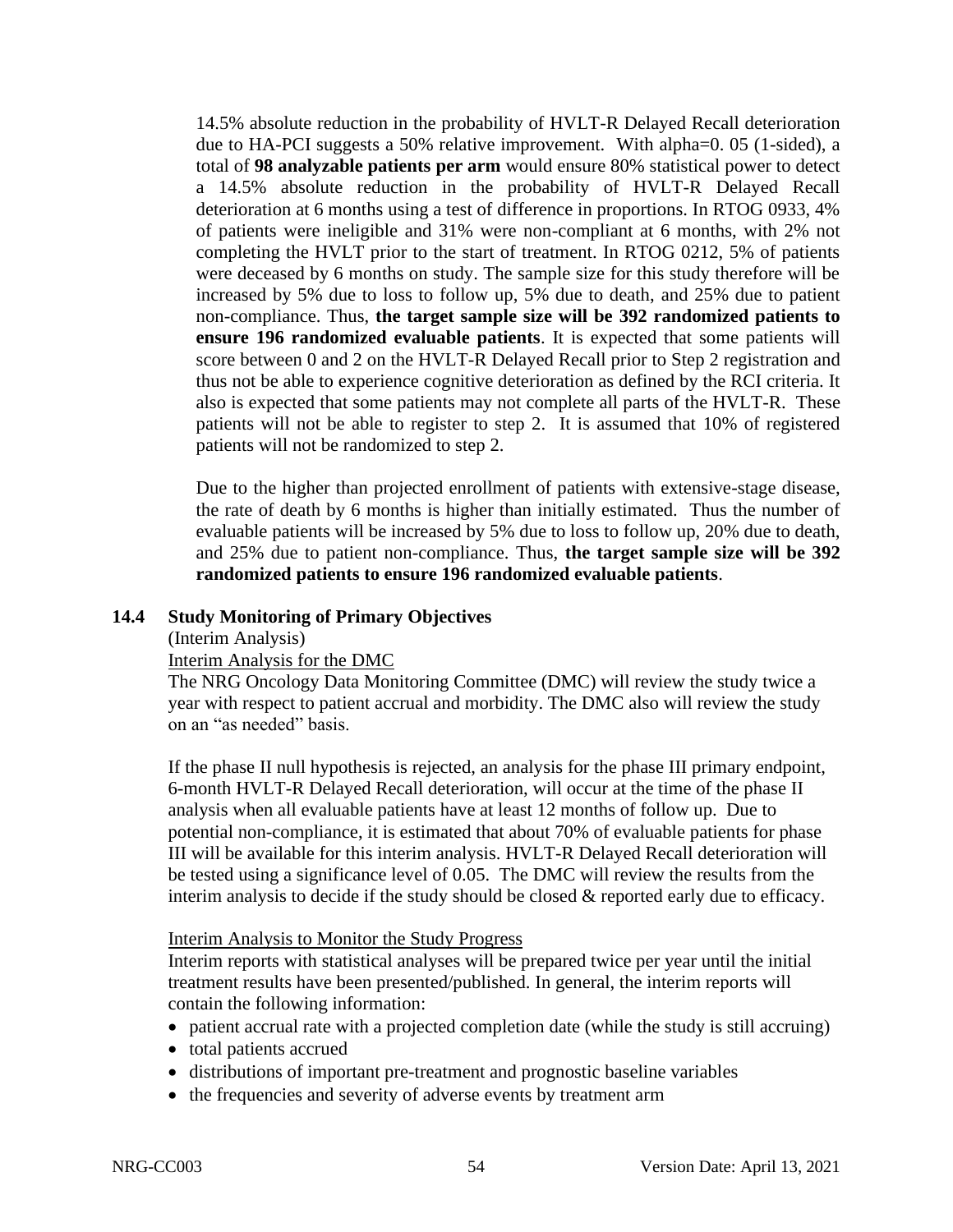14.5% absolute reduction in the probability of HVLT-R Delayed Recall deterioration due to HA-PCI suggests a 50% relative improvement. With alpha=0. 05 (1-sided), a total of **98 analyzable patients per arm** would ensure 80% statistical power to detect a 14.5% absolute reduction in the probability of HVLT-R Delayed Recall deterioration at 6 months using a test of difference in proportions. In RTOG 0933, 4% of patients were ineligible and 31% were non-compliant at 6 months, with 2% not completing the HVLT prior to the start of treatment. In RTOG 0212, 5% of patients were deceased by 6 months on study. The sample size for this study therefore will be increased by 5% due to loss to follow up, 5% due to death, and 25% due to patient non-compliance. Thus, **the target sample size will be 392 randomized patients to ensure 196 randomized evaluable patients**. It is expected that some patients will score between 0 and 2 on the HVLT-R Delayed Recall prior to Step 2 registration and thus not be able to experience cognitive deterioration as defined by the RCI criteria. It also is expected that some patients may not complete all parts of the HVLT-R. These patients will not be able to register to step 2. It is assumed that 10% of registered patients will not be randomized to step 2.

Due to the higher than projected enrollment of patients with extensive-stage disease, the rate of death by 6 months is higher than initially estimated. Thus the number of evaluable patients will be increased by 5% due to loss to follow up, 20% due to death, and 25% due to patient non-compliance. Thus, **the target sample size will be 392 randomized patients to ensure 196 randomized evaluable patients**.

## **14.4 Study Monitoring of Primary Objectives**

## (Interim Analysis)

## Interim Analysis for the DMC

The NRG Oncology Data Monitoring Committee (DMC) will review the study twice a year with respect to patient accrual and morbidity. The DMC also will review the study on an "as needed" basis.

If the phase II null hypothesis is rejected, an analysis for the phase III primary endpoint, 6-month HVLT-R Delayed Recall deterioration, will occur at the time of the phase II analysis when all evaluable patients have at least 12 months of follow up. Due to potential non-compliance, it is estimated that about 70% of evaluable patients for phase III will be available for this interim analysis. HVLT-R Delayed Recall deterioration will be tested using a significance level of 0.05. The DMC will review the results from the interim analysis to decide if the study should be closed & reported early due to efficacy.

## Interim Analysis to Monitor the Study Progress

Interim reports with statistical analyses will be prepared twice per year until the initial treatment results have been presented/published. In general, the interim reports will contain the following information:

- patient accrual rate with a projected completion date (while the study is still accruing)
- total patients accrued
- distributions of important pre-treatment and prognostic baseline variables
- the frequencies and severity of adverse events by treatment arm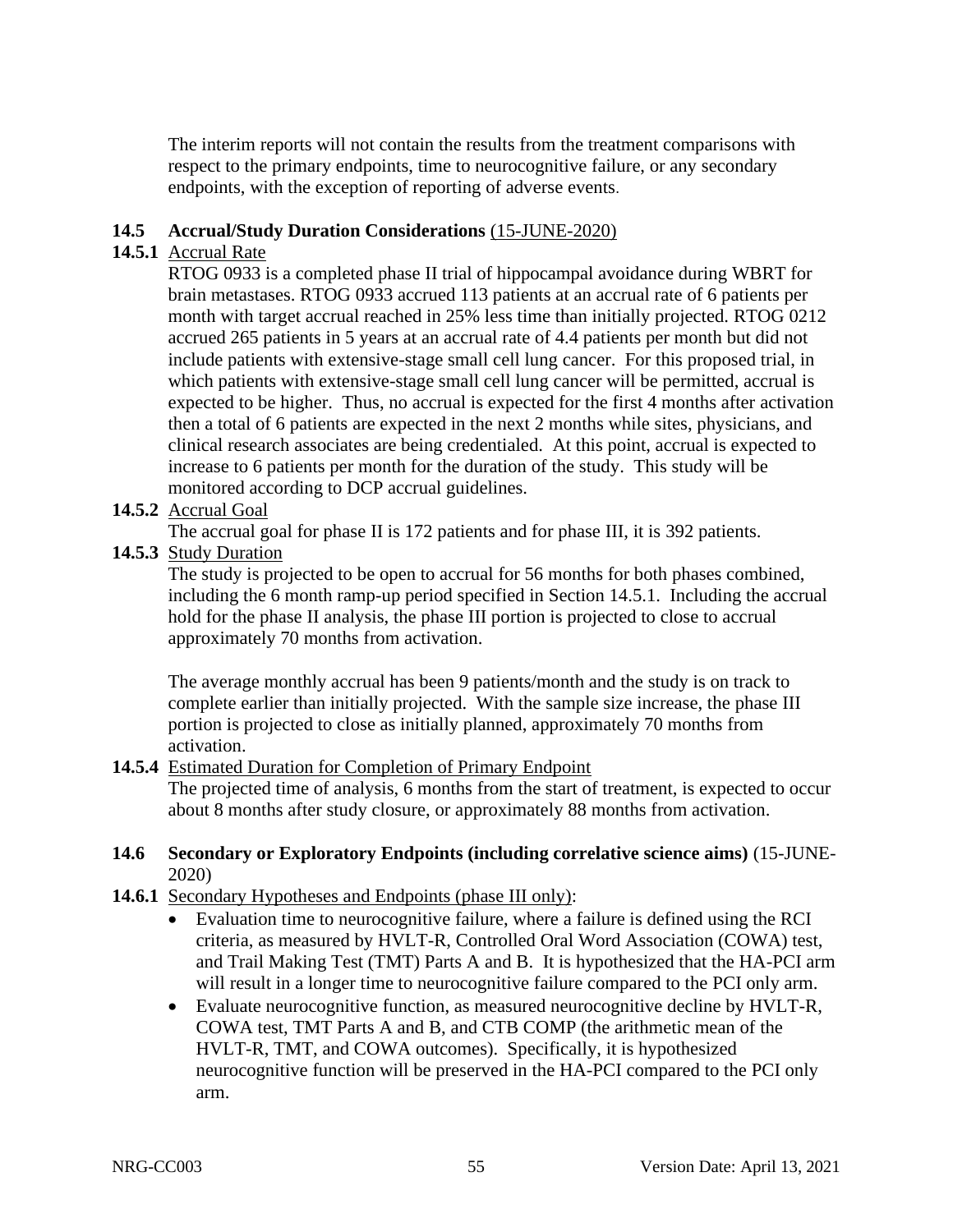The interim reports will not contain the results from the treatment comparisons with respect to the primary endpoints, time to neurocognitive failure, or any secondary endpoints, with the exception of reporting of adverse events.

# **14.5 Accrual/Study Duration Considerations** (15-JUNE-2020)

# **14.5.1** Accrual Rate

RTOG 0933 is a completed phase II trial of hippocampal avoidance during WBRT for brain metastases. RTOG 0933 accrued 113 patients at an accrual rate of 6 patients per month with target accrual reached in 25% less time than initially projected. RTOG 0212 accrued 265 patients in 5 years at an accrual rate of 4.4 patients per month but did not include patients with extensive-stage small cell lung cancer. For this proposed trial, in which patients with extensive-stage small cell lung cancer will be permitted, accrual is expected to be higher. Thus, no accrual is expected for the first 4 months after activation then a total of 6 patients are expected in the next 2 months while sites, physicians, and clinical research associates are being credentialed. At this point, accrual is expected to increase to 6 patients per month for the duration of the study. This study will be monitored according to DCP accrual guidelines.

# **14.5.2** Accrual Goal

The accrual goal for phase II is 172 patients and for phase III, it is 392 patients.

**14.5.3** Study Duration

The study is projected to be open to accrual for 56 months for both phases combined, including the 6 month ramp-up period specified in Section 14.5.1. Including the accrual hold for the phase II analysis, the phase III portion is projected to close to accrual approximately 70 months from activation.

The average monthly accrual has been 9 patients/month and the study is on track to complete earlier than initially projected. With the sample size increase, the phase III portion is projected to close as initially planned, approximately 70 months from activation.

# **14.5.4** Estimated Duration for Completion of Primary Endpoint

The projected time of analysis, 6 months from the start of treatment, is expected to occur about 8 months after study closure, or approximately 88 months from activation.

## **14.6 Secondary or Exploratory Endpoints (including correlative science aims)** (15-JUNE-2020)

## **14.6.1** Secondary Hypotheses and Endpoints (phase III only):

- Evaluation time to neurocognitive failure, where a failure is defined using the RCI criteria, as measured by HVLT-R, Controlled Oral Word Association (COWA) test, and Trail Making Test (TMT) Parts A and B. It is hypothesized that the HA-PCI arm will result in a longer time to neurocognitive failure compared to the PCI only arm.
- Evaluate neurocognitive function, as measured neurocognitive decline by HVLT-R, COWA test, TMT Parts A and B, and CTB COMP (the arithmetic mean of the HVLT-R, TMT, and COWA outcomes). Specifically, it is hypothesized neurocognitive function will be preserved in the HA-PCI compared to the PCI only arm.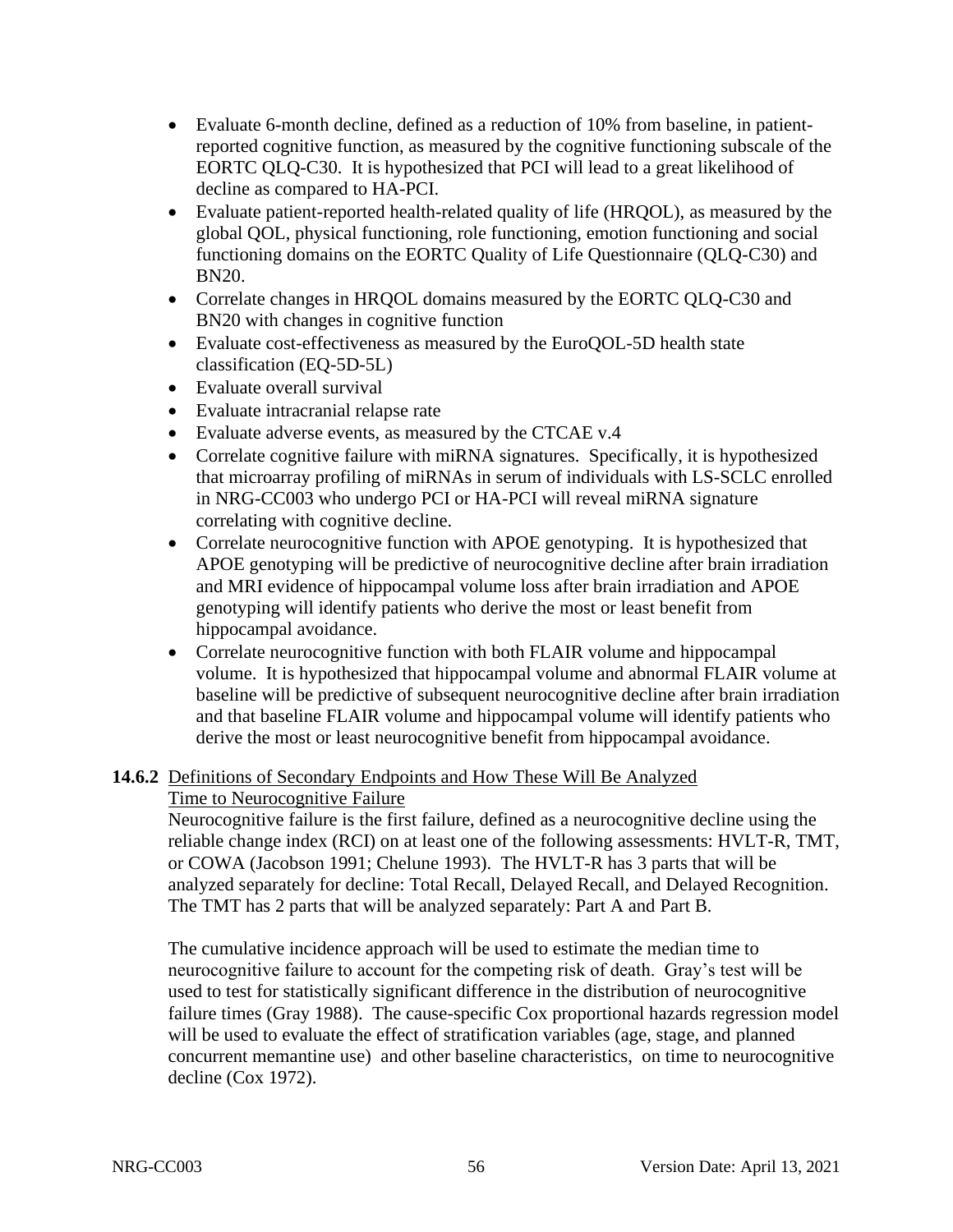- Evaluate 6-month decline, defined as a reduction of 10% from baseline, in patientreported cognitive function, as measured by the cognitive functioning subscale of the EORTC QLQ-C30. It is hypothesized that PCI will lead to a great likelihood of decline as compared to HA-PCI.
- Evaluate patient-reported health-related quality of life (HRQOL), as measured by the global QOL, physical functioning, role functioning, emotion functioning and social functioning domains on the EORTC Quality of Life Questionnaire (QLQ-C30) and BN20.
- Correlate changes in HRQOL domains measured by the EORTC QLQ-C30 and BN20 with changes in cognitive function
- Evaluate cost-effectiveness as measured by the EuroQOL-5D health state classification (EQ-5D-5L)
- Evaluate overall survival
- Evaluate intracranial relapse rate
- Evaluate adverse events, as measured by the CTCAE v.4
- Correlate cognitive failure with miRNA signatures. Specifically, it is hypothesized that microarray profiling of miRNAs in serum of individuals with LS-SCLC enrolled in NRG-CC003 who undergo PCI or HA-PCI will reveal miRNA signature correlating with cognitive decline.
- Correlate neurocognitive function with APOE genotyping. It is hypothesized that APOE genotyping will be predictive of neurocognitive decline after brain irradiation and MRI evidence of hippocampal volume loss after brain irradiation and APOE genotyping will identify patients who derive the most or least benefit from hippocampal avoidance.
- Correlate neurocognitive function with both FLAIR volume and hippocampal volume. It is hypothesized that hippocampal volume and abnormal FLAIR volume at baseline will be predictive of subsequent neurocognitive decline after brain irradiation and that baseline FLAIR volume and hippocampal volume will identify patients who derive the most or least neurocognitive benefit from hippocampal avoidance.

# **14.6.2** Definitions of Secondary Endpoints and How These Will Be Analyzed

# Time to Neurocognitive Failure

Neurocognitive failure is the first failure, defined as a neurocognitive decline using the reliable change index (RCI) on at least one of the following assessments: HVLT-R, TMT, or COWA (Jacobson 1991; Chelune 1993). The HVLT-R has 3 parts that will be analyzed separately for decline: Total Recall, Delayed Recall, and Delayed Recognition. The TMT has 2 parts that will be analyzed separately: Part A and Part B.

The cumulative incidence approach will be used to estimate the median time to neurocognitive failure to account for the competing risk of death. Gray's test will be used to test for statistically significant difference in the distribution of neurocognitive failure times (Gray 1988). The cause-specific Cox proportional hazards regression model will be used to evaluate the effect of stratification variables (age, stage, and planned concurrent memantine use) and other baseline characteristics, on time to neurocognitive decline (Cox 1972).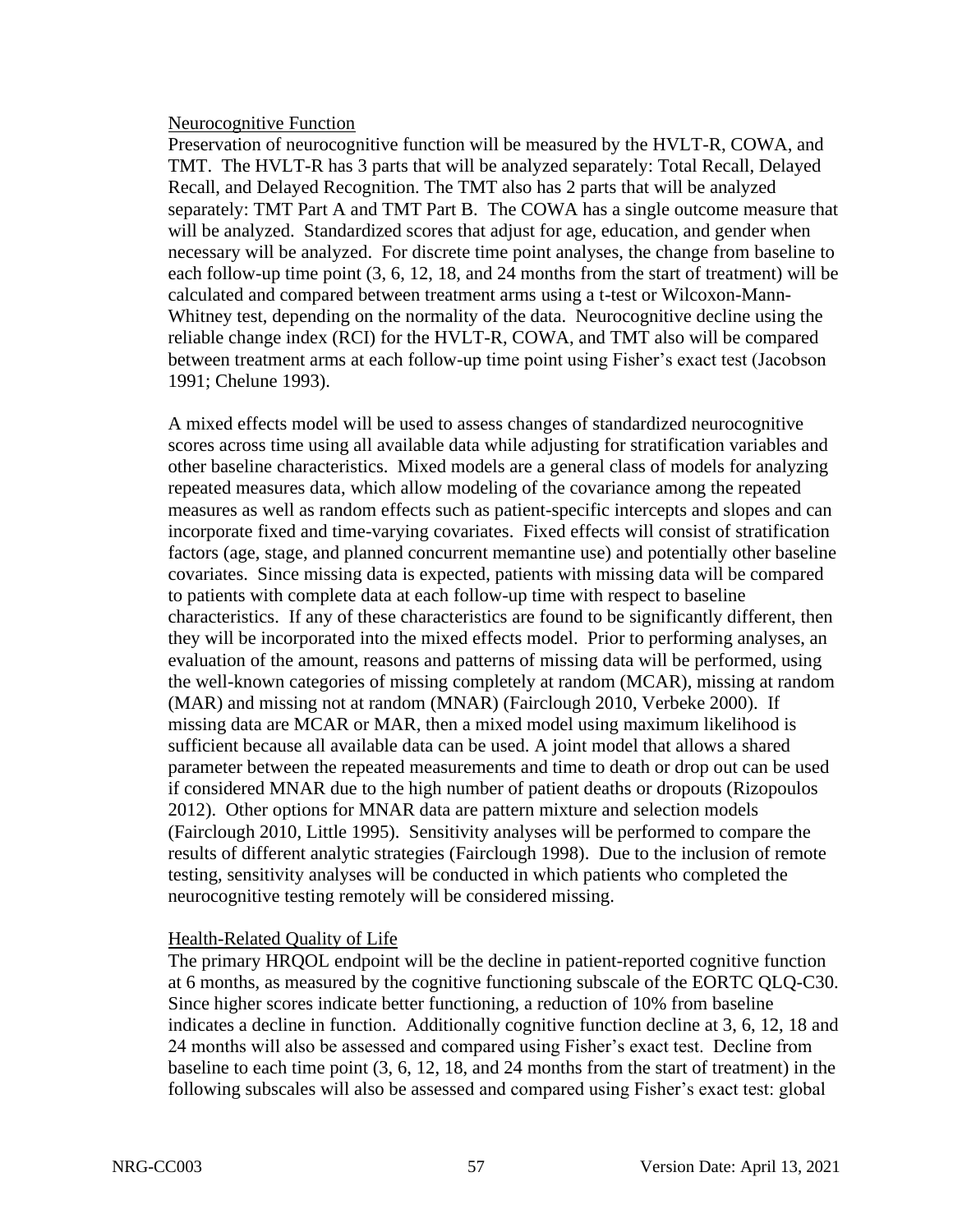## Neurocognitive Function

Preservation of neurocognitive function will be measured by the HVLT-R, COWA, and TMT. The HVLT-R has 3 parts that will be analyzed separately: Total Recall, Delayed Recall, and Delayed Recognition. The TMT also has 2 parts that will be analyzed separately: TMT Part A and TMT Part B. The COWA has a single outcome measure that will be analyzed. Standardized scores that adjust for age, education, and gender when necessary will be analyzed. For discrete time point analyses, the change from baseline to each follow-up time point (3, 6, 12, 18, and 24 months from the start of treatment) will be calculated and compared between treatment arms using a t-test or Wilcoxon-Mann-Whitney test, depending on the normality of the data. Neurocognitive decline using the reliable change index (RCI) for the HVLT-R, COWA, and TMT also will be compared between treatment arms at each follow-up time point using Fisher's exact test (Jacobson 1991; Chelune 1993).

A mixed effects model will be used to assess changes of standardized neurocognitive scores across time using all available data while adjusting for stratification variables and other baseline characteristics. Mixed models are a general class of models for analyzing repeated measures data, which allow modeling of the covariance among the repeated measures as well as random effects such as patient-specific intercepts and slopes and can incorporate fixed and time-varying covariates. Fixed effects will consist of stratification factors (age, stage, and planned concurrent memantine use) and potentially other baseline covariates. Since missing data is expected, patients with missing data will be compared to patients with complete data at each follow-up time with respect to baseline characteristics. If any of these characteristics are found to be significantly different, then they will be incorporated into the mixed effects model. Prior to performing analyses, an evaluation of the amount, reasons and patterns of missing data will be performed, using the well-known categories of missing completely at random (MCAR), missing at random (MAR) and missing not at random (MNAR) (Fairclough 2010, Verbeke 2000). If missing data are MCAR or MAR, then a mixed model using maximum likelihood is sufficient because all available data can be used. A joint model that allows a shared parameter between the repeated measurements and time to death or drop out can be used if considered MNAR due to the high number of patient deaths or dropouts (Rizopoulos 2012). Other options for MNAR data are pattern mixture and selection models (Fairclough 2010, Little 1995). Sensitivity analyses will be performed to compare the results of different analytic strategies (Fairclough 1998). Due to the inclusion of remote testing, sensitivity analyses will be conducted in which patients who completed the neurocognitive testing remotely will be considered missing.

## Health-Related Quality of Life

The primary HRQOL endpoint will be the decline in patient-reported cognitive function at 6 months, as measured by the cognitive functioning subscale of the EORTC QLQ-C30. Since higher scores indicate better functioning, a reduction of 10% from baseline indicates a decline in function. Additionally cognitive function decline at 3, 6, 12, 18 and 24 months will also be assessed and compared using Fisher's exact test. Decline from baseline to each time point (3, 6, 12, 18, and 24 months from the start of treatment) in the following subscales will also be assessed and compared using Fisher's exact test: global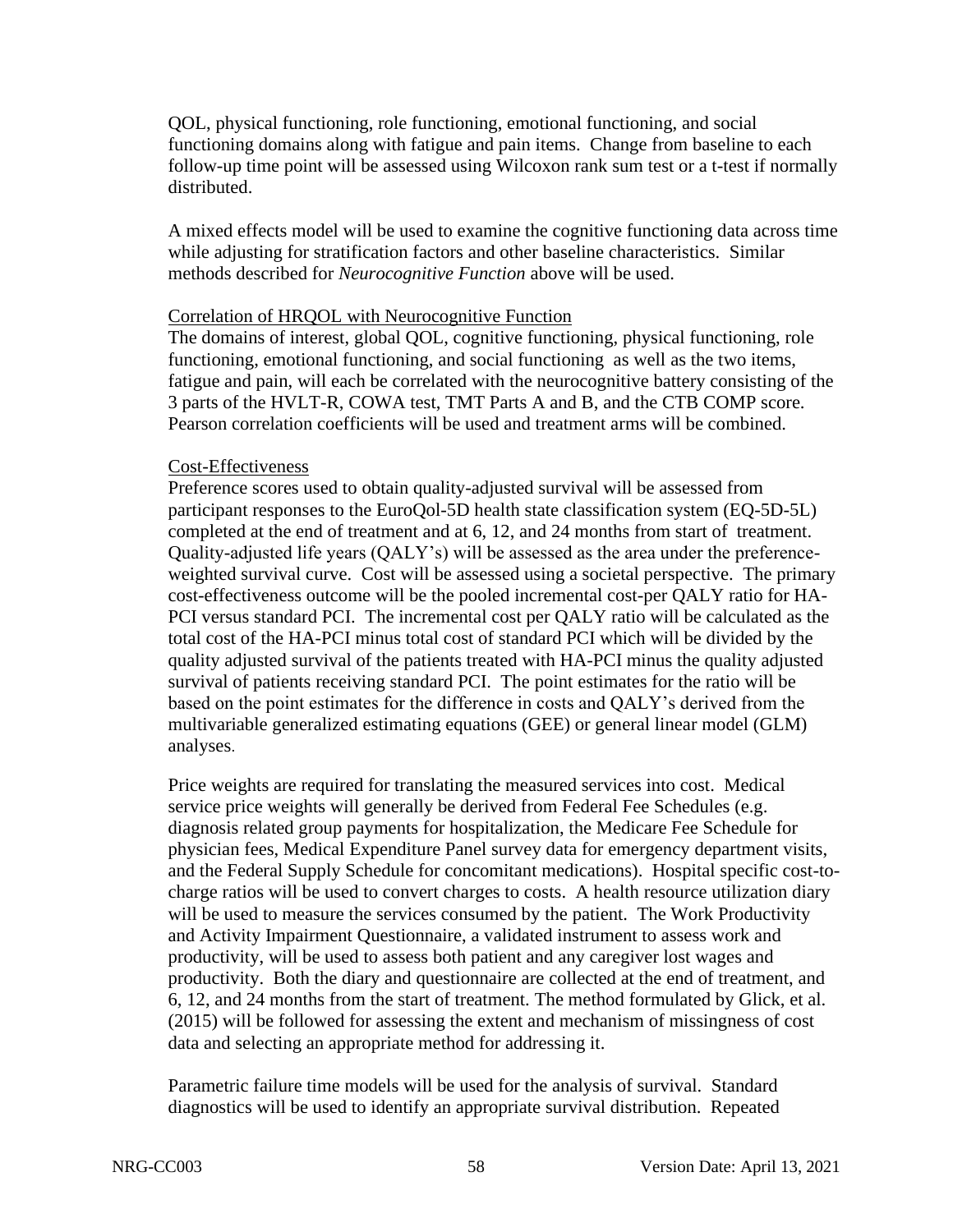QOL, physical functioning, role functioning, emotional functioning, and social functioning domains along with fatigue and pain items. Change from baseline to each follow-up time point will be assessed using Wilcoxon rank sum test or a t-test if normally distributed.

A mixed effects model will be used to examine the cognitive functioning data across time while adjusting for stratification factors and other baseline characteristics. Similar methods described for *Neurocognitive Function* above will be used.

## Correlation of HRQOL with Neurocognitive Function

The domains of interest, global QOL, cognitive functioning, physical functioning, role functioning, emotional functioning, and social functioning as well as the two items, fatigue and pain, will each be correlated with the neurocognitive battery consisting of the 3 parts of the HVLT-R, COWA test, TMT Parts A and B, and the CTB COMP score. Pearson correlation coefficients will be used and treatment arms will be combined.

## Cost-Effectiveness

Preference scores used to obtain quality-adjusted survival will be assessed from participant responses to the EuroQol-5D health state classification system (EQ-5D-5L) completed at the end of treatment and at 6, 12, and 24 months from start of treatment. Quality-adjusted life years (QALY's) will be assessed as the area under the preferenceweighted survival curve. Cost will be assessed using a societal perspective. The primary cost-effectiveness outcome will be the pooled incremental cost-per QALY ratio for HA-PCI versus standard PCI. The incremental cost per QALY ratio will be calculated as the total cost of the HA-PCI minus total cost of standard PCI which will be divided by the quality adjusted survival of the patients treated with HA-PCI minus the quality adjusted survival of patients receiving standard PCI. The point estimates for the ratio will be based on the point estimates for the difference in costs and QALY's derived from the multivariable generalized estimating equations (GEE) or general linear model (GLM) analyses.

Price weights are required for translating the measured services into cost. Medical service price weights will generally be derived from Federal Fee Schedules (e.g. diagnosis related group payments for hospitalization, the Medicare Fee Schedule for physician fees, Medical Expenditure Panel survey data for emergency department visits, and the Federal Supply Schedule for concomitant medications). Hospital specific cost-tocharge ratios will be used to convert charges to costs. A health resource utilization diary will be used to measure the services consumed by the patient. The Work Productivity and Activity Impairment Questionnaire, a validated instrument to assess work and productivity, will be used to assess both patient and any caregiver lost wages and productivity. Both the diary and questionnaire are collected at the end of treatment, and 6, 12, and 24 months from the start of treatment. The method formulated by Glick, et al. (2015) will be followed for assessing the extent and mechanism of missingness of cost data and selecting an appropriate method for addressing it.

Parametric failure time models will be used for the analysis of survival. Standard diagnostics will be used to identify an appropriate survival distribution. Repeated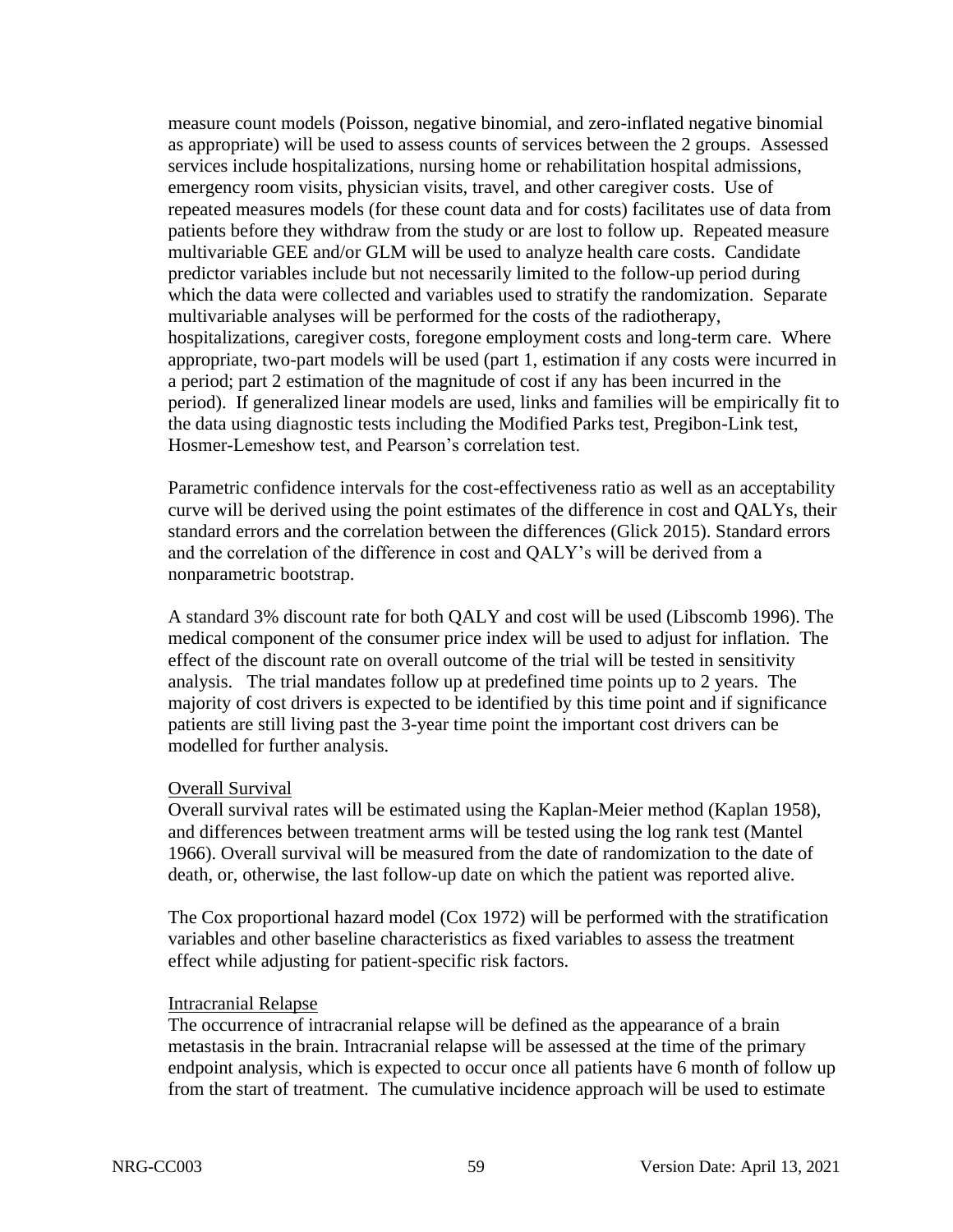measure count models (Poisson, negative binomial, and zero-inflated negative binomial as appropriate) will be used to assess counts of services between the 2 groups. Assessed services include hospitalizations, nursing home or rehabilitation hospital admissions, emergency room visits, physician visits, travel, and other caregiver costs. Use of repeated measures models (for these count data and for costs) facilitates use of data from patients before they withdraw from the study or are lost to follow up. Repeated measure multivariable GEE and/or GLM will be used to analyze health care costs. Candidate predictor variables include but not necessarily limited to the follow-up period during which the data were collected and variables used to stratify the randomization. Separate multivariable analyses will be performed for the costs of the radiotherapy, hospitalizations, caregiver costs, foregone employment costs and long-term care. Where appropriate, two-part models will be used (part 1, estimation if any costs were incurred in a period; part 2 estimation of the magnitude of cost if any has been incurred in the period). If generalized linear models are used, links and families will be empirically fit to the data using diagnostic tests including the Modified Parks test, Pregibon-Link test, Hosmer-Lemeshow test, and Pearson's correlation test.

Parametric confidence intervals for the cost-effectiveness ratio as well as an acceptability curve will be derived using the point estimates of the difference in cost and QALYs, their standard errors and the correlation between the differences (Glick 2015). Standard errors and the correlation of the difference in cost and QALY's will be derived from a nonparametric bootstrap.

A standard 3% discount rate for both QALY and cost will be used (Libscomb 1996). The medical component of the consumer price index will be used to adjust for inflation. The effect of the discount rate on overall outcome of the trial will be tested in sensitivity analysis. The trial mandates follow up at predefined time points up to 2 years. The majority of cost drivers is expected to be identified by this time point and if significance patients are still living past the 3-year time point the important cost drivers can be modelled for further analysis.

### Overall Survival

Overall survival rates will be estimated using the Kaplan-Meier method (Kaplan 1958), and differences between treatment arms will be tested using the log rank test (Mantel 1966). Overall survival will be measured from the date of randomization to the date of death, or, otherwise, the last follow-up date on which the patient was reported alive.

The Cox proportional hazard model (Cox 1972) will be performed with the stratification variables and other baseline characteristics as fixed variables to assess the treatment effect while adjusting for patient-specific risk factors.

### Intracranial Relapse

The occurrence of intracranial relapse will be defined as the appearance of a brain metastasis in the brain. Intracranial relapse will be assessed at the time of the primary endpoint analysis, which is expected to occur once all patients have 6 month of follow up from the start of treatment. The cumulative incidence approach will be used to estimate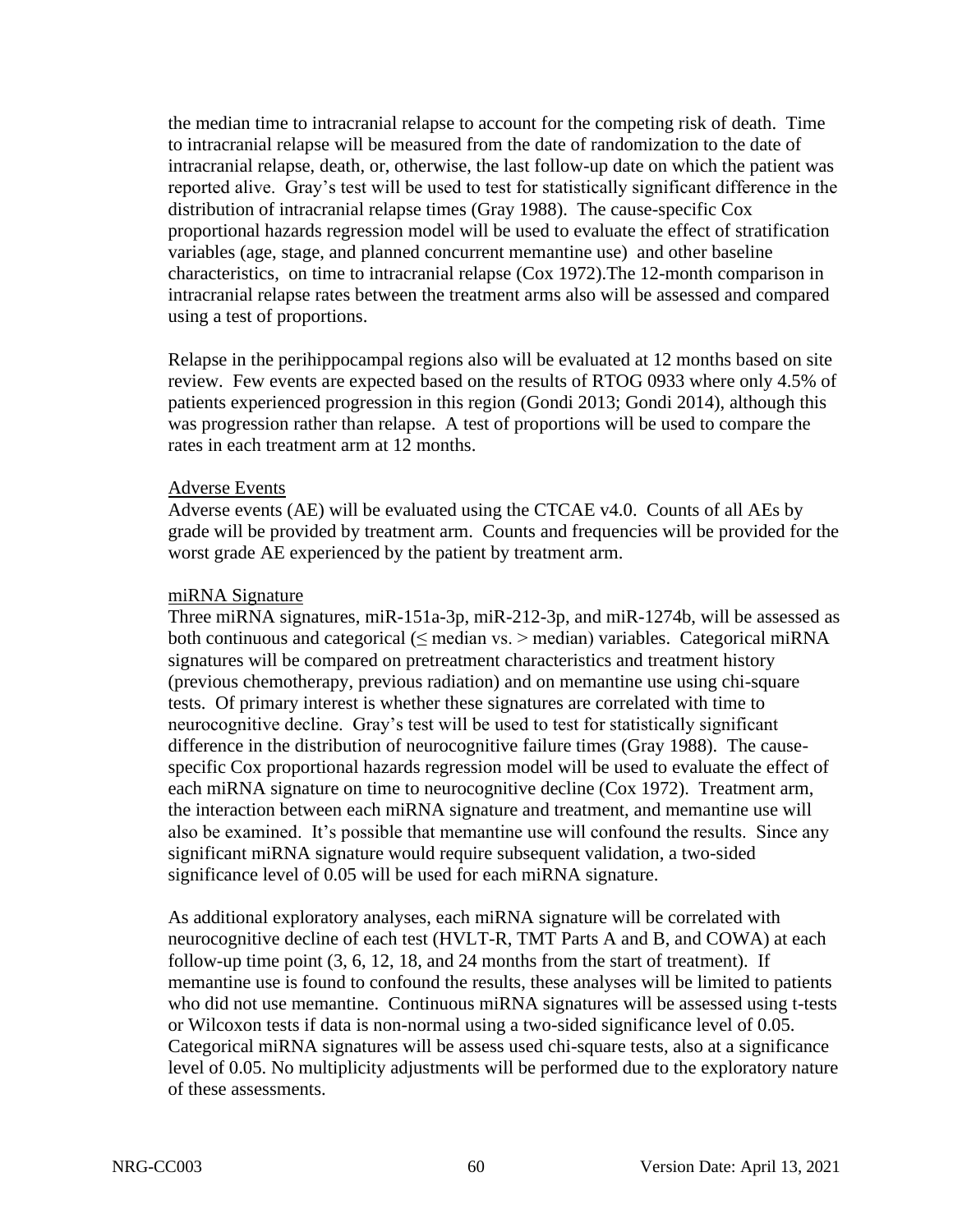the median time to intracranial relapse to account for the competing risk of death. Time to intracranial relapse will be measured from the date of randomization to the date of intracranial relapse, death, or, otherwise, the last follow-up date on which the patient was reported alive. Gray's test will be used to test for statistically significant difference in the distribution of intracranial relapse times (Gray 1988). The cause-specific Cox proportional hazards regression model will be used to evaluate the effect of stratification variables (age, stage, and planned concurrent memantine use) and other baseline characteristics, on time to intracranial relapse (Cox 1972).The 12-month comparison in intracranial relapse rates between the treatment arms also will be assessed and compared using a test of proportions.

Relapse in the perihippocampal regions also will be evaluated at 12 months based on site review. Few events are expected based on the results of RTOG 0933 where only 4.5% of patients experienced progression in this region (Gondi 2013; Gondi 2014), although this was progression rather than relapse. A test of proportions will be used to compare the rates in each treatment arm at 12 months.

### Adverse Events

Adverse events (AE) will be evaluated using the CTCAE v4.0. Counts of all AEs by grade will be provided by treatment arm. Counts and frequencies will be provided for the worst grade AE experienced by the patient by treatment arm.

### miRNA Signature

Three miRNA signatures, miR-151a-3p, miR-212-3p, and miR-1274b, will be assessed as both continuous and categorical ( $\leq$  median vs.  $>$  median) variables. Categorical miRNA signatures will be compared on pretreatment characteristics and treatment history (previous chemotherapy, previous radiation) and on memantine use using chi-square tests. Of primary interest is whether these signatures are correlated with time to neurocognitive decline. Gray's test will be used to test for statistically significant difference in the distribution of neurocognitive failure times (Gray 1988). The causespecific Cox proportional hazards regression model will be used to evaluate the effect of each miRNA signature on time to neurocognitive decline (Cox 1972). Treatment arm, the interaction between each miRNA signature and treatment, and memantine use will also be examined. It's possible that memantine use will confound the results. Since any significant miRNA signature would require subsequent validation, a two-sided significance level of 0.05 will be used for each miRNA signature.

As additional exploratory analyses, each miRNA signature will be correlated with neurocognitive decline of each test (HVLT-R, TMT Parts A and B, and COWA) at each follow-up time point (3, 6, 12, 18, and 24 months from the start of treatment). If memantine use is found to confound the results, these analyses will be limited to patients who did not use memantine. Continuous miRNA signatures will be assessed using t-tests or Wilcoxon tests if data is non-normal using a two-sided significance level of 0.05. Categorical miRNA signatures will be assess used chi-square tests, also at a significance level of 0.05. No multiplicity adjustments will be performed due to the exploratory nature of these assessments.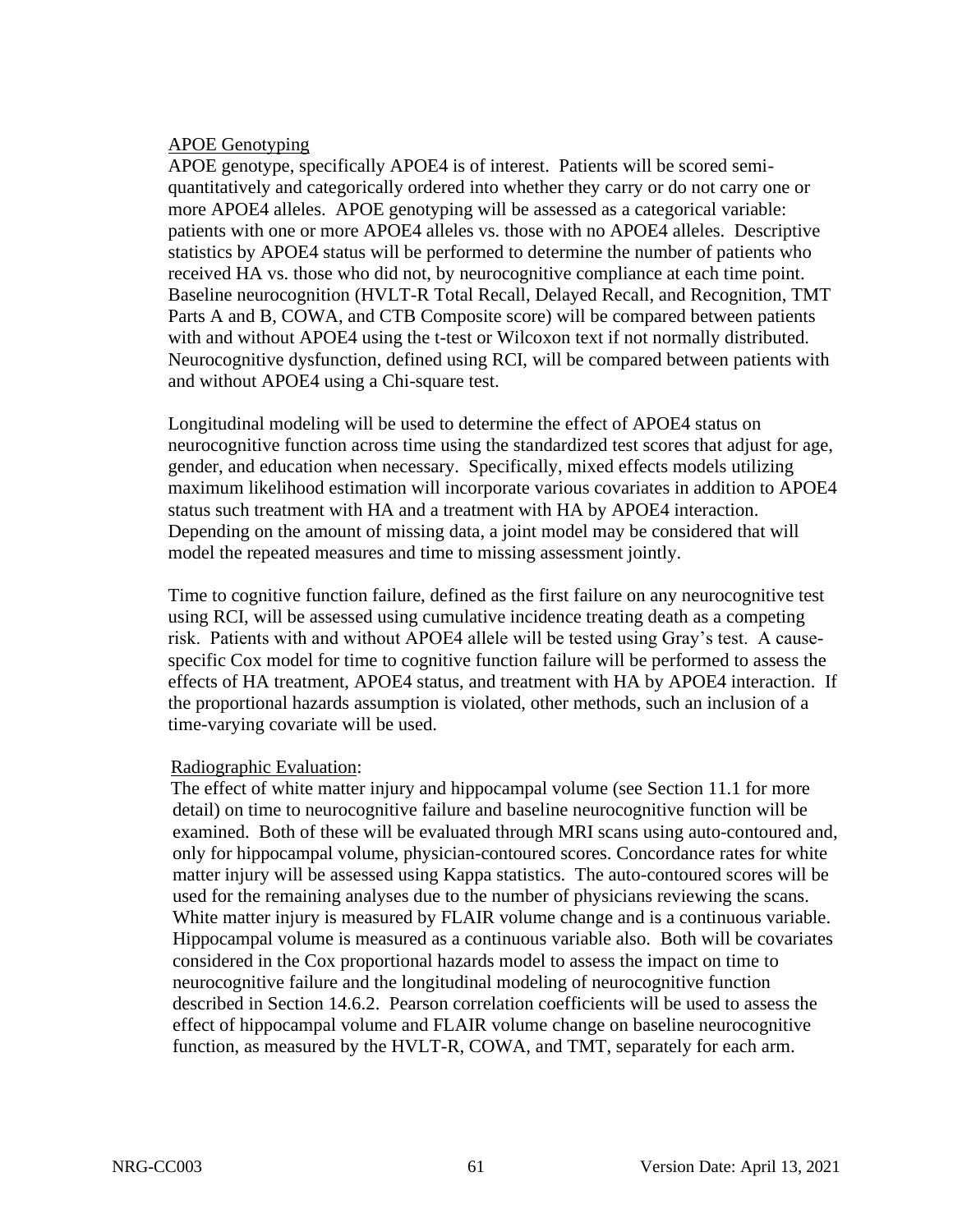## APOE Genotyping

APOE genotype, specifically APOE4 is of interest. Patients will be scored semiquantitatively and categorically ordered into whether they carry or do not carry one or more APOE4 alleles. APOE genotyping will be assessed as a categorical variable: patients with one or more APOE4 alleles vs. those with no APOE4 alleles. Descriptive statistics by APOE4 status will be performed to determine the number of patients who received HA vs. those who did not, by neurocognitive compliance at each time point. Baseline neurocognition (HVLT-R Total Recall, Delayed Recall, and Recognition, TMT Parts A and B, COWA, and CTB Composite score) will be compared between patients with and without APOE4 using the t-test or Wilcoxon text if not normally distributed. Neurocognitive dysfunction, defined using RCI, will be compared between patients with and without APOE4 using a Chi-square test.

Longitudinal modeling will be used to determine the effect of APOE4 status on neurocognitive function across time using the standardized test scores that adjust for age, gender, and education when necessary. Specifically, mixed effects models utilizing maximum likelihood estimation will incorporate various covariates in addition to APOE4 status such treatment with HA and a treatment with HA by APOE4 interaction. Depending on the amount of missing data, a joint model may be considered that will model the repeated measures and time to missing assessment jointly.

Time to cognitive function failure, defined as the first failure on any neurocognitive test using RCI, will be assessed using cumulative incidence treating death as a competing risk. Patients with and without APOE4 allele will be tested using Gray's test. A causespecific Cox model for time to cognitive function failure will be performed to assess the effects of HA treatment, APOE4 status, and treatment with HA by APOE4 interaction. If the proportional hazards assumption is violated, other methods, such an inclusion of a time-varying covariate will be used.

## Radiographic Evaluation:

 The effect of white matter injury and hippocampal volume (see Section 11.1 for more detail) on time to neurocognitive failure and baseline neurocognitive function will be examined. Both of these will be evaluated through MRI scans using auto-contoured and, only for hippocampal volume, physician-contoured scores. Concordance rates for white matter injury will be assessed using Kappa statistics. The auto-contoured scores will be used for the remaining analyses due to the number of physicians reviewing the scans. White matter injury is measured by FLAIR volume change and is a continuous variable. Hippocampal volume is measured as a continuous variable also. Both will be covariates considered in the Cox proportional hazards model to assess the impact on time to neurocognitive failure and the longitudinal modeling of neurocognitive function described in Section 14.6.2. Pearson correlation coefficients will be used to assess the effect of hippocampal volume and FLAIR volume change on baseline neurocognitive function, as measured by the HVLT-R, COWA, and TMT, separately for each arm.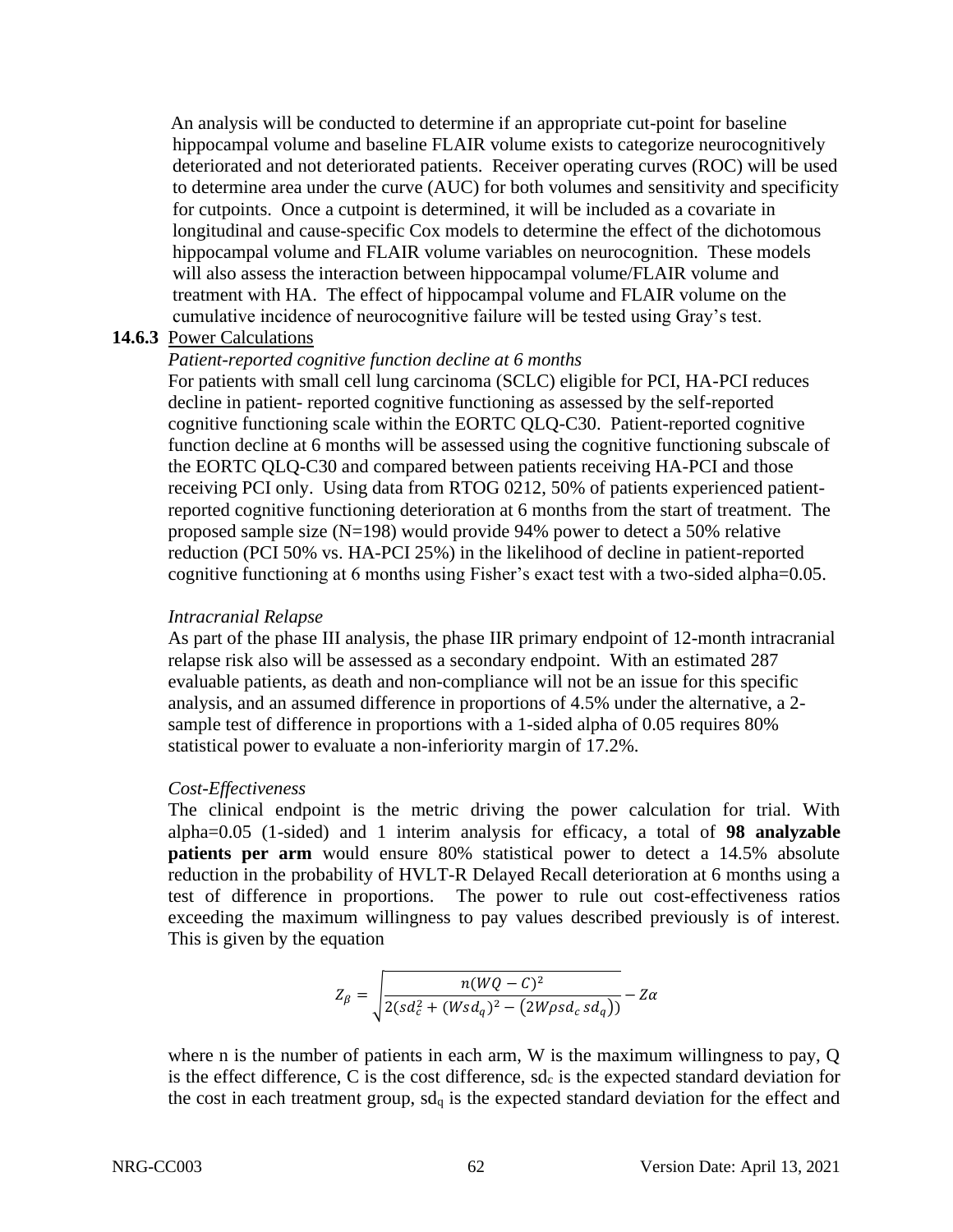An analysis will be conducted to determine if an appropriate cut-point for baseline hippocampal volume and baseline FLAIR volume exists to categorize neurocognitively deteriorated and not deteriorated patients. Receiver operating curves (ROC) will be used to determine area under the curve (AUC) for both volumes and sensitivity and specificity for cutpoints. Once a cutpoint is determined, it will be included as a covariate in longitudinal and cause-specific Cox models to determine the effect of the dichotomous hippocampal volume and FLAIR volume variables on neurocognition. These models will also assess the interaction between hippocampal volume/FLAIR volume and treatment with HA. The effect of hippocampal volume and FLAIR volume on the cumulative incidence of neurocognitive failure will be tested using Gray's test.

## **14.6.3** Power Calculations

## *Patient-reported cognitive function decline at 6 months*

For patients with small cell lung carcinoma (SCLC) eligible for PCI, HA-PCI reduces decline in patient- reported cognitive functioning as assessed by the self-reported cognitive functioning scale within the EORTC QLQ-C30. Patient-reported cognitive function decline at 6 months will be assessed using the cognitive functioning subscale of the EORTC QLQ-C30 and compared between patients receiving HA-PCI and those receiving PCI only. Using data from RTOG 0212, 50% of patients experienced patientreported cognitive functioning deterioration at 6 months from the start of treatment. The proposed sample size (N=198) would provide 94% power to detect a 50% relative reduction (PCI 50% vs. HA-PCI 25%) in the likelihood of decline in patient-reported cognitive functioning at 6 months using Fisher's exact test with a two-sided alpha=0.05.

## *Intracranial Relapse*

As part of the phase III analysis, the phase IIR primary endpoint of 12-month intracranial relapse risk also will be assessed as a secondary endpoint. With an estimated 287 evaluable patients, as death and non-compliance will not be an issue for this specific analysis, and an assumed difference in proportions of 4.5% under the alternative, a 2 sample test of difference in proportions with a 1-sided alpha of 0.05 requires 80% statistical power to evaluate a non-inferiority margin of 17.2%.

### *Cost-Effectiveness*

The clinical endpoint is the metric driving the power calculation for trial. With alpha=0.05 (1-sided) and 1 interim analysis for efficacy, a total of **98 analyzable patients per arm** would ensure 80% statistical power to detect a 14.5% absolute reduction in the probability of HVLT-R Delayed Recall deterioration at 6 months using a test of difference in proportions. The power to rule out cost-effectiveness ratios exceeding the maximum willingness to pay values described previously is of interest. This is given by the equation

$$
Z_{\beta} = \sqrt{\frac{n(WQ - C)^2}{2(sd_c^2 + (Wsd_q)^2 - (2W\rho sd_c sd_q))}} - Z\alpha
$$

where n is the number of patients in each arm, W is the maximum willingness to pay, Q is the effect difference,  $C$  is the cost difference,  $sd_c$  is the expected standard deviation for the cost in each treatment group,  $sd_q$  is the expected standard deviation for the effect and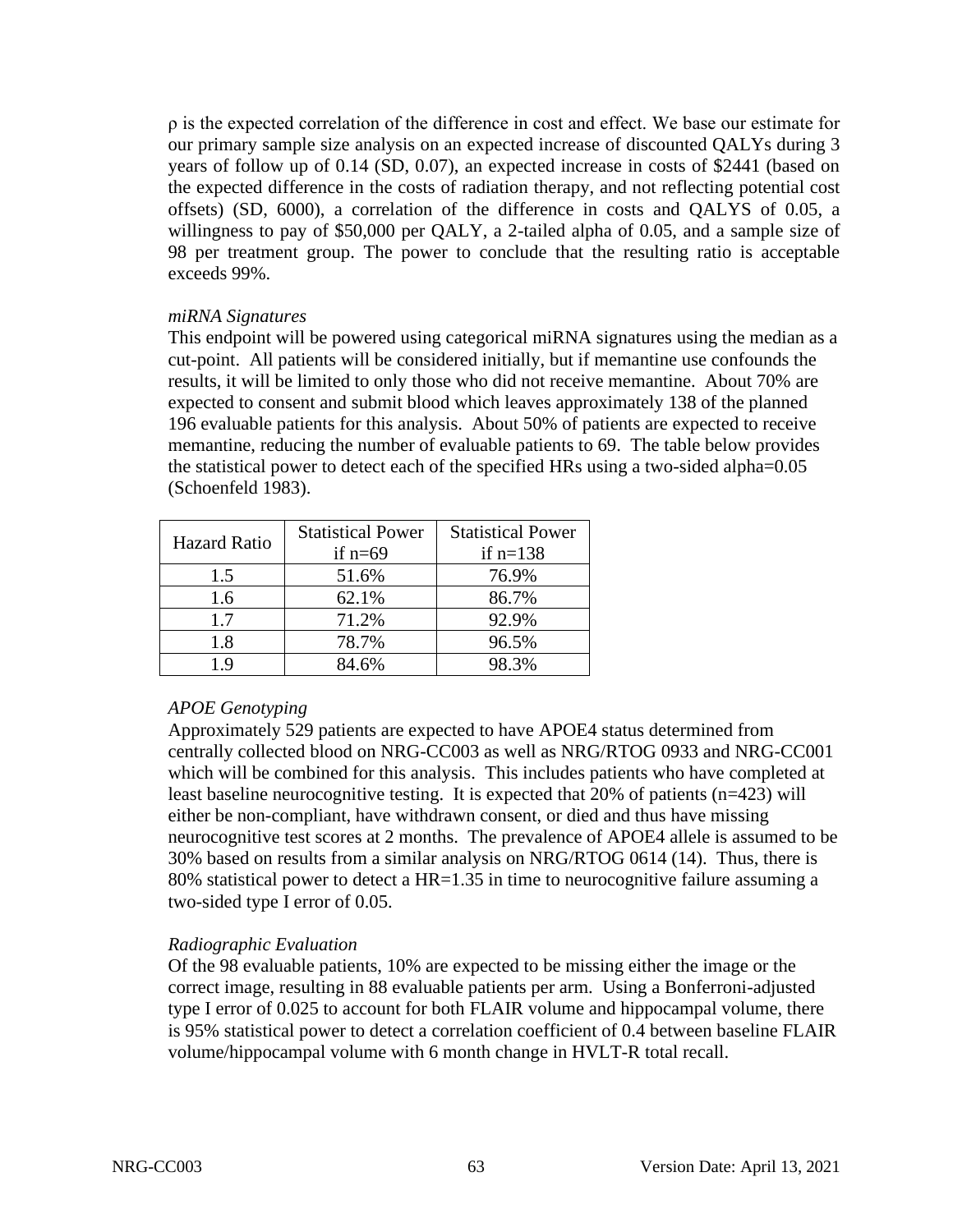ρ is the expected correlation of the difference in cost and effect. We base our estimate for our primary sample size analysis on an expected increase of discounted QALYs during 3 years of follow up of 0.14 (SD, 0.07), an expected increase in costs of \$2441 (based on the expected difference in the costs of radiation therapy, and not reflecting potential cost offsets) (SD, 6000), a correlation of the difference in costs and QALYS of 0.05, a willingness to pay of \$50,000 per QALY, a 2-tailed alpha of 0.05, and a sample size of 98 per treatment group. The power to conclude that the resulting ratio is acceptable exceeds 99%.

## *miRNA Signatures*

This endpoint will be powered using categorical miRNA signatures using the median as a cut-point. All patients will be considered initially, but if memantine use confounds the results, it will be limited to only those who did not receive memantine. About 70% are expected to consent and submit blood which leaves approximately 138 of the planned 196 evaluable patients for this analysis. About 50% of patients are expected to receive memantine, reducing the number of evaluable patients to 69. The table below provides the statistical power to detect each of the specified HRs using a two-sided alpha=0.05 (Schoenfeld 1983).

| <b>Hazard Ratio</b> | <b>Statistical Power</b><br>if $n=69$ | <b>Statistical Power</b><br>if $n=138$ |  |
|---------------------|---------------------------------------|----------------------------------------|--|
| 1.5                 | 51.6%                                 | 76.9%                                  |  |
| 1.6                 | 62.1%                                 | 86.7%                                  |  |
| 1.7                 | 71.2%                                 | 92.9%                                  |  |
| 1.8                 | 78.7%                                 | 96.5%                                  |  |
| 19                  | 84.6%                                 | 98.3%                                  |  |

# *APOE Genotyping*

Approximately 529 patients are expected to have APOE4 status determined from centrally collected blood on NRG-CC003 as well as NRG/RTOG 0933 and NRG-CC001 which will be combined for this analysis. This includes patients who have completed at least baseline neurocognitive testing. It is expected that 20% of patients (n=423) will either be non-compliant, have withdrawn consent, or died and thus have missing neurocognitive test scores at 2 months. The prevalence of APOE4 allele is assumed to be 30% based on results from a similar analysis on NRG/RTOG 0614 (14). Thus, there is 80% statistical power to detect a HR=1.35 in time to neurocognitive failure assuming a two-sided type I error of 0.05.

## *Radiographic Evaluation*

Of the 98 evaluable patients, 10% are expected to be missing either the image or the correct image, resulting in 88 evaluable patients per arm. Using a Bonferroni-adjusted type I error of 0.025 to account for both FLAIR volume and hippocampal volume, there is 95% statistical power to detect a correlation coefficient of 0.4 between baseline FLAIR volume/hippocampal volume with 6 month change in HVLT-R total recall.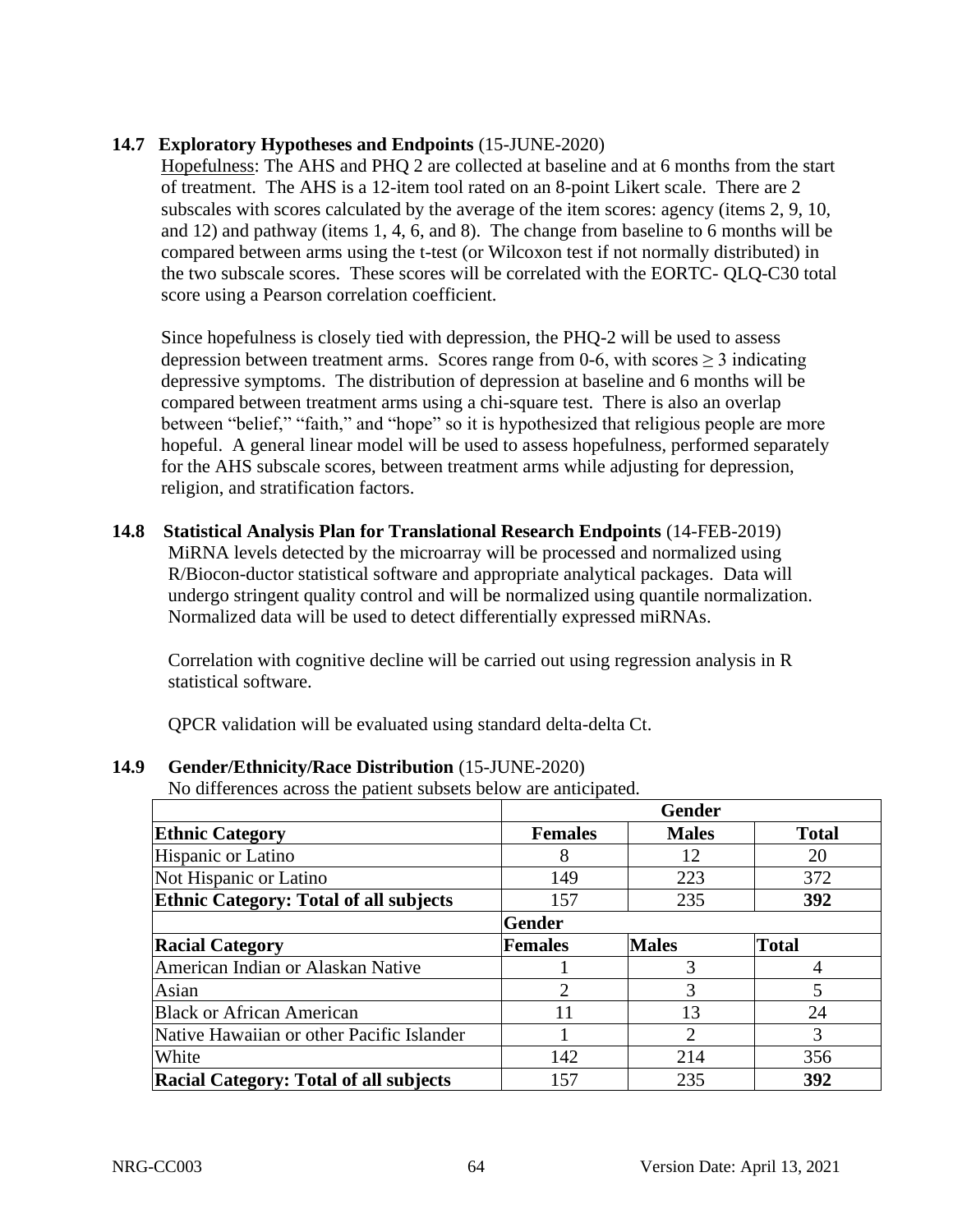# **14.7 Exploratory Hypotheses and Endpoints** (15-JUNE-2020)

Hopefulness: The AHS and PHQ 2 are collected at baseline and at 6 months from the start of treatment. The AHS is a 12-item tool rated on an 8-point Likert scale. There are 2 subscales with scores calculated by the average of the item scores: agency (items 2, 9, 10, and 12) and pathway (items 1, 4, 6, and 8). The change from baseline to 6 months will be compared between arms using the t-test (or Wilcoxon test if not normally distributed) in the two subscale scores. These scores will be correlated with the EORTC- QLQ-C30 total score using a Pearson correlation coefficient.

Since hopefulness is closely tied with depression, the PHQ-2 will be used to assess depression between treatment arms. Scores range from 0-6, with scores  $\geq 3$  indicating depressive symptoms. The distribution of depression at baseline and 6 months will be compared between treatment arms using a chi-square test. There is also an overlap between "belief," "faith," and "hope" so it is hypothesized that religious people are more hopeful. A general linear model will be used to assess hopefulness, performed separately for the AHS subscale scores, between treatment arms while adjusting for depression, religion, and stratification factors.

**14.8 Statistical Analysis Plan for Translational Research Endpoints** (14-FEB-2019) MiRNA levels detected by the microarray will be processed and normalized using R/Biocon-ductor statistical software and appropriate analytical packages. Data will undergo stringent quality control and will be normalized using quantile normalization. Normalized data will be used to detect differentially expressed miRNAs.

Correlation with cognitive decline will be carried out using regression analysis in R statistical software.

QPCR validation will be evaluated using standard delta-delta Ct.

# **14.9 Gender/Ethnicity/Race Distribution** (15-JUNE-2020)

No differences across the patient subsets below are anticipated.

|                                               | <b>Gender</b>  |                             |              |  |
|-----------------------------------------------|----------------|-----------------------------|--------------|--|
| <b>Ethnic Category</b>                        | <b>Females</b> | <b>Males</b>                | <b>Total</b> |  |
| Hispanic or Latino                            | 8              | 12                          | 20           |  |
| Not Hispanic or Latino                        | 149            | 223                         | 372          |  |
| <b>Ethnic Category: Total of all subjects</b> | 157            | 235                         | 392          |  |
|                                               | <b>Gender</b>  |                             |              |  |
| <b>Racial Category</b>                        | <b>Females</b> | <b>Males</b>                | <b>Total</b> |  |
| American Indian or Alaskan Native             |                |                             |              |  |
| Asian                                         | $\overline{2}$ | 3                           |              |  |
| <b>Black or African American</b>              | 11             | 13                          | 24           |  |
| Native Hawaiian or other Pacific Islander     |                | $\mathcal{D}_{\mathcal{A}}$ | 3            |  |
| White                                         | 142            | 214                         | 356          |  |
| <b>Racial Category: Total of all subjects</b> | 157            | 235                         | 392          |  |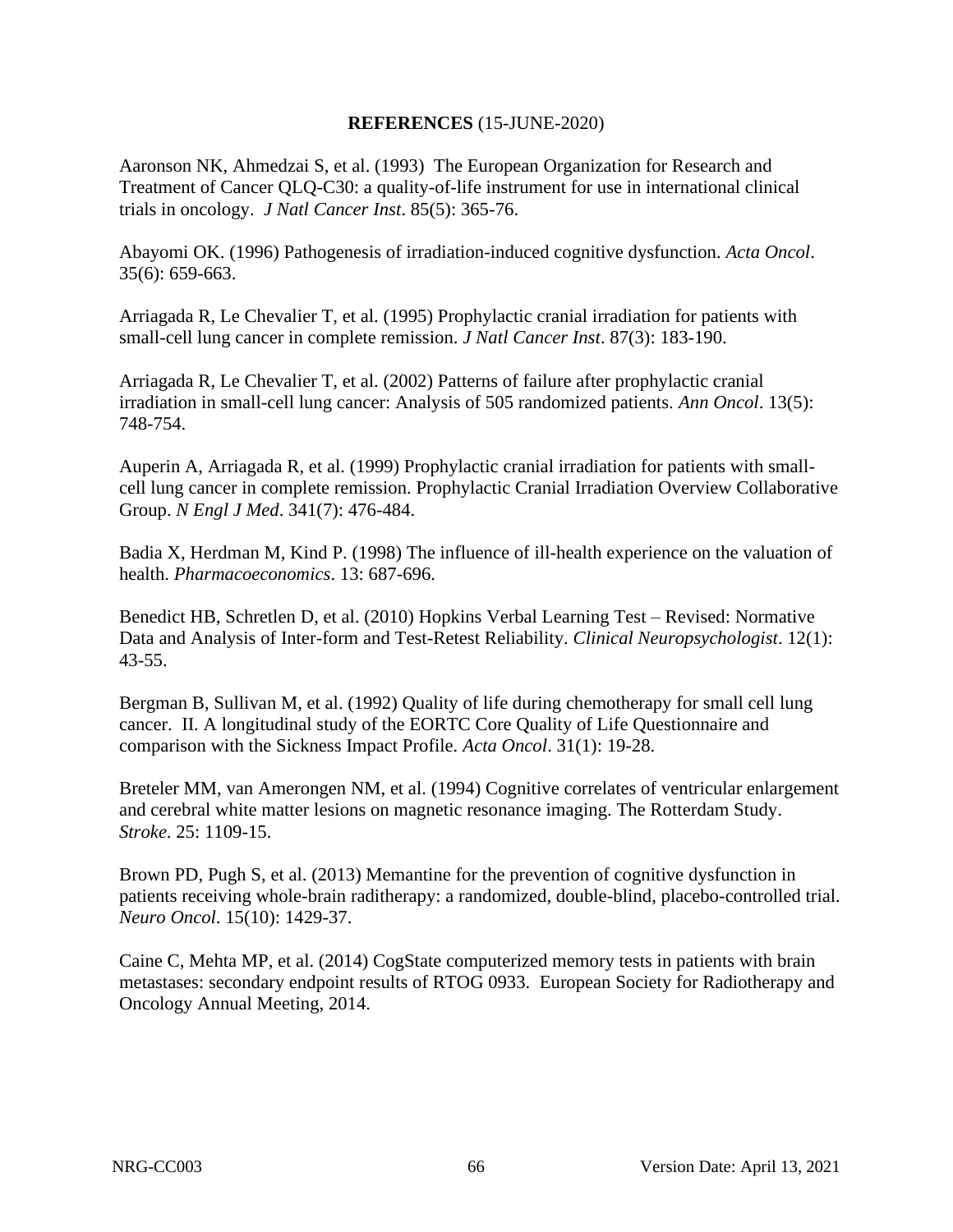## **REFERENCES** (15-JUNE-2020)

Aaronson NK, Ahmedzai S, et al. (1993) The European Organization for Research and Treatment of Cancer QLQ-C30: a quality-of-life instrument for use in international clinical trials in oncology. *J Natl Cancer Inst*. 85(5): 365-76.

Abayomi OK. (1996) Pathogenesis of irradiation-induced cognitive dysfunction. *Acta Oncol*. 35(6): 659-663.

Arriagada R, Le Chevalier T, et al. (1995) Prophylactic cranial irradiation for patients with small-cell lung cancer in complete remission. *J Natl Cancer Inst*. 87(3): 183-190.

Arriagada R, Le Chevalier T, et al. (2002) Patterns of failure after prophylactic cranial irradiation in small-cell lung cancer: Analysis of 505 randomized patients. *Ann Oncol*. 13(5): 748-754.

Auperin A, Arriagada R, et al. (1999) Prophylactic cranial irradiation for patients with smallcell lung cancer in complete remission. Prophylactic Cranial Irradiation Overview Collaborative Group. *N Engl J Med*. 341(7): 476-484.

Badia X, Herdman M, Kind P. (1998) The influence of ill-health experience on the valuation of health. *Pharmacoeconomics*. 13: 687-696.

Benedict HB, Schretlen D, et al. (2010) Hopkins Verbal Learning Test – Revised: Normative Data and Analysis of Inter-form and Test-Retest Reliability. *Clinical Neuropsychologist*. 12(1): 43-55.

Bergman B, Sullivan M, et al. (1992) Quality of life during chemotherapy for small cell lung cancer. II. A longitudinal study of the EORTC Core Quality of Life Questionnaire and comparison with the Sickness Impact Profile. *Acta Oncol*. 31(1): 19-28.

Breteler MM, van Amerongen NM, et al. (1994) Cognitive correlates of ventricular enlargement and cerebral white matter lesions on magnetic resonance imaging. The Rotterdam Study. *Stroke*. 25: 1109-15.

Brown PD, Pugh S, et al. (2013) Memantine for the prevention of cognitive dysfunction in patients receiving whole-brain raditherapy: a randomized, double-blind, placebo-controlled trial. *Neuro Oncol*. 15(10): 1429-37.

Caine C, Mehta MP, et al. (2014) CogState computerized memory tests in patients with brain metastases: secondary endpoint results of RTOG 0933. European Society for Radiotherapy and Oncology Annual Meeting, 2014.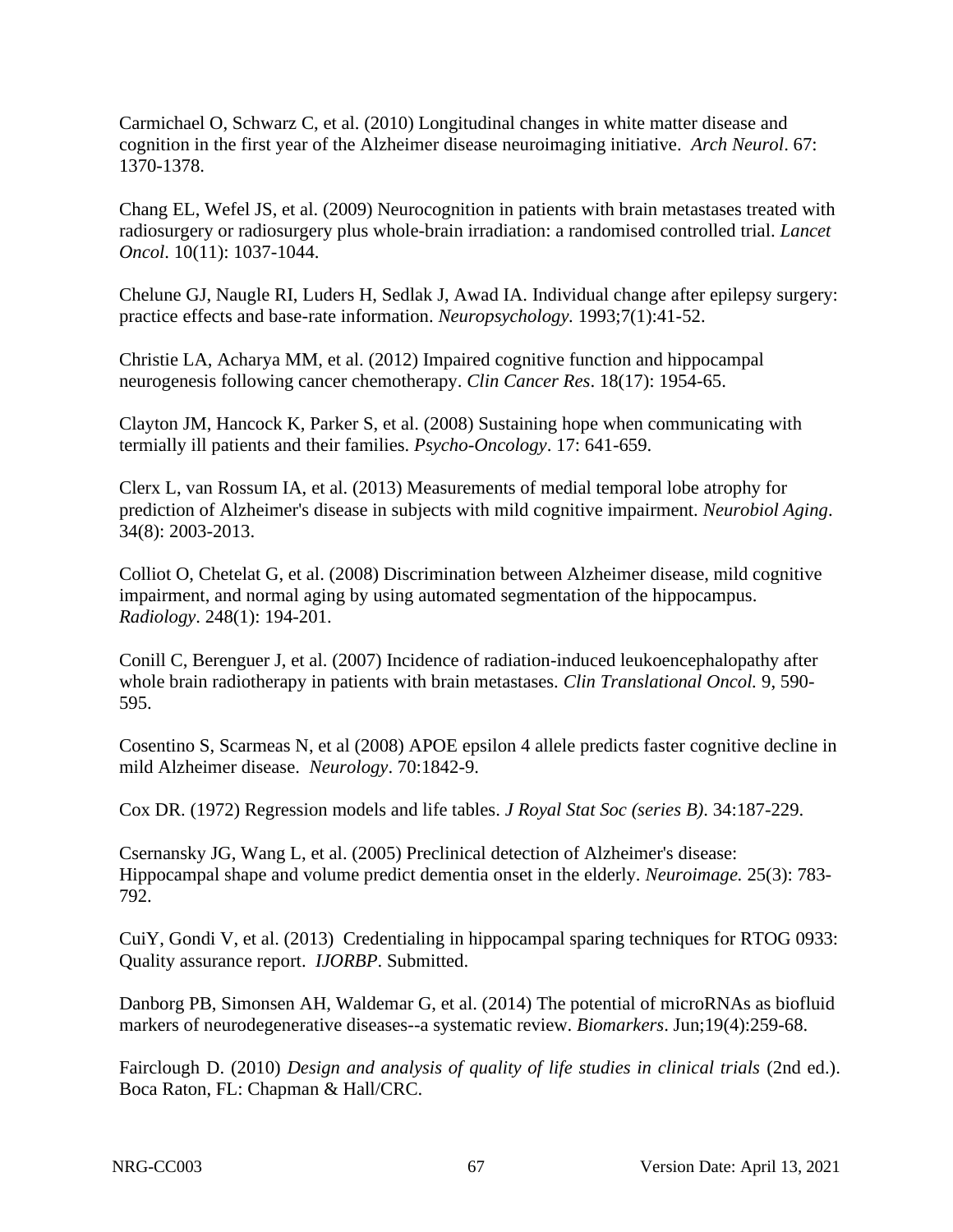Carmichael O, Schwarz C, et al. (2010) Longitudinal changes in white matter disease and cognition in the first year of the Alzheimer disease neuroimaging initiative. *Arch Neurol*. 67: 1370-1378.

Chang EL, Wefel JS, et al. (2009) Neurocognition in patients with brain metastases treated with radiosurgery or radiosurgery plus whole-brain irradiation: a randomised controlled trial. *Lancet Oncol*. 10(11): 1037-1044.

Chelune GJ, Naugle RI, Luders H, Sedlak J, Awad IA. Individual change after epilepsy surgery: practice effects and base-rate information. *Neuropsychology.* 1993;7(1):41-52.

Christie LA, Acharya MM, et al. (2012) Impaired cognitive function and hippocampal neurogenesis following cancer chemotherapy. *Clin Cancer Res*. 18(17): 1954-65.

Clayton JM, Hancock K, Parker S, et al. (2008) Sustaining hope when communicating with termially ill patients and their families. *Psycho-Oncology*. 17: 641-659.

Clerx L, van Rossum IA, et al. (2013) Measurements of medial temporal lobe atrophy for prediction of Alzheimer's disease in subjects with mild cognitive impairment. *Neurobiol Aging*. 34(8): 2003-2013.

Colliot O, Chetelat G, et al. (2008) Discrimination between Alzheimer disease, mild cognitive impairment, and normal aging by using automated segmentation of the hippocampus. *Radiology*. 248(1): 194-201.

Conill C, Berenguer J, et al. (2007) Incidence of radiation-induced leukoencephalopathy after whole brain radiotherapy in patients with brain metastases. *Clin Translational Oncol.* 9, 590- 595.

Cosentino S, Scarmeas N, et al (2008) APOE epsilon 4 allele predicts faster cognitive decline in mild Alzheimer disease. *Neurology*. 70:1842-9.

Cox DR. (1972) Regression models and life tables. *J Royal Stat Soc (series B)*. 34:187-229.

Csernansky JG, Wang L, et al. (2005) Preclinical detection of Alzheimer's disease: Hippocampal shape and volume predict dementia onset in the elderly. *Neuroimage.* 25(3): 783- 792.

CuiY, Gondi V, et al. (2013) Credentialing in hippocampal sparing techniques for RTOG 0933: Quality assurance report. *IJORBP*. Submitted.

Danborg PB, Simonsen AH, Waldemar G, et al. (2014) The potential of microRNAs as biofluid markers of neurodegenerative diseases--a systematic review. *Biomarkers*. Jun;19(4):259-68.

Fairclough D. (2010) *Design and analysis of quality of life studies in clinical trials* (2nd ed.). Boca Raton, FL: Chapman & Hall/CRC.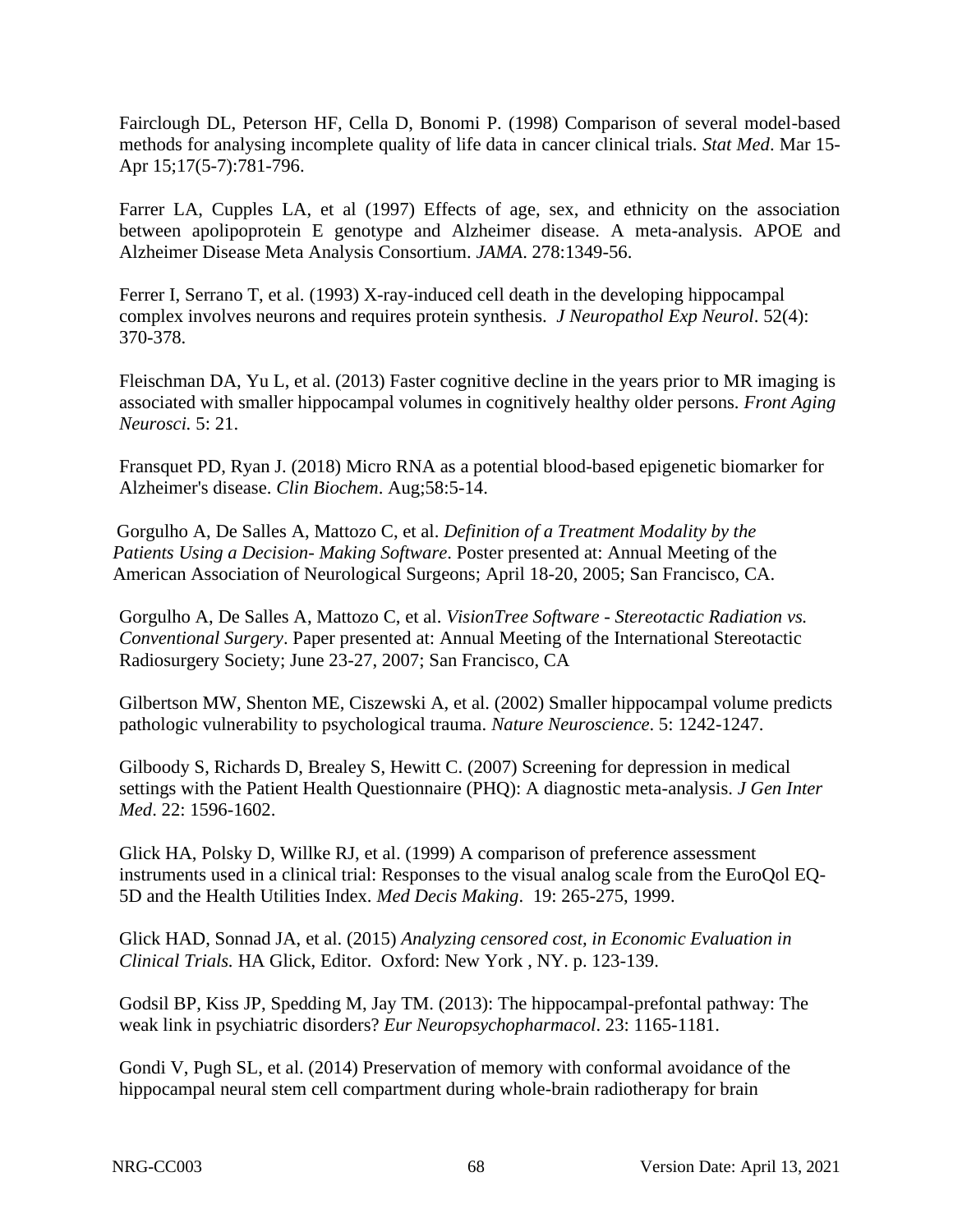Fairclough DL, Peterson HF, Cella D, Bonomi P. (1998) Comparison of several model-based methods for analysing incomplete quality of life data in cancer clinical trials. *Stat Med*. Mar 15- Apr 15;17(5-7):781-796.

Farrer LA, Cupples LA, et al (1997) Effects of age, sex, and ethnicity on the association between apolipoprotein E genotype and Alzheimer disease. A meta-analysis. APOE and Alzheimer Disease Meta Analysis Consortium. *JAMA*. 278:1349-56.

Ferrer I, Serrano T, et al. (1993) X-ray-induced cell death in the developing hippocampal complex involves neurons and requires protein synthesis. *J Neuropathol Exp Neurol*. 52(4): 370-378.

Fleischman DA, Yu L, et al. (2013) Faster cognitive decline in the years prior to MR imaging is associated with smaller hippocampal volumes in cognitively healthy older persons. *Front Aging Neurosci.* 5: 21.

Fransquet PD, Ryan J. (2018) Micro RNA as a potential blood-based epigenetic biomarker for Alzheimer's disease. *Clin Biochem*. Aug;58:5-14.

Gorgulho A, De Salles A, Mattozo C, et al. *Definition of a Treatment Modality by the Patients Using a Decision- Making Software*. Poster presented at: Annual Meeting of the American Association of Neurological Surgeons; April 18-20, 2005; San Francisco, CA.

Gorgulho A, De Salles A, Mattozo C, et al. *VisionTree Software - Stereotactic Radiation vs. Conventional Surgery*. Paper presented at: Annual Meeting of the International Stereotactic Radiosurgery Society; June 23-27, 2007; San Francisco, CA

Gilbertson MW, Shenton ME, Ciszewski A, et al. (2002) Smaller hippocampal volume predicts pathologic vulnerability to psychological trauma. *Nature Neuroscience*. 5: 1242-1247.

Gilboody S, Richards D, Brealey S, Hewitt C. (2007) Screening for depression in medical settings with the Patient Health Questionnaire (PHQ): A diagnostic meta-analysis. *J Gen Inter Med*. 22: 1596-1602.

Glick HA, Polsky D, Willke RJ, et al. (1999) A comparison of preference assessment instruments used in a clinical trial: Responses to the visual analog scale from the EuroQol EQ-5D and the Health Utilities Index. *Med Decis Making*. 19: 265-275, 1999.

Glick HAD, Sonnad JA, et al. (2015) *Analyzing censored cost, in Economic Evaluation in Clinical Trials.* HA Glick, Editor. Oxford: New York , NY. p. 123-139.

Godsil BP, Kiss JP, Spedding M, Jay TM. (2013): The hippocampal-prefontal pathway: The weak link in psychiatric disorders? *Eur Neuropsychopharmacol*. 23: 1165-1181.

Gondi V, Pugh SL, et al. (2014) Preservation of memory with conformal avoidance of the hippocampal neural stem cell compartment during whole-brain radiotherapy for brain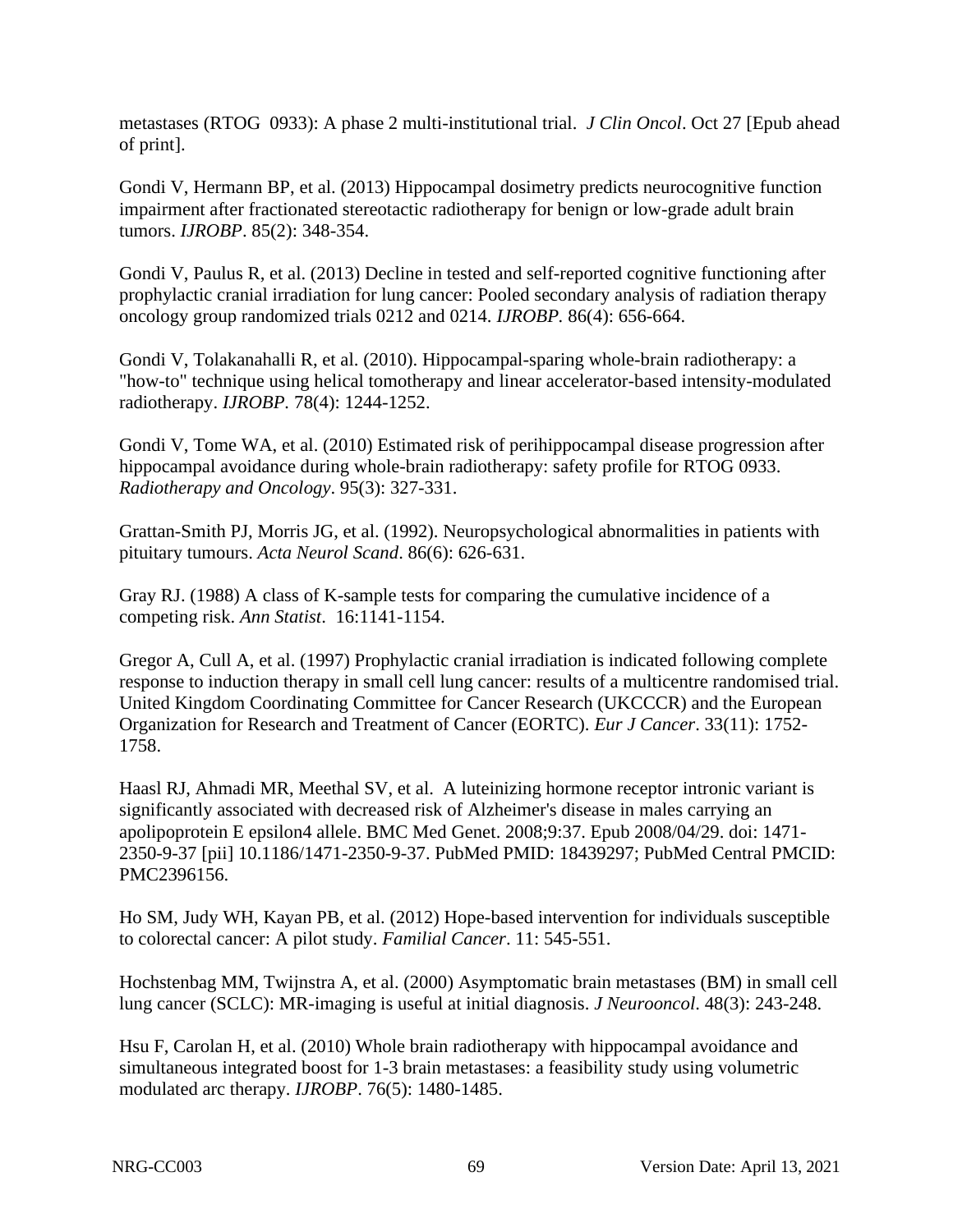metastases (RTOG 0933): A phase 2 multi-institutional trial. *J Clin Oncol*. Oct 27 [Epub ahead of print].

Gondi V, Hermann BP, et al. (2013) Hippocampal dosimetry predicts neurocognitive function impairment after fractionated stereotactic radiotherapy for benign or low-grade adult brain tumors. *IJROBP*. 85(2): 348-354.

Gondi V, Paulus R, et al. (2013) Decline in tested and self-reported cognitive functioning after prophylactic cranial irradiation for lung cancer: Pooled secondary analysis of radiation therapy oncology group randomized trials 0212 and 0214. *IJROBP.* 86(4): 656-664.

Gondi V, Tolakanahalli R, et al. (2010). Hippocampal-sparing whole-brain radiotherapy: a "how-to" technique using helical tomotherapy and linear accelerator-based intensity-modulated radiotherapy. *IJROBP.* 78(4): 1244-1252.

Gondi V, Tome WA, et al. (2010) Estimated risk of perihippocampal disease progression after hippocampal avoidance during whole-brain radiotherapy: safety profile for RTOG 0933. *Radiotherapy and Oncology*. 95(3): 327-331.

Grattan-Smith PJ, Morris JG, et al. (1992). Neuropsychological abnormalities in patients with pituitary tumours. *Acta Neurol Scand*. 86(6): 626-631.

Gray RJ. (1988) A class of K-sample tests for comparing the cumulative incidence of a competing risk. *Ann Statist*. 16:1141-1154.

Gregor A, Cull A, et al. (1997) Prophylactic cranial irradiation is indicated following complete response to induction therapy in small cell lung cancer: results of a multicentre randomised trial. United Kingdom Coordinating Committee for Cancer Research (UKCCCR) and the European Organization for Research and Treatment of Cancer (EORTC). *Eur J Cancer*. 33(11): 1752- 1758.

Haasl RJ, Ahmadi MR, Meethal SV, et al. A luteinizing hormone receptor intronic variant is significantly associated with decreased risk of Alzheimer's disease in males carrying an apolipoprotein E epsilon4 allele. BMC Med Genet. 2008;9:37. Epub 2008/04/29. doi: 1471- 2350-9-37 [pii] 10.1186/1471-2350-9-37. PubMed PMID: 18439297; PubMed Central PMCID: PMC2396156.

Ho SM, Judy WH, Kayan PB, et al. (2012) Hope-based intervention for individuals susceptible to colorectal cancer: A pilot study. *Familial Cancer*. 11: 545-551.

Hochstenbag MM, Twijnstra A, et al. (2000) Asymptomatic brain metastases (BM) in small cell lung cancer (SCLC): MR-imaging is useful at initial diagnosis. *J Neurooncol*. 48(3): 243-248.

Hsu F, Carolan H, et al. (2010) Whole brain radiotherapy with hippocampal avoidance and simultaneous integrated boost for 1-3 brain metastases: a feasibility study using volumetric modulated arc therapy. *IJROBP*. 76(5): 1480-1485.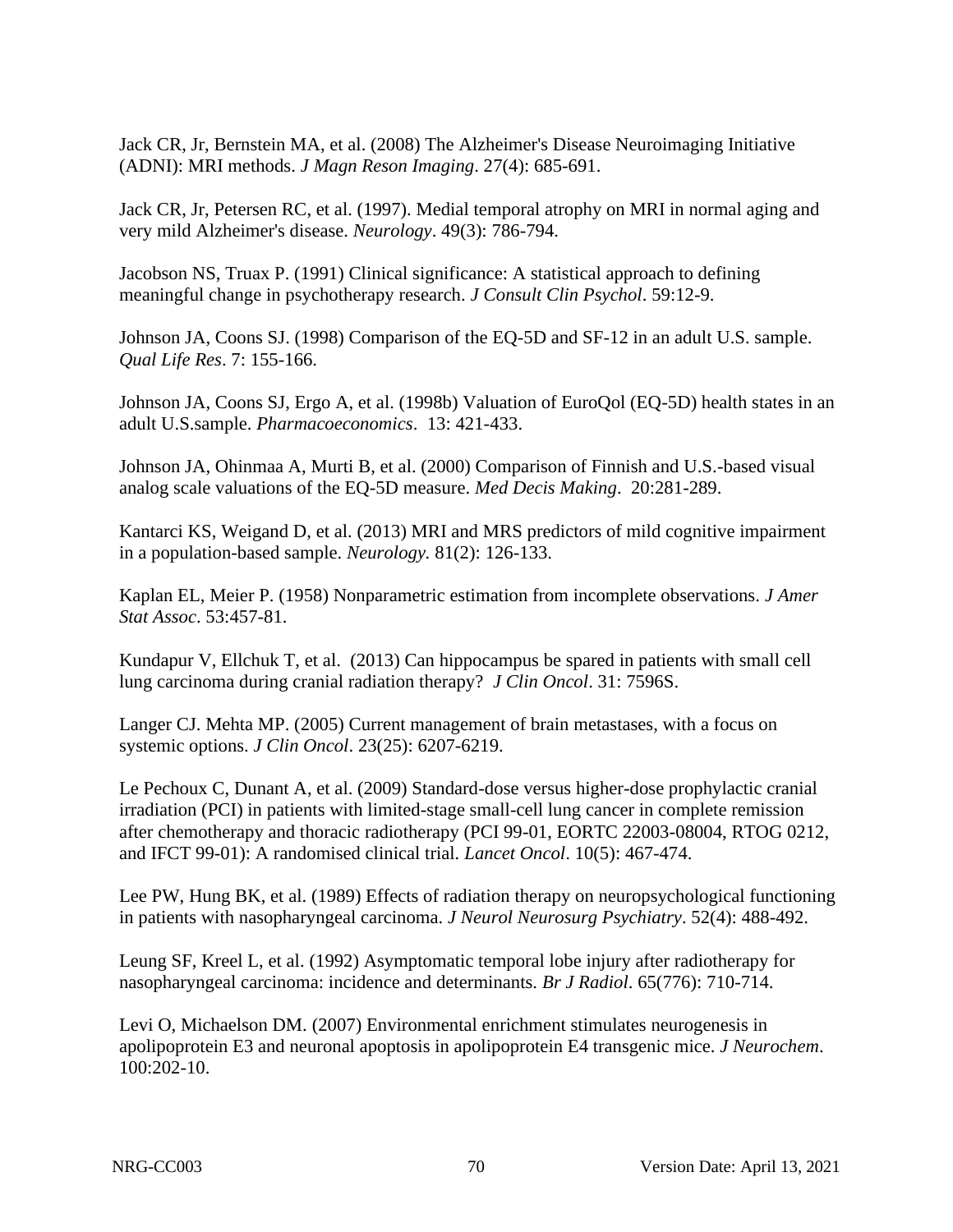Jack CR, Jr, Bernstein MA, et al. (2008) The Alzheimer's Disease Neuroimaging Initiative (ADNI): MRI methods. *J Magn Reson Imaging*. 27(4): 685-691.

Jack CR, Jr, Petersen RC, et al. (1997). Medial temporal atrophy on MRI in normal aging and very mild Alzheimer's disease. *Neurology*. 49(3): 786-794.

Jacobson NS, Truax P. (1991) Clinical significance: A statistical approach to defining meaningful change in psychotherapy research. *J Consult Clin Psychol*. 59:12-9.

Johnson JA, Coons SJ. (1998) Comparison of the EQ-5D and SF-12 in an adult U.S. sample. *Qual Life Res*. 7: 155-166.

Johnson JA, Coons SJ, Ergo A, et al. (1998b) Valuation of EuroQol (EQ-5D) health states in an adult U.S.sample. *Pharmacoeconomics*. 13: 421-433.

Johnson JA, Ohinmaa A, Murti B, et al. (2000) Comparison of Finnish and U.S.-based visual analog scale valuations of the EQ-5D measure. *Med Decis Making*. 20:281-289.

Kantarci KS, Weigand D, et al. (2013) MRI and MRS predictors of mild cognitive impairment in a population-based sample. *Neurology.* 81(2): 126-133.

Kaplan EL, Meier P. (1958) Nonparametric estimation from incomplete observations. *J Amer Stat Assoc*. 53:457-81.

Kundapur V, Ellchuk T, et al. (2013) Can hippocampus be spared in patients with small cell lung carcinoma during cranial radiation therapy? *J Clin Oncol*. 31: 7596S.

Langer CJ. Mehta MP. (2005) Current management of brain metastases, with a focus on systemic options. *J Clin Oncol*. 23(25): 6207-6219.

Le Pechoux C, Dunant A, et al. (2009) Standard-dose versus higher-dose prophylactic cranial irradiation (PCI) in patients with limited-stage small-cell lung cancer in complete remission after chemotherapy and thoracic radiotherapy (PCI 99-01, EORTC 22003-08004, RTOG 0212, and IFCT 99-01): A randomised clinical trial. *Lancet Oncol*. 10(5): 467-474.

Lee PW, Hung BK, et al. (1989) Effects of radiation therapy on neuropsychological functioning in patients with nasopharyngeal carcinoma. *J Neurol Neurosurg Psychiatry*. 52(4): 488-492.

Leung SF, Kreel L, et al. (1992) Asymptomatic temporal lobe injury after radiotherapy for nasopharyngeal carcinoma: incidence and determinants. *Br J Radiol*. 65(776): 710-714.

Levi O, Michaelson DM. (2007) Environmental enrichment stimulates neurogenesis in apolipoprotein E3 and neuronal apoptosis in apolipoprotein E4 transgenic mice. *J Neurochem*. 100:202-10.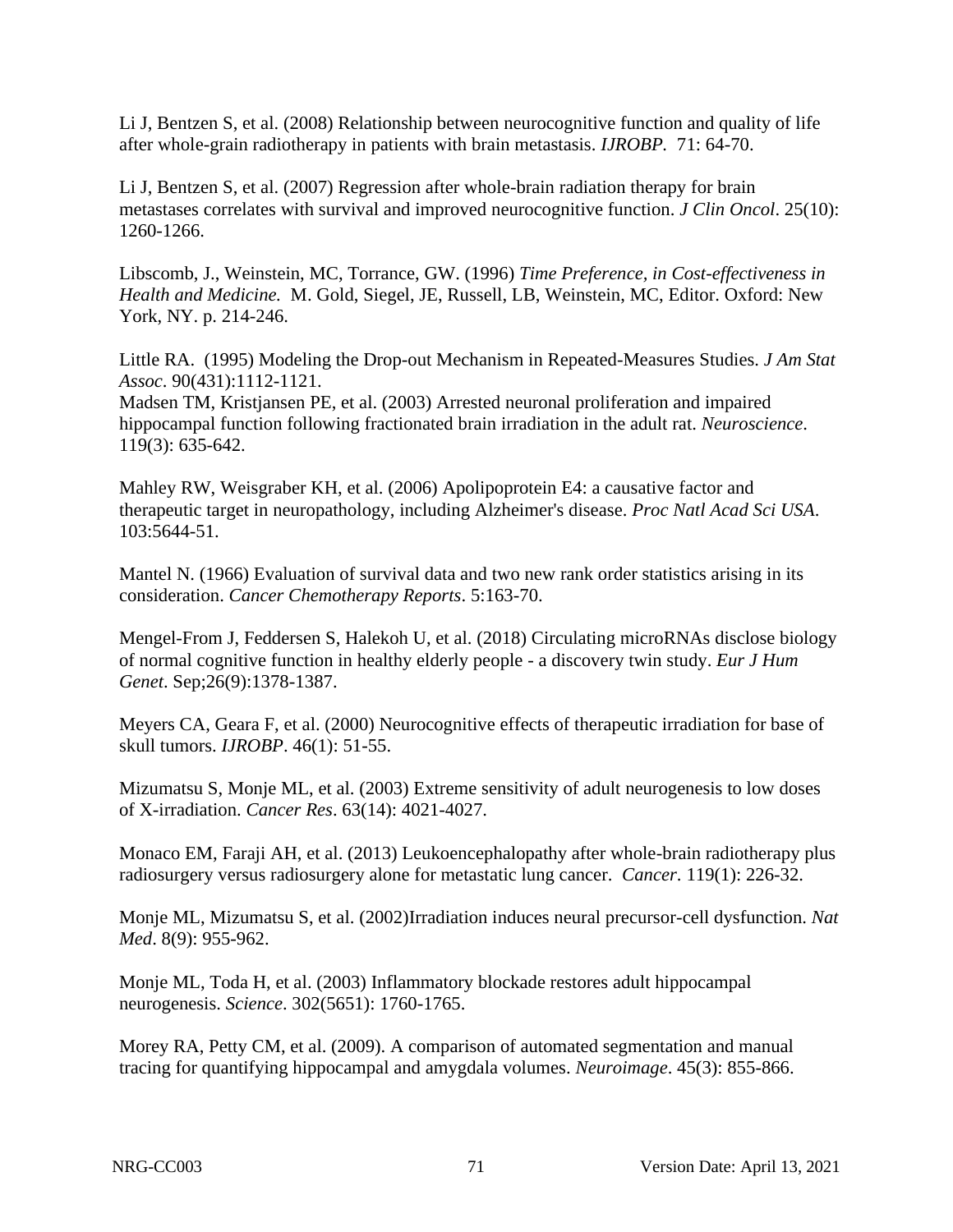Li J, Bentzen S, et al. (2008) Relationship between neurocognitive function and quality of life after whole-grain radiotherapy in patients with brain metastasis. *IJROBP.* 71: 64-70.

Li J, Bentzen S, et al. (2007) Regression after whole-brain radiation therapy for brain metastases correlates with survival and improved neurocognitive function. *J Clin Oncol*. 25(10): 1260-1266.

Libscomb, J., Weinstein, MC, Torrance, GW. (1996) *Time Preference, in Cost-effectiveness in Health and Medicine.* M. Gold, Siegel, JE, Russell, LB, Weinstein, MC, Editor. Oxford: New York, NY. p. 214-246.

Little RA. (1995) Modeling the Drop-out Mechanism in Repeated-Measures Studies. *J Am Stat Assoc*. 90(431):1112-1121.

Madsen TM, Kristjansen PE, et al. (2003) Arrested neuronal proliferation and impaired hippocampal function following fractionated brain irradiation in the adult rat. *Neuroscience*. 119(3): 635-642.

Mahley RW, Weisgraber KH, et al. (2006) Apolipoprotein E4: a causative factor and therapeutic target in neuropathology, including Alzheimer's disease. *Proc Natl Acad Sci USA*. 103:5644-51.

Mantel N. (1966) Evaluation of survival data and two new rank order statistics arising in its consideration. *Cancer Chemotherapy Reports*. 5:163-70.

Mengel-From J, Feddersen S, Halekoh U, et al. (2018) Circulating microRNAs disclose biology of normal cognitive function in healthy elderly people - a discovery twin study. *Eur J Hum Genet*. Sep;26(9):1378-1387.

Meyers CA, Geara F, et al. (2000) Neurocognitive effects of therapeutic irradiation for base of skull tumors. *IJROBP*. 46(1): 51-55.

Mizumatsu S, Monje ML, et al. (2003) Extreme sensitivity of adult neurogenesis to low doses of X-irradiation. *Cancer Res*. 63(14): 4021-4027.

Monaco EM, Faraji AH, et al. (2013) Leukoencephalopathy after whole-brain radiotherapy plus radiosurgery versus radiosurgery alone for metastatic lung cancer. *Cancer*. 119(1): 226-32.

Monje ML, Mizumatsu S, et al. (2002)Irradiation induces neural precursor-cell dysfunction. *Nat Med*. 8(9): 955-962.

Monje ML, Toda H, et al. (2003) Inflammatory blockade restores adult hippocampal neurogenesis. *Science*. 302(5651): 1760-1765.

Morey RA, Petty CM, et al. (2009). A comparison of automated segmentation and manual tracing for quantifying hippocampal and amygdala volumes. *Neuroimage*. 45(3): 855-866.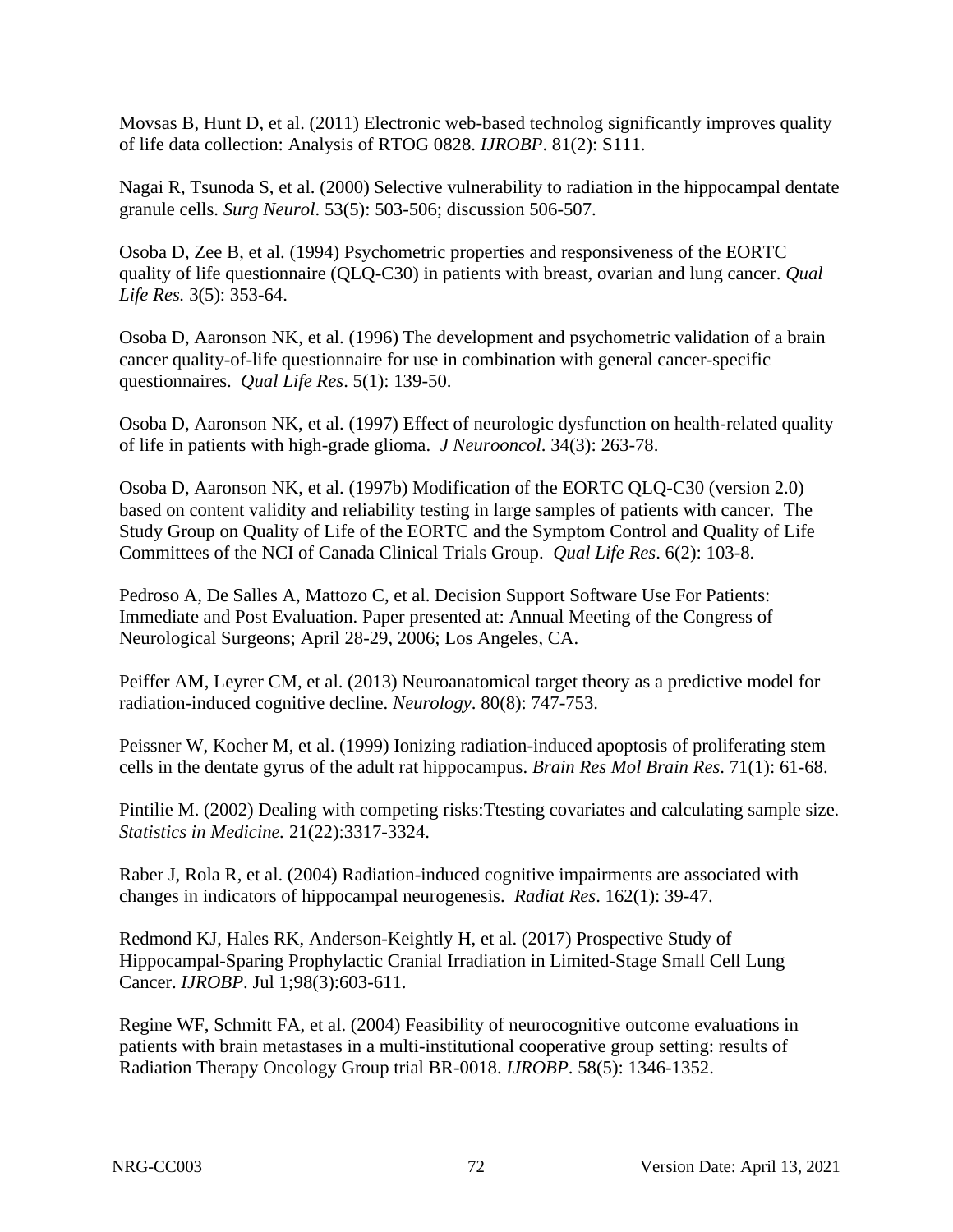Movsas B, Hunt D, et al. (2011) Electronic web-based technolog significantly improves quality of life data collection: Analysis of RTOG 0828. *IJROBP*. 81(2): S111.

Nagai R, Tsunoda S, et al. (2000) Selective vulnerability to radiation in the hippocampal dentate granule cells. *Surg Neurol*. 53(5): 503-506; discussion 506-507.

Osoba D, Zee B, et al. (1994) Psychometric properties and responsiveness of the EORTC quality of life questionnaire (QLQ-C30) in patients with breast, ovarian and lung cancer. *Qual Life Res.* 3(5): 353-64.

Osoba D, Aaronson NK, et al. (1996) The development and psychometric validation of a brain cancer quality-of-life questionnaire for use in combination with general cancer-specific questionnaires. *Qual Life Res*. 5(1): 139-50.

Osoba D, Aaronson NK, et al. (1997) Effect of neurologic dysfunction on health-related quality of life in patients with high-grade glioma. *J Neurooncol*. 34(3): 263-78.

Osoba D, Aaronson NK, et al. (1997b) Modification of the EORTC QLQ-C30 (version 2.0) based on content validity and reliability testing in large samples of patients with cancer. The Study Group on Quality of Life of the EORTC and the Symptom Control and Quality of Life Committees of the NCI of Canada Clinical Trials Group. *Qual Life Res*. 6(2): 103-8.

Pedroso A, De Salles A, Mattozo C, et al. Decision Support Software Use For Patients: Immediate and Post Evaluation. Paper presented at: Annual Meeting of the Congress of Neurological Surgeons; April 28-29, 2006; Los Angeles, CA.

Peiffer AM, Leyrer CM, et al. (2013) Neuroanatomical target theory as a predictive model for radiation-induced cognitive decline. *Neurology*. 80(8): 747-753.

Peissner W, Kocher M, et al. (1999) Ionizing radiation-induced apoptosis of proliferating stem cells in the dentate gyrus of the adult rat hippocampus. *Brain Res Mol Brain Res*. 71(1): 61-68.

Pintilie M. (2002) Dealing with competing risks:Ttesting covariates and calculating sample size. *Statistics in Medicine.* 21(22):3317-3324.

Raber J, Rola R, et al. (2004) Radiation-induced cognitive impairments are associated with changes in indicators of hippocampal neurogenesis. *Radiat Res*. 162(1): 39-47.

Redmond KJ, Hales RK, Anderson-Keightly H, et al. (2017) Prospective Study of Hippocampal-Sparing Prophylactic Cranial Irradiation in Limited-Stage Small Cell Lung Cancer. *IJROBP*. Jul 1;98(3):603-611.

Regine WF, Schmitt FA, et al. (2004) Feasibility of neurocognitive outcome evaluations in patients with brain metastases in a multi-institutional cooperative group setting: results of Radiation Therapy Oncology Group trial BR-0018. *IJROBP*. 58(5): 1346-1352.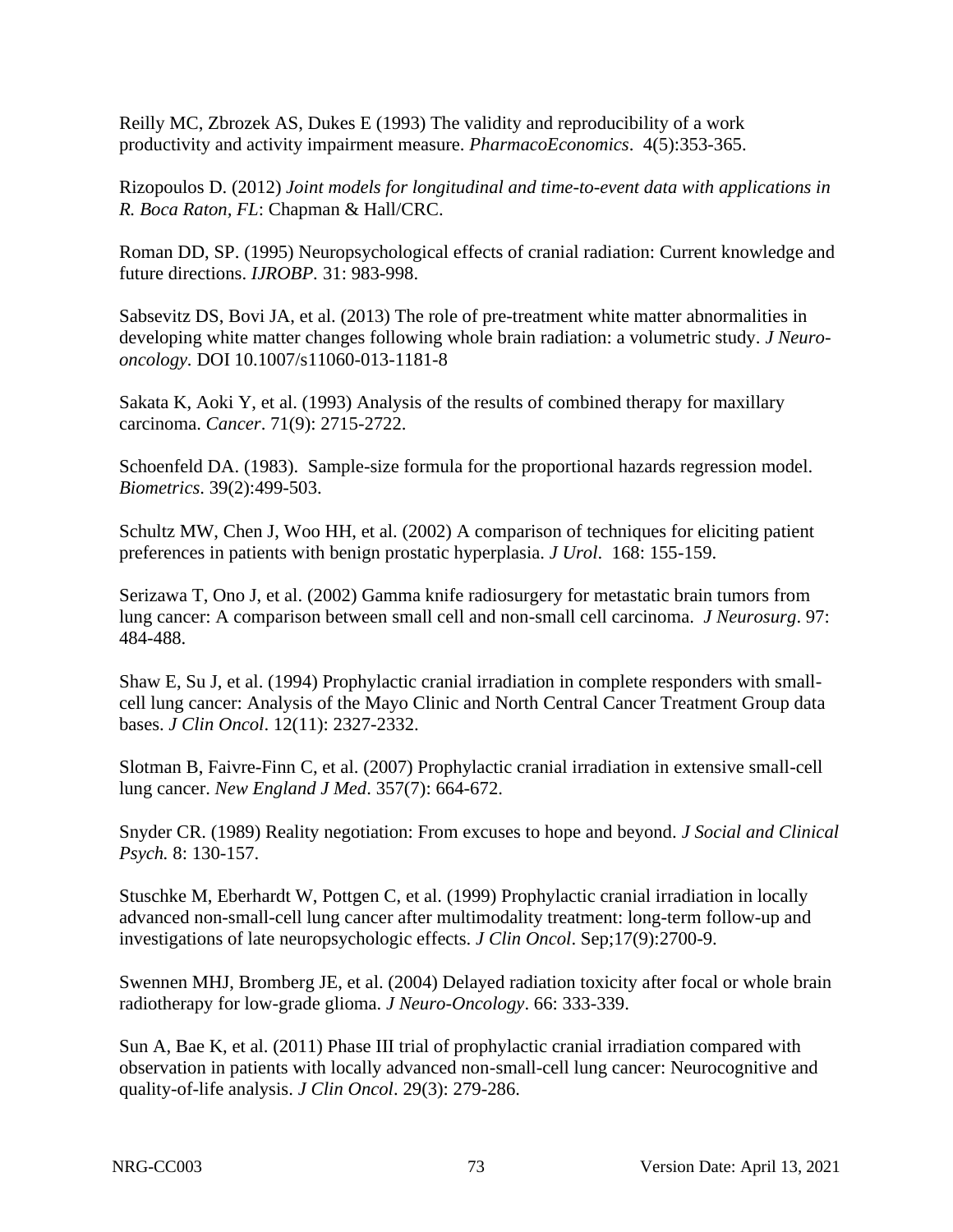Reilly MC, Zbrozek AS, Dukes E (1993) The validity and reproducibility of a work productivity and activity impairment measure. *PharmacoEconomics*. 4(5):353-365.

Rizopoulos D. (2012) *Joint models for longitudinal and time-to-event data with applications in R. Boca Raton, FL*: Chapman & Hall/CRC.

Roman DD, SP. (1995) Neuropsychological effects of cranial radiation: Current knowledge and future directions. *IJROBP.* 31: 983-998.

Sabsevitz DS, Bovi JA, et al. (2013) The role of pre-treatment white matter abnormalities in developing white matter changes following whole brain radiation: a volumetric study. *J Neurooncology.* DOI 10.1007/s11060-013-1181-8

Sakata K, Aoki Y, et al. (1993) Analysis of the results of combined therapy for maxillary carcinoma. *Cancer*. 71(9): 2715-2722.

Schoenfeld DA. (1983). Sample-size formula for the proportional hazards regression model. *Biometrics*. 39(2):499-503.

Schultz MW, Chen J, Woo HH, et al. (2002) A comparison of techniques for eliciting patient preferences in patients with benign prostatic hyperplasia. *J Urol*. 168: 155-159.

Serizawa T, Ono J, et al. (2002) Gamma knife radiosurgery for metastatic brain tumors from lung cancer: A comparison between small cell and non-small cell carcinoma. *J Neurosurg*. 97: 484-488.

Shaw E, Su J, et al. (1994) Prophylactic cranial irradiation in complete responders with smallcell lung cancer: Analysis of the Mayo Clinic and North Central Cancer Treatment Group data bases. *J Clin Oncol*. 12(11): 2327-2332.

Slotman B, Faivre-Finn C, et al. (2007) Prophylactic cranial irradiation in extensive small-cell lung cancer. *New England J Med*. 357(7): 664-672.

Snyder CR. (1989) Reality negotiation: From excuses to hope and beyond. *J Social and Clinical Psych.* 8: 130-157.

Stuschke M, Eberhardt W, Pottgen C, et al. (1999) Prophylactic cranial irradiation in locally advanced non-small-cell lung cancer after multimodality treatment: long-term follow-up and investigations of late neuropsychologic effects. *J Clin Oncol*. Sep;17(9):2700-9.

Swennen MHJ, Bromberg JE, et al. (2004) Delayed radiation toxicity after focal or whole brain radiotherapy for low-grade glioma. *J Neuro-Oncology*. 66: 333-339.

Sun A, Bae K, et al. (2011) Phase III trial of prophylactic cranial irradiation compared with observation in patients with locally advanced non-small-cell lung cancer: Neurocognitive and quality-of-life analysis. *J Clin Oncol*. 29(3): 279-286.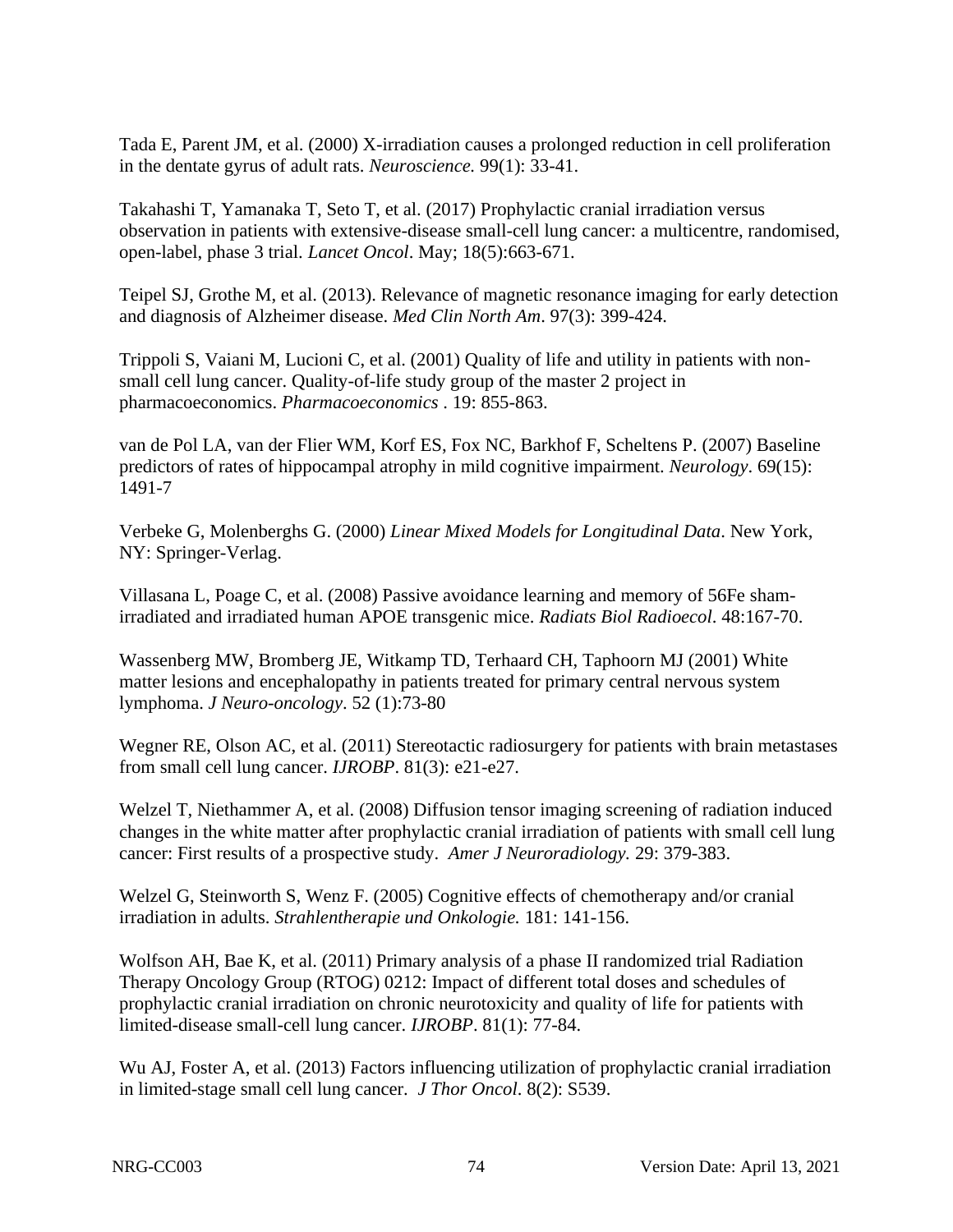Tada E, Parent JM, et al. (2000) X-irradiation causes a prolonged reduction in cell proliferation in the dentate gyrus of adult rats. *Neuroscience.* 99(1): 33-41.

Takahashi T, Yamanaka T, Seto T, et al. (2017) Prophylactic cranial irradiation versus observation in patients with extensive-disease small-cell lung cancer: a multicentre, randomised, open-label, phase 3 trial. *Lancet Oncol*. May; 18(5):663-671.

Teipel SJ, Grothe M, et al. (2013). Relevance of magnetic resonance imaging for early detection and diagnosis of Alzheimer disease. *Med Clin North Am*. 97(3): 399-424.

Trippoli S, Vaiani M, Lucioni C, et al. (2001) Quality of life and utility in patients with nonsmall cell lung cancer. Quality-of-life study group of the master 2 project in pharmacoeconomics. *Pharmacoeconomics* . 19: 855-863.

van de Pol LA, van der Flier WM, Korf ES, Fox NC, Barkhof F, Scheltens P. (2007) Baseline predictors of rates of hippocampal atrophy in mild cognitive impairment. *Neurology*. 69(15): 1491-7

Verbeke G, Molenberghs G. (2000) *Linear Mixed Models for Longitudinal Data*. New York, NY: Springer-Verlag.

Villasana L, Poage C, et al. (2008) Passive avoidance learning and memory of 56Fe shamirradiated and irradiated human APOE transgenic mice. *Radiats Biol Radioecol*. 48:167-70.

Wassenberg MW, Bromberg JE, Witkamp TD, Terhaard CH, Taphoorn MJ (2001) White matter lesions and encephalopathy in patients treated for primary central nervous system lymphoma. *J Neuro-oncology*. 52 (1):73-80

Wegner RE, Olson AC, et al. (2011) Stereotactic radiosurgery for patients with brain metastases from small cell lung cancer. *IJROBP*. 81(3): e21-e27.

Welzel T, Niethammer A, et al. (2008) Diffusion tensor imaging screening of radiation induced changes in the white matter after prophylactic cranial irradiation of patients with small cell lung cancer: First results of a prospective study. *Amer J Neuroradiology.* 29: 379-383.

Welzel G, Steinworth S, Wenz F. (2005) Cognitive effects of chemotherapy and/or cranial irradiation in adults. *Strahlentherapie und Onkologie.* 181: 141-156.

Wolfson AH, Bae K, et al. (2011) Primary analysis of a phase II randomized trial Radiation Therapy Oncology Group (RTOG) 0212: Impact of different total doses and schedules of prophylactic cranial irradiation on chronic neurotoxicity and quality of life for patients with limited-disease small-cell lung cancer. *IJROBP*. 81(1): 77-84.

Wu AJ, Foster A, et al. (2013) Factors influencing utilization of prophylactic cranial irradiation in limited-stage small cell lung cancer. *J Thor Oncol*. 8(2): S539.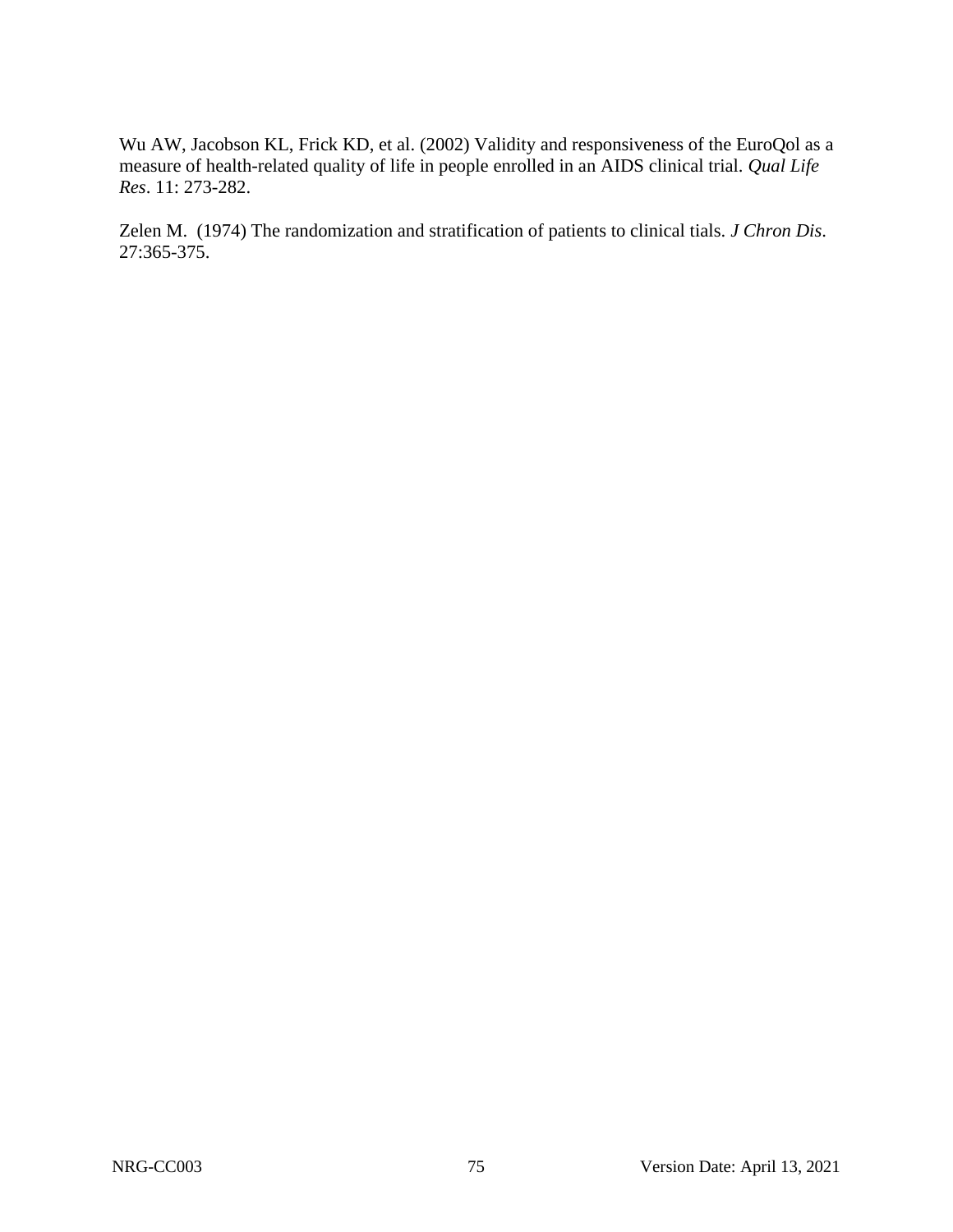Wu AW, Jacobson KL, Frick KD, et al. (2002) Validity and responsiveness of the EuroQol as a measure of health-related quality of life in people enrolled in an AIDS clinical trial. *Qual Life Res*. 11: 273-282.

Zelen M. (1974) The randomization and stratification of patients to clinical tials. *J Chron Dis*. 27:365-375.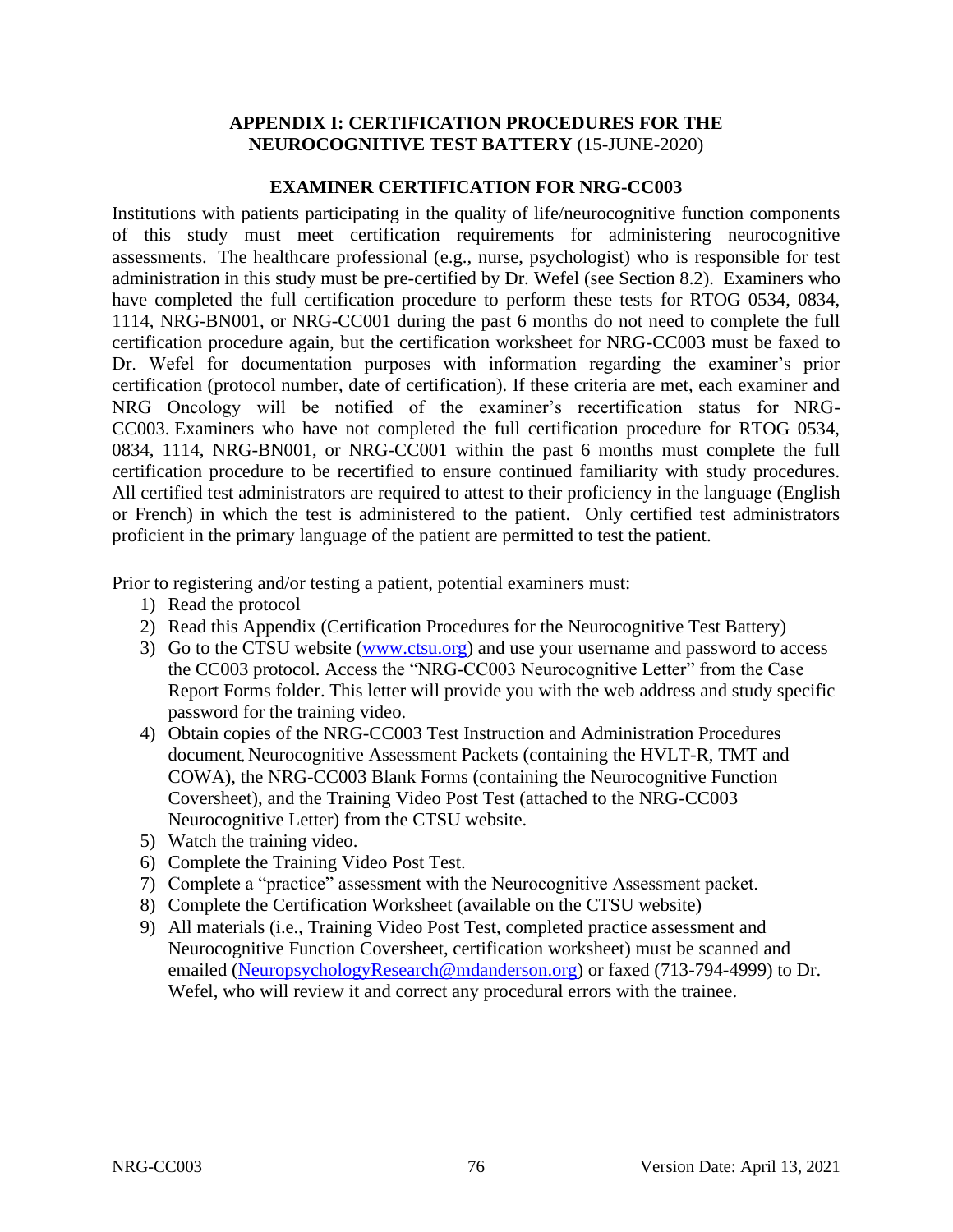## **APPENDIX I: CERTIFICATION PROCEDURES FOR THE NEUROCOGNITIVE TEST BATTERY** (15-JUNE-2020)

## **EXAMINER CERTIFICATION FOR NRG-CC003**

Institutions with patients participating in the quality of life/neurocognitive function components of this study must meet certification requirements for administering neurocognitive assessments. The healthcare professional (e.g., nurse, psychologist) who is responsible for test administration in this study must be pre-certified by Dr. Wefel (see Section 8.2). Examiners who have completed the full certification procedure to perform these tests for RTOG 0534, 0834, 1114, NRG-BN001, or NRG-CC001 during the past 6 months do not need to complete the full certification procedure again, but the certification worksheet for NRG-CC003 must be faxed to Dr. Wefel for documentation purposes with information regarding the examiner's prior certification (protocol number, date of certification). If these criteria are met, each examiner and NRG Oncology will be notified of the examiner's recertification status for NRG-CC003. Examiners who have not completed the full certification procedure for RTOG 0534, 0834, 1114, NRG-BN001, or NRG-CC001 within the past 6 months must complete the full certification procedure to be recertified to ensure continued familiarity with study procedures. All certified test administrators are required to attest to their proficiency in the language (English or French) in which the test is administered to the patient. Only certified test administrators proficient in the primary language of the patient are permitted to test the patient.

Prior to registering and/or testing a patient, potential examiners must:

- 1) Read the protocol
- 2) Read this Appendix (Certification Procedures for the Neurocognitive Test Battery)
- 3) Go to the CTSU website [\(www.ctsu.org\)](http://www.ctsu.org/) and use your username and password to access the CC003 protocol. Access the "NRG-CC003 Neurocognitive Letter" from the Case Report Forms folder. This letter will provide you with the web address and study specific password for the training video.
- 4) Obtain copies of the NRG-CC003 Test Instruction and Administration Procedures document, Neurocognitive Assessment Packets (containing the HVLT-R, TMT and COWA), the NRG-CC003 Blank Forms (containing the Neurocognitive Function Coversheet), and the Training Video Post Test (attached to the NRG-CC003 Neurocognitive Letter) from the CTSU website.
- 5) Watch the training video.
- 6) Complete the Training Video Post Test.
- 7) Complete a "practice" assessment with the Neurocognitive Assessment packet.
- 8) Complete the Certification Worksheet (available on the CTSU website)
- 9) All materials (i.e., Training Video Post Test, completed practice assessment and Neurocognitive Function Coversheet, certification worksheet) must be scanned and emailed [\(NeuropsychologyResearch@mdanderson.org\)](mailto:NeuropsychologyResearch@mdanderson.org) or faxed (713-794-4999) to Dr. Wefel, who will review it and correct any procedural errors with the trainee.